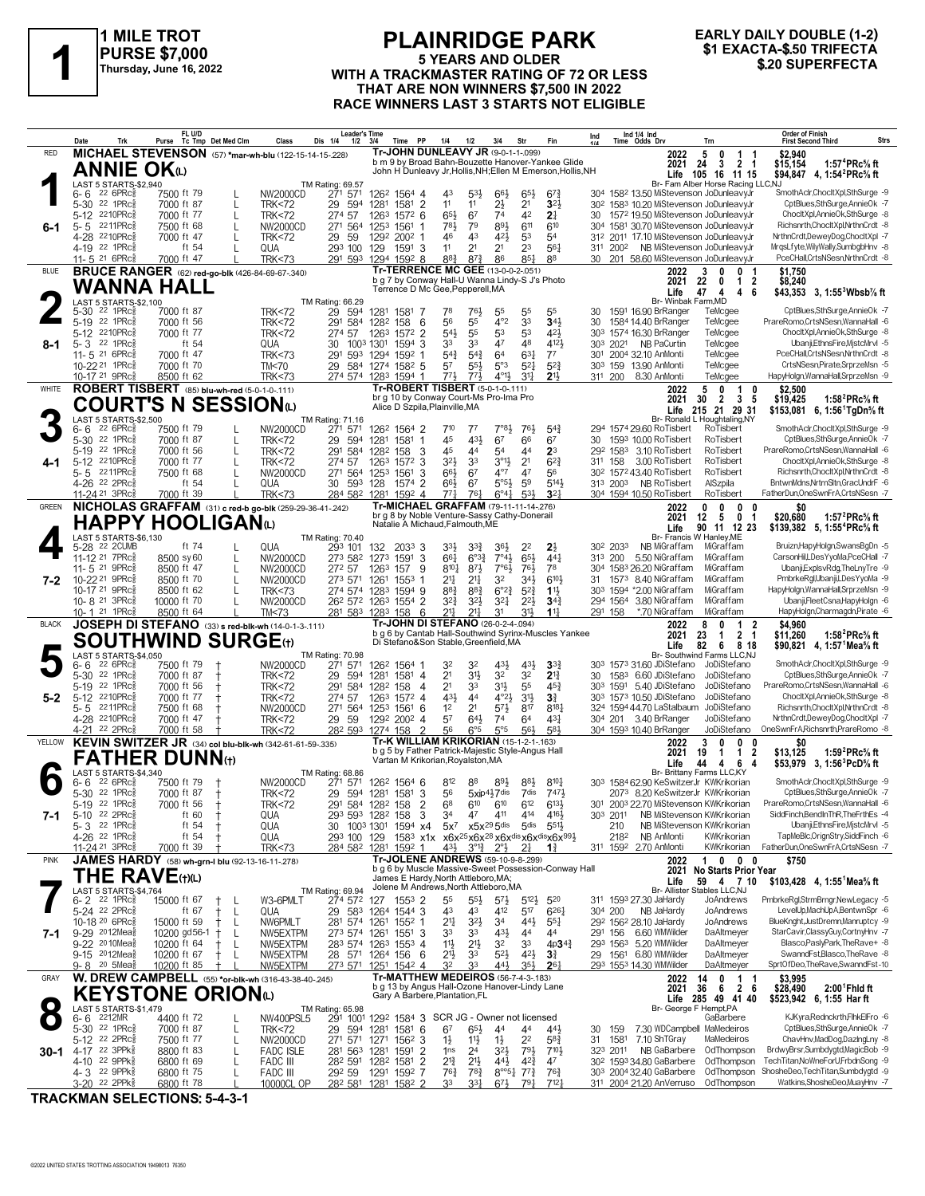

### **PURSE \$7,000 Thursday, June 16, 2022**

#### **PLAINRIDGE PARK 5 YEARS AND OLDER PURSE \$7,000**<br>
Thursday, June 16, 2022<br>
WITH A TRACKMASTER RATING OF 72 OR LESS<br>
THAT ARE NON WINNERS \$7,500 IN 2022 **THAT ARE NON WINNERS \$7,500 IN 2022 RACE WINNERS LAST 3 STARTS NOT ELIGIBLE**

# **EARLY DAILY DOUBLE (1-2)**

| Tr-JOHN DUNLEAVY JR (9-0-1-1-099)<br>MICHAEL STEVENSON (57) *mar-wh-blu (122-15-14-15-228)<br>\$2.940<br><b>RED</b><br>2022<br>5<br>0<br>$\mathbf{1}$<br>b m 9 by Broad Bahn-Bouzette Hanover-Yankee Glide<br>24<br>3<br>2 1<br>\$15,154<br>1:57 <sup>4</sup> PRc% ft<br>2021<br><b>ANNIE OK</b><br>John H Dunleavy Jr, Hollis, NH; Ellen M Emerson, Hollis, NH<br>Life 105 16 11 15<br>\$94,847 4, 1:54 <sup>2</sup> PRc <sup>5</sup> / <sub>8</sub> ft<br>LAST 5 STARTS-\$2,940<br>Br- Fam Alber Horse Racing LLC,NJ<br>TM Rating: 69.57<br>SmothAclr,ChocltXpl,SthSurge -9<br>$226$ PRc $\frac{5}{8}$<br>271 571<br>304 1582 13.50 MiStevenson JoDunleavyJr<br>7500 ft 79<br>NW2000CD<br>126 <sup>2</sup> 1564 4<br>43<br>$5^{3}$<br>$66\frac{1}{2}$<br>$65\frac{1}{2}$<br>6- 6<br>$67\frac{3}{4}$<br>1581 2<br>$2\frac{1}{2}$<br>323<br>CptBlues,SthSurge,AnnieOk -7<br>5-30 22 1PRc<br>29<br>594<br>11<br>11<br>2 <sup>1</sup><br>30 <sup>2</sup> 158 <sup>3</sup> 10.20 MiStevenson JoDunleavyJr<br>7000 ft 87<br>L<br><b>TRK&lt;72</b><br>1281<br>74<br>42<br>5-12 2210PRc<br>274 57<br>65}<br>67<br>2 <sup>1</sup><br>30 1572 19.50 MiStevenson JoDunleavyJr<br>ChocltXpl,AnnieOk,SthSurge -8<br>7000 ft 77<br>1263<br>$157^2$ 6<br>L<br><b>TRK&lt;72</b><br>Richsnrth,ChocltXpl,NrthnCrdt -8<br>2211PRc<br>7500 ft 68<br>781<br>79<br>893<br>611<br>304 1581 30.70 MiStevenson JoDunleavyJr<br>$5 - 5$<br>271 564<br>1561<br>610<br>NW2000CD<br>1253<br>6-1<br>4-28 2210PRc<br>43<br>53<br>312 2011 17.10 MiStevenson JoDunleavyJr<br>NrthnCrdt,DeweyDog,ChocItXpl -7<br>7000 ft 47<br>29 59<br>1292<br>46<br>421<br>54<br>L<br><b>TRK&lt;72</b><br>$2002$ 1<br>2 <sup>3</sup><br>MrgsLfyte, Wily Wally, SumbgbHnv -8<br>4-19 22 1PRc<br>ft 54<br>11<br>2 <sup>1</sup><br>2 <sup>1</sup><br>561<br>311 2002 NB MiStevenson JoDunleavyJr<br>QUA<br>293 100 129<br>1591 3<br>$\mathbf{I}$<br>883<br>$85\frac{1}{4}$<br>88<br>PceCHall,CrtsNSesn,NrthnCrdt -8<br>291 593 1294 1592 8<br>$8^{7}\frac{3}{4}$<br>86<br>30 201 58.60 MiStevenson JoDunleavyJr<br>11-5 <sup>21</sup> 6PRc<br>7000 ft 47<br><b>TRK&lt;73</b><br>Tr-TERRENCE MC GEE (13-0-0-2-.051)<br><b>BRUCE RANGER</b> (62) red-go-blk (426-84-69-67-340)<br><b>BLUE</b><br>3<br>2022<br>-1<br>\$1,750<br>0<br>0<br>b g 7 by Conway Hall-U Wanna Lindy-S J's Photo<br>22<br>$\overline{\mathbf{2}}$<br>\$8,240<br>2021<br>0<br>-1<br>WANNA HALL<br>Terrence D Mc Gee, Pepperell, MA<br>Life<br>47 4<br>$\overline{4}$<br>\$43,353 3, 1:55 <sup>3</sup> Wbsb <sup>7</sup> / <sub>8</sub> ft<br>-6<br>LAST 5 STARTS-\$2,100<br>Br- Winbak Farm, MD<br>TM Rating: 66.29<br>CptBlues,SthSurge,AnnieOk -7<br>$22$ 1PR $c_{\ell}$<br>29<br>1591 16.90 BrRanger<br>5-30<br>7000 ft 87<br><b>TRK&lt;72</b><br>594<br>1281 1581 7<br>78<br>761<br>55<br>55<br>55<br>30<br>TeMcgee<br>4°2<br>5-19 22 1PRc<br>56<br>55<br>33<br>341<br>291 584<br>6<br>1584 14.40 BrRanger<br>TeMcgee<br>PrareRomo,CrtsNSesn,WannaHall -6<br>7000 ft 56<br><b>TRK&lt;72</b><br>1282 158<br>30<br>$54\frac{1}{2}$<br>421<br>5-12 2210PRc<br>7000 ft 77<br>55<br>53<br>53<br>303 1574 16.30 BrRanger<br>TeMcgee<br>ChocltXpl,AnnieOk,SthSurge -8<br><b>TRK&lt;72</b><br>274 57<br>1263<br>1572 2<br>22 1PRc<br>ft 54<br>33<br>47<br>4121<br>303 2021 NB PaCurtin<br>Ubanji,EthnsFire,MjstcMrvl -5<br>$5 - 3$<br>1594<br>33<br>48<br>TeMcgee<br>QUA<br>30<br>1003 1301<br>3<br>8-1<br>11-5 21 6PRc<br>7000 ft 47<br>$5^{4}$<br>$63\frac{1}{4}$<br>$7^7$<br>TeMcgee<br>PceCHall,CrtsNSesn,NrthnCrdt -8<br><b>TRK&lt;73</b><br>291 593<br>$5^{4}3$<br>6 <sup>4</sup><br>301 2004 32.10 AnMonti<br>1294<br>1592<br>-1<br>CrtsNSesn,Pirate,SrprzeMsn -5<br>10-22 <sup>21</sup> 1PRc<br>7000 ft 70<br>TM<70<br>5 <sup>7</sup><br>$55\frac{1}{2}$<br>5°3<br>$5^{21}$<br>$5^{2}$<br>303 159 13.90 AnMonti<br>TeMcgee<br>29<br>584 1274 1582 5<br>274 574 1283 1594 1<br>773<br>$4^{01}\frac{1}{2}$<br>$3^{11}$<br>213<br>10-17 21 9PRc<br>8500 ft 62<br>773<br>311 200 8.30 AnMonti<br>HapyHolgn, WannaHall, SrprzeMsn -9<br><b>TRK&lt;73</b><br>TeMcgee<br>Tr-ROBERT TISBERT (5-0-1-0-111)<br>ROBERT TISBERT (85) blu-wh-red (5-0-1-0-111)<br>WHITE<br>5<br>$\mathbf{1}$<br>\$2,500<br>$\mathbf{0}$<br>0<br>2022<br>br g 10 by Conway Court-Ms Pro-Ima Pro<br>30<br>$\overline{2}$<br>$\mathbf{3}$<br>\$19,425<br>2021<br>5<br>1:58 <sup>2</sup> PRc% ft<br>COURT'S N SESSIONധ<br>Alice D Szpila, Plainville, MA<br>Life 215 21 29 31<br>\$153,081 6, 1:56 TgDn % ft<br>LAST 5 STARTS-\$2,500<br>Br- Ronald L Houghtaling, NY<br>TM Rating: 71.16<br>SmothAclr,ChocltXpl,SthSurge -9<br>$226$ PRc $\frac{5}{8}$<br>271 571<br>$7°8\frac{1}{2}$<br>7500 ft 79<br>NW2000CD<br>126 <sup>2</sup> 1564 2<br>$7^{10}$<br>$7^7$<br>76}<br>$5^{4}$<br>294 1574 29.60 RoTisbert<br>RoTisbert<br>6- 6<br>431<br>66<br>CptBlues,SthSurge,AnnieOk -7<br>5-30 22 1PRc<br>7000 ft 87<br>45<br>67<br>67<br>L<br><b>TRK&lt;72</b><br>29 594<br>1281<br>1581<br>$\overline{1}$<br>30<br>1593 10.00 RoTisbert<br>RoTisbert<br>2 <sup>3</sup><br>5-19 22 1PRc<br>291 584<br>45<br>44<br>54<br>44<br>RoTisbert<br>PrareRomo,CrtsNSesn,WannaHall -6<br>7000 ft 56<br>1282<br>158<br>-3<br>29 <sup>2</sup> 158 <sup>3</sup> 3.10 RoTisbert<br>L<br><b>TRK&lt;72</b><br>5-12 2210PRc<br>7000 ft 77<br>32}<br>$3^{01}$<br>$6^{2}3$<br>3.00 RoTisbert<br>RoTisbert<br>ChocltXpl,AnnieOk,SthSurge -8<br>274 57<br>3<br>33<br>2 <sup>1</sup><br>311 158<br><b>TRK&lt;72</b><br>1263<br>1572<br>4-1<br>5-5 2211PRc<br>$4^{\circ 7}$<br>47<br>30 <sup>2</sup> 157 <sup>2</sup> 43.40 RoTisbert<br>RoTisbert<br>Richsnrth,ChocltXpl,NrthnCrdt -8<br>7500 ft 68<br>L<br>271 564 1253<br>3<br>$66\frac{1}{2}$<br>67<br>56<br>NW2000CD<br>1561<br>$5°5\frac{1}{2}$<br>59<br>BntwnMdns, NrtrnSltn, GracUndrF -6<br>4-26 22 2PRc<br>ft 54<br>$66\frac{1}{2}$<br>6 <sup>7</sup><br>5143<br>313 2003 NB RoTisbert<br>AlSzpila<br>QUA<br>30 593 128<br>1574<br>2<br>$\mathbf{I}$<br>$6^{\circ}41$<br>53 <sup>1</sup><br>3 <sup>2</sup><br>284 582 1281<br>$77\frac{1}{4}$<br>$76\frac{1}{4}$<br>304 1594 10.50 RoTisbert<br>RoTisbert<br>FatherDun, OneSwnFrA, CrtsNSesn -7<br>11-24 <sup>21</sup> 3PRc3<br>7000 ft 39<br><b>TRK&lt;73</b><br>1592 4<br>Tr-MICHAEL GRAFFAM (79-11-11-14-276)<br>NICHOLAS GRAFFAM (31) c red-b go-blk (259-29-36-41-242)<br><b>GREEN</b><br>0<br>$\mathbf{0}$<br>\$0<br>0<br>$\mathbf{0}$<br>2022<br>br g 8 by Noble Venture-Sassy Cathy-Donerail<br>\$20,680<br>12<br>0 <sub>1</sub><br>2021<br>- 5<br>1:57 $^{2}$ PRc $\%$ ft<br>HAPPY HOOLIGANω<br>Natalie A Michaud, Falmouth, ME<br>Life<br>90 11 12 23<br>\$139,382 5, 1:55 <sup>4</sup> PRc <sup>5</sup> / <sub>8</sub> ft<br>LAST 5 STARTS-\$6.130<br>Br- Francis W Hanlev.ME<br>TM Rating: 70.40<br>Bruizn,HapyHolgn,SwansBgDn -5<br>5-28 22 2CUMB<br>ft 74<br>NB MiGraffam<br>QUA<br>293 101<br>2033 3<br>$33\frac{1}{2}$<br>$3^{3}_{4}$<br>36}<br>22<br>$2\frac{1}{2}$<br>30 <sup>2</sup> 2033<br>MiGraffam<br>132<br>$7^{\circ}4\frac{1}{2}$<br>$65\frac{1}{2}$<br>CarsonHil,LDesYyoMa,PceCHall -7<br>11-12 21 7PRc<br>NW2000CD<br>273 582<br>3<br>$66\frac{1}{4}$<br>$6^{o_3}\frac{3}{4}$<br>44 <sup>1</sup><br>5.50 NiGraffam<br>8500 sy 60<br>L<br>1273<br>1591<br>313 200<br>MiGraffam<br>$7°6\frac{1}{2}$<br>11-5 21 9PRc<br>$8^{10}\frac{1}{4}$<br>761<br>78<br>MiGraffam<br>Ubanji,ExplsvRdg,TheLnyTre -9<br>8500 ft 47<br>NW2000CD<br>272 57<br>1263<br>-9<br>$8^{7}\frac{1}{2}$<br>304 1583 26.20 NiGraffam<br>L<br>157<br>10-22 21 9PRc<br>3 <sup>2</sup><br>34}<br>610}<br>31 1573 8.40 NiGraffam<br>MiGraffam<br>PmbrkeRgl,Ubanji,LDesYyoMa -9<br>8500 ft 70<br>NW2000CD<br>273 571<br>21<br>$2^{11}$<br>L<br>1261<br>1553<br>7-2<br>10-17 21 9PRc<br>$6^{o_2}\frac{3}{4}$<br>$11\frac{1}{2}$<br>303 1594 *2.00 NiGraffam<br>MiGraffam<br>HapyHolgn, WannaHall, SrprzeMsn -9<br>8500 ft 62<br>L<br>274 574 1283<br>1594 9<br>$8^{8}$ <sub>4</sub><br>$8^{8}$ <sub>4</sub><br>$5^{2}3$<br><b>TRK&lt;73</b><br>Ubanji,FleetCsna,HapyHolgn -6<br>10-8 <sup>21</sup> 3PRc<br>NW2000CD<br>$3^{2}\frac{3}{4}$<br>$3^{2}\frac{1}{2}$<br>$3^{2}$<br>$2^{21}$<br>294 1564 3.80 NiGraffam<br>MiGraffam<br>10000 ft 70<br>L<br>26 <sup>2</sup> 57 <sup>2</sup> 126 <sup>3</sup> 1554 2<br>$34\frac{3}{4}$<br>$2^{11}$<br>$2^{11}$<br>$3^{11}$<br>10-1 <sup>21</sup> 1PRc<br>8500 ft 64<br>TM<73<br>281 583 1283 158 6<br>3 <sup>1</sup><br>$11\frac{1}{4}$<br>*.70 NiGraffam<br>MiGraffam<br>HapyHolgn,Charmagdn,Pirate -6<br>291 158<br>JOSEPH DI STEFANO (33) s red-blk-wh (14-0-1-3-.111)<br>Tr-JOHN DI STEFANO (26-0-2-4-.094)<br><b>BLACK</b><br>8<br>\$4.960<br>2022<br>$\mathbf{1}$<br>2<br>0<br>b g 6 by Cantab Hall-Southwind Syrinx-Muscles Yankee<br>23<br>2 <sub>1</sub><br>2021<br>\$11,260<br>1:58 <sup>2</sup> PRc% ft<br>-1<br><b>SOUTHWIND SURGE(t)</b><br>Di Stefano&Son Stable, Greenfield, MA<br>Life<br>82 6 8 18<br>\$90,821 4, 1:57 Mea % ft<br>LAST 5 STARTS-\$4,050<br>Br- Southwind Farms LLC,NJ<br><b>TM Rating: 70.98</b><br>SmothAclr,ChocltXpl,SthSurge -9<br>$226$ PRc $\frac{5}{6}$<br>271 571<br>$4^{3}\frac{1}{2}$<br>303 1573 31.60 JDiStefano<br>7500 ft 79<br>NW2000CD<br>126 <sup>2</sup> 1564 1<br>32<br>32<br>$43\frac{1}{2}$<br>$3^{3}$<br>JoDiStefano<br>6- 6<br>2 <sup>1</sup><br>3 <sup>1</sup><br>3 <sup>2</sup><br>32<br>$2^{13}$<br>CptBlues,SthSurge,AnnieOk -7<br>5-30 22 1PRc<br>7000 ft 87<br><b>TRK&lt;72</b><br>29 594<br>1281<br>1581 4<br>30 1583 6.60 JDiStefano<br>JoDiStefano<br>2 <sup>1</sup><br>3 <sup>1</sup><br>PrareRomo,CrtsNSesn,WannaHall -6<br>$22$ 1PR $c_{\ell}$<br>33<br>55<br>$45\frac{3}{4}$<br>5-19<br>7000 ft 56<br>291 584<br>1282<br>30 <sup>3</sup> 1591 5.40 JDiStefano<br>JoDiStefano<br><b>TRK&lt;72</b><br>158<br>-4<br>5-12 2210PRc<br>431<br>303 1573 10.50 JDiStefano<br>JoDiStefano<br>ChocltXpl,AnnieOk,SthSurge -8<br>7000 ft 77<br>274 57<br>1263<br>4 <sup>4</sup><br>$4^{\circ}2\frac{1}{2}$<br>3 <sup>1</sup><br>$3\frac{3}{4}$<br><b>TRK&lt;72</b><br>$157^2$ 4<br>$5-2$<br>2211PRc<br>2 <sup>1</sup><br>$5^{7}\frac{1}{2}$<br>324 1594 44.70 LaStalbaum<br>JoDiStefano<br>Richsnrth,ChocltXpl,NrthnCrdt -8<br>7500 ft 68<br>NW2000CD<br>271 564 1253<br>1 <sup>2</sup><br>817<br>$8^{18}$<br>1561 6<br>5-5<br>57<br>431<br>NrthnCrdt,DeweyDog,ChocItXpl -7<br>4-28 2210PRc<br>$64\frac{1}{2}$<br>74<br>6 <sup>4</sup><br>304 201 3.40 BrRanger<br>JoDiStefano<br>7000 ft 47<br><b>TRK&lt;72</b><br>29 59<br>1292 2002 4<br>5°5<br>$\overline{2}$<br>6°5<br>561<br>581<br>OneSwnFrA, Richsnrth, PrareRomo -8<br>22 2PRc<br><b>TRK&lt;72</b><br>28 <sup>2</sup> 593 1274 158<br>56<br>304 1593 10.40 BrRanger<br>4-21<br>7000 ft 58<br>JoDiStefano<br><b>Tr-K WILLIAM KRIKORIAN (15-1-2-1-163)</b><br>KEVIN SWITZER JR (34) col blu-blk-wh (342-61-61-59-.335)<br>YELLOW<br>3<br>\$0<br>0<br>2022<br>0<br>0<br>b g 5 by Father Patrick-Majestic Style-Angus Hall<br>\$13,125<br>2021<br>19<br>1<br>2<br>1:59 <sup>2</sup> PRc% ft<br>-1<br><b>FATHER DUNN</b> (t)<br>Vartan M Krikorian, Royalston, MA<br>44<br>6<br>\$53,979 3, 1:56 <sup>3</sup> PcD% ft<br>Life<br>4<br>4<br>LAST 5 STARTS-\$4,340<br>Br- Brittany Farms LLC,KY<br>TM Rating: 68.86<br>SmothAclr.ChocltXpl.SthSurge -9<br>$226$ PRc $\frac{5}{6}$<br>812<br>8101<br>303 1584 62.90 KeSwitzerJr KWKrikorian<br>7500 ft 79<br>NW2000CD<br>271 571<br>126 <sup>2</sup> 1564 6<br>88<br>$89\frac{1}{2}$<br>$8^{8}\frac{1}{2}$<br>6- 6<br>5-30 22 1PRc <sup>5</sup><br>7471<br>29 594 1281 1581 3<br>56<br>$5xip4\frac{1}{2}7$ dis<br>CptBlues,SthSurge,AnnieOk -7<br>7000 ft 87<br><b>TRK&lt;72</b><br>7dis<br>2073 8.20 KeSwitzerJr KWKrikorian<br>$\pm$<br>5-19 22 1PRcs<br>291 584 1282 158 2<br>68 610 610<br>612<br>$6^{13}\frac{1}{2}$<br>301 2003 22.70 MiStevenson KWKrikorian<br>PrareRomo,CrtsNSesn,WannaHall -6<br>7000 ft 56 +<br><b>TRK&lt;72</b><br>SiddFinch,BendInThR,TheFrthEs -4<br>5-10 22 2PRc <sup>5</sup><br>303 2011<br>NB MiStevenson KWKrikorian<br>ft $60$<br>3<br>3 <sup>4</sup><br>47<br>411<br>414<br>4164<br>QUA<br>293 593 1282 158<br>7-1<br>5-3 22 1PRc <sup>5</sup><br>5x7 x5x295dis<br>Ubanji.EthnsFire.MistcMrvl -5<br>ft $54$<br>$5$ dis<br>551}<br>210<br>NB MiStevenson KWKrikorian<br>QUA<br>1003 1301<br>1594 x4<br>30<br>TapMeBlc, OrignStry, SiddFinch -6<br>4-26 <sup>22</sup> 1PRc <sup>5</sup><br>1583 x1x x6x <sup>25</sup> x6x <sup>28</sup> x6x <sup>dis</sup> x6x <sup>dis</sup> x6x <sup>991</sup> 2<br>NB AnMonti<br>ft $54$<br>QUA<br>293 100 129<br>2182<br>KWKrikorian<br>FatherDun, OneSwnFrA, CrtsNSesn -7<br>43}<br>$3^{\circ}1^3$ $2^{\circ}1$<br>11-24 <sup>21</sup> 3PRc<br>7000 ft 39<br><b>TRK&lt;73</b><br>284 582 1281 1592 1<br>$2\frac{1}{4}$<br>$1\frac{3}{4}$<br>311 1592 2.70 AnMonti<br>KWKrikorian<br>Tr-JOLENE ANDREWS (59-10-9-8-299)<br>JAMES HARDY (58) wh-grn-I blu (92-13-16-11-278)<br>$\mathbf{1}$<br><b>PINK</b><br>2022<br>$\mathbf{0}$<br>$\mathbf{0}$<br>0<br>\$750<br>b g 6 by Muscle Massive-Sweet Possession-Conway Hall<br>2021 No Starts Prior Year<br><b>THE RAVE(t)(L)</b><br>James E Hardy, North Attleboro, MA;<br>Life<br>59 4 7 10<br>\$103,428 4, 1:55 Mea% ft<br>Jolene M Andrews, North Attleboro, MA<br>LAST 5 STARTS-\$4,764<br>TM Rating: 69.94<br>Br- Allister Stables LLC,NJ<br>PmbrkeRgl,StrmBrngr,NewLegacy -5<br>6-2 <sup>22</sup> 1PRc <sup>5</sup><br>274 572<br>15000 ft 67<br>W3-6PMLT<br>$155^3$ 2<br>55<br>$55\frac{1}{2}$<br>$5^{7}\frac{1}{2}$<br>$5^{12}$<br>520<br>311 1593 27.30 JaHardy<br>JoAndrews<br>127<br>$\ddagger$<br>$4^{12}$<br>517<br>5-24 22 2PRc<br>1264 1544 3<br>43<br>43<br>$6^{26}$ <sup>1</sup><br>NB JaHardy<br>LevelUp,MachUpA,BentwnSpr -6<br>ft 67<br>L<br>QUA<br>29 583<br>304 200<br>JoAndrews<br>$^+$<br>BlueKnght, JustDremn, Manruptcy -9<br>10-18 20 6PRc<br>21<br>$3^{2}\frac{1}{2}$<br>JoAndrews<br>15000 ft 59<br>281 574 1261<br>1552 1<br>34<br>$44\frac{1}{2}$<br>$55\frac{1}{4}$<br>292 1562 28.10 JaHardy<br>$^+$<br>L<br>NW6PMLT<br>9-29 2012Mea <sup>5</sup><br>6.60 WMWilder<br>DaAltmeyer<br>StarCavir,ClassyGuy,CortnyHnv -7<br>10200 gd56-1<br>33<br>33<br>$4^{3}\frac{1}{2}$<br>291 156<br>$^{+}$<br>NW5EXTPM<br>273 574<br>1261<br>$1551$ 3<br>4 <sup>4</sup><br>44<br>7-1<br>L<br>9-22 2010Mea <sup>5</sup><br>$11\frac{1}{2}$<br>$2^{11}$<br>3 <sup>3</sup><br>293 1563 5.20 WMWilder<br>DaAltmeyer<br>Blasco, Pasly Park, The Rave+ - 8<br>10200 ft 64<br>283 574 1263<br>3 <sup>2</sup><br>$4p34\frac{3}{4}$<br>L<br>NW5EXTPM<br>$155^3$ 4<br>SwanndFst,Blasco,TheRave -8<br>9-15 $2012$ Mea $\frac{5}{8}$<br>21}<br>$5^{21}$<br>$4^{21}$<br>29 1561 6.80 WMWilder<br>DaAltmeyer<br>10200 ft 67<br>NW5EXTPM<br>28 571 1264 156 6<br>33<br>$3\frac{3}{4}$<br>$^+$<br>L<br>10200 ft 85<br>NW5EXTPM<br>273 571 1251 1542 4<br>32<br>33<br>443<br>$35\frac{1}{2}$<br>293 1553 14.30 WMWilder<br>DaAltmeyer<br>SprtOfDeo.TheRave.SwanndFst-10<br>9-8 <sup>20</sup> 5Mea<br>$26\frac{1}{4}$<br><b>Tr-MATTHEW MEDEIROS (56-7-4-3-183)</b><br>W. DREW CAMPBELL (55) *or-blk-wh (316-43-38-40-.245)<br>14<br>\$3,995<br>GRAY<br>$\mathbf{1}$<br>2022<br>0<br>-1<br>b g 13 by Angus Hall-Ozone Hanover-Lindy Lane<br>36<br>2 6<br>2021<br>6<br>\$28,490<br>$2:00$ <sup>1</sup> Fhid ft<br><b>KEYSTONE ORIONa</b><br>Gary A Barbere, Plantation, FL<br>Life 285 49 41 40<br>\$523,942 6, 1:55 Har ft<br>$\bullet$<br>LAST 5 STARTS-\$1,479<br>Br- George F Hempt, PA<br>TM Rating: 65.98<br>KJKyra,Rednckrth,FlhkElFro -6<br>6-6 2212MR<br>291 1001 1292 1584 3 SCR JG - Owner not licensed<br>GaBarbere<br>4400 ft 72<br>NW400PSL5<br>5-30 22 1PRc <sup>5</sup><br>29<br>7.30 WDCampbell MaMedeiros<br>CptBlues,SthSurge,AnnieOk -7<br>7000 ft 87<br>L<br><b>TRK&lt;72</b><br>594<br>1281<br>$158^1$ 6<br>67<br>$65\frac{1}{2}$<br>44<br>44<br>44<br>30 159<br>2 <sup>2</sup><br>ChavHnv,MadDog,DazIngLny -8<br>5-12 <sup>22</sup> 2PRc<br>$1\frac{1}{2}$<br>$5^{8}$ <sub>4</sub><br>MaMedeiros<br>7500 ft 77<br>271 571<br>$156^2$ 3<br>$1\frac{1}{2}$<br>$11\frac{1}{2}$<br>31 1581<br>7.10 ShTGray<br>NW2000CD<br>1271<br>L<br>BrdwyBrsr,Sumbdygtd,MagicBob -9<br>4-17 22 3PPks<br>323 2011<br>NB GaBarbere<br>OdThompson<br>8800 ft 83<br><b>FADC ISLE</b><br>2 <sup>4</sup><br>$3^{21}$<br>793<br>710}<br>281 563<br>1281<br>1591 2<br>1 <sub>ns</sub><br>30-1<br>L<br>TechTitan, NoWneForU, FrbdnSong -9<br>4-10 22 9PPk<br>$2^{13}$<br>30 <sup>2</sup> 1593 34.80 GaBarbere<br>OdThompson<br>6800 ft 69<br>282 591 1282<br>1581 2<br>2 <sup>1</sup><br>$44\frac{1}{2}$<br>$4^{2}\frac{3}{4}$<br>L<br>FADC III<br>47<br>ShosheDeo,TechTitan,Sumbdygtd -9<br>4-3 22 9PPk<br>1291 1592 7<br>$76\frac{3}{4}$<br>$78\frac{3}{4}$<br>$8^{\circ 51}$ 77 <sup>3</sup><br>$76\frac{3}{4}$<br>303 2004 32.40 GaBarbere<br>OdThompson<br>6800 ft 75<br><b>FADC III</b><br>292 59<br>L<br>331<br>33<br>Watkins, ShosheDeo, MuayHnv -7<br>3-20 <sup>22</sup> 2PPk<br>282 581 1281 1582 2<br>791<br>712 <sub>1</sub><br>311 2004 21.20 AnVerruso<br>OdThompson<br>6800 ft 78<br>10000CL OP<br>$6^{7}\frac{1}{2}$ | Date<br>Trk | FL U/D<br>Purse Tc Tmp Det Med Clm | Class | <b>Leader's Time</b><br>Dis 1/4<br>1/2 | Time PP<br>3/4 | 1/4<br>1/2 | 3/4<br>Str | Fin | Ind | Ind 1/4 Ind<br>Time Odds Drv | Trn | <b>Order of Finish</b><br><b>First Second Third</b><br>Strs |
|----------------------------------------------------------------------------------------------------------------------------------------------------------------------------------------------------------------------------------------------------------------------------------------------------------------------------------------------------------------------------------------------------------------------------------------------------------------------------------------------------------------------------------------------------------------------------------------------------------------------------------------------------------------------------------------------------------------------------------------------------------------------------------------------------------------------------------------------------------------------------------------------------------------------------------------------------------------------------------------------------------------------------------------------------------------------------------------------------------------------------------------------------------------------------------------------------------------------------------------------------------------------------------------------------------------------------------------------------------------------------------------------------------------------------------------------------------------------------------------------------------------------------------------------------------------------------------------------------------------------------------------------------------------------------------------------------------------------------------------------------------------------------------------------------------------------------------------------------------------------------------------------------------------------------------------------------------------------------------------------------------------------------------------------------------------------------------------------------------------------------------------------------------------------------------------------------------------------------------------------------------------------------------------------------------------------------------------------------------------------------------------------------------------------------------------------------------------------------------------------------------------------------------------------------------------------------------------------------------------------------------------------------------------------------------------------------------------------------------------------------------------------------------------------------------------------------------------------------------------------------------------------------------------------------------------------------------------------------------------------------------------------------------------------------------------------------------------------------------------------------------------------------------------------------------------------------------------------------------------------------------------------------------------------------------------------------------------------------------------------------------------------------------------------------------------------------------------------------------------------------------------------------------------------------------------------------------------------------------------------------------------------------------------------------------------------------------------------------------------------------------------------------------------------------------------------------------------------------------------------------------------------------------------------------------------------------------------------------------------------------------------------------------------------------------------------------------------------------------------------------------------------------------------------------------------------------------------------------------------------------------------------------------------------------------------------------------------------------------------------------------------------------------------------------------------------------------------------------------------------------------------------------------------------------------------------------------------------------------------------------------------------------------------------------------------------------------------------------------------------------------------------------------------------------------------------------------------------------------------------------------------------------------------------------------------------------------------------------------------------------------------------------------------------------------------------------------------------------------------------------------------------------------------------------------------------------------------------------------------------------------------------------------------------------------------------------------------------------------------------------------------------------------------------------------------------------------------------------------------------------------------------------------------------------------------------------------------------------------------------------------------------------------------------------------------------------------------------------------------------------------------------------------------------------------------------------------------------------------------------------------------------------------------------------------------------------------------------------------------------------------------------------------------------------------------------------------------------------------------------------------------------------------------------------------------------------------------------------------------------------------------------------------------------------------------------------------------------------------------------------------------------------------------------------------------------------------------------------------------------------------------------------------------------------------------------------------------------------------------------------------------------------------------------------------------------------------------------------------------------------------------------------------------------------------------------------------------------------------------------------------------------------------------------------------------------------------------------------------------------------------------------------------------------------------------------------------------------------------------------------------------------------------------------------------------------------------------------------------------------------------------------------------------------------------------------------------------------------------------------------------------------------------------------------------------------------------------------------------------------------------------------------------------------------------------------------------------------------------------------------------------------------------------------------------------------------------------------------------------------------------------------------------------------------------------------------------------------------------------------------------------------------------------------------------------------------------------------------------------------------------------------------------------------------------------------------------------------------------------------------------------------------------------------------------------------------------------------------------------------------------------------------------------------------------------------------------------------------------------------------------------------------------------------------------------------------------------------------------------------------------------------------------------------------------------------------------------------------------------------------------------------------------------------------------------------------------------------------------------------------------------------------------------------------------------------------------------------------------------------------------------------------------------------------------------------------------------------------------------------------------------------------------------------------------------------------------------------------------------------------------------------------------------------------------------------------------------------------------------------------------------------------------------------------------------------------------------------------------------------------------------------------------------------------------------------------------------------------------------------------------------------------------------------------------------------------------------------------------------------------------------------------------------------------------------------------------------------------------------------------------------------------------------------------------------------------------------------------------------------------------------------------------------------------------------------------------------------------------------------------------------------------------------------------------------------------------------------------------------------------------------------------------------------------------------------------------------------------------------------------------------------------------------------------------------------------------------------------------------------------------------------------------------------------------------------------------------------------------------------------------------------------------------------------------------------------------------------------------------------------------------------------------------------------------------------------------------------------------------------------------------------------------------------------------------------------------------------------------------------------------------------------------------------------------------------------------------------------------------------------------------------------------------------------------------------------------------------------------------------------------------------------------------------------------------------------------------------------------------------------------------------------------------------------------------------------------------------------------------------------------------------------------------------------------------------------------------------------------------------------------------------------------------------------------------------------------------------------------------------------------------------------------------------------------------------------------------------------------------------------------------------------------------------------------------------------------------------------------------------------------------------------------------------------------------------------------------------------------------------------------------------------------------------------------------------------------------------------------------------------------------------------------------------------------------------------------------------------------------------------------------------------------------------------------------------------------------------------------------------------------------------------------------------------------------------------------------------------------------------------------------------------------------------------------------------------------------------------------------------------------------------------------------------------------------------------------------------------------------------------------------------------------------------------------------------------------------------------------------------------------------------------------------------------------------------------------------------------------------------------------------------------------------------------------------------------------------------------------------------------------------------------------------------------------------------------------------------------------------------------------------------------------------------------------------------------------------------------------------------------------------------------------------------------------------------------------------------------------------------------------------------------------------------------------------------------------------------------------------------------------------------------------------------------------------------------------------------------------------------------------------------------------------------------------------------------------------------------------------------------------------------------------------------------------------------------------------------------------------------------------------------------------------------------------------------------------------------------------------------------------------------------------------------------------------------------------------------------------------------------------------------------------------------------------------------------------------------------------------------------------------------------------------------------------------------------------------------------------------------------------------------------------------------------------------------------------------------------------------------------------------------------------------------------------------------------------------------------------------------------------------------------------------------------------------------------------------------------------------------------------------------------------------------------------------------------------------------------------------------------------------------------------------------------------------------------------------------------------------------------------------------------------------------------------------------------------------------------------------------------------------------------------------------------------------------------------------------------------------------------------------------------------------------------------------------------------------------------------------------------------------------------------------------------------------------------------------------------------------------------------------------------------------------------------------------------------------------------------------------------------------------------------------------------------------------------------------------------------------------------------------------------------------------------------------------------------------------------------------------------------------------------------------------------------------------------------------------------------------------------------------------------------------------------------------------------------------------------------------------------------------------------------------------------------------------------------------------------------------------------------------------------------------------------------------------------------------------------------------------------------------------------------------------------------------------------------------------------------------------------------------------------------------------------------------------------------------------------------------------------------------------------------------------------------------------------------------------------------------------------------------------------------------------------------------------------------------------------------------------------------------------------------------------------------------------------------------------------------------------|-------------|------------------------------------|-------|----------------------------------------|----------------|------------|------------|-----|-----|------------------------------|-----|-------------------------------------------------------------|
|                                                                                                                                                                                                                                                                                                                                                                                                                                                                                                                                                                                                                                                                                                                                                                                                                                                                                                                                                                                                                                                                                                                                                                                                                                                                                                                                                                                                                                                                                                                                                                                                                                                                                                                                                                                                                                                                                                                                                                                                                                                                                                                                                                                                                                                                                                                                                                                                                                                                                                                                                                                                                                                                                                                                                                                                                                                                                                                                                                                                                                                                                                                                                                                                                                                                                                                                                                                                                                                                                                                                                                                                                                                                                                                                                                                                                                                                                                                                                                                                                                                                                                                                                                                                                                                                                                                                                                                                                                                                                                                                                                                                                                                                                                                                                                                                                                                                                                                                                                                                                                                                                                                                                                                                                                                                                                                                                                                                                                                                                                                                                                                                                                                                                                                                                                                                                                                                                                                                                                                                                                                                                                                                                                                                                                                                                                                                                                                                                                                                                                                                                                                                                                                                                                                                                                                                                                                                                                                                                                                                                                                                                                                                                                                                                                                                                                                                                                                                                                                                                                                                                                                                                                                                                                                                                                                                                                                                                                                                                                                                                                                                                                                                                                                                                                                                                                                                                                                                                                                                                                                                                                                                                                                                                                                                                                                                                                                                                                                                                                                                                                                                                                                                                                                                                                                                                                                                                                                                                                                                                                                                                                                                                                                                                                                                                                                                                                                                                                                                                                                                                                                                                                                                                                                                                                                                                                                                                                                                                                                                                                                                                                                                                                                                                                                                                                                                                                                                                                                                                                                                                                                                                                                                                                                                                                                                                                                                                                                                                                                                                                                                                                                                                                                                                                                                                                                                                                                                                                                                                                                                                                                                                                                                                                                                                                                                                                                                                                                                                                                                                                                                                                                                                                                                                                                                                                                                                                                                                                                                                                                                                                                                                                                                                                                                                                                                                                                                                                                                                                                                                                                                                                                                                                                                                                                                                                                                                                                                                                                                                                                                                                                                                                                                                                                                                                                                                                                                                                                                                                                                                                                                                                                                                                                                                                                                                                                                                                                                                                                                                                                                                                                                                                                                                                                                                                                                                                                                                                                                                                                                                                                                                                                                                                                                                                                                                                                                                                                                                                                                                                                                                                                                                                                                                                                                                                                                                                                                                                                                                                                                                                                                                                                                                                                                                                                                                                                                                                                                                                                                                                                                                                                                                                                      |             |                                    |       |                                        |                |            |            |     |     |                              |     |                                                             |
|                                                                                                                                                                                                                                                                                                                                                                                                                                                                                                                                                                                                                                                                                                                                                                                                                                                                                                                                                                                                                                                                                                                                                                                                                                                                                                                                                                                                                                                                                                                                                                                                                                                                                                                                                                                                                                                                                                                                                                                                                                                                                                                                                                                                                                                                                                                                                                                                                                                                                                                                                                                                                                                                                                                                                                                                                                                                                                                                                                                                                                                                                                                                                                                                                                                                                                                                                                                                                                                                                                                                                                                                                                                                                                                                                                                                                                                                                                                                                                                                                                                                                                                                                                                                                                                                                                                                                                                                                                                                                                                                                                                                                                                                                                                                                                                                                                                                                                                                                                                                                                                                                                                                                                                                                                                                                                                                                                                                                                                                                                                                                                                                                                                                                                                                                                                                                                                                                                                                                                                                                                                                                                                                                                                                                                                                                                                                                                                                                                                                                                                                                                                                                                                                                                                                                                                                                                                                                                                                                                                                                                                                                                                                                                                                                                                                                                                                                                                                                                                                                                                                                                                                                                                                                                                                                                                                                                                                                                                                                                                                                                                                                                                                                                                                                                                                                                                                                                                                                                                                                                                                                                                                                                                                                                                                                                                                                                                                                                                                                                                                                                                                                                                                                                                                                                                                                                                                                                                                                                                                                                                                                                                                                                                                                                                                                                                                                                                                                                                                                                                                                                                                                                                                                                                                                                                                                                                                                                                                                                                                                                                                                                                                                                                                                                                                                                                                                                                                                                                                                                                                                                                                                                                                                                                                                                                                                                                                                                                                                                                                                                                                                                                                                                                                                                                                                                                                                                                                                                                                                                                                                                                                                                                                                                                                                                                                                                                                                                                                                                                                                                                                                                                                                                                                                                                                                                                                                                                                                                                                                                                                                                                                                                                                                                                                                                                                                                                                                                                                                                                                                                                                                                                                                                                                                                                                                                                                                                                                                                                                                                                                                                                                                                                                                                                                                                                                                                                                                                                                                                                                                                                                                                                                                                                                                                                                                                                                                                                                                                                                                                                                                                                                                                                                                                                                                                                                                                                                                                                                                                                                                                                                                                                                                                                                                                                                                                                                                                                                                                                                                                                                                                                                                                                                                                                                                                                                                                                                                                                                                                                                                                                                                                                                                                                                                                                                                                                                                                                                                                                                                                                                                                                                                                                      |             |                                    |       |                                        |                |            |            |     |     |                              |     |                                                             |
|                                                                                                                                                                                                                                                                                                                                                                                                                                                                                                                                                                                                                                                                                                                                                                                                                                                                                                                                                                                                                                                                                                                                                                                                                                                                                                                                                                                                                                                                                                                                                                                                                                                                                                                                                                                                                                                                                                                                                                                                                                                                                                                                                                                                                                                                                                                                                                                                                                                                                                                                                                                                                                                                                                                                                                                                                                                                                                                                                                                                                                                                                                                                                                                                                                                                                                                                                                                                                                                                                                                                                                                                                                                                                                                                                                                                                                                                                                                                                                                                                                                                                                                                                                                                                                                                                                                                                                                                                                                                                                                                                                                                                                                                                                                                                                                                                                                                                                                                                                                                                                                                                                                                                                                                                                                                                                                                                                                                                                                                                                                                                                                                                                                                                                                                                                                                                                                                                                                                                                                                                                                                                                                                                                                                                                                                                                                                                                                                                                                                                                                                                                                                                                                                                                                                                                                                                                                                                                                                                                                                                                                                                                                                                                                                                                                                                                                                                                                                                                                                                                                                                                                                                                                                                                                                                                                                                                                                                                                                                                                                                                                                                                                                                                                                                                                                                                                                                                                                                                                                                                                                                                                                                                                                                                                                                                                                                                                                                                                                                                                                                                                                                                                                                                                                                                                                                                                                                                                                                                                                                                                                                                                                                                                                                                                                                                                                                                                                                                                                                                                                                                                                                                                                                                                                                                                                                                                                                                                                                                                                                                                                                                                                                                                                                                                                                                                                                                                                                                                                                                                                                                                                                                                                                                                                                                                                                                                                                                                                                                                                                                                                                                                                                                                                                                                                                                                                                                                                                                                                                                                                                                                                                                                                                                                                                                                                                                                                                                                                                                                                                                                                                                                                                                                                                                                                                                                                                                                                                                                                                                                                                                                                                                                                                                                                                                                                                                                                                                                                                                                                                                                                                                                                                                                                                                                                                                                                                                                                                                                                                                                                                                                                                                                                                                                                                                                                                                                                                                                                                                                                                                                                                                                                                                                                                                                                                                                                                                                                                                                                                                                                                                                                                                                                                                                                                                                                                                                                                                                                                                                                                                                                                                                                                                                                                                                                                                                                                                                                                                                                                                                                                                                                                                                                                                                                                                                                                                                                                                                                                                                                                                                                                                                                                                                                                                                                                                                                                                                                                                                                                                                                                                                                                                                      |             |                                    |       |                                        |                |            |            |     |     |                              |     |                                                             |
|                                                                                                                                                                                                                                                                                                                                                                                                                                                                                                                                                                                                                                                                                                                                                                                                                                                                                                                                                                                                                                                                                                                                                                                                                                                                                                                                                                                                                                                                                                                                                                                                                                                                                                                                                                                                                                                                                                                                                                                                                                                                                                                                                                                                                                                                                                                                                                                                                                                                                                                                                                                                                                                                                                                                                                                                                                                                                                                                                                                                                                                                                                                                                                                                                                                                                                                                                                                                                                                                                                                                                                                                                                                                                                                                                                                                                                                                                                                                                                                                                                                                                                                                                                                                                                                                                                                                                                                                                                                                                                                                                                                                                                                                                                                                                                                                                                                                                                                                                                                                                                                                                                                                                                                                                                                                                                                                                                                                                                                                                                                                                                                                                                                                                                                                                                                                                                                                                                                                                                                                                                                                                                                                                                                                                                                                                                                                                                                                                                                                                                                                                                                                                                                                                                                                                                                                                                                                                                                                                                                                                                                                                                                                                                                                                                                                                                                                                                                                                                                                                                                                                                                                                                                                                                                                                                                                                                                                                                                                                                                                                                                                                                                                                                                                                                                                                                                                                                                                                                                                                                                                                                                                                                                                                                                                                                                                                                                                                                                                                                                                                                                                                                                                                                                                                                                                                                                                                                                                                                                                                                                                                                                                                                                                                                                                                                                                                                                                                                                                                                                                                                                                                                                                                                                                                                                                                                                                                                                                                                                                                                                                                                                                                                                                                                                                                                                                                                                                                                                                                                                                                                                                                                                                                                                                                                                                                                                                                                                                                                                                                                                                                                                                                                                                                                                                                                                                                                                                                                                                                                                                                                                                                                                                                                                                                                                                                                                                                                                                                                                                                                                                                                                                                                                                                                                                                                                                                                                                                                                                                                                                                                                                                                                                                                                                                                                                                                                                                                                                                                                                                                                                                                                                                                                                                                                                                                                                                                                                                                                                                                                                                                                                                                                                                                                                                                                                                                                                                                                                                                                                                                                                                                                                                                                                                                                                                                                                                                                                                                                                                                                                                                                                                                                                                                                                                                                                                                                                                                                                                                                                                                                                                                                                                                                                                                                                                                                                                                                                                                                                                                                                                                                                                                                                                                                                                                                                                                                                                                                                                                                                                                                                                                                                                                                                                                                                                                                                                                                                                                                                                                                                                                                                                                                      |             |                                    |       |                                        |                |            |            |     |     |                              |     |                                                             |
|                                                                                                                                                                                                                                                                                                                                                                                                                                                                                                                                                                                                                                                                                                                                                                                                                                                                                                                                                                                                                                                                                                                                                                                                                                                                                                                                                                                                                                                                                                                                                                                                                                                                                                                                                                                                                                                                                                                                                                                                                                                                                                                                                                                                                                                                                                                                                                                                                                                                                                                                                                                                                                                                                                                                                                                                                                                                                                                                                                                                                                                                                                                                                                                                                                                                                                                                                                                                                                                                                                                                                                                                                                                                                                                                                                                                                                                                                                                                                                                                                                                                                                                                                                                                                                                                                                                                                                                                                                                                                                                                                                                                                                                                                                                                                                                                                                                                                                                                                                                                                                                                                                                                                                                                                                                                                                                                                                                                                                                                                                                                                                                                                                                                                                                                                                                                                                                                                                                                                                                                                                                                                                                                                                                                                                                                                                                                                                                                                                                                                                                                                                                                                                                                                                                                                                                                                                                                                                                                                                                                                                                                                                                                                                                                                                                                                                                                                                                                                                                                                                                                                                                                                                                                                                                                                                                                                                                                                                                                                                                                                                                                                                                                                                                                                                                                                                                                                                                                                                                                                                                                                                                                                                                                                                                                                                                                                                                                                                                                                                                                                                                                                                                                                                                                                                                                                                                                                                                                                                                                                                                                                                                                                                                                                                                                                                                                                                                                                                                                                                                                                                                                                                                                                                                                                                                                                                                                                                                                                                                                                                                                                                                                                                                                                                                                                                                                                                                                                                                                                                                                                                                                                                                                                                                                                                                                                                                                                                                                                                                                                                                                                                                                                                                                                                                                                                                                                                                                                                                                                                                                                                                                                                                                                                                                                                                                                                                                                                                                                                                                                                                                                                                                                                                                                                                                                                                                                                                                                                                                                                                                                                                                                                                                                                                                                                                                                                                                                                                                                                                                                                                                                                                                                                                                                                                                                                                                                                                                                                                                                                                                                                                                                                                                                                                                                                                                                                                                                                                                                                                                                                                                                                                                                                                                                                                                                                                                                                                                                                                                                                                                                                                                                                                                                                                                                                                                                                                                                                                                                                                                                                                                                                                                                                                                                                                                                                                                                                                                                                                                                                                                                                                                                                                                                                                                                                                                                                                                                                                                                                                                                                                                                                                                                                                                                                                                                                                                                                                                                                                                                                                                                                                                                                                      |             |                                    |       |                                        |                |            |            |     |     |                              |     |                                                             |
|                                                                                                                                                                                                                                                                                                                                                                                                                                                                                                                                                                                                                                                                                                                                                                                                                                                                                                                                                                                                                                                                                                                                                                                                                                                                                                                                                                                                                                                                                                                                                                                                                                                                                                                                                                                                                                                                                                                                                                                                                                                                                                                                                                                                                                                                                                                                                                                                                                                                                                                                                                                                                                                                                                                                                                                                                                                                                                                                                                                                                                                                                                                                                                                                                                                                                                                                                                                                                                                                                                                                                                                                                                                                                                                                                                                                                                                                                                                                                                                                                                                                                                                                                                                                                                                                                                                                                                                                                                                                                                                                                                                                                                                                                                                                                                                                                                                                                                                                                                                                                                                                                                                                                                                                                                                                                                                                                                                                                                                                                                                                                                                                                                                                                                                                                                                                                                                                                                                                                                                                                                                                                                                                                                                                                                                                                                                                                                                                                                                                                                                                                                                                                                                                                                                                                                                                                                                                                                                                                                                                                                                                                                                                                                                                                                                                                                                                                                                                                                                                                                                                                                                                                                                                                                                                                                                                                                                                                                                                                                                                                                                                                                                                                                                                                                                                                                                                                                                                                                                                                                                                                                                                                                                                                                                                                                                                                                                                                                                                                                                                                                                                                                                                                                                                                                                                                                                                                                                                                                                                                                                                                                                                                                                                                                                                                                                                                                                                                                                                                                                                                                                                                                                                                                                                                                                                                                                                                                                                                                                                                                                                                                                                                                                                                                                                                                                                                                                                                                                                                                                                                                                                                                                                                                                                                                                                                                                                                                                                                                                                                                                                                                                                                                                                                                                                                                                                                                                                                                                                                                                                                                                                                                                                                                                                                                                                                                                                                                                                                                                                                                                                                                                                                                                                                                                                                                                                                                                                                                                                                                                                                                                                                                                                                                                                                                                                                                                                                                                                                                                                                                                                                                                                                                                                                                                                                                                                                                                                                                                                                                                                                                                                                                                                                                                                                                                                                                                                                                                                                                                                                                                                                                                                                                                                                                                                                                                                                                                                                                                                                                                                                                                                                                                                                                                                                                                                                                                                                                                                                                                                                                                                                                                                                                                                                                                                                                                                                                                                                                                                                                                                                                                                                                                                                                                                                                                                                                                                                                                                                                                                                                                                                                                                                                                                                                                                                                                                                                                                                                                                                                                                                                                                                                                      |             |                                    |       |                                        |                |            |            |     |     |                              |     |                                                             |
|                                                                                                                                                                                                                                                                                                                                                                                                                                                                                                                                                                                                                                                                                                                                                                                                                                                                                                                                                                                                                                                                                                                                                                                                                                                                                                                                                                                                                                                                                                                                                                                                                                                                                                                                                                                                                                                                                                                                                                                                                                                                                                                                                                                                                                                                                                                                                                                                                                                                                                                                                                                                                                                                                                                                                                                                                                                                                                                                                                                                                                                                                                                                                                                                                                                                                                                                                                                                                                                                                                                                                                                                                                                                                                                                                                                                                                                                                                                                                                                                                                                                                                                                                                                                                                                                                                                                                                                                                                                                                                                                                                                                                                                                                                                                                                                                                                                                                                                                                                                                                                                                                                                                                                                                                                                                                                                                                                                                                                                                                                                                                                                                                                                                                                                                                                                                                                                                                                                                                                                                                                                                                                                                                                                                                                                                                                                                                                                                                                                                                                                                                                                                                                                                                                                                                                                                                                                                                                                                                                                                                                                                                                                                                                                                                                                                                                                                                                                                                                                                                                                                                                                                                                                                                                                                                                                                                                                                                                                                                                                                                                                                                                                                                                                                                                                                                                                                                                                                                                                                                                                                                                                                                                                                                                                                                                                                                                                                                                                                                                                                                                                                                                                                                                                                                                                                                                                                                                                                                                                                                                                                                                                                                                                                                                                                                                                                                                                                                                                                                                                                                                                                                                                                                                                                                                                                                                                                                                                                                                                                                                                                                                                                                                                                                                                                                                                                                                                                                                                                                                                                                                                                                                                                                                                                                                                                                                                                                                                                                                                                                                                                                                                                                                                                                                                                                                                                                                                                                                                                                                                                                                                                                                                                                                                                                                                                                                                                                                                                                                                                                                                                                                                                                                                                                                                                                                                                                                                                                                                                                                                                                                                                                                                                                                                                                                                                                                                                                                                                                                                                                                                                                                                                                                                                                                                                                                                                                                                                                                                                                                                                                                                                                                                                                                                                                                                                                                                                                                                                                                                                                                                                                                                                                                                                                                                                                                                                                                                                                                                                                                                                                                                                                                                                                                                                                                                                                                                                                                                                                                                                                                                                                                                                                                                                                                                                                                                                                                                                                                                                                                                                                                                                                                                                                                                                                                                                                                                                                                                                                                                                                                                                                                                                                                                                                                                                                                                                                                                                                                                                                                                                                                                                                                                      |             |                                    |       |                                        |                |            |            |     |     |                              |     |                                                             |
|                                                                                                                                                                                                                                                                                                                                                                                                                                                                                                                                                                                                                                                                                                                                                                                                                                                                                                                                                                                                                                                                                                                                                                                                                                                                                                                                                                                                                                                                                                                                                                                                                                                                                                                                                                                                                                                                                                                                                                                                                                                                                                                                                                                                                                                                                                                                                                                                                                                                                                                                                                                                                                                                                                                                                                                                                                                                                                                                                                                                                                                                                                                                                                                                                                                                                                                                                                                                                                                                                                                                                                                                                                                                                                                                                                                                                                                                                                                                                                                                                                                                                                                                                                                                                                                                                                                                                                                                                                                                                                                                                                                                                                                                                                                                                                                                                                                                                                                                                                                                                                                                                                                                                                                                                                                                                                                                                                                                                                                                                                                                                                                                                                                                                                                                                                                                                                                                                                                                                                                                                                                                                                                                                                                                                                                                                                                                                                                                                                                                                                                                                                                                                                                                                                                                                                                                                                                                                                                                                                                                                                                                                                                                                                                                                                                                                                                                                                                                                                                                                                                                                                                                                                                                                                                                                                                                                                                                                                                                                                                                                                                                                                                                                                                                                                                                                                                                                                                                                                                                                                                                                                                                                                                                                                                                                                                                                                                                                                                                                                                                                                                                                                                                                                                                                                                                                                                                                                                                                                                                                                                                                                                                                                                                                                                                                                                                                                                                                                                                                                                                                                                                                                                                                                                                                                                                                                                                                                                                                                                                                                                                                                                                                                                                                                                                                                                                                                                                                                                                                                                                                                                                                                                                                                                                                                                                                                                                                                                                                                                                                                                                                                                                                                                                                                                                                                                                                                                                                                                                                                                                                                                                                                                                                                                                                                                                                                                                                                                                                                                                                                                                                                                                                                                                                                                                                                                                                                                                                                                                                                                                                                                                                                                                                                                                                                                                                                                                                                                                                                                                                                                                                                                                                                                                                                                                                                                                                                                                                                                                                                                                                                                                                                                                                                                                                                                                                                                                                                                                                                                                                                                                                                                                                                                                                                                                                                                                                                                                                                                                                                                                                                                                                                                                                                                                                                                                                                                                                                                                                                                                                                                                                                                                                                                                                                                                                                                                                                                                                                                                                                                                                                                                                                                                                                                                                                                                                                                                                                                                                                                                                                                                                                                                                                                                                                                                                                                                                                                                                                                                                                                                                                                                                                                      |             |                                    |       |                                        |                |            |            |     |     |                              |     |                                                             |
|                                                                                                                                                                                                                                                                                                                                                                                                                                                                                                                                                                                                                                                                                                                                                                                                                                                                                                                                                                                                                                                                                                                                                                                                                                                                                                                                                                                                                                                                                                                                                                                                                                                                                                                                                                                                                                                                                                                                                                                                                                                                                                                                                                                                                                                                                                                                                                                                                                                                                                                                                                                                                                                                                                                                                                                                                                                                                                                                                                                                                                                                                                                                                                                                                                                                                                                                                                                                                                                                                                                                                                                                                                                                                                                                                                                                                                                                                                                                                                                                                                                                                                                                                                                                                                                                                                                                                                                                                                                                                                                                                                                                                                                                                                                                                                                                                                                                                                                                                                                                                                                                                                                                                                                                                                                                                                                                                                                                                                                                                                                                                                                                                                                                                                                                                                                                                                                                                                                                                                                                                                                                                                                                                                                                                                                                                                                                                                                                                                                                                                                                                                                                                                                                                                                                                                                                                                                                                                                                                                                                                                                                                                                                                                                                                                                                                                                                                                                                                                                                                                                                                                                                                                                                                                                                                                                                                                                                                                                                                                                                                                                                                                                                                                                                                                                                                                                                                                                                                                                                                                                                                                                                                                                                                                                                                                                                                                                                                                                                                                                                                                                                                                                                                                                                                                                                                                                                                                                                                                                                                                                                                                                                                                                                                                                                                                                                                                                                                                                                                                                                                                                                                                                                                                                                                                                                                                                                                                                                                                                                                                                                                                                                                                                                                                                                                                                                                                                                                                                                                                                                                                                                                                                                                                                                                                                                                                                                                                                                                                                                                                                                                                                                                                                                                                                                                                                                                                                                                                                                                                                                                                                                                                                                                                                                                                                                                                                                                                                                                                                                                                                                                                                                                                                                                                                                                                                                                                                                                                                                                                                                                                                                                                                                                                                                                                                                                                                                                                                                                                                                                                                                                                                                                                                                                                                                                                                                                                                                                                                                                                                                                                                                                                                                                                                                                                                                                                                                                                                                                                                                                                                                                                                                                                                                                                                                                                                                                                                                                                                                                                                                                                                                                                                                                                                                                                                                                                                                                                                                                                                                                                                                                                                                                                                                                                                                                                                                                                                                                                                                                                                                                                                                                                                                                                                                                                                                                                                                                                                                                                                                                                                                                                                                                                                                                                                                                                                                                                                                                                                                                                                                                                                                                                                      |             |                                    |       |                                        |                |            |            |     |     |                              |     |                                                             |
|                                                                                                                                                                                                                                                                                                                                                                                                                                                                                                                                                                                                                                                                                                                                                                                                                                                                                                                                                                                                                                                                                                                                                                                                                                                                                                                                                                                                                                                                                                                                                                                                                                                                                                                                                                                                                                                                                                                                                                                                                                                                                                                                                                                                                                                                                                                                                                                                                                                                                                                                                                                                                                                                                                                                                                                                                                                                                                                                                                                                                                                                                                                                                                                                                                                                                                                                                                                                                                                                                                                                                                                                                                                                                                                                                                                                                                                                                                                                                                                                                                                                                                                                                                                                                                                                                                                                                                                                                                                                                                                                                                                                                                                                                                                                                                                                                                                                                                                                                                                                                                                                                                                                                                                                                                                                                                                                                                                                                                                                                                                                                                                                                                                                                                                                                                                                                                                                                                                                                                                                                                                                                                                                                                                                                                                                                                                                                                                                                                                                                                                                                                                                                                                                                                                                                                                                                                                                                                                                                                                                                                                                                                                                                                                                                                                                                                                                                                                                                                                                                                                                                                                                                                                                                                                                                                                                                                                                                                                                                                                                                                                                                                                                                                                                                                                                                                                                                                                                                                                                                                                                                                                                                                                                                                                                                                                                                                                                                                                                                                                                                                                                                                                                                                                                                                                                                                                                                                                                                                                                                                                                                                                                                                                                                                                                                                                                                                                                                                                                                                                                                                                                                                                                                                                                                                                                                                                                                                                                                                                                                                                                                                                                                                                                                                                                                                                                                                                                                                                                                                                                                                                                                                                                                                                                                                                                                                                                                                                                                                                                                                                                                                                                                                                                                                                                                                                                                                                                                                                                                                                                                                                                                                                                                                                                                                                                                                                                                                                                                                                                                                                                                                                                                                                                                                                                                                                                                                                                                                                                                                                                                                                                                                                                                                                                                                                                                                                                                                                                                                                                                                                                                                                                                                                                                                                                                                                                                                                                                                                                                                                                                                                                                                                                                                                                                                                                                                                                                                                                                                                                                                                                                                                                                                                                                                                                                                                                                                                                                                                                                                                                                                                                                                                                                                                                                                                                                                                                                                                                                                                                                                                                                                                                                                                                                                                                                                                                                                                                                                                                                                                                                                                                                                                                                                                                                                                                                                                                                                                                                                                                                                                                                                                                                                                                                                                                                                                                                                                                                                                                                                                                                                                                                                                      |             |                                    |       |                                        |                |            |            |     |     |                              |     |                                                             |
|                                                                                                                                                                                                                                                                                                                                                                                                                                                                                                                                                                                                                                                                                                                                                                                                                                                                                                                                                                                                                                                                                                                                                                                                                                                                                                                                                                                                                                                                                                                                                                                                                                                                                                                                                                                                                                                                                                                                                                                                                                                                                                                                                                                                                                                                                                                                                                                                                                                                                                                                                                                                                                                                                                                                                                                                                                                                                                                                                                                                                                                                                                                                                                                                                                                                                                                                                                                                                                                                                                                                                                                                                                                                                                                                                                                                                                                                                                                                                                                                                                                                                                                                                                                                                                                                                                                                                                                                                                                                                                                                                                                                                                                                                                                                                                                                                                                                                                                                                                                                                                                                                                                                                                                                                                                                                                                                                                                                                                                                                                                                                                                                                                                                                                                                                                                                                                                                                                                                                                                                                                                                                                                                                                                                                                                                                                                                                                                                                                                                                                                                                                                                                                                                                                                                                                                                                                                                                                                                                                                                                                                                                                                                                                                                                                                                                                                                                                                                                                                                                                                                                                                                                                                                                                                                                                                                                                                                                                                                                                                                                                                                                                                                                                                                                                                                                                                                                                                                                                                                                                                                                                                                                                                                                                                                                                                                                                                                                                                                                                                                                                                                                                                                                                                                                                                                                                                                                                                                                                                                                                                                                                                                                                                                                                                                                                                                                                                                                                                                                                                                                                                                                                                                                                                                                                                                                                                                                                                                                                                                                                                                                                                                                                                                                                                                                                                                                                                                                                                                                                                                                                                                                                                                                                                                                                                                                                                                                                                                                                                                                                                                                                                                                                                                                                                                                                                                                                                                                                                                                                                                                                                                                                                                                                                                                                                                                                                                                                                                                                                                                                                                                                                                                                                                                                                                                                                                                                                                                                                                                                                                                                                                                                                                                                                                                                                                                                                                                                                                                                                                                                                                                                                                                                                                                                                                                                                                                                                                                                                                                                                                                                                                                                                                                                                                                                                                                                                                                                                                                                                                                                                                                                                                                                                                                                                                                                                                                                                                                                                                                                                                                                                                                                                                                                                                                                                                                                                                                                                                                                                                                                                                                                                                                                                                                                                                                                                                                                                                                                                                                                                                                                                                                                                                                                                                                                                                                                                                                                                                                                                                                                                                                                                                                                                                                                                                                                                                                                                                                                                                                                                                                                                                                                                      |             |                                    |       |                                        |                |            |            |     |     |                              |     |                                                             |
|                                                                                                                                                                                                                                                                                                                                                                                                                                                                                                                                                                                                                                                                                                                                                                                                                                                                                                                                                                                                                                                                                                                                                                                                                                                                                                                                                                                                                                                                                                                                                                                                                                                                                                                                                                                                                                                                                                                                                                                                                                                                                                                                                                                                                                                                                                                                                                                                                                                                                                                                                                                                                                                                                                                                                                                                                                                                                                                                                                                                                                                                                                                                                                                                                                                                                                                                                                                                                                                                                                                                                                                                                                                                                                                                                                                                                                                                                                                                                                                                                                                                                                                                                                                                                                                                                                                                                                                                                                                                                                                                                                                                                                                                                                                                                                                                                                                                                                                                                                                                                                                                                                                                                                                                                                                                                                                                                                                                                                                                                                                                                                                                                                                                                                                                                                                                                                                                                                                                                                                                                                                                                                                                                                                                                                                                                                                                                                                                                                                                                                                                                                                                                                                                                                                                                                                                                                                                                                                                                                                                                                                                                                                                                                                                                                                                                                                                                                                                                                                                                                                                                                                                                                                                                                                                                                                                                                                                                                                                                                                                                                                                                                                                                                                                                                                                                                                                                                                                                                                                                                                                                                                                                                                                                                                                                                                                                                                                                                                                                                                                                                                                                                                                                                                                                                                                                                                                                                                                                                                                                                                                                                                                                                                                                                                                                                                                                                                                                                                                                                                                                                                                                                                                                                                                                                                                                                                                                                                                                                                                                                                                                                                                                                                                                                                                                                                                                                                                                                                                                                                                                                                                                                                                                                                                                                                                                                                                                                                                                                                                                                                                                                                                                                                                                                                                                                                                                                                                                                                                                                                                                                                                                                                                                                                                                                                                                                                                                                                                                                                                                                                                                                                                                                                                                                                                                                                                                                                                                                                                                                                                                                                                                                                                                                                                                                                                                                                                                                                                                                                                                                                                                                                                                                                                                                                                                                                                                                                                                                                                                                                                                                                                                                                                                                                                                                                                                                                                                                                                                                                                                                                                                                                                                                                                                                                                                                                                                                                                                                                                                                                                                                                                                                                                                                                                                                                                                                                                                                                                                                                                                                                                                                                                                                                                                                                                                                                                                                                                                                                                                                                                                                                                                                                                                                                                                                                                                                                                                                                                                                                                                                                                                                                                                                                                                                                                                                                                                                                                                                                                                                                                                                                                                                                      |             |                                    |       |                                        |                |            |            |     |     |                              |     |                                                             |
|                                                                                                                                                                                                                                                                                                                                                                                                                                                                                                                                                                                                                                                                                                                                                                                                                                                                                                                                                                                                                                                                                                                                                                                                                                                                                                                                                                                                                                                                                                                                                                                                                                                                                                                                                                                                                                                                                                                                                                                                                                                                                                                                                                                                                                                                                                                                                                                                                                                                                                                                                                                                                                                                                                                                                                                                                                                                                                                                                                                                                                                                                                                                                                                                                                                                                                                                                                                                                                                                                                                                                                                                                                                                                                                                                                                                                                                                                                                                                                                                                                                                                                                                                                                                                                                                                                                                                                                                                                                                                                                                                                                                                                                                                                                                                                                                                                                                                                                                                                                                                                                                                                                                                                                                                                                                                                                                                                                                                                                                                                                                                                                                                                                                                                                                                                                                                                                                                                                                                                                                                                                                                                                                                                                                                                                                                                                                                                                                                                                                                                                                                                                                                                                                                                                                                                                                                                                                                                                                                                                                                                                                                                                                                                                                                                                                                                                                                                                                                                                                                                                                                                                                                                                                                                                                                                                                                                                                                                                                                                                                                                                                                                                                                                                                                                                                                                                                                                                                                                                                                                                                                                                                                                                                                                                                                                                                                                                                                                                                                                                                                                                                                                                                                                                                                                                                                                                                                                                                                                                                                                                                                                                                                                                                                                                                                                                                                                                                                                                                                                                                                                                                                                                                                                                                                                                                                                                                                                                                                                                                                                                                                                                                                                                                                                                                                                                                                                                                                                                                                                                                                                                                                                                                                                                                                                                                                                                                                                                                                                                                                                                                                                                                                                                                                                                                                                                                                                                                                                                                                                                                                                                                                                                                                                                                                                                                                                                                                                                                                                                                                                                                                                                                                                                                                                                                                                                                                                                                                                                                                                                                                                                                                                                                                                                                                                                                                                                                                                                                                                                                                                                                                                                                                                                                                                                                                                                                                                                                                                                                                                                                                                                                                                                                                                                                                                                                                                                                                                                                                                                                                                                                                                                                                                                                                                                                                                                                                                                                                                                                                                                                                                                                                                                                                                                                                                                                                                                                                                                                                                                                                                                                                                                                                                                                                                                                                                                                                                                                                                                                                                                                                                                                                                                                                                                                                                                                                                                                                                                                                                                                                                                                                                                                                                                                                                                                                                                                                                                                                                                                                                                                                                                                                                                      |             |                                    |       |                                        |                |            |            |     |     |                              |     |                                                             |
|                                                                                                                                                                                                                                                                                                                                                                                                                                                                                                                                                                                                                                                                                                                                                                                                                                                                                                                                                                                                                                                                                                                                                                                                                                                                                                                                                                                                                                                                                                                                                                                                                                                                                                                                                                                                                                                                                                                                                                                                                                                                                                                                                                                                                                                                                                                                                                                                                                                                                                                                                                                                                                                                                                                                                                                                                                                                                                                                                                                                                                                                                                                                                                                                                                                                                                                                                                                                                                                                                                                                                                                                                                                                                                                                                                                                                                                                                                                                                                                                                                                                                                                                                                                                                                                                                                                                                                                                                                                                                                                                                                                                                                                                                                                                                                                                                                                                                                                                                                                                                                                                                                                                                                                                                                                                                                                                                                                                                                                                                                                                                                                                                                                                                                                                                                                                                                                                                                                                                                                                                                                                                                                                                                                                                                                                                                                                                                                                                                                                                                                                                                                                                                                                                                                                                                                                                                                                                                                                                                                                                                                                                                                                                                                                                                                                                                                                                                                                                                                                                                                                                                                                                                                                                                                                                                                                                                                                                                                                                                                                                                                                                                                                                                                                                                                                                                                                                                                                                                                                                                                                                                                                                                                                                                                                                                                                                                                                                                                                                                                                                                                                                                                                                                                                                                                                                                                                                                                                                                                                                                                                                                                                                                                                                                                                                                                                                                                                                                                                                                                                                                                                                                                                                                                                                                                                                                                                                                                                                                                                                                                                                                                                                                                                                                                                                                                                                                                                                                                                                                                                                                                                                                                                                                                                                                                                                                                                                                                                                                                                                                                                                                                                                                                                                                                                                                                                                                                                                                                                                                                                                                                                                                                                                                                                                                                                                                                                                                                                                                                                                                                                                                                                                                                                                                                                                                                                                                                                                                                                                                                                                                                                                                                                                                                                                                                                                                                                                                                                                                                                                                                                                                                                                                                                                                                                                                                                                                                                                                                                                                                                                                                                                                                                                                                                                                                                                                                                                                                                                                                                                                                                                                                                                                                                                                                                                                                                                                                                                                                                                                                                                                                                                                                                                                                                                                                                                                                                                                                                                                                                                                                                                                                                                                                                                                                                                                                                                                                                                                                                                                                                                                                                                                                                                                                                                                                                                                                                                                                                                                                                                                                                                                                                                                                                                                                                                                                                                                                                                                                                                                                                                                                                                                                      |             |                                    |       |                                        |                |            |            |     |     |                              |     |                                                             |
|                                                                                                                                                                                                                                                                                                                                                                                                                                                                                                                                                                                                                                                                                                                                                                                                                                                                                                                                                                                                                                                                                                                                                                                                                                                                                                                                                                                                                                                                                                                                                                                                                                                                                                                                                                                                                                                                                                                                                                                                                                                                                                                                                                                                                                                                                                                                                                                                                                                                                                                                                                                                                                                                                                                                                                                                                                                                                                                                                                                                                                                                                                                                                                                                                                                                                                                                                                                                                                                                                                                                                                                                                                                                                                                                                                                                                                                                                                                                                                                                                                                                                                                                                                                                                                                                                                                                                                                                                                                                                                                                                                                                                                                                                                                                                                                                                                                                                                                                                                                                                                                                                                                                                                                                                                                                                                                                                                                                                                                                                                                                                                                                                                                                                                                                                                                                                                                                                                                                                                                                                                                                                                                                                                                                                                                                                                                                                                                                                                                                                                                                                                                                                                                                                                                                                                                                                                                                                                                                                                                                                                                                                                                                                                                                                                                                                                                                                                                                                                                                                                                                                                                                                                                                                                                                                                                                                                                                                                                                                                                                                                                                                                                                                                                                                                                                                                                                                                                                                                                                                                                                                                                                                                                                                                                                                                                                                                                                                                                                                                                                                                                                                                                                                                                                                                                                                                                                                                                                                                                                                                                                                                                                                                                                                                                                                                                                                                                                                                                                                                                                                                                                                                                                                                                                                                                                                                                                                                                                                                                                                                                                                                                                                                                                                                                                                                                                                                                                                                                                                                                                                                                                                                                                                                                                                                                                                                                                                                                                                                                                                                                                                                                                                                                                                                                                                                                                                                                                                                                                                                                                                                                                                                                                                                                                                                                                                                                                                                                                                                                                                                                                                                                                                                                                                                                                                                                                                                                                                                                                                                                                                                                                                                                                                                                                                                                                                                                                                                                                                                                                                                                                                                                                                                                                                                                                                                                                                                                                                                                                                                                                                                                                                                                                                                                                                                                                                                                                                                                                                                                                                                                                                                                                                                                                                                                                                                                                                                                                                                                                                                                                                                                                                                                                                                                                                                                                                                                                                                                                                                                                                                                                                                                                                                                                                                                                                                                                                                                                                                                                                                                                                                                                                                                                                                                                                                                                                                                                                                                                                                                                                                                                                                                                                                                                                                                                                                                                                                                                                                                                                                                                                                                                                                                      |             |                                    |       |                                        |                |            |            |     |     |                              |     |                                                             |
|                                                                                                                                                                                                                                                                                                                                                                                                                                                                                                                                                                                                                                                                                                                                                                                                                                                                                                                                                                                                                                                                                                                                                                                                                                                                                                                                                                                                                                                                                                                                                                                                                                                                                                                                                                                                                                                                                                                                                                                                                                                                                                                                                                                                                                                                                                                                                                                                                                                                                                                                                                                                                                                                                                                                                                                                                                                                                                                                                                                                                                                                                                                                                                                                                                                                                                                                                                                                                                                                                                                                                                                                                                                                                                                                                                                                                                                                                                                                                                                                                                                                                                                                                                                                                                                                                                                                                                                                                                                                                                                                                                                                                                                                                                                                                                                                                                                                                                                                                                                                                                                                                                                                                                                                                                                                                                                                                                                                                                                                                                                                                                                                                                                                                                                                                                                                                                                                                                                                                                                                                                                                                                                                                                                                                                                                                                                                                                                                                                                                                                                                                                                                                                                                                                                                                                                                                                                                                                                                                                                                                                                                                                                                                                                                                                                                                                                                                                                                                                                                                                                                                                                                                                                                                                                                                                                                                                                                                                                                                                                                                                                                                                                                                                                                                                                                                                                                                                                                                                                                                                                                                                                                                                                                                                                                                                                                                                                                                                                                                                                                                                                                                                                                                                                                                                                                                                                                                                                                                                                                                                                                                                                                                                                                                                                                                                                                                                                                                                                                                                                                                                                                                                                                                                                                                                                                                                                                                                                                                                                                                                                                                                                                                                                                                                                                                                                                                                                                                                                                                                                                                                                                                                                                                                                                                                                                                                                                                                                                                                                                                                                                                                                                                                                                                                                                                                                                                                                                                                                                                                                                                                                                                                                                                                                                                                                                                                                                                                                                                                                                                                                                                                                                                                                                                                                                                                                                                                                                                                                                                                                                                                                                                                                                                                                                                                                                                                                                                                                                                                                                                                                                                                                                                                                                                                                                                                                                                                                                                                                                                                                                                                                                                                                                                                                                                                                                                                                                                                                                                                                                                                                                                                                                                                                                                                                                                                                                                                                                                                                                                                                                                                                                                                                                                                                                                                                                                                                                                                                                                                                                                                                                                                                                                                                                                                                                                                                                                                                                                                                                                                                                                                                                                                                                                                                                                                                                                                                                                                                                                                                                                                                                                                                                                                                                                                                                                                                                                                                                                                                                                                                                                                                                                                                      |             |                                    |       |                                        |                |            |            |     |     |                              |     |                                                             |
|                                                                                                                                                                                                                                                                                                                                                                                                                                                                                                                                                                                                                                                                                                                                                                                                                                                                                                                                                                                                                                                                                                                                                                                                                                                                                                                                                                                                                                                                                                                                                                                                                                                                                                                                                                                                                                                                                                                                                                                                                                                                                                                                                                                                                                                                                                                                                                                                                                                                                                                                                                                                                                                                                                                                                                                                                                                                                                                                                                                                                                                                                                                                                                                                                                                                                                                                                                                                                                                                                                                                                                                                                                                                                                                                                                                                                                                                                                                                                                                                                                                                                                                                                                                                                                                                                                                                                                                                                                                                                                                                                                                                                                                                                                                                                                                                                                                                                                                                                                                                                                                                                                                                                                                                                                                                                                                                                                                                                                                                                                                                                                                                                                                                                                                                                                                                                                                                                                                                                                                                                                                                                                                                                                                                                                                                                                                                                                                                                                                                                                                                                                                                                                                                                                                                                                                                                                                                                                                                                                                                                                                                                                                                                                                                                                                                                                                                                                                                                                                                                                                                                                                                                                                                                                                                                                                                                                                                                                                                                                                                                                                                                                                                                                                                                                                                                                                                                                                                                                                                                                                                                                                                                                                                                                                                                                                                                                                                                                                                                                                                                                                                                                                                                                                                                                                                                                                                                                                                                                                                                                                                                                                                                                                                                                                                                                                                                                                                                                                                                                                                                                                                                                                                                                                                                                                                                                                                                                                                                                                                                                                                                                                                                                                                                                                                                                                                                                                                                                                                                                                                                                                                                                                                                                                                                                                                                                                                                                                                                                                                                                                                                                                                                                                                                                                                                                                                                                                                                                                                                                                                                                                                                                                                                                                                                                                                                                                                                                                                                                                                                                                                                                                                                                                                                                                                                                                                                                                                                                                                                                                                                                                                                                                                                                                                                                                                                                                                                                                                                                                                                                                                                                                                                                                                                                                                                                                                                                                                                                                                                                                                                                                                                                                                                                                                                                                                                                                                                                                                                                                                                                                                                                                                                                                                                                                                                                                                                                                                                                                                                                                                                                                                                                                                                                                                                                                                                                                                                                                                                                                                                                                                                                                                                                                                                                                                                                                                                                                                                                                                                                                                                                                                                                                                                                                                                                                                                                                                                                                                                                                                                                                                                                                                                                                                                                                                                                                                                                                                                                                                                                                                                                                                                                                      |             |                                    |       |                                        |                |            |            |     |     |                              |     |                                                             |
|                                                                                                                                                                                                                                                                                                                                                                                                                                                                                                                                                                                                                                                                                                                                                                                                                                                                                                                                                                                                                                                                                                                                                                                                                                                                                                                                                                                                                                                                                                                                                                                                                                                                                                                                                                                                                                                                                                                                                                                                                                                                                                                                                                                                                                                                                                                                                                                                                                                                                                                                                                                                                                                                                                                                                                                                                                                                                                                                                                                                                                                                                                                                                                                                                                                                                                                                                                                                                                                                                                                                                                                                                                                                                                                                                                                                                                                                                                                                                                                                                                                                                                                                                                                                                                                                                                                                                                                                                                                                                                                                                                                                                                                                                                                                                                                                                                                                                                                                                                                                                                                                                                                                                                                                                                                                                                                                                                                                                                                                                                                                                                                                                                                                                                                                                                                                                                                                                                                                                                                                                                                                                                                                                                                                                                                                                                                                                                                                                                                                                                                                                                                                                                                                                                                                                                                                                                                                                                                                                                                                                                                                                                                                                                                                                                                                                                                                                                                                                                                                                                                                                                                                                                                                                                                                                                                                                                                                                                                                                                                                                                                                                                                                                                                                                                                                                                                                                                                                                                                                                                                                                                                                                                                                                                                                                                                                                                                                                                                                                                                                                                                                                                                                                                                                                                                                                                                                                                                                                                                                                                                                                                                                                                                                                                                                                                                                                                                                                                                                                                                                                                                                                                                                                                                                                                                                                                                                                                                                                                                                                                                                                                                                                                                                                                                                                                                                                                                                                                                                                                                                                                                                                                                                                                                                                                                                                                                                                                                                                                                                                                                                                                                                                                                                                                                                                                                                                                                                                                                                                                                                                                                                                                                                                                                                                                                                                                                                                                                                                                                                                                                                                                                                                                                                                                                                                                                                                                                                                                                                                                                                                                                                                                                                                                                                                                                                                                                                                                                                                                                                                                                                                                                                                                                                                                                                                                                                                                                                                                                                                                                                                                                                                                                                                                                                                                                                                                                                                                                                                                                                                                                                                                                                                                                                                                                                                                                                                                                                                                                                                                                                                                                                                                                                                                                                                                                                                                                                                                                                                                                                                                                                                                                                                                                                                                                                                                                                                                                                                                                                                                                                                                                                                                                                                                                                                                                                                                                                                                                                                                                                                                                                                                                                                                                                                                                                                                                                                                                                                                                                                                                                                                                                                                                      |             |                                    |       |                                        |                |            |            |     |     |                              |     |                                                             |
|                                                                                                                                                                                                                                                                                                                                                                                                                                                                                                                                                                                                                                                                                                                                                                                                                                                                                                                                                                                                                                                                                                                                                                                                                                                                                                                                                                                                                                                                                                                                                                                                                                                                                                                                                                                                                                                                                                                                                                                                                                                                                                                                                                                                                                                                                                                                                                                                                                                                                                                                                                                                                                                                                                                                                                                                                                                                                                                                                                                                                                                                                                                                                                                                                                                                                                                                                                                                                                                                                                                                                                                                                                                                                                                                                                                                                                                                                                                                                                                                                                                                                                                                                                                                                                                                                                                                                                                                                                                                                                                                                                                                                                                                                                                                                                                                                                                                                                                                                                                                                                                                                                                                                                                                                                                                                                                                                                                                                                                                                                                                                                                                                                                                                                                                                                                                                                                                                                                                                                                                                                                                                                                                                                                                                                                                                                                                                                                                                                                                                                                                                                                                                                                                                                                                                                                                                                                                                                                                                                                                                                                                                                                                                                                                                                                                                                                                                                                                                                                                                                                                                                                                                                                                                                                                                                                                                                                                                                                                                                                                                                                                                                                                                                                                                                                                                                                                                                                                                                                                                                                                                                                                                                                                                                                                                                                                                                                                                                                                                                                                                                                                                                                                                                                                                                                                                                                                                                                                                                                                                                                                                                                                                                                                                                                                                                                                                                                                                                                                                                                                                                                                                                                                                                                                                                                                                                                                                                                                                                                                                                                                                                                                                                                                                                                                                                                                                                                                                                                                                                                                                                                                                                                                                                                                                                                                                                                                                                                                                                                                                                                                                                                                                                                                                                                                                                                                                                                                                                                                                                                                                                                                                                                                                                                                                                                                                                                                                                                                                                                                                                                                                                                                                                                                                                                                                                                                                                                                                                                                                                                                                                                                                                                                                                                                                                                                                                                                                                                                                                                                                                                                                                                                                                                                                                                                                                                                                                                                                                                                                                                                                                                                                                                                                                                                                                                                                                                                                                                                                                                                                                                                                                                                                                                                                                                                                                                                                                                                                                                                                                                                                                                                                                                                                                                                                                                                                                                                                                                                                                                                                                                                                                                                                                                                                                                                                                                                                                                                                                                                                                                                                                                                                                                                                                                                                                                                                                                                                                                                                                                                                                                                                                                                                                                                                                                                                                                                                                                                                                                                                                                                                                                                                                                      |             |                                    |       |                                        |                |            |            |     |     |                              |     |                                                             |
|                                                                                                                                                                                                                                                                                                                                                                                                                                                                                                                                                                                                                                                                                                                                                                                                                                                                                                                                                                                                                                                                                                                                                                                                                                                                                                                                                                                                                                                                                                                                                                                                                                                                                                                                                                                                                                                                                                                                                                                                                                                                                                                                                                                                                                                                                                                                                                                                                                                                                                                                                                                                                                                                                                                                                                                                                                                                                                                                                                                                                                                                                                                                                                                                                                                                                                                                                                                                                                                                                                                                                                                                                                                                                                                                                                                                                                                                                                                                                                                                                                                                                                                                                                                                                                                                                                                                                                                                                                                                                                                                                                                                                                                                                                                                                                                                                                                                                                                                                                                                                                                                                                                                                                                                                                                                                                                                                                                                                                                                                                                                                                                                                                                                                                                                                                                                                                                                                                                                                                                                                                                                                                                                                                                                                                                                                                                                                                                                                                                                                                                                                                                                                                                                                                                                                                                                                                                                                                                                                                                                                                                                                                                                                                                                                                                                                                                                                                                                                                                                                                                                                                                                                                                                                                                                                                                                                                                                                                                                                                                                                                                                                                                                                                                                                                                                                                                                                                                                                                                                                                                                                                                                                                                                                                                                                                                                                                                                                                                                                                                                                                                                                                                                                                                                                                                                                                                                                                                                                                                                                                                                                                                                                                                                                                                                                                                                                                                                                                                                                                                                                                                                                                                                                                                                                                                                                                                                                                                                                                                                                                                                                                                                                                                                                                                                                                                                                                                                                                                                                                                                                                                                                                                                                                                                                                                                                                                                                                                                                                                                                                                                                                                                                                                                                                                                                                                                                                                                                                                                                                                                                                                                                                                                                                                                                                                                                                                                                                                                                                                                                                                                                                                                                                                                                                                                                                                                                                                                                                                                                                                                                                                                                                                                                                                                                                                                                                                                                                                                                                                                                                                                                                                                                                                                                                                                                                                                                                                                                                                                                                                                                                                                                                                                                                                                                                                                                                                                                                                                                                                                                                                                                                                                                                                                                                                                                                                                                                                                                                                                                                                                                                                                                                                                                                                                                                                                                                                                                                                                                                                                                                                                                                                                                                                                                                                                                                                                                                                                                                                                                                                                                                                                                                                                                                                                                                                                                                                                                                                                                                                                                                                                                                                                                                                                                                                                                                                                                                                                                                                                                                                                                                                                                                                      |             |                                    |       |                                        |                |            |            |     |     |                              |     |                                                             |
|                                                                                                                                                                                                                                                                                                                                                                                                                                                                                                                                                                                                                                                                                                                                                                                                                                                                                                                                                                                                                                                                                                                                                                                                                                                                                                                                                                                                                                                                                                                                                                                                                                                                                                                                                                                                                                                                                                                                                                                                                                                                                                                                                                                                                                                                                                                                                                                                                                                                                                                                                                                                                                                                                                                                                                                                                                                                                                                                                                                                                                                                                                                                                                                                                                                                                                                                                                                                                                                                                                                                                                                                                                                                                                                                                                                                                                                                                                                                                                                                                                                                                                                                                                                                                                                                                                                                                                                                                                                                                                                                                                                                                                                                                                                                                                                                                                                                                                                                                                                                                                                                                                                                                                                                                                                                                                                                                                                                                                                                                                                                                                                                                                                                                                                                                                                                                                                                                                                                                                                                                                                                                                                                                                                                                                                                                                                                                                                                                                                                                                                                                                                                                                                                                                                                                                                                                                                                                                                                                                                                                                                                                                                                                                                                                                                                                                                                                                                                                                                                                                                                                                                                                                                                                                                                                                                                                                                                                                                                                                                                                                                                                                                                                                                                                                                                                                                                                                                                                                                                                                                                                                                                                                                                                                                                                                                                                                                                                                                                                                                                                                                                                                                                                                                                                                                                                                                                                                                                                                                                                                                                                                                                                                                                                                                                                                                                                                                                                                                                                                                                                                                                                                                                                                                                                                                                                                                                                                                                                                                                                                                                                                                                                                                                                                                                                                                                                                                                                                                                                                                                                                                                                                                                                                                                                                                                                                                                                                                                                                                                                                                                                                                                                                                                                                                                                                                                                                                                                                                                                                                                                                                                                                                                                                                                                                                                                                                                                                                                                                                                                                                                                                                                                                                                                                                                                                                                                                                                                                                                                                                                                                                                                                                                                                                                                                                                                                                                                                                                                                                                                                                                                                                                                                                                                                                                                                                                                                                                                                                                                                                                                                                                                                                                                                                                                                                                                                                                                                                                                                                                                                                                                                                                                                                                                                                                                                                                                                                                                                                                                                                                                                                                                                                                                                                                                                                                                                                                                                                                                                                                                                                                                                                                                                                                                                                                                                                                                                                                                                                                                                                                                                                                                                                                                                                                                                                                                                                                                                                                                                                                                                                                                                                                                                                                                                                                                                                                                                                                                                                                                                                                                                                                                                                      |             |                                    |       |                                        |                |            |            |     |     |                              |     |                                                             |
|                                                                                                                                                                                                                                                                                                                                                                                                                                                                                                                                                                                                                                                                                                                                                                                                                                                                                                                                                                                                                                                                                                                                                                                                                                                                                                                                                                                                                                                                                                                                                                                                                                                                                                                                                                                                                                                                                                                                                                                                                                                                                                                                                                                                                                                                                                                                                                                                                                                                                                                                                                                                                                                                                                                                                                                                                                                                                                                                                                                                                                                                                                                                                                                                                                                                                                                                                                                                                                                                                                                                                                                                                                                                                                                                                                                                                                                                                                                                                                                                                                                                                                                                                                                                                                                                                                                                                                                                                                                                                                                                                                                                                                                                                                                                                                                                                                                                                                                                                                                                                                                                                                                                                                                                                                                                                                                                                                                                                                                                                                                                                                                                                                                                                                                                                                                                                                                                                                                                                                                                                                                                                                                                                                                                                                                                                                                                                                                                                                                                                                                                                                                                                                                                                                                                                                                                                                                                                                                                                                                                                                                                                                                                                                                                                                                                                                                                                                                                                                                                                                                                                                                                                                                                                                                                                                                                                                                                                                                                                                                                                                                                                                                                                                                                                                                                                                                                                                                                                                                                                                                                                                                                                                                                                                                                                                                                                                                                                                                                                                                                                                                                                                                                                                                                                                                                                                                                                                                                                                                                                                                                                                                                                                                                                                                                                                                                                                                                                                                                                                                                                                                                                                                                                                                                                                                                                                                                                                                                                                                                                                                                                                                                                                                                                                                                                                                                                                                                                                                                                                                                                                                                                                                                                                                                                                                                                                                                                                                                                                                                                                                                                                                                                                                                                                                                                                                                                                                                                                                                                                                                                                                                                                                                                                                                                                                                                                                                                                                                                                                                                                                                                                                                                                                                                                                                                                                                                                                                                                                                                                                                                                                                                                                                                                                                                                                                                                                                                                                                                                                                                                                                                                                                                                                                                                                                                                                                                                                                                                                                                                                                                                                                                                                                                                                                                                                                                                                                                                                                                                                                                                                                                                                                                                                                                                                                                                                                                                                                                                                                                                                                                                                                                                                                                                                                                                                                                                                                                                                                                                                                                                                                                                                                                                                                                                                                                                                                                                                                                                                                                                                                                                                                                                                                                                                                                                                                                                                                                                                                                                                                                                                                                                                                                                                                                                                                                                                                                                                                                                                                                                                                                                                                                                                      |             |                                    |       |                                        |                |            |            |     |     |                              |     |                                                             |
|                                                                                                                                                                                                                                                                                                                                                                                                                                                                                                                                                                                                                                                                                                                                                                                                                                                                                                                                                                                                                                                                                                                                                                                                                                                                                                                                                                                                                                                                                                                                                                                                                                                                                                                                                                                                                                                                                                                                                                                                                                                                                                                                                                                                                                                                                                                                                                                                                                                                                                                                                                                                                                                                                                                                                                                                                                                                                                                                                                                                                                                                                                                                                                                                                                                                                                                                                                                                                                                                                                                                                                                                                                                                                                                                                                                                                                                                                                                                                                                                                                                                                                                                                                                                                                                                                                                                                                                                                                                                                                                                                                                                                                                                                                                                                                                                                                                                                                                                                                                                                                                                                                                                                                                                                                                                                                                                                                                                                                                                                                                                                                                                                                                                                                                                                                                                                                                                                                                                                                                                                                                                                                                                                                                                                                                                                                                                                                                                                                                                                                                                                                                                                                                                                                                                                                                                                                                                                                                                                                                                                                                                                                                                                                                                                                                                                                                                                                                                                                                                                                                                                                                                                                                                                                                                                                                                                                                                                                                                                                                                                                                                                                                                                                                                                                                                                                                                                                                                                                                                                                                                                                                                                                                                                                                                                                                                                                                                                                                                                                                                                                                                                                                                                                                                                                                                                                                                                                                                                                                                                                                                                                                                                                                                                                                                                                                                                                                                                                                                                                                                                                                                                                                                                                                                                                                                                                                                                                                                                                                                                                                                                                                                                                                                                                                                                                                                                                                                                                                                                                                                                                                                                                                                                                                                                                                                                                                                                                                                                                                                                                                                                                                                                                                                                                                                                                                                                                                                                                                                                                                                                                                                                                                                                                                                                                                                                                                                                                                                                                                                                                                                                                                                                                                                                                                                                                                                                                                                                                                                                                                                                                                                                                                                                                                                                                                                                                                                                                                                                                                                                                                                                                                                                                                                                                                                                                                                                                                                                                                                                                                                                                                                                                                                                                                                                                                                                                                                                                                                                                                                                                                                                                                                                                                                                                                                                                                                                                                                                                                                                                                                                                                                                                                                                                                                                                                                                                                                                                                                                                                                                                                                                                                                                                                                                                                                                                                                                                                                                                                                                                                                                                                                                                                                                                                                                                                                                                                                                                                                                                                                                                                                                                                                                                                                                                                                                                                                                                                                                                                                                                                                                                                                                                                      |             |                                    |       |                                        |                |            |            |     |     |                              |     |                                                             |
|                                                                                                                                                                                                                                                                                                                                                                                                                                                                                                                                                                                                                                                                                                                                                                                                                                                                                                                                                                                                                                                                                                                                                                                                                                                                                                                                                                                                                                                                                                                                                                                                                                                                                                                                                                                                                                                                                                                                                                                                                                                                                                                                                                                                                                                                                                                                                                                                                                                                                                                                                                                                                                                                                                                                                                                                                                                                                                                                                                                                                                                                                                                                                                                                                                                                                                                                                                                                                                                                                                                                                                                                                                                                                                                                                                                                                                                                                                                                                                                                                                                                                                                                                                                                                                                                                                                                                                                                                                                                                                                                                                                                                                                                                                                                                                                                                                                                                                                                                                                                                                                                                                                                                                                                                                                                                                                                                                                                                                                                                                                                                                                                                                                                                                                                                                                                                                                                                                                                                                                                                                                                                                                                                                                                                                                                                                                                                                                                                                                                                                                                                                                                                                                                                                                                                                                                                                                                                                                                                                                                                                                                                                                                                                                                                                                                                                                                                                                                                                                                                                                                                                                                                                                                                                                                                                                                                                                                                                                                                                                                                                                                                                                                                                                                                                                                                                                                                                                                                                                                                                                                                                                                                                                                                                                                                                                                                                                                                                                                                                                                                                                                                                                                                                                                                                                                                                                                                                                                                                                                                                                                                                                                                                                                                                                                                                                                                                                                                                                                                                                                                                                                                                                                                                                                                                                                                                                                                                                                                                                                                                                                                                                                                                                                                                                                                                                                                                                                                                                                                                                                                                                                                                                                                                                                                                                                                                                                                                                                                                                                                                                                                                                                                                                                                                                                                                                                                                                                                                                                                                                                                                                                                                                                                                                                                                                                                                                                                                                                                                                                                                                                                                                                                                                                                                                                                                                                                                                                                                                                                                                                                                                                                                                                                                                                                                                                                                                                                                                                                                                                                                                                                                                                                                                                                                                                                                                                                                                                                                                                                                                                                                                                                                                                                                                                                                                                                                                                                                                                                                                                                                                                                                                                                                                                                                                                                                                                                                                                                                                                                                                                                                                                                                                                                                                                                                                                                                                                                                                                                                                                                                                                                                                                                                                                                                                                                                                                                                                                                                                                                                                                                                                                                                                                                                                                                                                                                                                                                                                                                                                                                                                                                                                                                                                                                                                                                                                                                                                                                                                                                                                                                                                                                                                      |             |                                    |       |                                        |                |            |            |     |     |                              |     |                                                             |
|                                                                                                                                                                                                                                                                                                                                                                                                                                                                                                                                                                                                                                                                                                                                                                                                                                                                                                                                                                                                                                                                                                                                                                                                                                                                                                                                                                                                                                                                                                                                                                                                                                                                                                                                                                                                                                                                                                                                                                                                                                                                                                                                                                                                                                                                                                                                                                                                                                                                                                                                                                                                                                                                                                                                                                                                                                                                                                                                                                                                                                                                                                                                                                                                                                                                                                                                                                                                                                                                                                                                                                                                                                                                                                                                                                                                                                                                                                                                                                                                                                                                                                                                                                                                                                                                                                                                                                                                                                                                                                                                                                                                                                                                                                                                                                                                                                                                                                                                                                                                                                                                                                                                                                                                                                                                                                                                                                                                                                                                                                                                                                                                                                                                                                                                                                                                                                                                                                                                                                                                                                                                                                                                                                                                                                                                                                                                                                                                                                                                                                                                                                                                                                                                                                                                                                                                                                                                                                                                                                                                                                                                                                                                                                                                                                                                                                                                                                                                                                                                                                                                                                                                                                                                                                                                                                                                                                                                                                                                                                                                                                                                                                                                                                                                                                                                                                                                                                                                                                                                                                                                                                                                                                                                                                                                                                                                                                                                                                                                                                                                                                                                                                                                                                                                                                                                                                                                                                                                                                                                                                                                                                                                                                                                                                                                                                                                                                                                                                                                                                                                                                                                                                                                                                                                                                                                                                                                                                                                                                                                                                                                                                                                                                                                                                                                                                                                                                                                                                                                                                                                                                                                                                                                                                                                                                                                                                                                                                                                                                                                                                                                                                                                                                                                                                                                                                                                                                                                                                                                                                                                                                                                                                                                                                                                                                                                                                                                                                                                                                                                                                                                                                                                                                                                                                                                                                                                                                                                                                                                                                                                                                                                                                                                                                                                                                                                                                                                                                                                                                                                                                                                                                                                                                                                                                                                                                                                                                                                                                                                                                                                                                                                                                                                                                                                                                                                                                                                                                                                                                                                                                                                                                                                                                                                                                                                                                                                                                                                                                                                                                                                                                                                                                                                                                                                                                                                                                                                                                                                                                                                                                                                                                                                                                                                                                                                                                                                                                                                                                                                                                                                                                                                                                                                                                                                                                                                                                                                                                                                                                                                                                                                                                                                                                                                                                                                                                                                                                                                                                                                                                                                                                                                                                                      |             |                                    |       |                                        |                |            |            |     |     |                              |     |                                                             |
|                                                                                                                                                                                                                                                                                                                                                                                                                                                                                                                                                                                                                                                                                                                                                                                                                                                                                                                                                                                                                                                                                                                                                                                                                                                                                                                                                                                                                                                                                                                                                                                                                                                                                                                                                                                                                                                                                                                                                                                                                                                                                                                                                                                                                                                                                                                                                                                                                                                                                                                                                                                                                                                                                                                                                                                                                                                                                                                                                                                                                                                                                                                                                                                                                                                                                                                                                                                                                                                                                                                                                                                                                                                                                                                                                                                                                                                                                                                                                                                                                                                                                                                                                                                                                                                                                                                                                                                                                                                                                                                                                                                                                                                                                                                                                                                                                                                                                                                                                                                                                                                                                                                                                                                                                                                                                                                                                                                                                                                                                                                                                                                                                                                                                                                                                                                                                                                                                                                                                                                                                                                                                                                                                                                                                                                                                                                                                                                                                                                                                                                                                                                                                                                                                                                                                                                                                                                                                                                                                                                                                                                                                                                                                                                                                                                                                                                                                                                                                                                                                                                                                                                                                                                                                                                                                                                                                                                                                                                                                                                                                                                                                                                                                                                                                                                                                                                                                                                                                                                                                                                                                                                                                                                                                                                                                                                                                                                                                                                                                                                                                                                                                                                                                                                                                                                                                                                                                                                                                                                                                                                                                                                                                                                                                                                                                                                                                                                                                                                                                                                                                                                                                                                                                                                                                                                                                                                                                                                                                                                                                                                                                                                                                                                                                                                                                                                                                                                                                                                                                                                                                                                                                                                                                                                                                                                                                                                                                                                                                                                                                                                                                                                                                                                                                                                                                                                                                                                                                                                                                                                                                                                                                                                                                                                                                                                                                                                                                                                                                                                                                                                                                                                                                                                                                                                                                                                                                                                                                                                                                                                                                                                                                                                                                                                                                                                                                                                                                                                                                                                                                                                                                                                                                                                                                                                                                                                                                                                                                                                                                                                                                                                                                                                                                                                                                                                                                                                                                                                                                                                                                                                                                                                                                                                                                                                                                                                                                                                                                                                                                                                                                                                                                                                                                                                                                                                                                                                                                                                                                                                                                                                                                                                                                                                                                                                                                                                                                                                                                                                                                                                                                                                                                                                                                                                                                                                                                                                                                                                                                                                                                                                                                                                                                                                                                                                                                                                                                                                                                                                                                                                                                                                                                                                      |             |                                    |       |                                        |                |            |            |     |     |                              |     |                                                             |
|                                                                                                                                                                                                                                                                                                                                                                                                                                                                                                                                                                                                                                                                                                                                                                                                                                                                                                                                                                                                                                                                                                                                                                                                                                                                                                                                                                                                                                                                                                                                                                                                                                                                                                                                                                                                                                                                                                                                                                                                                                                                                                                                                                                                                                                                                                                                                                                                                                                                                                                                                                                                                                                                                                                                                                                                                                                                                                                                                                                                                                                                                                                                                                                                                                                                                                                                                                                                                                                                                                                                                                                                                                                                                                                                                                                                                                                                                                                                                                                                                                                                                                                                                                                                                                                                                                                                                                                                                                                                                                                                                                                                                                                                                                                                                                                                                                                                                                                                                                                                                                                                                                                                                                                                                                                                                                                                                                                                                                                                                                                                                                                                                                                                                                                                                                                                                                                                                                                                                                                                                                                                                                                                                                                                                                                                                                                                                                                                                                                                                                                                                                                                                                                                                                                                                                                                                                                                                                                                                                                                                                                                                                                                                                                                                                                                                                                                                                                                                                                                                                                                                                                                                                                                                                                                                                                                                                                                                                                                                                                                                                                                                                                                                                                                                                                                                                                                                                                                                                                                                                                                                                                                                                                                                                                                                                                                                                                                                                                                                                                                                                                                                                                                                                                                                                                                                                                                                                                                                                                                                                                                                                                                                                                                                                                                                                                                                                                                                                                                                                                                                                                                                                                                                                                                                                                                                                                                                                                                                                                                                                                                                                                                                                                                                                                                                                                                                                                                                                                                                                                                                                                                                                                                                                                                                                                                                                                                                                                                                                                                                                                                                                                                                                                                                                                                                                                                                                                                                                                                                                                                                                                                                                                                                                                                                                                                                                                                                                                                                                                                                                                                                                                                                                                                                                                                                                                                                                                                                                                                                                                                                                                                                                                                                                                                                                                                                                                                                                                                                                                                                                                                                                                                                                                                                                                                                                                                                                                                                                                                                                                                                                                                                                                                                                                                                                                                                                                                                                                                                                                                                                                                                                                                                                                                                                                                                                                                                                                                                                                                                                                                                                                                                                                                                                                                                                                                                                                                                                                                                                                                                                                                                                                                                                                                                                                                                                                                                                                                                                                                                                                                                                                                                                                                                                                                                                                                                                                                                                                                                                                                                                                                                                                                                                                                                                                                                                                                                                                                                                                                                                                                                                                                                                                      |             |                                    |       |                                        |                |            |            |     |     |                              |     |                                                             |
|                                                                                                                                                                                                                                                                                                                                                                                                                                                                                                                                                                                                                                                                                                                                                                                                                                                                                                                                                                                                                                                                                                                                                                                                                                                                                                                                                                                                                                                                                                                                                                                                                                                                                                                                                                                                                                                                                                                                                                                                                                                                                                                                                                                                                                                                                                                                                                                                                                                                                                                                                                                                                                                                                                                                                                                                                                                                                                                                                                                                                                                                                                                                                                                                                                                                                                                                                                                                                                                                                                                                                                                                                                                                                                                                                                                                                                                                                                                                                                                                                                                                                                                                                                                                                                                                                                                                                                                                                                                                                                                                                                                                                                                                                                                                                                                                                                                                                                                                                                                                                                                                                                                                                                                                                                                                                                                                                                                                                                                                                                                                                                                                                                                                                                                                                                                                                                                                                                                                                                                                                                                                                                                                                                                                                                                                                                                                                                                                                                                                                                                                                                                                                                                                                                                                                                                                                                                                                                                                                                                                                                                                                                                                                                                                                                                                                                                                                                                                                                                                                                                                                                                                                                                                                                                                                                                                                                                                                                                                                                                                                                                                                                                                                                                                                                                                                                                                                                                                                                                                                                                                                                                                                                                                                                                                                                                                                                                                                                                                                                                                                                                                                                                                                                                                                                                                                                                                                                                                                                                                                                                                                                                                                                                                                                                                                                                                                                                                                                                                                                                                                                                                                                                                                                                                                                                                                                                                                                                                                                                                                                                                                                                                                                                                                                                                                                                                                                                                                                                                                                                                                                                                                                                                                                                                                                                                                                                                                                                                                                                                                                                                                                                                                                                                                                                                                                                                                                                                                                                                                                                                                                                                                                                                                                                                                                                                                                                                                                                                                                                                                                                                                                                                                                                                                                                                                                                                                                                                                                                                                                                                                                                                                                                                                                                                                                                                                                                                                                                                                                                                                                                                                                                                                                                                                                                                                                                                                                                                                                                                                                                                                                                                                                                                                                                                                                                                                                                                                                                                                                                                                                                                                                                                                                                                                                                                                                                                                                                                                                                                                                                                                                                                                                                                                                                                                                                                                                                                                                                                                                                                                                                                                                                                                                                                                                                                                                                                                                                                                                                                                                                                                                                                                                                                                                                                                                                                                                                                                                                                                                                                                                                                                                                                                                                                                                                                                                                                                                                                                                                                                                                                                                                                                                                      |             |                                    |       |                                        |                |            |            |     |     |                              |     |                                                             |
|                                                                                                                                                                                                                                                                                                                                                                                                                                                                                                                                                                                                                                                                                                                                                                                                                                                                                                                                                                                                                                                                                                                                                                                                                                                                                                                                                                                                                                                                                                                                                                                                                                                                                                                                                                                                                                                                                                                                                                                                                                                                                                                                                                                                                                                                                                                                                                                                                                                                                                                                                                                                                                                                                                                                                                                                                                                                                                                                                                                                                                                                                                                                                                                                                                                                                                                                                                                                                                                                                                                                                                                                                                                                                                                                                                                                                                                                                                                                                                                                                                                                                                                                                                                                                                                                                                                                                                                                                                                                                                                                                                                                                                                                                                                                                                                                                                                                                                                                                                                                                                                                                                                                                                                                                                                                                                                                                                                                                                                                                                                                                                                                                                                                                                                                                                                                                                                                                                                                                                                                                                                                                                                                                                                                                                                                                                                                                                                                                                                                                                                                                                                                                                                                                                                                                                                                                                                                                                                                                                                                                                                                                                                                                                                                                                                                                                                                                                                                                                                                                                                                                                                                                                                                                                                                                                                                                                                                                                                                                                                                                                                                                                                                                                                                                                                                                                                                                                                                                                                                                                                                                                                                                                                                                                                                                                                                                                                                                                                                                                                                                                                                                                                                                                                                                                                                                                                                                                                                                                                                                                                                                                                                                                                                                                                                                                                                                                                                                                                                                                                                                                                                                                                                                                                                                                                                                                                                                                                                                                                                                                                                                                                                                                                                                                                                                                                                                                                                                                                                                                                                                                                                                                                                                                                                                                                                                                                                                                                                                                                                                                                                                                                                                                                                                                                                                                                                                                                                                                                                                                                                                                                                                                                                                                                                                                                                                                                                                                                                                                                                                                                                                                                                                                                                                                                                                                                                                                                                                                                                                                                                                                                                                                                                                                                                                                                                                                                                                                                                                                                                                                                                                                                                                                                                                                                                                                                                                                                                                                                                                                                                                                                                                                                                                                                                                                                                                                                                                                                                                                                                                                                                                                                                                                                                                                                                                                                                                                                                                                                                                                                                                                                                                                                                                                                                                                                                                                                                                                                                                                                                                                                                                                                                                                                                                                                                                                                                                                                                                                                                                                                                                                                                                                                                                                                                                                                                                                                                                                                                                                                                                                                                                                                                                                                                                                                                                                                                                                                                                                                                                                                                                                                                                                                      |             |                                    |       |                                        |                |            |            |     |     |                              |     |                                                             |
|                                                                                                                                                                                                                                                                                                                                                                                                                                                                                                                                                                                                                                                                                                                                                                                                                                                                                                                                                                                                                                                                                                                                                                                                                                                                                                                                                                                                                                                                                                                                                                                                                                                                                                                                                                                                                                                                                                                                                                                                                                                                                                                                                                                                                                                                                                                                                                                                                                                                                                                                                                                                                                                                                                                                                                                                                                                                                                                                                                                                                                                                                                                                                                                                                                                                                                                                                                                                                                                                                                                                                                                                                                                                                                                                                                                                                                                                                                                                                                                                                                                                                                                                                                                                                                                                                                                                                                                                                                                                                                                                                                                                                                                                                                                                                                                                                                                                                                                                                                                                                                                                                                                                                                                                                                                                                                                                                                                                                                                                                                                                                                                                                                                                                                                                                                                                                                                                                                                                                                                                                                                                                                                                                                                                                                                                                                                                                                                                                                                                                                                                                                                                                                                                                                                                                                                                                                                                                                                                                                                                                                                                                                                                                                                                                                                                                                                                                                                                                                                                                                                                                                                                                                                                                                                                                                                                                                                                                                                                                                                                                                                                                                                                                                                                                                                                                                                                                                                                                                                                                                                                                                                                                                                                                                                                                                                                                                                                                                                                                                                                                                                                                                                                                                                                                                                                                                                                                                                                                                                                                                                                                                                                                                                                                                                                                                                                                                                                                                                                                                                                                                                                                                                                                                                                                                                                                                                                                                                                                                                                                                                                                                                                                                                                                                                                                                                                                                                                                                                                                                                                                                                                                                                                                                                                                                                                                                                                                                                                                                                                                                                                                                                                                                                                                                                                                                                                                                                                                                                                                                                                                                                                                                                                                                                                                                                                                                                                                                                                                                                                                                                                                                                                                                                                                                                                                                                                                                                                                                                                                                                                                                                                                                                                                                                                                                                                                                                                                                                                                                                                                                                                                                                                                                                                                                                                                                                                                                                                                                                                                                                                                                                                                                                                                                                                                                                                                                                                                                                                                                                                                                                                                                                                                                                                                                                                                                                                                                                                                                                                                                                                                                                                                                                                                                                                                                                                                                                                                                                                                                                                                                                                                                                                                                                                                                                                                                                                                                                                                                                                                                                                                                                                                                                                                                                                                                                                                                                                                                                                                                                                                                                                                                                                                                                                                                                                                                                                                                                                                                                                                                                                                                                                                                                      |             |                                    |       |                                        |                |            |            |     |     |                              |     |                                                             |
|                                                                                                                                                                                                                                                                                                                                                                                                                                                                                                                                                                                                                                                                                                                                                                                                                                                                                                                                                                                                                                                                                                                                                                                                                                                                                                                                                                                                                                                                                                                                                                                                                                                                                                                                                                                                                                                                                                                                                                                                                                                                                                                                                                                                                                                                                                                                                                                                                                                                                                                                                                                                                                                                                                                                                                                                                                                                                                                                                                                                                                                                                                                                                                                                                                                                                                                                                                                                                                                                                                                                                                                                                                                                                                                                                                                                                                                                                                                                                                                                                                                                                                                                                                                                                                                                                                                                                                                                                                                                                                                                                                                                                                                                                                                                                                                                                                                                                                                                                                                                                                                                                                                                                                                                                                                                                                                                                                                                                                                                                                                                                                                                                                                                                                                                                                                                                                                                                                                                                                                                                                                                                                                                                                                                                                                                                                                                                                                                                                                                                                                                                                                                                                                                                                                                                                                                                                                                                                                                                                                                                                                                                                                                                                                                                                                                                                                                                                                                                                                                                                                                                                                                                                                                                                                                                                                                                                                                                                                                                                                                                                                                                                                                                                                                                                                                                                                                                                                                                                                                                                                                                                                                                                                                                                                                                                                                                                                                                                                                                                                                                                                                                                                                                                                                                                                                                                                                                                                                                                                                                                                                                                                                                                                                                                                                                                                                                                                                                                                                                                                                                                                                                                                                                                                                                                                                                                                                                                                                                                                                                                                                                                                                                                                                                                                                                                                                                                                                                                                                                                                                                                                                                                                                                                                                                                                                                                                                                                                                                                                                                                                                                                                                                                                                                                                                                                                                                                                                                                                                                                                                                                                                                                                                                                                                                                                                                                                                                                                                                                                                                                                                                                                                                                                                                                                                                                                                                                                                                                                                                                                                                                                                                                                                                                                                                                                                                                                                                                                                                                                                                                                                                                                                                                                                                                                                                                                                                                                                                                                                                                                                                                                                                                                                                                                                                                                                                                                                                                                                                                                                                                                                                                                                                                                                                                                                                                                                                                                                                                                                                                                                                                                                                                                                                                                                                                                                                                                                                                                                                                                                                                                                                                                                                                                                                                                                                                                                                                                                                                                                                                                                                                                                                                                                                                                                                                                                                                                                                                                                                                                                                                                                                                                                                                                                                                                                                                                                                                                                                                                                                                                                                                                                                                                      |             |                                    |       |                                        |                |            |            |     |     |                              |     |                                                             |
|                                                                                                                                                                                                                                                                                                                                                                                                                                                                                                                                                                                                                                                                                                                                                                                                                                                                                                                                                                                                                                                                                                                                                                                                                                                                                                                                                                                                                                                                                                                                                                                                                                                                                                                                                                                                                                                                                                                                                                                                                                                                                                                                                                                                                                                                                                                                                                                                                                                                                                                                                                                                                                                                                                                                                                                                                                                                                                                                                                                                                                                                                                                                                                                                                                                                                                                                                                                                                                                                                                                                                                                                                                                                                                                                                                                                                                                                                                                                                                                                                                                                                                                                                                                                                                                                                                                                                                                                                                                                                                                                                                                                                                                                                                                                                                                                                                                                                                                                                                                                                                                                                                                                                                                                                                                                                                                                                                                                                                                                                                                                                                                                                                                                                                                                                                                                                                                                                                                                                                                                                                                                                                                                                                                                                                                                                                                                                                                                                                                                                                                                                                                                                                                                                                                                                                                                                                                                                                                                                                                                                                                                                                                                                                                                                                                                                                                                                                                                                                                                                                                                                                                                                                                                                                                                                                                                                                                                                                                                                                                                                                                                                                                                                                                                                                                                                                                                                                                                                                                                                                                                                                                                                                                                                                                                                                                                                                                                                                                                                                                                                                                                                                                                                                                                                                                                                                                                                                                                                                                                                                                                                                                                                                                                                                                                                                                                                                                                                                                                                                                                                                                                                                                                                                                                                                                                                                                                                                                                                                                                                                                                                                                                                                                                                                                                                                                                                                                                                                                                                                                                                                                                                                                                                                                                                                                                                                                                                                                                                                                                                                                                                                                                                                                                                                                                                                                                                                                                                                                                                                                                                                                                                                                                                                                                                                                                                                                                                                                                                                                                                                                                                                                                                                                                                                                                                                                                                                                                                                                                                                                                                                                                                                                                                                                                                                                                                                                                                                                                                                                                                                                                                                                                                                                                                                                                                                                                                                                                                                                                                                                                                                                                                                                                                                                                                                                                                                                                                                                                                                                                                                                                                                                                                                                                                                                                                                                                                                                                                                                                                                                                                                                                                                                                                                                                                                                                                                                                                                                                                                                                                                                                                                                                                                                                                                                                                                                                                                                                                                                                                                                                                                                                                                                                                                                                                                                                                                                                                                                                                                                                                                                                                                                                                                                                                                                                                                                                                                                                                                                                                                                                                                                                                                                      |             |                                    |       |                                        |                |            |            |     |     |                              |     |                                                             |
|                                                                                                                                                                                                                                                                                                                                                                                                                                                                                                                                                                                                                                                                                                                                                                                                                                                                                                                                                                                                                                                                                                                                                                                                                                                                                                                                                                                                                                                                                                                                                                                                                                                                                                                                                                                                                                                                                                                                                                                                                                                                                                                                                                                                                                                                                                                                                                                                                                                                                                                                                                                                                                                                                                                                                                                                                                                                                                                                                                                                                                                                                                                                                                                                                                                                                                                                                                                                                                                                                                                                                                                                                                                                                                                                                                                                                                                                                                                                                                                                                                                                                                                                                                                                                                                                                                                                                                                                                                                                                                                                                                                                                                                                                                                                                                                                                                                                                                                                                                                                                                                                                                                                                                                                                                                                                                                                                                                                                                                                                                                                                                                                                                                                                                                                                                                                                                                                                                                                                                                                                                                                                                                                                                                                                                                                                                                                                                                                                                                                                                                                                                                                                                                                                                                                                                                                                                                                                                                                                                                                                                                                                                                                                                                                                                                                                                                                                                                                                                                                                                                                                                                                                                                                                                                                                                                                                                                                                                                                                                                                                                                                                                                                                                                                                                                                                                                                                                                                                                                                                                                                                                                                                                                                                                                                                                                                                                                                                                                                                                                                                                                                                                                                                                                                                                                                                                                                                                                                                                                                                                                                                                                                                                                                                                                                                                                                                                                                                                                                                                                                                                                                                                                                                                                                                                                                                                                                                                                                                                                                                                                                                                                                                                                                                                                                                                                                                                                                                                                                                                                                                                                                                                                                                                                                                                                                                                                                                                                                                                                                                                                                                                                                                                                                                                                                                                                                                                                                                                                                                                                                                                                                                                                                                                                                                                                                                                                                                                                                                                                                                                                                                                                                                                                                                                                                                                                                                                                                                                                                                                                                                                                                                                                                                                                                                                                                                                                                                                                                                                                                                                                                                                                                                                                                                                                                                                                                                                                                                                                                                                                                                                                                                                                                                                                                                                                                                                                                                                                                                                                                                                                                                                                                                                                                                                                                                                                                                                                                                                                                                                                                                                                                                                                                                                                                                                                                                                                                                                                                                                                                                                                                                                                                                                                                                                                                                                                                                                                                                                                                                                                                                                                                                                                                                                                                                                                                                                                                                                                                                                                                                                                                                                                                                                                                                                                                                                                                                                                                                                                                                                                                                                                                                                                      |             |                                    |       |                                        |                |            |            |     |     |                              |     |                                                             |
|                                                                                                                                                                                                                                                                                                                                                                                                                                                                                                                                                                                                                                                                                                                                                                                                                                                                                                                                                                                                                                                                                                                                                                                                                                                                                                                                                                                                                                                                                                                                                                                                                                                                                                                                                                                                                                                                                                                                                                                                                                                                                                                                                                                                                                                                                                                                                                                                                                                                                                                                                                                                                                                                                                                                                                                                                                                                                                                                                                                                                                                                                                                                                                                                                                                                                                                                                                                                                                                                                                                                                                                                                                                                                                                                                                                                                                                                                                                                                                                                                                                                                                                                                                                                                                                                                                                                                                                                                                                                                                                                                                                                                                                                                                                                                                                                                                                                                                                                                                                                                                                                                                                                                                                                                                                                                                                                                                                                                                                                                                                                                                                                                                                                                                                                                                                                                                                                                                                                                                                                                                                                                                                                                                                                                                                                                                                                                                                                                                                                                                                                                                                                                                                                                                                                                                                                                                                                                                                                                                                                                                                                                                                                                                                                                                                                                                                                                                                                                                                                                                                                                                                                                                                                                                                                                                                                                                                                                                                                                                                                                                                                                                                                                                                                                                                                                                                                                                                                                                                                                                                                                                                                                                                                                                                                                                                                                                                                                                                                                                                                                                                                                                                                                                                                                                                                                                                                                                                                                                                                                                                                                                                                                                                                                                                                                                                                                                                                                                                                                                                                                                                                                                                                                                                                                                                                                                                                                                                                                                                                                                                                                                                                                                                                                                                                                                                                                                                                                                                                                                                                                                                                                                                                                                                                                                                                                                                                                                                                                                                                                                                                                                                                                                                                                                                                                                                                                                                                                                                                                                                                                                                                                                                                                                                                                                                                                                                                                                                                                                                                                                                                                                                                                                                                                                                                                                                                                                                                                                                                                                                                                                                                                                                                                                                                                                                                                                                                                                                                                                                                                                                                                                                                                                                                                                                                                                                                                                                                                                                                                                                                                                                                                                                                                                                                                                                                                                                                                                                                                                                                                                                                                                                                                                                                                                                                                                                                                                                                                                                                                                                                                                                                                                                                                                                                                                                                                                                                                                                                                                                                                                                                                                                                                                                                                                                                                                                                                                                                                                                                                                                                                                                                                                                                                                                                                                                                                                                                                                                                                                                                                                                                                                                                                                                                                                                                                                                                                                                                                                                                                                                                                                                                                                                      |             |                                    |       |                                        |                |            |            |     |     |                              |     |                                                             |
|                                                                                                                                                                                                                                                                                                                                                                                                                                                                                                                                                                                                                                                                                                                                                                                                                                                                                                                                                                                                                                                                                                                                                                                                                                                                                                                                                                                                                                                                                                                                                                                                                                                                                                                                                                                                                                                                                                                                                                                                                                                                                                                                                                                                                                                                                                                                                                                                                                                                                                                                                                                                                                                                                                                                                                                                                                                                                                                                                                                                                                                                                                                                                                                                                                                                                                                                                                                                                                                                                                                                                                                                                                                                                                                                                                                                                                                                                                                                                                                                                                                                                                                                                                                                                                                                                                                                                                                                                                                                                                                                                                                                                                                                                                                                                                                                                                                                                                                                                                                                                                                                                                                                                                                                                                                                                                                                                                                                                                                                                                                                                                                                                                                                                                                                                                                                                                                                                                                                                                                                                                                                                                                                                                                                                                                                                                                                                                                                                                                                                                                                                                                                                                                                                                                                                                                                                                                                                                                                                                                                                                                                                                                                                                                                                                                                                                                                                                                                                                                                                                                                                                                                                                                                                                                                                                                                                                                                                                                                                                                                                                                                                                                                                                                                                                                                                                                                                                                                                                                                                                                                                                                                                                                                                                                                                                                                                                                                                                                                                                                                                                                                                                                                                                                                                                                                                                                                                                                                                                                                                                                                                                                                                                                                                                                                                                                                                                                                                                                                                                                                                                                                                                                                                                                                                                                                                                                                                                                                                                                                                                                                                                                                                                                                                                                                                                                                                                                                                                                                                                                                                                                                                                                                                                                                                                                                                                                                                                                                                                                                                                                                                                                                                                                                                                                                                                                                                                                                                                                                                                                                                                                                                                                                                                                                                                                                                                                                                                                                                                                                                                                                                                                                                                                                                                                                                                                                                                                                                                                                                                                                                                                                                                                                                                                                                                                                                                                                                                                                                                                                                                                                                                                                                                                                                                                                                                                                                                                                                                                                                                                                                                                                                                                                                                                                                                                                                                                                                                                                                                                                                                                                                                                                                                                                                                                                                                                                                                                                                                                                                                                                                                                                                                                                                                                                                                                                                                                                                                                                                                                                                                                                                                                                                                                                                                                                                                                                                                                                                                                                                                                                                                                                                                                                                                                                                                                                                                                                                                                                                                                                                                                                                                                                                                                                                                                                                                                                                                                                                                                                                                                                                                                                                                                      |             |                                    |       |                                        |                |            |            |     |     |                              |     |                                                             |
|                                                                                                                                                                                                                                                                                                                                                                                                                                                                                                                                                                                                                                                                                                                                                                                                                                                                                                                                                                                                                                                                                                                                                                                                                                                                                                                                                                                                                                                                                                                                                                                                                                                                                                                                                                                                                                                                                                                                                                                                                                                                                                                                                                                                                                                                                                                                                                                                                                                                                                                                                                                                                                                                                                                                                                                                                                                                                                                                                                                                                                                                                                                                                                                                                                                                                                                                                                                                                                                                                                                                                                                                                                                                                                                                                                                                                                                                                                                                                                                                                                                                                                                                                                                                                                                                                                                                                                                                                                                                                                                                                                                                                                                                                                                                                                                                                                                                                                                                                                                                                                                                                                                                                                                                                                                                                                                                                                                                                                                                                                                                                                                                                                                                                                                                                                                                                                                                                                                                                                                                                                                                                                                                                                                                                                                                                                                                                                                                                                                                                                                                                                                                                                                                                                                                                                                                                                                                                                                                                                                                                                                                                                                                                                                                                                                                                                                                                                                                                                                                                                                                                                                                                                                                                                                                                                                                                                                                                                                                                                                                                                                                                                                                                                                                                                                                                                                                                                                                                                                                                                                                                                                                                                                                                                                                                                                                                                                                                                                                                                                                                                                                                                                                                                                                                                                                                                                                                                                                                                                                                                                                                                                                                                                                                                                                                                                                                                                                                                                                                                                                                                                                                                                                                                                                                                                                                                                                                                                                                                                                                                                                                                                                                                                                                                                                                                                                                                                                                                                                                                                                                                                                                                                                                                                                                                                                                                                                                                                                                                                                                                                                                                                                                                                                                                                                                                                                                                                                                                                                                                                                                                                                                                                                                                                                                                                                                                                                                                                                                                                                                                                                                                                                                                                                                                                                                                                                                                                                                                                                                                                                                                                                                                                                                                                                                                                                                                                                                                                                                                                                                                                                                                                                                                                                                                                                                                                                                                                                                                                                                                                                                                                                                                                                                                                                                                                                                                                                                                                                                                                                                                                                                                                                                                                                                                                                                                                                                                                                                                                                                                                                                                                                                                                                                                                                                                                                                                                                                                                                                                                                                                                                                                                                                                                                                                                                                                                                                                                                                                                                                                                                                                                                                                                                                                                                                                                                                                                                                                                                                                                                                                                                                                                                                                                                                                                                                                                                                                                                                                                                                                                                                                                                                                                      |             |                                    |       |                                        |                |            |            |     |     |                              |     |                                                             |
|                                                                                                                                                                                                                                                                                                                                                                                                                                                                                                                                                                                                                                                                                                                                                                                                                                                                                                                                                                                                                                                                                                                                                                                                                                                                                                                                                                                                                                                                                                                                                                                                                                                                                                                                                                                                                                                                                                                                                                                                                                                                                                                                                                                                                                                                                                                                                                                                                                                                                                                                                                                                                                                                                                                                                                                                                                                                                                                                                                                                                                                                                                                                                                                                                                                                                                                                                                                                                                                                                                                                                                                                                                                                                                                                                                                                                                                                                                                                                                                                                                                                                                                                                                                                                                                                                                                                                                                                                                                                                                                                                                                                                                                                                                                                                                                                                                                                                                                                                                                                                                                                                                                                                                                                                                                                                                                                                                                                                                                                                                                                                                                                                                                                                                                                                                                                                                                                                                                                                                                                                                                                                                                                                                                                                                                                                                                                                                                                                                                                                                                                                                                                                                                                                                                                                                                                                                                                                                                                                                                                                                                                                                                                                                                                                                                                                                                                                                                                                                                                                                                                                                                                                                                                                                                                                                                                                                                                                                                                                                                                                                                                                                                                                                                                                                                                                                                                                                                                                                                                                                                                                                                                                                                                                                                                                                                                                                                                                                                                                                                                                                                                                                                                                                                                                                                                                                                                                                                                                                                                                                                                                                                                                                                                                                                                                                                                                                                                                                                                                                                                                                                                                                                                                                                                                                                                                                                                                                                                                                                                                                                                                                                                                                                                                                                                                                                                                                                                                                                                                                                                                                                                                                                                                                                                                                                                                                                                                                                                                                                                                                                                                                                                                                                                                                                                                                                                                                                                                                                                                                                                                                                                                                                                                                                                                                                                                                                                                                                                                                                                                                                                                                                                                                                                                                                                                                                                                                                                                                                                                                                                                                                                                                                                                                                                                                                                                                                                                                                                                                                                                                                                                                                                                                                                                                                                                                                                                                                                                                                                                                                                                                                                                                                                                                                                                                                                                                                                                                                                                                                                                                                                                                                                                                                                                                                                                                                                                                                                                                                                                                                                                                                                                                                                                                                                                                                                                                                                                                                                                                                                                                                                                                                                                                                                                                                                                                                                                                                                                                                                                                                                                                                                                                                                                                                                                                                                                                                                                                                                                                                                                                                                                                                                                                                                                                                                                                                                                                                                                                                                                                                                                                                                                                                      |             |                                    |       |                                        |                |            |            |     |     |                              |     |                                                             |
|                                                                                                                                                                                                                                                                                                                                                                                                                                                                                                                                                                                                                                                                                                                                                                                                                                                                                                                                                                                                                                                                                                                                                                                                                                                                                                                                                                                                                                                                                                                                                                                                                                                                                                                                                                                                                                                                                                                                                                                                                                                                                                                                                                                                                                                                                                                                                                                                                                                                                                                                                                                                                                                                                                                                                                                                                                                                                                                                                                                                                                                                                                                                                                                                                                                                                                                                                                                                                                                                                                                                                                                                                                                                                                                                                                                                                                                                                                                                                                                                                                                                                                                                                                                                                                                                                                                                                                                                                                                                                                                                                                                                                                                                                                                                                                                                                                                                                                                                                                                                                                                                                                                                                                                                                                                                                                                                                                                                                                                                                                                                                                                                                                                                                                                                                                                                                                                                                                                                                                                                                                                                                                                                                                                                                                                                                                                                                                                                                                                                                                                                                                                                                                                                                                                                                                                                                                                                                                                                                                                                                                                                                                                                                                                                                                                                                                                                                                                                                                                                                                                                                                                                                                                                                                                                                                                                                                                                                                                                                                                                                                                                                                                                                                                                                                                                                                                                                                                                                                                                                                                                                                                                                                                                                                                                                                                                                                                                                                                                                                                                                                                                                                                                                                                                                                                                                                                                                                                                                                                                                                                                                                                                                                                                                                                                                                                                                                                                                                                                                                                                                                                                                                                                                                                                                                                                                                                                                                                                                                                                                                                                                                                                                                                                                                                                                                                                                                                                                                                                                                                                                                                                                                                                                                                                                                                                                                                                                                                                                                                                                                                                                                                                                                                                                                                                                                                                                                                                                                                                                                                                                                                                                                                                                                                                                                                                                                                                                                                                                                                                                                                                                                                                                                                                                                                                                                                                                                                                                                                                                                                                                                                                                                                                                                                                                                                                                                                                                                                                                                                                                                                                                                                                                                                                                                                                                                                                                                                                                                                                                                                                                                                                                                                                                                                                                                                                                                                                                                                                                                                                                                                                                                                                                                                                                                                                                                                                                                                                                                                                                                                                                                                                                                                                                                                                                                                                                                                                                                                                                                                                                                                                                                                                                                                                                                                                                                                                                                                                                                                                                                                                                                                                                                                                                                                                                                                                                                                                                                                                                                                                                                                                                                                                                                                                                                                                                                                                                                                                                                                                                                                                                                                                                                                      |             |                                    |       |                                        |                |            |            |     |     |                              |     |                                                             |
|                                                                                                                                                                                                                                                                                                                                                                                                                                                                                                                                                                                                                                                                                                                                                                                                                                                                                                                                                                                                                                                                                                                                                                                                                                                                                                                                                                                                                                                                                                                                                                                                                                                                                                                                                                                                                                                                                                                                                                                                                                                                                                                                                                                                                                                                                                                                                                                                                                                                                                                                                                                                                                                                                                                                                                                                                                                                                                                                                                                                                                                                                                                                                                                                                                                                                                                                                                                                                                                                                                                                                                                                                                                                                                                                                                                                                                                                                                                                                                                                                                                                                                                                                                                                                                                                                                                                                                                                                                                                                                                                                                                                                                                                                                                                                                                                                                                                                                                                                                                                                                                                                                                                                                                                                                                                                                                                                                                                                                                                                                                                                                                                                                                                                                                                                                                                                                                                                                                                                                                                                                                                                                                                                                                                                                                                                                                                                                                                                                                                                                                                                                                                                                                                                                                                                                                                                                                                                                                                                                                                                                                                                                                                                                                                                                                                                                                                                                                                                                                                                                                                                                                                                                                                                                                                                                                                                                                                                                                                                                                                                                                                                                                                                                                                                                                                                                                                                                                                                                                                                                                                                                                                                                                                                                                                                                                                                                                                                                                                                                                                                                                                                                                                                                                                                                                                                                                                                                                                                                                                                                                                                                                                                                                                                                                                                                                                                                                                                                                                                                                                                                                                                                                                                                                                                                                                                                                                                                                                                                                                                                                                                                                                                                                                                                                                                                                                                                                                                                                                                                                                                                                                                                                                                                                                                                                                                                                                                                                                                                                                                                                                                                                                                                                                                                                                                                                                                                                                                                                                                                                                                                                                                                                                                                                                                                                                                                                                                                                                                                                                                                                                                                                                                                                                                                                                                                                                                                                                                                                                                                                                                                                                                                                                                                                                                                                                                                                                                                                                                                                                                                                                                                                                                                                                                                                                                                                                                                                                                                                                                                                                                                                                                                                                                                                                                                                                                                                                                                                                                                                                                                                                                                                                                                                                                                                                                                                                                                                                                                                                                                                                                                                                                                                                                                                                                                                                                                                                                                                                                                                                                                                                                                                                                                                                                                                                                                                                                                                                                                                                                                                                                                                                                                                                                                                                                                                                                                                                                                                                                                                                                                                                                                                                                                                                                                                                                                                                                                                                                                                                                                                                                                                                                                                      |             |                                    |       |                                        |                |            |            |     |     |                              |     |                                                             |
|                                                                                                                                                                                                                                                                                                                                                                                                                                                                                                                                                                                                                                                                                                                                                                                                                                                                                                                                                                                                                                                                                                                                                                                                                                                                                                                                                                                                                                                                                                                                                                                                                                                                                                                                                                                                                                                                                                                                                                                                                                                                                                                                                                                                                                                                                                                                                                                                                                                                                                                                                                                                                                                                                                                                                                                                                                                                                                                                                                                                                                                                                                                                                                                                                                                                                                                                                                                                                                                                                                                                                                                                                                                                                                                                                                                                                                                                                                                                                                                                                                                                                                                                                                                                                                                                                                                                                                                                                                                                                                                                                                                                                                                                                                                                                                                                                                                                                                                                                                                                                                                                                                                                                                                                                                                                                                                                                                                                                                                                                                                                                                                                                                                                                                                                                                                                                                                                                                                                                                                                                                                                                                                                                                                                                                                                                                                                                                                                                                                                                                                                                                                                                                                                                                                                                                                                                                                                                                                                                                                                                                                                                                                                                                                                                                                                                                                                                                                                                                                                                                                                                                                                                                                                                                                                                                                                                                                                                                                                                                                                                                                                                                                                                                                                                                                                                                                                                                                                                                                                                                                                                                                                                                                                                                                                                                                                                                                                                                                                                                                                                                                                                                                                                                                                                                                                                                                                                                                                                                                                                                                                                                                                                                                                                                                                                                                                                                                                                                                                                                                                                                                                                                                                                                                                                                                                                                                                                                                                                                                                                                                                                                                                                                                                                                                                                                                                                                                                                                                                                                                                                                                                                                                                                                                                                                                                                                                                                                                                                                                                                                                                                                                                                                                                                                                                                                                                                                                                                                                                                                                                                                                                                                                                                                                                                                                                                                                                                                                                                                                                                                                                                                                                                                                                                                                                                                                                                                                                                                                                                                                                                                                                                                                                                                                                                                                                                                                                                                                                                                                                                                                                                                                                                                                                                                                                                                                                                                                                                                                                                                                                                                                                                                                                                                                                                                                                                                                                                                                                                                                                                                                                                                                                                                                                                                                                                                                                                                                                                                                                                                                                                                                                                                                                                                                                                                                                                                                                                                                                                                                                                                                                                                                                                                                                                                                                                                                                                                                                                                                                                                                                                                                                                                                                                                                                                                                                                                                                                                                                                                                                                                                                                                                                                                                                                                                                                                                                                                                                                                                                                                                                                                                                                                                      |             |                                    |       |                                        |                |            |            |     |     |                              |     |                                                             |
|                                                                                                                                                                                                                                                                                                                                                                                                                                                                                                                                                                                                                                                                                                                                                                                                                                                                                                                                                                                                                                                                                                                                                                                                                                                                                                                                                                                                                                                                                                                                                                                                                                                                                                                                                                                                                                                                                                                                                                                                                                                                                                                                                                                                                                                                                                                                                                                                                                                                                                                                                                                                                                                                                                                                                                                                                                                                                                                                                                                                                                                                                                                                                                                                                                                                                                                                                                                                                                                                                                                                                                                                                                                                                                                                                                                                                                                                                                                                                                                                                                                                                                                                                                                                                                                                                                                                                                                                                                                                                                                                                                                                                                                                                                                                                                                                                                                                                                                                                                                                                                                                                                                                                                                                                                                                                                                                                                                                                                                                                                                                                                                                                                                                                                                                                                                                                                                                                                                                                                                                                                                                                                                                                                                                                                                                                                                                                                                                                                                                                                                                                                                                                                                                                                                                                                                                                                                                                                                                                                                                                                                                                                                                                                                                                                                                                                                                                                                                                                                                                                                                                                                                                                                                                                                                                                                                                                                                                                                                                                                                                                                                                                                                                                                                                                                                                                                                                                                                                                                                                                                                                                                                                                                                                                                                                                                                                                                                                                                                                                                                                                                                                                                                                                                                                                                                                                                                                                                                                                                                                                                                                                                                                                                                                                                                                                                                                                                                                                                                                                                                                                                                                                                                                                                                                                                                                                                                                                                                                                                                                                                                                                                                                                                                                                                                                                                                                                                                                                                                                                                                                                                                                                                                                                                                                                                                                                                                                                                                                                                                                                                                                                                                                                                                                                                                                                                                                                                                                                                                                                                                                                                                                                                                                                                                                                                                                                                                                                                                                                                                                                                                                                                                                                                                                                                                                                                                                                                                                                                                                                                                                                                                                                                                                                                                                                                                                                                                                                                                                                                                                                                                                                                                                                                                                                                                                                                                                                                                                                                                                                                                                                                                                                                                                                                                                                                                                                                                                                                                                                                                                                                                                                                                                                                                                                                                                                                                                                                                                                                                                                                                                                                                                                                                                                                                                                                                                                                                                                                                                                                                                                                                                                                                                                                                                                                                                                                                                                                                                                                                                                                                                                                                                                                                                                                                                                                                                                                                                                                                                                                                                                                                                                                                                                                                                                                                                                                                                                                                                                                                                                                                                                                                                                                      |             |                                    |       |                                        |                |            |            |     |     |                              |     |                                                             |
|                                                                                                                                                                                                                                                                                                                                                                                                                                                                                                                                                                                                                                                                                                                                                                                                                                                                                                                                                                                                                                                                                                                                                                                                                                                                                                                                                                                                                                                                                                                                                                                                                                                                                                                                                                                                                                                                                                                                                                                                                                                                                                                                                                                                                                                                                                                                                                                                                                                                                                                                                                                                                                                                                                                                                                                                                                                                                                                                                                                                                                                                                                                                                                                                                                                                                                                                                                                                                                                                                                                                                                                                                                                                                                                                                                                                                                                                                                                                                                                                                                                                                                                                                                                                                                                                                                                                                                                                                                                                                                                                                                                                                                                                                                                                                                                                                                                                                                                                                                                                                                                                                                                                                                                                                                                                                                                                                                                                                                                                                                                                                                                                                                                                                                                                                                                                                                                                                                                                                                                                                                                                                                                                                                                                                                                                                                                                                                                                                                                                                                                                                                                                                                                                                                                                                                                                                                                                                                                                                                                                                                                                                                                                                                                                                                                                                                                                                                                                                                                                                                                                                                                                                                                                                                                                                                                                                                                                                                                                                                                                                                                                                                                                                                                                                                                                                                                                                                                                                                                                                                                                                                                                                                                                                                                                                                                                                                                                                                                                                                                                                                                                                                                                                                                                                                                                                                                                                                                                                                                                                                                                                                                                                                                                                                                                                                                                                                                                                                                                                                                                                                                                                                                                                                                                                                                                                                                                                                                                                                                                                                                                                                                                                                                                                                                                                                                                                                                                                                                                                                                                                                                                                                                                                                                                                                                                                                                                                                                                                                                                                                                                                                                                                                                                                                                                                                                                                                                                                                                                                                                                                                                                                                                                                                                                                                                                                                                                                                                                                                                                                                                                                                                                                                                                                                                                                                                                                                                                                                                                                                                                                                                                                                                                                                                                                                                                                                                                                                                                                                                                                                                                                                                                                                                                                                                                                                                                                                                                                                                                                                                                                                                                                                                                                                                                                                                                                                                                                                                                                                                                                                                                                                                                                                                                                                                                                                                                                                                                                                                                                                                                                                                                                                                                                                                                                                                                                                                                                                                                                                                                                                                                                                                                                                                                                                                                                                                                                                                                                                                                                                                                                                                                                                                                                                                                                                                                                                                                                                                                                                                                                                                                                                                                                                                                                                                                                                                                                                                                                                                                                                                                                                                                                                                      |             |                                    |       |                                        |                |            |            |     |     |                              |     |                                                             |
|                                                                                                                                                                                                                                                                                                                                                                                                                                                                                                                                                                                                                                                                                                                                                                                                                                                                                                                                                                                                                                                                                                                                                                                                                                                                                                                                                                                                                                                                                                                                                                                                                                                                                                                                                                                                                                                                                                                                                                                                                                                                                                                                                                                                                                                                                                                                                                                                                                                                                                                                                                                                                                                                                                                                                                                                                                                                                                                                                                                                                                                                                                                                                                                                                                                                                                                                                                                                                                                                                                                                                                                                                                                                                                                                                                                                                                                                                                                                                                                                                                                                                                                                                                                                                                                                                                                                                                                                                                                                                                                                                                                                                                                                                                                                                                                                                                                                                                                                                                                                                                                                                                                                                                                                                                                                                                                                                                                                                                                                                                                                                                                                                                                                                                                                                                                                                                                                                                                                                                                                                                                                                                                                                                                                                                                                                                                                                                                                                                                                                                                                                                                                                                                                                                                                                                                                                                                                                                                                                                                                                                                                                                                                                                                                                                                                                                                                                                                                                                                                                                                                                                                                                                                                                                                                                                                                                                                                                                                                                                                                                                                                                                                                                                                                                                                                                                                                                                                                                                                                                                                                                                                                                                                                                                                                                                                                                                                                                                                                                                                                                                                                                                                                                                                                                                                                                                                                                                                                                                                                                                                                                                                                                                                                                                                                                                                                                                                                                                                                                                                                                                                                                                                                                                                                                                                                                                                                                                                                                                                                                                                                                                                                                                                                                                                                                                                                                                                                                                                                                                                                                                                                                                                                                                                                                                                                                                                                                                                                                                                                                                                                                                                                                                                                                                                                                                                                                                                                                                                                                                                                                                                                                                                                                                                                                                                                                                                                                                                                                                                                                                                                                                                                                                                                                                                                                                                                                                                                                                                                                                                                                                                                                                                                                                                                                                                                                                                                                                                                                                                                                                                                                                                                                                                                                                                                                                                                                                                                                                                                                                                                                                                                                                                                                                                                                                                                                                                                                                                                                                                                                                                                                                                                                                                                                                                                                                                                                                                                                                                                                                                                                                                                                                                                                                                                                                                                                                                                                                                                                                                                                                                                                                                                                                                                                                                                                                                                                                                                                                                                                                                                                                                                                                                                                                                                                                                                                                                                                                                                                                                                                                                                                                                                                                                                                                                                                                                                                                                                                                                                                                                                                                                                                                                      |             |                                    |       |                                        |                |            |            |     |     |                              |     |                                                             |
|                                                                                                                                                                                                                                                                                                                                                                                                                                                                                                                                                                                                                                                                                                                                                                                                                                                                                                                                                                                                                                                                                                                                                                                                                                                                                                                                                                                                                                                                                                                                                                                                                                                                                                                                                                                                                                                                                                                                                                                                                                                                                                                                                                                                                                                                                                                                                                                                                                                                                                                                                                                                                                                                                                                                                                                                                                                                                                                                                                                                                                                                                                                                                                                                                                                                                                                                                                                                                                                                                                                                                                                                                                                                                                                                                                                                                                                                                                                                                                                                                                                                                                                                                                                                                                                                                                                                                                                                                                                                                                                                                                                                                                                                                                                                                                                                                                                                                                                                                                                                                                                                                                                                                                                                                                                                                                                                                                                                                                                                                                                                                                                                                                                                                                                                                                                                                                                                                                                                                                                                                                                                                                                                                                                                                                                                                                                                                                                                                                                                                                                                                                                                                                                                                                                                                                                                                                                                                                                                                                                                                                                                                                                                                                                                                                                                                                                                                                                                                                                                                                                                                                                                                                                                                                                                                                                                                                                                                                                                                                                                                                                                                                                                                                                                                                                                                                                                                                                                                                                                                                                                                                                                                                                                                                                                                                                                                                                                                                                                                                                                                                                                                                                                                                                                                                                                                                                                                                                                                                                                                                                                                                                                                                                                                                                                                                                                                                                                                                                                                                                                                                                                                                                                                                                                                                                                                                                                                                                                                                                                                                                                                                                                                                                                                                                                                                                                                                                                                                                                                                                                                                                                                                                                                                                                                                                                                                                                                                                                                                                                                                                                                                                                                                                                                                                                                                                                                                                                                                                                                                                                                                                                                                                                                                                                                                                                                                                                                                                                                                                                                                                                                                                                                                                                                                                                                                                                                                                                                                                                                                                                                                                                                                                                                                                                                                                                                                                                                                                                                                                                                                                                                                                                                                                                                                                                                                                                                                                                                                                                                                                                                                                                                                                                                                                                                                                                                                                                                                                                                                                                                                                                                                                                                                                                                                                                                                                                                                                                                                                                                                                                                                                                                                                                                                                                                                                                                                                                                                                                                                                                                                                                                                                                                                                                                                                                                                                                                                                                                                                                                                                                                                                                                                                                                                                                                                                                                                                                                                                                                                                                                                                                                                                                                                                                                                                                                                                                                                                                                                                                                                                                                                                                                                                      |             |                                    |       |                                        |                |            |            |     |     |                              |     |                                                             |
|                                                                                                                                                                                                                                                                                                                                                                                                                                                                                                                                                                                                                                                                                                                                                                                                                                                                                                                                                                                                                                                                                                                                                                                                                                                                                                                                                                                                                                                                                                                                                                                                                                                                                                                                                                                                                                                                                                                                                                                                                                                                                                                                                                                                                                                                                                                                                                                                                                                                                                                                                                                                                                                                                                                                                                                                                                                                                                                                                                                                                                                                                                                                                                                                                                                                                                                                                                                                                                                                                                                                                                                                                                                                                                                                                                                                                                                                                                                                                                                                                                                                                                                                                                                                                                                                                                                                                                                                                                                                                                                                                                                                                                                                                                                                                                                                                                                                                                                                                                                                                                                                                                                                                                                                                                                                                                                                                                                                                                                                                                                                                                                                                                                                                                                                                                                                                                                                                                                                                                                                                                                                                                                                                                                                                                                                                                                                                                                                                                                                                                                                                                                                                                                                                                                                                                                                                                                                                                                                                                                                                                                                                                                                                                                                                                                                                                                                                                                                                                                                                                                                                                                                                                                                                                                                                                                                                                                                                                                                                                                                                                                                                                                                                                                                                                                                                                                                                                                                                                                                                                                                                                                                                                                                                                                                                                                                                                                                                                                                                                                                                                                                                                                                                                                                                                                                                                                                                                                                                                                                                                                                                                                                                                                                                                                                                                                                                                                                                                                                                                                                                                                                                                                                                                                                                                                                                                                                                                                                                                                                                                                                                                                                                                                                                                                                                                                                                                                                                                                                                                                                                                                                                                                                                                                                                                                                                                                                                                                                                                                                                                                                                                                                                                                                                                                                                                                                                                                                                                                                                                                                                                                                                                                                                                                                                                                                                                                                                                                                                                                                                                                                                                                                                                                                                                                                                                                                                                                                                                                                                                                                                                                                                                                                                                                                                                                                                                                                                                                                                                                                                                                                                                                                                                                                                                                                                                                                                                                                                                                                                                                                                                                                                                                                                                                                                                                                                                                                                                                                                                                                                                                                                                                                                                                                                                                                                                                                                                                                                                                                                                                                                                                                                                                                                                                                                                                                                                                                                                                                                                                                                                                                                                                                                                                                                                                                                                                                                                                                                                                                                                                                                                                                                                                                                                                                                                                                                                                                                                                                                                                                                                                                                                                                                                                                                                                                                                                                                                                                                                                                                                                                                                                                                                                      |             |                                    |       |                                        |                |            |            |     |     |                              |     |                                                             |
|                                                                                                                                                                                                                                                                                                                                                                                                                                                                                                                                                                                                                                                                                                                                                                                                                                                                                                                                                                                                                                                                                                                                                                                                                                                                                                                                                                                                                                                                                                                                                                                                                                                                                                                                                                                                                                                                                                                                                                                                                                                                                                                                                                                                                                                                                                                                                                                                                                                                                                                                                                                                                                                                                                                                                                                                                                                                                                                                                                                                                                                                                                                                                                                                                                                                                                                                                                                                                                                                                                                                                                                                                                                                                                                                                                                                                                                                                                                                                                                                                                                                                                                                                                                                                                                                                                                                                                                                                                                                                                                                                                                                                                                                                                                                                                                                                                                                                                                                                                                                                                                                                                                                                                                                                                                                                                                                                                                                                                                                                                                                                                                                                                                                                                                                                                                                                                                                                                                                                                                                                                                                                                                                                                                                                                                                                                                                                                                                                                                                                                                                                                                                                                                                                                                                                                                                                                                                                                                                                                                                                                                                                                                                                                                                                                                                                                                                                                                                                                                                                                                                                                                                                                                                                                                                                                                                                                                                                                                                                                                                                                                                                                                                                                                                                                                                                                                                                                                                                                                                                                                                                                                                                                                                                                                                                                                                                                                                                                                                                                                                                                                                                                                                                                                                                                                                                                                                                                                                                                                                                                                                                                                                                                                                                                                                                                                                                                                                                                                                                                                                                                                                                                                                                                                                                                                                                                                                                                                                                                                                                                                                                                                                                                                                                                                                                                                                                                                                                                                                                                                                                                                                                                                                                                                                                                                                                                                                                                                                                                                                                                                                                                                                                                                                                                                                                                                                                                                                                                                                                                                                                                                                                                                                                                                                                                                                                                                                                                                                                                                                                                                                                                                                                                                                                                                                                                                                                                                                                                                                                                                                                                                                                                                                                                                                                                                                                                                                                                                                                                                                                                                                                                                                                                                                                                                                                                                                                                                                                                                                                                                                                                                                                                                                                                                                                                                                                                                                                                                                                                                                                                                                                                                                                                                                                                                                                                                                                                                                                                                                                                                                                                                                                                                                                                                                                                                                                                                                                                                                                                                                                                                                                                                                                                                                                                                                                                                                                                                                                                                                                                                                                                                                                                                                                                                                                                                                                                                                                                                                                                                                                                                                                                                                                                                                                                                                                                                                                                                                                                                                                                                                                                                                                                                      |             |                                    |       |                                        |                |            |            |     |     |                              |     |                                                             |
|                                                                                                                                                                                                                                                                                                                                                                                                                                                                                                                                                                                                                                                                                                                                                                                                                                                                                                                                                                                                                                                                                                                                                                                                                                                                                                                                                                                                                                                                                                                                                                                                                                                                                                                                                                                                                                                                                                                                                                                                                                                                                                                                                                                                                                                                                                                                                                                                                                                                                                                                                                                                                                                                                                                                                                                                                                                                                                                                                                                                                                                                                                                                                                                                                                                                                                                                                                                                                                                                                                                                                                                                                                                                                                                                                                                                                                                                                                                                                                                                                                                                                                                                                                                                                                                                                                                                                                                                                                                                                                                                                                                                                                                                                                                                                                                                                                                                                                                                                                                                                                                                                                                                                                                                                                                                                                                                                                                                                                                                                                                                                                                                                                                                                                                                                                                                                                                                                                                                                                                                                                                                                                                                                                                                                                                                                                                                                                                                                                                                                                                                                                                                                                                                                                                                                                                                                                                                                                                                                                                                                                                                                                                                                                                                                                                                                                                                                                                                                                                                                                                                                                                                                                                                                                                                                                                                                                                                                                                                                                                                                                                                                                                                                                                                                                                                                                                                                                                                                                                                                                                                                                                                                                                                                                                                                                                                                                                                                                                                                                                                                                                                                                                                                                                                                                                                                                                                                                                                                                                                                                                                                                                                                                                                                                                                                                                                                                                                                                                                                                                                                                                                                                                                                                                                                                                                                                                                                                                                                                                                                                                                                                                                                                                                                                                                                                                                                                                                                                                                                                                                                                                                                                                                                                                                                                                                                                                                                                                                                                                                                                                                                                                                                                                                                                                                                                                                                                                                                                                                                                                                                                                                                                                                                                                                                                                                                                                                                                                                                                                                                                                                                                                                                                                                                                                                                                                                                                                                                                                                                                                                                                                                                                                                                                                                                                                                                                                                                                                                                                                                                                                                                                                                                                                                                                                                                                                                                                                                                                                                                                                                                                                                                                                                                                                                                                                                                                                                                                                                                                                                                                                                                                                                                                                                                                                                                                                                                                                                                                                                                                                                                                                                                                                                                                                                                                                                                                                                                                                                                                                                                                                                                                                                                                                                                                                                                                                                                                                                                                                                                                                                                                                                                                                                                                                                                                                                                                                                                                                                                                                                                                                                                                                                                                                                                                                                                                                                                                                                                                                                                                                                                                                                                                                      |             |                                    |       |                                        |                |            |            |     |     |                              |     |                                                             |
|                                                                                                                                                                                                                                                                                                                                                                                                                                                                                                                                                                                                                                                                                                                                                                                                                                                                                                                                                                                                                                                                                                                                                                                                                                                                                                                                                                                                                                                                                                                                                                                                                                                                                                                                                                                                                                                                                                                                                                                                                                                                                                                                                                                                                                                                                                                                                                                                                                                                                                                                                                                                                                                                                                                                                                                                                                                                                                                                                                                                                                                                                                                                                                                                                                                                                                                                                                                                                                                                                                                                                                                                                                                                                                                                                                                                                                                                                                                                                                                                                                                                                                                                                                                                                                                                                                                                                                                                                                                                                                                                                                                                                                                                                                                                                                                                                                                                                                                                                                                                                                                                                                                                                                                                                                                                                                                                                                                                                                                                                                                                                                                                                                                                                                                                                                                                                                                                                                                                                                                                                                                                                                                                                                                                                                                                                                                                                                                                                                                                                                                                                                                                                                                                                                                                                                                                                                                                                                                                                                                                                                                                                                                                                                                                                                                                                                                                                                                                                                                                                                                                                                                                                                                                                                                                                                                                                                                                                                                                                                                                                                                                                                                                                                                                                                                                                                                                                                                                                                                                                                                                                                                                                                                                                                                                                                                                                                                                                                                                                                                                                                                                                                                                                                                                                                                                                                                                                                                                                                                                                                                                                                                                                                                                                                                                                                                                                                                                                                                                                                                                                                                                                                                                                                                                                                                                                                                                                                                                                                                                                                                                                                                                                                                                                                                                                                                                                                                                                                                                                                                                                                                                                                                                                                                                                                                                                                                                                                                                                                                                                                                                                                                                                                                                                                                                                                                                                                                                                                                                                                                                                                                                                                                                                                                                                                                                                                                                                                                                                                                                                                                                                                                                                                                                                                                                                                                                                                                                                                                                                                                                                                                                                                                                                                                                                                                                                                                                                                                                                                                                                                                                                                                                                                                                                                                                                                                                                                                                                                                                                                                                                                                                                                                                                                                                                                                                                                                                                                                                                                                                                                                                                                                                                                                                                                                                                                                                                                                                                                                                                                                                                                                                                                                                                                                                                                                                                                                                                                                                                                                                                                                                                                                                                                                                                                                                                                                                                                                                                                                                                                                                                                                                                                                                                                                                                                                                                                                                                                                                                                                                                                                                                                                                                                                                                                                                                                                                                                                                                                                                                                                                                                                                                                                      |             |                                    |       |                                        |                |            |            |     |     |                              |     |                                                             |
|                                                                                                                                                                                                                                                                                                                                                                                                                                                                                                                                                                                                                                                                                                                                                                                                                                                                                                                                                                                                                                                                                                                                                                                                                                                                                                                                                                                                                                                                                                                                                                                                                                                                                                                                                                                                                                                                                                                                                                                                                                                                                                                                                                                                                                                                                                                                                                                                                                                                                                                                                                                                                                                                                                                                                                                                                                                                                                                                                                                                                                                                                                                                                                                                                                                                                                                                                                                                                                                                                                                                                                                                                                                                                                                                                                                                                                                                                                                                                                                                                                                                                                                                                                                                                                                                                                                                                                                                                                                                                                                                                                                                                                                                                                                                                                                                                                                                                                                                                                                                                                                                                                                                                                                                                                                                                                                                                                                                                                                                                                                                                                                                                                                                                                                                                                                                                                                                                                                                                                                                                                                                                                                                                                                                                                                                                                                                                                                                                                                                                                                                                                                                                                                                                                                                                                                                                                                                                                                                                                                                                                                                                                                                                                                                                                                                                                                                                                                                                                                                                                                                                                                                                                                                                                                                                                                                                                                                                                                                                                                                                                                                                                                                                                                                                                                                                                                                                                                                                                                                                                                                                                                                                                                                                                                                                                                                                                                                                                                                                                                                                                                                                                                                                                                                                                                                                                                                                                                                                                                                                                                                                                                                                                                                                                                                                                                                                                                                                                                                                                                                                                                                                                                                                                                                                                                                                                                                                                                                                                                                                                                                                                                                                                                                                                                                                                                                                                                                                                                                                                                                                                                                                                                                                                                                                                                                                                                                                                                                                                                                                                                                                                                                                                                                                                                                                                                                                                                                                                                                                                                                                                                                                                                                                                                                                                                                                                                                                                                                                                                                                                                                                                                                                                                                                                                                                                                                                                                                                                                                                                                                                                                                                                                                                                                                                                                                                                                                                                                                                                                                                                                                                                                                                                                                                                                                                                                                                                                                                                                                                                                                                                                                                                                                                                                                                                                                                                                                                                                                                                                                                                                                                                                                                                                                                                                                                                                                                                                                                                                                                                                                                                                                                                                                                                                                                                                                                                                                                                                                                                                                                                                                                                                                                                                                                                                                                                                                                                                                                                                                                                                                                                                                                                                                                                                                                                                                                                                                                                                                                                                                                                                                                                                                                                                                                                                                                                                                                                                                                                                                                                                                                                                                                                                      |             |                                    |       |                                        |                |            |            |     |     |                              |     |                                                             |
|                                                                                                                                                                                                                                                                                                                                                                                                                                                                                                                                                                                                                                                                                                                                                                                                                                                                                                                                                                                                                                                                                                                                                                                                                                                                                                                                                                                                                                                                                                                                                                                                                                                                                                                                                                                                                                                                                                                                                                                                                                                                                                                                                                                                                                                                                                                                                                                                                                                                                                                                                                                                                                                                                                                                                                                                                                                                                                                                                                                                                                                                                                                                                                                                                                                                                                                                                                                                                                                                                                                                                                                                                                                                                                                                                                                                                                                                                                                                                                                                                                                                                                                                                                                                                                                                                                                                                                                                                                                                                                                                                                                                                                                                                                                                                                                                                                                                                                                                                                                                                                                                                                                                                                                                                                                                                                                                                                                                                                                                                                                                                                                                                                                                                                                                                                                                                                                                                                                                                                                                                                                                                                                                                                                                                                                                                                                                                                                                                                                                                                                                                                                                                                                                                                                                                                                                                                                                                                                                                                                                                                                                                                                                                                                                                                                                                                                                                                                                                                                                                                                                                                                                                                                                                                                                                                                                                                                                                                                                                                                                                                                                                                                                                                                                                                                                                                                                                                                                                                                                                                                                                                                                                                                                                                                                                                                                                                                                                                                                                                                                                                                                                                                                                                                                                                                                                                                                                                                                                                                                                                                                                                                                                                                                                                                                                                                                                                                                                                                                                                                                                                                                                                                                                                                                                                                                                                                                                                                                                                                                                                                                                                                                                                                                                                                                                                                                                                                                                                                                                                                                                                                                                                                                                                                                                                                                                                                                                                                                                                                                                                                                                                                                                                                                                                                                                                                                                                                                                                                                                                                                                                                                                                                                                                                                                                                                                                                                                                                                                                                                                                                                                                                                                                                                                                                                                                                                                                                                                                                                                                                                                                                                                                                                                                                                                                                                                                                                                                                                                                                                                                                                                                                                                                                                                                                                                                                                                                                                                                                                                                                                                                                                                                                                                                                                                                                                                                                                                                                                                                                                                                                                                                                                                                                                                                                                                                                                                                                                                                                                                                                                                                                                                                                                                                                                                                                                                                                                                                                                                                                                                                                                                                                                                                                                                                                                                                                                                                                                                                                                                                                                                                                                                                                                                                                                                                                                                                                                                                                                                                                                                                                                                                                                                                                                                                                                                                                                                                                                                                                                                                                                                                                                                                                      |             |                                    |       |                                        |                |            |            |     |     |                              |     |                                                             |
|                                                                                                                                                                                                                                                                                                                                                                                                                                                                                                                                                                                                                                                                                                                                                                                                                                                                                                                                                                                                                                                                                                                                                                                                                                                                                                                                                                                                                                                                                                                                                                                                                                                                                                                                                                                                                                                                                                                                                                                                                                                                                                                                                                                                                                                                                                                                                                                                                                                                                                                                                                                                                                                                                                                                                                                                                                                                                                                                                                                                                                                                                                                                                                                                                                                                                                                                                                                                                                                                                                                                                                                                                                                                                                                                                                                                                                                                                                                                                                                                                                                                                                                                                                                                                                                                                                                                                                                                                                                                                                                                                                                                                                                                                                                                                                                                                                                                                                                                                                                                                                                                                                                                                                                                                                                                                                                                                                                                                                                                                                                                                                                                                                                                                                                                                                                                                                                                                                                                                                                                                                                                                                                                                                                                                                                                                                                                                                                                                                                                                                                                                                                                                                                                                                                                                                                                                                                                                                                                                                                                                                                                                                                                                                                                                                                                                                                                                                                                                                                                                                                                                                                                                                                                                                                                                                                                                                                                                                                                                                                                                                                                                                                                                                                                                                                                                                                                                                                                                                                                                                                                                                                                                                                                                                                                                                                                                                                                                                                                                                                                                                                                                                                                                                                                                                                                                                                                                                                                                                                                                                                                                                                                                                                                                                                                                                                                                                                                                                                                                                                                                                                                                                                                                                                                                                                                                                                                                                                                                                                                                                                                                                                                                                                                                                                                                                                                                                                                                                                                                                                                                                                                                                                                                                                                                                                                                                                                                                                                                                                                                                                                                                                                                                                                                                                                                                                                                                                                                                                                                                                                                                                                                                                                                                                                                                                                                                                                                                                                                                                                                                                                                                                                                                                                                                                                                                                                                                                                                                                                                                                                                                                                                                                                                                                                                                                                                                                                                                                                                                                                                                                                                                                                                                                                                                                                                                                                                                                                                                                                                                                                                                                                                                                                                                                                                                                                                                                                                                                                                                                                                                                                                                                                                                                                                                                                                                                                                                                                                                                                                                                                                                                                                                                                                                                                                                                                                                                                                                                                                                                                                                                                                                                                                                                                                                                                                                                                                                                                                                                                                                                                                                                                                                                                                                                                                                                                                                                                                                                                                                                                                                                                                                                                                                                                                                                                                                                                                                                                                                                                                                                                                                                                                                                      |             |                                    |       |                                        |                |            |            |     |     |                              |     |                                                             |
|                                                                                                                                                                                                                                                                                                                                                                                                                                                                                                                                                                                                                                                                                                                                                                                                                                                                                                                                                                                                                                                                                                                                                                                                                                                                                                                                                                                                                                                                                                                                                                                                                                                                                                                                                                                                                                                                                                                                                                                                                                                                                                                                                                                                                                                                                                                                                                                                                                                                                                                                                                                                                                                                                                                                                                                                                                                                                                                                                                                                                                                                                                                                                                                                                                                                                                                                                                                                                                                                                                                                                                                                                                                                                                                                                                                                                                                                                                                                                                                                                                                                                                                                                                                                                                                                                                                                                                                                                                                                                                                                                                                                                                                                                                                                                                                                                                                                                                                                                                                                                                                                                                                                                                                                                                                                                                                                                                                                                                                                                                                                                                                                                                                                                                                                                                                                                                                                                                                                                                                                                                                                                                                                                                                                                                                                                                                                                                                                                                                                                                                                                                                                                                                                                                                                                                                                                                                                                                                                                                                                                                                                                                                                                                                                                                                                                                                                                                                                                                                                                                                                                                                                                                                                                                                                                                                                                                                                                                                                                                                                                                                                                                                                                                                                                                                                                                                                                                                                                                                                                                                                                                                                                                                                                                                                                                                                                                                                                                                                                                                                                                                                                                                                                                                                                                                                                                                                                                                                                                                                                                                                                                                                                                                                                                                                                                                                                                                                                                                                                                                                                                                                                                                                                                                                                                                                                                                                                                                                                                                                                                                                                                                                                                                                                                                                                                                                                                                                                                                                                                                                                                                                                                                                                                                                                                                                                                                                                                                                                                                                                                                                                                                                                                                                                                                                                                                                                                                                                                                                                                                                                                                                                                                                                                                                                                                                                                                                                                                                                                                                                                                                                                                                                                                                                                                                                                                                                                                                                                                                                                                                                                                                                                                                                                                                                                                                                                                                                                                                                                                                                                                                                                                                                                                                                                                                                                                                                                                                                                                                                                                                                                                                                                                                                                                                                                                                                                                                                                                                                                                                                                                                                                                                                                                                                                                                                                                                                                                                                                                                                                                                                                                                                                                                                                                                                                                                                                                                                                                                                                                                                                                                                                                                                                                                                                                                                                                                                                                                                                                                                                                                                                                                                                                                                                                                                                                                                                                                                                                                                                                                                                                                                                                                                                                                                                                                                                                                                                                                                                                                                                                                                                                                                                                      |             |                                    |       |                                        |                |            |            |     |     |                              |     |                                                             |
|                                                                                                                                                                                                                                                                                                                                                                                                                                                                                                                                                                                                                                                                                                                                                                                                                                                                                                                                                                                                                                                                                                                                                                                                                                                                                                                                                                                                                                                                                                                                                                                                                                                                                                                                                                                                                                                                                                                                                                                                                                                                                                                                                                                                                                                                                                                                                                                                                                                                                                                                                                                                                                                                                                                                                                                                                                                                                                                                                                                                                                                                                                                                                                                                                                                                                                                                                                                                                                                                                                                                                                                                                                                                                                                                                                                                                                                                                                                                                                                                                                                                                                                                                                                                                                                                                                                                                                                                                                                                                                                                                                                                                                                                                                                                                                                                                                                                                                                                                                                                                                                                                                                                                                                                                                                                                                                                                                                                                                                                                                                                                                                                                                                                                                                                                                                                                                                                                                                                                                                                                                                                                                                                                                                                                                                                                                                                                                                                                                                                                                                                                                                                                                                                                                                                                                                                                                                                                                                                                                                                                                                                                                                                                                                                                                                                                                                                                                                                                                                                                                                                                                                                                                                                                                                                                                                                                                                                                                                                                                                                                                                                                                                                                                                                                                                                                                                                                                                                                                                                                                                                                                                                                                                                                                                                                                                                                                                                                                                                                                                                                                                                                                                                                                                                                                                                                                                                                                                                                                                                                                                                                                                                                                                                                                                                                                                                                                                                                                                                                                                                                                                                                                                                                                                                                                                                                                                                                                                                                                                                                                                                                                                                                                                                                                                                                                                                                                                                                                                                                                                                                                                                                                                                                                                                                                                                                                                                                                                                                                                                                                                                                                                                                                                                                                                                                                                                                                                                                                                                                                                                                                                                                                                                                                                                                                                                                                                                                                                                                                                                                                                                                                                                                                                                                                                                                                                                                                                                                                                                                                                                                                                                                                                                                                                                                                                                                                                                                                                                                                                                                                                                                                                                                                                                                                                                                                                                                                                                                                                                                                                                                                                                                                                                                                                                                                                                                                                                                                                                                                                                                                                                                                                                                                                                                                                                                                                                                                                                                                                                                                                                                                                                                                                                                                                                                                                                                                                                                                                                                                                                                                                                                                                                                                                                                                                                                                                                                                                                                                                                                                                                                                                                                                                                                                                                                                                                                                                                                                                                                                                                                                                                                                                                                                                                                                                                                                                                                                                                                                                                                                                                                                                                                                                      |             |                                    |       |                                        |                |            |            |     |     |                              |     |                                                             |
|                                                                                                                                                                                                                                                                                                                                                                                                                                                                                                                                                                                                                                                                                                                                                                                                                                                                                                                                                                                                                                                                                                                                                                                                                                                                                                                                                                                                                                                                                                                                                                                                                                                                                                                                                                                                                                                                                                                                                                                                                                                                                                                                                                                                                                                                                                                                                                                                                                                                                                                                                                                                                                                                                                                                                                                                                                                                                                                                                                                                                                                                                                                                                                                                                                                                                                                                                                                                                                                                                                                                                                                                                                                                                                                                                                                                                                                                                                                                                                                                                                                                                                                                                                                                                                                                                                                                                                                                                                                                                                                                                                                                                                                                                                                                                                                                                                                                                                                                                                                                                                                                                                                                                                                                                                                                                                                                                                                                                                                                                                                                                                                                                                                                                                                                                                                                                                                                                                                                                                                                                                                                                                                                                                                                                                                                                                                                                                                                                                                                                                                                                                                                                                                                                                                                                                                                                                                                                                                                                                                                                                                                                                                                                                                                                                                                                                                                                                                                                                                                                                                                                                                                                                                                                                                                                                                                                                                                                                                                                                                                                                                                                                                                                                                                                                                                                                                                                                                                                                                                                                                                                                                                                                                                                                                                                                                                                                                                                                                                                                                                                                                                                                                                                                                                                                                                                                                                                                                                                                                                                                                                                                                                                                                                                                                                                                                                                                                                                                                                                                                                                                                                                                                                                                                                                                                                                                                                                                                                                                                                                                                                                                                                                                                                                                                                                                                                                                                                                                                                                                                                                                                                                                                                                                                                                                                                                                                                                                                                                                                                                                                                                                                                                                                                                                                                                                                                                                                                                                                                                                                                                                                                                                                                                                                                                                                                                                                                                                                                                                                                                                                                                                                                                                                                                                                                                                                                                                                                                                                                                                                                                                                                                                                                                                                                                                                                                                                                                                                                                                                                                                                                                                                                                                                                                                                                                                                                                                                                                                                                                                                                                                                                                                                                                                                                                                                                                                                                                                                                                                                                                                                                                                                                                                                                                                                                                                                                                                                                                                                                                                                                                                                                                                                                                                                                                                                                                                                                                                                                                                                                                                                                                                                                                                                                                                                                                                                                                                                                                                                                                                                                                                                                                                                                                                                                                                                                                                                                                                                                                                                                                                                                                                                                                                                                                                                                                                                                                                                                                                                                                                                                                                                                                                                      |             |                                    |       |                                        |                |            |            |     |     |                              |     |                                                             |
|                                                                                                                                                                                                                                                                                                                                                                                                                                                                                                                                                                                                                                                                                                                                                                                                                                                                                                                                                                                                                                                                                                                                                                                                                                                                                                                                                                                                                                                                                                                                                                                                                                                                                                                                                                                                                                                                                                                                                                                                                                                                                                                                                                                                                                                                                                                                                                                                                                                                                                                                                                                                                                                                                                                                                                                                                                                                                                                                                                                                                                                                                                                                                                                                                                                                                                                                                                                                                                                                                                                                                                                                                                                                                                                                                                                                                                                                                                                                                                                                                                                                                                                                                                                                                                                                                                                                                                                                                                                                                                                                                                                                                                                                                                                                                                                                                                                                                                                                                                                                                                                                                                                                                                                                                                                                                                                                                                                                                                                                                                                                                                                                                                                                                                                                                                                                                                                                                                                                                                                                                                                                                                                                                                                                                                                                                                                                                                                                                                                                                                                                                                                                                                                                                                                                                                                                                                                                                                                                                                                                                                                                                                                                                                                                                                                                                                                                                                                                                                                                                                                                                                                                                                                                                                                                                                                                                                                                                                                                                                                                                                                                                                                                                                                                                                                                                                                                                                                                                                                                                                                                                                                                                                                                                                                                                                                                                                                                                                                                                                                                                                                                                                                                                                                                                                                                                                                                                                                                                                                                                                                                                                                                                                                                                                                                                                                                                                                                                                                                                                                                                                                                                                                                                                                                                                                                                                                                                                                                                                                                                                                                                                                                                                                                                                                                                                                                                                                                                                                                                                                                                                                                                                                                                                                                                                                                                                                                                                                                                                                                                                                                                                                                                                                                                                                                                                                                                                                                                                                                                                                                                                                                                                                                                                                                                                                                                                                                                                                                                                                                                                                                                                                                                                                                                                                                                                                                                                                                                                                                                                                                                                                                                                                                                                                                                                                                                                                                                                                                                                                                                                                                                                                                                                                                                                                                                                                                                                                                                                                                                                                                                                                                                                                                                                                                                                                                                                                                                                                                                                                                                                                                                                                                                                                                                                                                                                                                                                                                                                                                                                                                                                                                                                                                                                                                                                                                                                                                                                                                                                                                                                                                                                                                                                                                                                                                                                                                                                                                                                                                                                                                                                                                                                                                                                                                                                                                                                                                                                                                                                                                                                                                                                                                                                                                                                                                                                                                                                                                                                                                                                                                                                                                                                                      |             |                                    |       |                                        |                |            |            |     |     |                              |     |                                                             |
|                                                                                                                                                                                                                                                                                                                                                                                                                                                                                                                                                                                                                                                                                                                                                                                                                                                                                                                                                                                                                                                                                                                                                                                                                                                                                                                                                                                                                                                                                                                                                                                                                                                                                                                                                                                                                                                                                                                                                                                                                                                                                                                                                                                                                                                                                                                                                                                                                                                                                                                                                                                                                                                                                                                                                                                                                                                                                                                                                                                                                                                                                                                                                                                                                                                                                                                                                                                                                                                                                                                                                                                                                                                                                                                                                                                                                                                                                                                                                                                                                                                                                                                                                                                                                                                                                                                                                                                                                                                                                                                                                                                                                                                                                                                                                                                                                                                                                                                                                                                                                                                                                                                                                                                                                                                                                                                                                                                                                                                                                                                                                                                                                                                                                                                                                                                                                                                                                                                                                                                                                                                                                                                                                                                                                                                                                                                                                                                                                                                                                                                                                                                                                                                                                                                                                                                                                                                                                                                                                                                                                                                                                                                                                                                                                                                                                                                                                                                                                                                                                                                                                                                                                                                                                                                                                                                                                                                                                                                                                                                                                                                                                                                                                                                                                                                                                                                                                                                                                                                                                                                                                                                                                                                                                                                                                                                                                                                                                                                                                                                                                                                                                                                                                                                                                                                                                                                                                                                                                                                                                                                                                                                                                                                                                                                                                                                                                                                                                                                                                                                                                                                                                                                                                                                                                                                                                                                                                                                                                                                                                                                                                                                                                                                                                                                                                                                                                                                                                                                                                                                                                                                                                                                                                                                                                                                                                                                                                                                                                                                                                                                                                                                                                                                                                                                                                                                                                                                                                                                                                                                                                                                                                                                                                                                                                                                                                                                                                                                                                                                                                                                                                                                                                                                                                                                                                                                                                                                                                                                                                                                                                                                                                                                                                                                                                                                                                                                                                                                                                                                                                                                                                                                                                                                                                                                                                                                                                                                                                                                                                                                                                                                                                                                                                                                                                                                                                                                                                                                                                                                                                                                                                                                                                                                                                                                                                                                                                                                                                                                                                                                                                                                                                                                                                                                                                                                                                                                                                                                                                                                                                                                                                                                                                                                                                                                                                                                                                                                                                                                                                                                                                                                                                                                                                                                                                                                                                                                                                                                                                                                                                                                                                                                                                                                                                                                                                                                                                                                                                                                                                                                                                                                                                                                      |             |                                    |       |                                        |                |            |            |     |     |                              |     |                                                             |
|                                                                                                                                                                                                                                                                                                                                                                                                                                                                                                                                                                                                                                                                                                                                                                                                                                                                                                                                                                                                                                                                                                                                                                                                                                                                                                                                                                                                                                                                                                                                                                                                                                                                                                                                                                                                                                                                                                                                                                                                                                                                                                                                                                                                                                                                                                                                                                                                                                                                                                                                                                                                                                                                                                                                                                                                                                                                                                                                                                                                                                                                                                                                                                                                                                                                                                                                                                                                                                                                                                                                                                                                                                                                                                                                                                                                                                                                                                                                                                                                                                                                                                                                                                                                                                                                                                                                                                                                                                                                                                                                                                                                                                                                                                                                                                                                                                                                                                                                                                                                                                                                                                                                                                                                                                                                                                                                                                                                                                                                                                                                                                                                                                                                                                                                                                                                                                                                                                                                                                                                                                                                                                                                                                                                                                                                                                                                                                                                                                                                                                                                                                                                                                                                                                                                                                                                                                                                                                                                                                                                                                                                                                                                                                                                                                                                                                                                                                                                                                                                                                                                                                                                                                                                                                                                                                                                                                                                                                                                                                                                                                                                                                                                                                                                                                                                                                                                                                                                                                                                                                                                                                                                                                                                                                                                                                                                                                                                                                                                                                                                                                                                                                                                                                                                                                                                                                                                                                                                                                                                                                                                                                                                                                                                                                                                                                                                                                                                                                                                                                                                                                                                                                                                                                                                                                                                                                                                                                                                                                                                                                                                                                                                                                                                                                                                                                                                                                                                                                                                                                                                                                                                                                                                                                                                                                                                                                                                                                                                                                                                                                                                                                                                                                                                                                                                                                                                                                                                                                                                                                                                                                                                                                                                                                                                                                                                                                                                                                                                                                                                                                                                                                                                                                                                                                                                                                                                                                                                                                                                                                                                                                                                                                                                                                                                                                                                                                                                                                                                                                                                                                                                                                                                                                                                                                                                                                                                                                                                                                                                                                                                                                                                                                                                                                                                                                                                                                                                                                                                                                                                                                                                                                                                                                                                                                                                                                                                                                                                                                                                                                                                                                                                                                                                                                                                                                                                                                                                                                                                                                                                                                                                                                                                                                                                                                                                                                                                                                                                                                                                                                                                                                                                                                                                                                                                                                                                                                                                                                                                                                                                                                                                                                                                                                                                                                                                                                                                                                                                                                                                                                                                                                                                                                                      |             |                                    |       |                                        |                |            |            |     |     |                              |     |                                                             |
|                                                                                                                                                                                                                                                                                                                                                                                                                                                                                                                                                                                                                                                                                                                                                                                                                                                                                                                                                                                                                                                                                                                                                                                                                                                                                                                                                                                                                                                                                                                                                                                                                                                                                                                                                                                                                                                                                                                                                                                                                                                                                                                                                                                                                                                                                                                                                                                                                                                                                                                                                                                                                                                                                                                                                                                                                                                                                                                                                                                                                                                                                                                                                                                                                                                                                                                                                                                                                                                                                                                                                                                                                                                                                                                                                                                                                                                                                                                                                                                                                                                                                                                                                                                                                                                                                                                                                                                                                                                                                                                                                                                                                                                                                                                                                                                                                                                                                                                                                                                                                                                                                                                                                                                                                                                                                                                                                                                                                                                                                                                                                                                                                                                                                                                                                                                                                                                                                                                                                                                                                                                                                                                                                                                                                                                                                                                                                                                                                                                                                                                                                                                                                                                                                                                                                                                                                                                                                                                                                                                                                                                                                                                                                                                                                                                                                                                                                                                                                                                                                                                                                                                                                                                                                                                                                                                                                                                                                                                                                                                                                                                                                                                                                                                                                                                                                                                                                                                                                                                                                                                                                                                                                                                                                                                                                                                                                                                                                                                                                                                                                                                                                                                                                                                                                                                                                                                                                                                                                                                                                                                                                                                                                                                                                                                                                                                                                                                                                                                                                                                                                                                                                                                                                                                                                                                                                                                                                                                                                                                                                                                                                                                                                                                                                                                                                                                                                                                                                                                                                                                                                                                                                                                                                                                                                                                                                                                                                                                                                                                                                                                                                                                                                                                                                                                                                                                                                                                                                                                                                                                                                                                                                                                                                                                                                                                                                                                                                                                                                                                                                                                                                                                                                                                                                                                                                                                                                                                                                                                                                                                                                                                                                                                                                                                                                                                                                                                                                                                                                                                                                                                                                                                                                                                                                                                                                                                                                                                                                                                                                                                                                                                                                                                                                                                                                                                                                                                                                                                                                                                                                                                                                                                                                                                                                                                                                                                                                                                                                                                                                                                                                                                                                                                                                                                                                                                                                                                                                                                                                                                                                                                                                                                                                                                                                                                                                                                                                                                                                                                                                                                                                                                                                                                                                                                                                                                                                                                                                                                                                                                                                                                                                                                                                                                                                                                                                                                                                                                                                                                                                                                                                                                                                                                      |             |                                    |       |                                        |                |            |            |     |     |                              |     |                                                             |
|                                                                                                                                                                                                                                                                                                                                                                                                                                                                                                                                                                                                                                                                                                                                                                                                                                                                                                                                                                                                                                                                                                                                                                                                                                                                                                                                                                                                                                                                                                                                                                                                                                                                                                                                                                                                                                                                                                                                                                                                                                                                                                                                                                                                                                                                                                                                                                                                                                                                                                                                                                                                                                                                                                                                                                                                                                                                                                                                                                                                                                                                                                                                                                                                                                                                                                                                                                                                                                                                                                                                                                                                                                                                                                                                                                                                                                                                                                                                                                                                                                                                                                                                                                                                                                                                                                                                                                                                                                                                                                                                                                                                                                                                                                                                                                                                                                                                                                                                                                                                                                                                                                                                                                                                                                                                                                                                                                                                                                                                                                                                                                                                                                                                                                                                                                                                                                                                                                                                                                                                                                                                                                                                                                                                                                                                                                                                                                                                                                                                                                                                                                                                                                                                                                                                                                                                                                                                                                                                                                                                                                                                                                                                                                                                                                                                                                                                                                                                                                                                                                                                                                                                                                                                                                                                                                                                                                                                                                                                                                                                                                                                                                                                                                                                                                                                                                                                                                                                                                                                                                                                                                                                                                                                                                                                                                                                                                                                                                                                                                                                                                                                                                                                                                                                                                                                                                                                                                                                                                                                                                                                                                                                                                                                                                                                                                                                                                                                                                                                                                                                                                                                                                                                                                                                                                                                                                                                                                                                                                                                                                                                                                                                                                                                                                                                                                                                                                                                                                                                                                                                                                                                                                                                                                                                                                                                                                                                                                                                                                                                                                                                                                                                                                                                                                                                                                                                                                                                                                                                                                                                                                                                                                                                                                                                                                                                                                                                                                                                                                                                                                                                                                                                                                                                                                                                                                                                                                                                                                                                                                                                                                                                                                                                                                                                                                                                                                                                                                                                                                                                                                                                                                                                                                                                                                                                                                                                                                                                                                                                                                                                                                                                                                                                                                                                                                                                                                                                                                                                                                                                                                                                                                                                                                                                                                                                                                                                                                                                                                                                                                                                                                                                                                                                                                                                                                                                                                                                                                                                                                                                                                                                                                                                                                                                                                                                                                                                                                                                                                                                                                                                                                                                                                                                                                                                                                                                                                                                                                                                                                                                                                                                                                                                                                                                                                                                                                                                                                                                                                                                                                                                                                                                                                                      |             |                                    |       |                                        |                |            |            |     |     |                              |     |                                                             |
|                                                                                                                                                                                                                                                                                                                                                                                                                                                                                                                                                                                                                                                                                                                                                                                                                                                                                                                                                                                                                                                                                                                                                                                                                                                                                                                                                                                                                                                                                                                                                                                                                                                                                                                                                                                                                                                                                                                                                                                                                                                                                                                                                                                                                                                                                                                                                                                                                                                                                                                                                                                                                                                                                                                                                                                                                                                                                                                                                                                                                                                                                                                                                                                                                                                                                                                                                                                                                                                                                                                                                                                                                                                                                                                                                                                                                                                                                                                                                                                                                                                                                                                                                                                                                                                                                                                                                                                                                                                                                                                                                                                                                                                                                                                                                                                                                                                                                                                                                                                                                                                                                                                                                                                                                                                                                                                                                                                                                                                                                                                                                                                                                                                                                                                                                                                                                                                                                                                                                                                                                                                                                                                                                                                                                                                                                                                                                                                                                                                                                                                                                                                                                                                                                                                                                                                                                                                                                                                                                                                                                                                                                                                                                                                                                                                                                                                                                                                                                                                                                                                                                                                                                                                                                                                                                                                                                                                                                                                                                                                                                                                                                                                                                                                                                                                                                                                                                                                                                                                                                                                                                                                                                                                                                                                                                                                                                                                                                                                                                                                                                                                                                                                                                                                                                                                                                                                                                                                                                                                                                                                                                                                                                                                                                                                                                                                                                                                                                                                                                                                                                                                                                                                                                                                                                                                                                                                                                                                                                                                                                                                                                                                                                                                                                                                                                                                                                                                                                                                                                                                                                                                                                                                                                                                                                                                                                                                                                                                                                                                                                                                                                                                                                                                                                                                                                                                                                                                                                                                                                                                                                                                                                                                                                                                                                                                                                                                                                                                                                                                                                                                                                                                                                                                                                                                                                                                                                                                                                                                                                                                                                                                                                                                                                                                                                                                                                                                                                                                                                                                                                                                                                                                                                                                                                                                                                                                                                                                                                                                                                                                                                                                                                                                                                                                                                                                                                                                                                                                                                                                                                                                                                                                                                                                                                                                                                                                                                                                                                                                                                                                                                                                                                                                                                                                                                                                                                                                                                                                                                                                                                                                                                                                                                                                                                                                                                                                                                                                                                                                                                                                                                                                                                                                                                                                                                                                                                                                                                                                                                                                                                                                                                                                                                                                                                                                                                                                                                                                                                                                                                                                                                                                                                                                      |             |                                    |       |                                        |                |            |            |     |     |                              |     |                                                             |
|                                                                                                                                                                                                                                                                                                                                                                                                                                                                                                                                                                                                                                                                                                                                                                                                                                                                                                                                                                                                                                                                                                                                                                                                                                                                                                                                                                                                                                                                                                                                                                                                                                                                                                                                                                                                                                                                                                                                                                                                                                                                                                                                                                                                                                                                                                                                                                                                                                                                                                                                                                                                                                                                                                                                                                                                                                                                                                                                                                                                                                                                                                                                                                                                                                                                                                                                                                                                                                                                                                                                                                                                                                                                                                                                                                                                                                                                                                                                                                                                                                                                                                                                                                                                                                                                                                                                                                                                                                                                                                                                                                                                                                                                                                                                                                                                                                                                                                                                                                                                                                                                                                                                                                                                                                                                                                                                                                                                                                                                                                                                                                                                                                                                                                                                                                                                                                                                                                                                                                                                                                                                                                                                                                                                                                                                                                                                                                                                                                                                                                                                                                                                                                                                                                                                                                                                                                                                                                                                                                                                                                                                                                                                                                                                                                                                                                                                                                                                                                                                                                                                                                                                                                                                                                                                                                                                                                                                                                                                                                                                                                                                                                                                                                                                                                                                                                                                                                                                                                                                                                                                                                                                                                                                                                                                                                                                                                                                                                                                                                                                                                                                                                                                                                                                                                                                                                                                                                                                                                                                                                                                                                                                                                                                                                                                                                                                                                                                                                                                                                                                                                                                                                                                                                                                                                                                                                                                                                                                                                                                                                                                                                                                                                                                                                                                                                                                                                                                                                                                                                                                                                                                                                                                                                                                                                                                                                                                                                                                                                                                                                                                                                                                                                                                                                                                                                                                                                                                                                                                                                                                                                                                                                                                                                                                                                                                                                                                                                                                                                                                                                                                                                                                                                                                                                                                                                                                                                                                                                                                                                                                                                                                                                                                                                                                                                                                                                                                                                                                                                                                                                                                                                                                                                                                                                                                                                                                                                                                                                                                                                                                                                                                                                                                                                                                                                                                                                                                                                                                                                                                                                                                                                                                                                                                                                                                                                                                                                                                                                                                                                                                                                                                                                                                                                                                                                                                                                                                                                                                                                                                                                                                                                                                                                                                                                                                                                                                                                                                                                                                                                                                                                                                                                                                                                                                                                                                                                                                                                                                                                                                                                                                                                                                                                                                                                                                                                                                                                                                                                                                                                                                                                                                                                                      |             |                                    |       |                                        |                |            |            |     |     |                              |     |                                                             |
|                                                                                                                                                                                                                                                                                                                                                                                                                                                                                                                                                                                                                                                                                                                                                                                                                                                                                                                                                                                                                                                                                                                                                                                                                                                                                                                                                                                                                                                                                                                                                                                                                                                                                                                                                                                                                                                                                                                                                                                                                                                                                                                                                                                                                                                                                                                                                                                                                                                                                                                                                                                                                                                                                                                                                                                                                                                                                                                                                                                                                                                                                                                                                                                                                                                                                                                                                                                                                                                                                                                                                                                                                                                                                                                                                                                                                                                                                                                                                                                                                                                                                                                                                                                                                                                                                                                                                                                                                                                                                                                                                                                                                                                                                                                                                                                                                                                                                                                                                                                                                                                                                                                                                                                                                                                                                                                                                                                                                                                                                                                                                                                                                                                                                                                                                                                                                                                                                                                                                                                                                                                                                                                                                                                                                                                                                                                                                                                                                                                                                                                                                                                                                                                                                                                                                                                                                                                                                                                                                                                                                                                                                                                                                                                                                                                                                                                                                                                                                                                                                                                                                                                                                                                                                                                                                                                                                                                                                                                                                                                                                                                                                                                                                                                                                                                                                                                                                                                                                                                                                                                                                                                                                                                                                                                                                                                                                                                                                                                                                                                                                                                                                                                                                                                                                                                                                                                                                                                                                                                                                                                                                                                                                                                                                                                                                                                                                                                                                                                                                                                                                                                                                                                                                                                                                                                                                                                                                                                                                                                                                                                                                                                                                                                                                                                                                                                                                                                                                                                                                                                                                                                                                                                                                                                                                                                                                                                                                                                                                                                                                                                                                                                                                                                                                                                                                                                                                                                                                                                                                                                                                                                                                                                                                                                                                                                                                                                                                                                                                                                                                                                                                                                                                                                                                                                                                                                                                                                                                                                                                                                                                                                                                                                                                                                                                                                                                                                                                                                                                                                                                                                                                                                                                                                                                                                                                                                                                                                                                                                                                                                                                                                                                                                                                                                                                                                                                                                                                                                                                                                                                                                                                                                                                                                                                                                                                                                                                                                                                                                                                                                                                                                                                                                                                                                                                                                                                                                                                                                                                                                                                                                                                                                                                                                                                                                                                                                                                                                                                                                                                                                                                                                                                                                                                                                                                                                                                                                                                                                                                                                                                                                                                                                                                                                                                                                                                                                                                                                                                                                                                                                                                                                                                                                      |             |                                    |       |                                        |                |            |            |     |     |                              |     |                                                             |
|                                                                                                                                                                                                                                                                                                                                                                                                                                                                                                                                                                                                                                                                                                                                                                                                                                                                                                                                                                                                                                                                                                                                                                                                                                                                                                                                                                                                                                                                                                                                                                                                                                                                                                                                                                                                                                                                                                                                                                                                                                                                                                                                                                                                                                                                                                                                                                                                                                                                                                                                                                                                                                                                                                                                                                                                                                                                                                                                                                                                                                                                                                                                                                                                                                                                                                                                                                                                                                                                                                                                                                                                                                                                                                                                                                                                                                                                                                                                                                                                                                                                                                                                                                                                                                                                                                                                                                                                                                                                                                                                                                                                                                                                                                                                                                                                                                                                                                                                                                                                                                                                                                                                                                                                                                                                                                                                                                                                                                                                                                                                                                                                                                                                                                                                                                                                                                                                                                                                                                                                                                                                                                                                                                                                                                                                                                                                                                                                                                                                                                                                                                                                                                                                                                                                                                                                                                                                                                                                                                                                                                                                                                                                                                                                                                                                                                                                                                                                                                                                                                                                                                                                                                                                                                                                                                                                                                                                                                                                                                                                                                                                                                                                                                                                                                                                                                                                                                                                                                                                                                                                                                                                                                                                                                                                                                                                                                                                                                                                                                                                                                                                                                                                                                                                                                                                                                                                                                                                                                                                                                                                                                                                                                                                                                                                                                                                                                                                                                                                                                                                                                                                                                                                                                                                                                                                                                                                                                                                                                                                                                                                                                                                                                                                                                                                                                                                                                                                                                                                                                                                                                                                                                                                                                                                                                                                                                                                                                                                                                                                                                                                                                                                                                                                                                                                                                                                                                                                                                                                                                                                                                                                                                                                                                                                                                                                                                                                                                                                                                                                                                                                                                                                                                                                                                                                                                                                                                                                                                                                                                                                                                                                                                                                                                                                                                                                                                                                                                                                                                                                                                                                                                                                                                                                                                                                                                                                                                                                                                                                                                                                                                                                                                                                                                                                                                                                                                                                                                                                                                                                                                                                                                                                                                                                                                                                                                                                                                                                                                                                                                                                                                                                                                                                                                                                                                                                                                                                                                                                                                                                                                                                                                                                                                                                                                                                                                                                                                                                                                                                                                                                                                                                                                                                                                                                                                                                                                                                                                                                                                                                                                                                                                                                                                                                                                                                                                                                                                                                                                                                                                                                                                                                                                                      |             |                                    |       |                                        |                |            |            |     |     |                              |     |                                                             |
|                                                                                                                                                                                                                                                                                                                                                                                                                                                                                                                                                                                                                                                                                                                                                                                                                                                                                                                                                                                                                                                                                                                                                                                                                                                                                                                                                                                                                                                                                                                                                                                                                                                                                                                                                                                                                                                                                                                                                                                                                                                                                                                                                                                                                                                                                                                                                                                                                                                                                                                                                                                                                                                                                                                                                                                                                                                                                                                                                                                                                                                                                                                                                                                                                                                                                                                                                                                                                                                                                                                                                                                                                                                                                                                                                                                                                                                                                                                                                                                                                                                                                                                                                                                                                                                                                                                                                                                                                                                                                                                                                                                                                                                                                                                                                                                                                                                                                                                                                                                                                                                                                                                                                                                                                                                                                                                                                                                                                                                                                                                                                                                                                                                                                                                                                                                                                                                                                                                                                                                                                                                                                                                                                                                                                                                                                                                                                                                                                                                                                                                                                                                                                                                                                                                                                                                                                                                                                                                                                                                                                                                                                                                                                                                                                                                                                                                                                                                                                                                                                                                                                                                                                                                                                                                                                                                                                                                                                                                                                                                                                                                                                                                                                                                                                                                                                                                                                                                                                                                                                                                                                                                                                                                                                                                                                                                                                                                                                                                                                                                                                                                                                                                                                                                                                                                                                                                                                                                                                                                                                                                                                                                                                                                                                                                                                                                                                                                                                                                                                                                                                                                                                                                                                                                                                                                                                                                                                                                                                                                                                                                                                                                                                                                                                                                                                                                                                                                                                                                                                                                                                                                                                                                                                                                                                                                                                                                                                                                                                                                                                                                                                                                                                                                                                                                                                                                                                                                                                                                                                                                                                                                                                                                                                                                                                                                                                                                                                                                                                                                                                                                                                                                                                                                                                                                                                                                                                                                                                                                                                                                                                                                                                                                                                                                                                                                                                                                                                                                                                                                                                                                                                                                                                                                                                                                                                                                                                                                                                                                                                                                                                                                                                                                                                                                                                                                                                                                                                                                                                                                                                                                                                                                                                                                                                                                                                                                                                                                                                                                                                                                                                                                                                                                                                                                                                                                                                                                                                                                                                                                                                                                                                                                                                                                                                                                                                                                                                                                                                                                                                                                                                                                                                                                                                                                                                                                                                                                                                                                                                                                                                                                                                                                                                                                                                                                                                                                                                                                                                                                                                                                                                                                                                                                      |             |                                    |       |                                        |                |            |            |     |     |                              |     |                                                             |
|                                                                                                                                                                                                                                                                                                                                                                                                                                                                                                                                                                                                                                                                                                                                                                                                                                                                                                                                                                                                                                                                                                                                                                                                                                                                                                                                                                                                                                                                                                                                                                                                                                                                                                                                                                                                                                                                                                                                                                                                                                                                                                                                                                                                                                                                                                                                                                                                                                                                                                                                                                                                                                                                                                                                                                                                                                                                                                                                                                                                                                                                                                                                                                                                                                                                                                                                                                                                                                                                                                                                                                                                                                                                                                                                                                                                                                                                                                                                                                                                                                                                                                                                                                                                                                                                                                                                                                                                                                                                                                                                                                                                                                                                                                                                                                                                                                                                                                                                                                                                                                                                                                                                                                                                                                                                                                                                                                                                                                                                                                                                                                                                                                                                                                                                                                                                                                                                                                                                                                                                                                                                                                                                                                                                                                                                                                                                                                                                                                                                                                                                                                                                                                                                                                                                                                                                                                                                                                                                                                                                                                                                                                                                                                                                                                                                                                                                                                                                                                                                                                                                                                                                                                                                                                                                                                                                                                                                                                                                                                                                                                                                                                                                                                                                                                                                                                                                                                                                                                                                                                                                                                                                                                                                                                                                                                                                                                                                                                                                                                                                                                                                                                                                                                                                                                                                                                                                                                                                                                                                                                                                                                                                                                                                                                                                                                                                                                                                                                                                                                                                                                                                                                                                                                                                                                                                                                                                                                                                                                                                                                                                                                                                                                                                                                                                                                                                                                                                                                                                                                                                                                                                                                                                                                                                                                                                                                                                                                                                                                                                                                                                                                                                                                                                                                                                                                                                                                                                                                                                                                                                                                                                                                                                                                                                                                                                                                                                                                                                                                                                                                                                                                                                                                                                                                                                                                                                                                                                                                                                                                                                                                                                                                                                                                                                                                                                                                                                                                                                                                                                                                                                                                                                                                                                                                                                                                                                                                                                                                                                                                                                                                                                                                                                                                                                                                                                                                                                                                                                                                                                                                                                                                                                                                                                                                                                                                                                                                                                                                                                                                                                                                                                                                                                                                                                                                                                                                                                                                                                                                                                                                                                                                                                                                                                                                                                                                                                                                                                                                                                                                                                                                                                                                                                                                                                                                                                                                                                                                                                                                                                                                                                                                                                                                                                                                                                                                                                                                                                                                                                                                                                                                                                                                                      |             |                                    |       |                                        |                |            |            |     |     |                              |     |                                                             |

**TRACKMAN SELECTIONS: 5-4-3-1**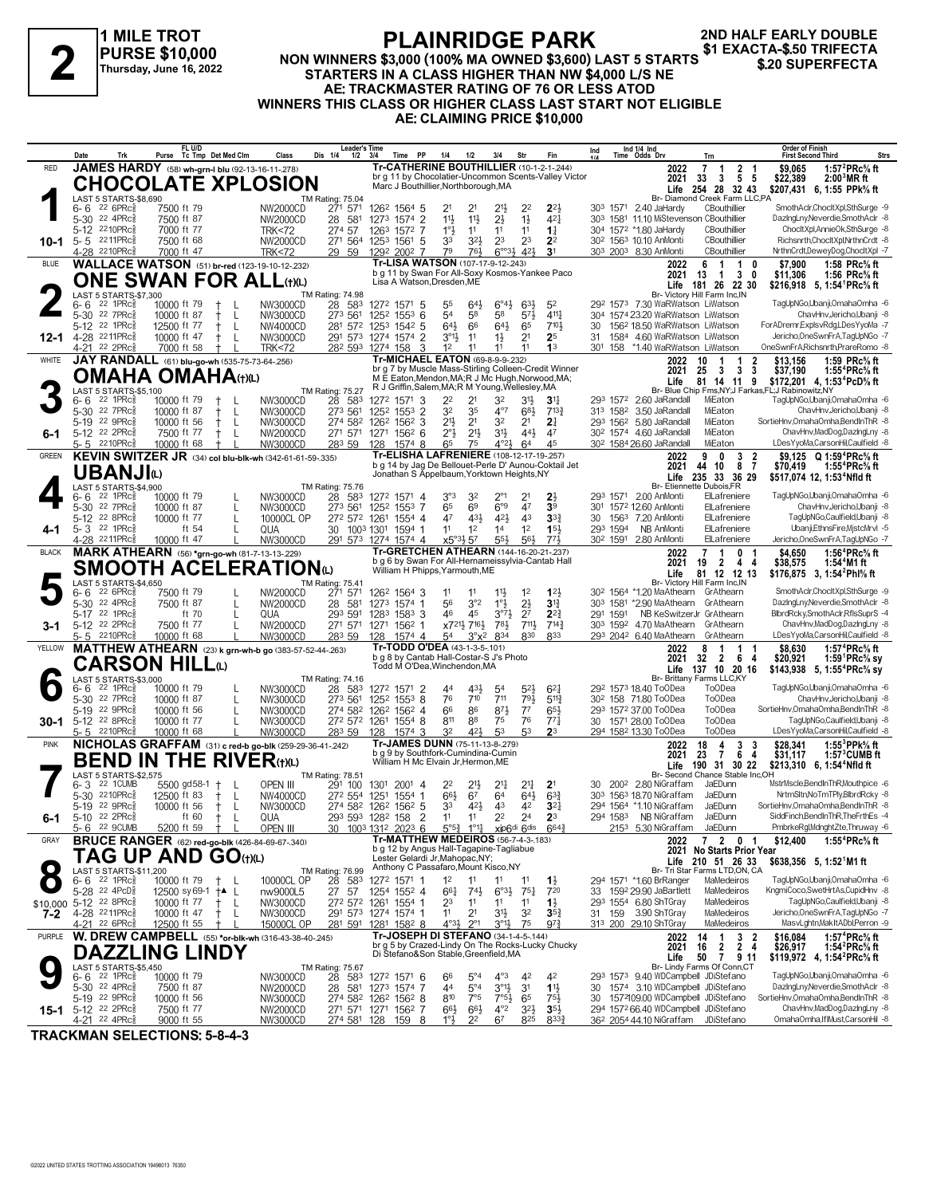#### **1 MILE TROT PURSE \$10,000 Thursday, June 16, 2022**

### **PLAINRIDGE PARK**

**2ND HALF EARLY DOUBLE**

#### **NON WINNERS \$3,000 (100% MA OWNED \$3,600) LAST 5 STARTS STARTERS IN A CLASS HIGHER THAN NW \$4,000 L/S NE AE: TRACKMASTER RATING OF 76 OR LESS ATOD WINNERS THIS CLASS OR HIGHER CLASS LAST START NOT ELIGIBLE AE: CLAIMING PRICE \$10,000 \$1 EXACTA-\$.50 TRIFECTA 2 \$.20 SUPERFECTA**

|               | Date<br>Trk                                            | FL U/D<br>Tc Tmp Det Med Clm<br>Purse                       | Class<br>Dis 1/4                                         | Leader's Time<br>$1/2$ $3/4$ | <b>PP</b><br>Time                                                                            | 1/4<br>1/2                                                       | 3/4<br>Str                              |                                                                           | Ind 1/4 Ind<br>Time Odds Drv<br>Ind<br>1/4                                              | Trn                                                                       | <b>Order of Finish</b><br><b>First Second Third</b><br>Strs                                                 |
|---------------|--------------------------------------------------------|-------------------------------------------------------------|----------------------------------------------------------|------------------------------|----------------------------------------------------------------------------------------------|------------------------------------------------------------------|-----------------------------------------|---------------------------------------------------------------------------|-----------------------------------------------------------------------------------------|---------------------------------------------------------------------------|-------------------------------------------------------------------------------------------------------------|
| <b>RED</b>    |                                                        |                                                             | JAMES HARDY (58) wh-grn-I blu (92-13-16-11-278)          |                              | Tr-CATHERINE BOUTHILLIER (10-1-2-1-244)                                                      |                                                                  |                                         |                                                                           |                                                                                         | $\overline{7}$<br>$\frac{2}{5}$<br>2022<br>$\overline{1}$<br>-1           | \$9,065<br>1:57 $^{2}$ PRc $\%$ ft                                                                          |
|               |                                                        |                                                             | <b>CHOCOLATE XPLOSION</b>                                |                              | Marc J Bouthillier, Northborough, MA                                                         |                                                                  |                                         | br g 11 by Chocolatier-Uncommon Scents-Valley Victor                      |                                                                                         | -5<br>2021<br>33<br>3<br>254 28 32 43<br>Life                             | \$22,389<br>$2:003MR$ ft<br>\$207,431 6, 1:55 PPk% ft                                                       |
|               | LAST 5 STARTS-\$8,690                                  |                                                             | TM Rating: 75.04<br>D 271 571                            |                              |                                                                                              |                                                                  |                                         |                                                                           |                                                                                         | Br- Diamond Creek Farm LLC,PA                                             |                                                                                                             |
|               | $226$ PR $c_{8}$<br>6-6                                | 7500 ft 79                                                  | <b>NW2000CD</b>                                          |                              | 126 <sup>2</sup> 1564 5                                                                      | 2 <sup>1</sup><br>21                                             | 21}                                     | 22<br>$2^{2}$                                                             | 30 <sup>3</sup> 1571 2.40 JaHardy                                                       | CBouthillier                                                              | SmothAclr,ChocltXpl,SthSurge -9                                                                             |
|               | 5-30 22 4PRcs<br>5-12 2210PRcs                         | 7500 ft 87<br>7000 ft 77                                    | NW2000CD<br><b>TRK&lt;72</b>                             | 28 581<br>274 57             | 1273 1574 2<br>1263 1572 7                                                                   | 11}<br>$11\frac{1}{2}$<br>1°3<br>11                              | $2\frac{1}{2}$<br>11                    | $1\frac{1}{2}$<br>$4^{2}$<br>11<br>$1\frac{1}{4}$                         | 303 1581 11.10 MiStevenson CBouthillier<br>304 1572 *1.80 JaHardy                       | CBouthillier                                                              | DazingLny, Neverdie, SmothAclr -8<br>ChocltXpl,AnnieOk,SthSurge -8                                          |
| 10-1          | 5-5 2211PRc                                            | 7500 ft 68                                                  | NW2000CD                                                 | 271 564                      | 1253 1561 5                                                                                  | 33<br>3 <sup>2</sup>                                             | 23                                      | 23<br>2 <sup>2</sup>                                                      | 30 <sup>2</sup> 156 <sup>3</sup> 10.10 AnMonti                                          | CBouthillier                                                              | Richsnrth.ChocltXpl.NrthnCrdt -8                                                                            |
|               | 4-28 2210PRc                                           | 7000 ft 47                                                  | <b>TRK&lt;72</b>                                         | 29 59                        | 1292 2002 7                                                                                  | 79<br>761                                                        | $6^{003}$                               | $42\frac{1}{2}$<br>3 <sup>1</sup>                                         | 303 2003 8.30 AnMonti                                                                   | CBouthillier                                                              | NrthnCrdt.DewevDoa.ChocItXpl -7                                                                             |
| <b>BLUE</b>   |                                                        |                                                             | <b>WALLACE WATSON</b> (51) br-red (123-19-10-12-232)     |                              | Tr-LISA WATSON (107-17-9-12-243)<br>b g 11 by Swan For All-Soxy Kosmos-Yankee Paco           |                                                                  |                                         |                                                                           |                                                                                         | $\overline{1}$<br>2022<br>6<br>$\overline{\mathbf{1}}$<br>0               | \$7,900<br>1:58 $PRc\%$ ft                                                                                  |
|               |                                                        |                                                             | <b>ONE SWAN FOR ALL(t)(L)</b>                            |                              | Lisa A Watson, Dresden, ME                                                                   |                                                                  |                                         |                                                                           |                                                                                         | 2021<br>13<br>3<br>$\overline{1}$<br>0<br>Life 181 26 22 30               | \$11,306<br>1:56 PRc% ft<br>\$216,918 5, 1:54 PRc% ft                                                       |
|               | LAST 5 STARTS-\$7,300                                  |                                                             | TM Rating: 74.98                                         |                              |                                                                                              |                                                                  |                                         |                                                                           |                                                                                         | Br- Victory Hill Farm Inc, IN                                             |                                                                                                             |
|               | $22$ 1PR $c_{8}^5$<br>$6-6$                            | 10000 ft 79                                                 | NW3000CD                                                 | 28 583                       | 1272 1571 5                                                                                  | 55<br>643                                                        | $6^\circ 4\frac{1}{2}$                  | $63\frac{1}{2}$<br>5 <sup>2</sup>                                         | 29 <sup>2</sup> 157 <sup>3</sup> 7.30 WaRWatson LiWatson                                |                                                                           | TagUpNGo,Ubanji,OmahaOmha -6<br>ChavHnv.Jericho.Ubanii -8                                                   |
|               | 5-30 22 7PRc <sup>5</sup><br>5-12 22 1PRc              | 10000 ft 87<br>12500 ft 77                                  | NW3000CD<br>L<br>L<br>NW4000CD                           | 273 561<br>281 572           | 1252 1553 6<br>1253 1542 5                                                                   | 54<br>58<br>643<br>66                                            | 58<br>$64\frac{1}{2}$                   | $4^{11}\frac{1}{4}$<br>$5^{7}\frac{1}{2}$<br>710}<br>65                   | 304 1574 23.20 WaRWatson LiWatson<br>156 <sup>2</sup> 18.50 WaRWatson LiWatson<br>30    |                                                                           | ForADremrExplsvRdg,LDesYyoMa -7                                                                             |
|               | 12-1 4-28 2211PRcs                                     | 10000 ft 47<br>$\pm$                                        | L<br>NW3000CD                                            |                              | 291 573 1274 1574 2                                                                          | $3^{01}$<br>11                                                   | $1\frac{1}{2}$                          | 2 <sup>1</sup><br>2 <sup>5</sup>                                          | 1584 4.60 WaRWatson LiWatson<br>31                                                      |                                                                           | Jericho, One SwnFrA, TagUpNGo - 7                                                                           |
|               | 4-21 22 2PRc3                                          | 7000 ft 58                                                  | <b>TRK&lt;72</b>                                         |                              | 282 593 1274 158<br>3                                                                        | 1 <sup>2</sup><br>11                                             | 11                                      | 11<br>1 <sup>3</sup>                                                      | 301 158 *1.40 WaRWatson LiWatson                                                        |                                                                           | OneSwnFrA, Richsnrth, PrareRomo -8                                                                          |
| WHITE         |                                                        | JAY RANDALL (61) blu-go-wh (535-75-73-64-256)               |                                                          |                              | <b>Tr-MICHAEL EATON (69-8-9-9-232)</b>                                                       |                                                                  |                                         | br g 7 by Muscle Mass-Stirling Colleen-Credit Winner                      |                                                                                         | 2022<br>10<br>2<br>-1                                                     | 1:59 PRc% ft<br>\$13,156                                                                                    |
|               |                                                        | <b>OMAHA OMAHA(t)(L)</b>                                    |                                                          |                              | M E Eaton, Mendon, MA; R J Mc Hugh, Norwood, MA;                                             |                                                                  |                                         |                                                                           |                                                                                         | -3<br>2021<br>25<br>3<br>3<br>Life<br>81 14 11<br>9                       | \$37,190<br>1:55 <sup>4</sup> PRc% ft<br>\$172,201 4, 1:53 <sup>4</sup> PcD% ft                             |
|               | LAST 5 STARTS-\$5,100                                  |                                                             | <b>TM Rating: 75.27</b>                                  |                              | R J Griffin, Salem, MA; R M Young, Wellesley, MA                                             |                                                                  |                                         |                                                                           |                                                                                         | Br- Blue Chip Fms, NY; J Farkas, FL; J Rabinowitz, NY                     |                                                                                                             |
|               | 22 1PRc3<br>6-6<br>5-30 22 7PRc                        | 10000 ft 79                                                 | NW3000CD                                                 | 28 583                       | 1272 1571 3                                                                                  | 22<br>2 <sup>1</sup>                                             | 32                                      | 3 <sup>1</sup><br>3 <sup>11</sup>                                         | 293 1572 2.60 JaRandall                                                                 | MiEaton                                                                   | TagUpNGo,Ubanji,OmahaOmha -6<br>ChavHnv,Jericho,Ubanji -8                                                   |
|               | 5-19 22 9PRc                                           | 10000 ft 87<br>10000 ft 56<br>$\pm$                         | NW3000CD<br>L<br>L<br>NW3000CD                           | 273 561<br>274 582           | 1252<br>$155^3$ 2<br>126 <sup>2</sup> 156 <sup>2</sup> 3                                     | 32<br>35<br>21}<br>2 <sup>1</sup>                                | $4^{\circ}7$<br>32                      | 683<br>$7^{13}\frac{3}{4}$<br>2 <sup>1</sup><br>2 <sup>1</sup>            | 313 1582<br>3.50 JaRandall<br>293 1562 5.80 JaRandall                                   | MiEaton<br>MiEaton                                                        | SortieHnv, Omaha Omha, BendIn ThR -8                                                                        |
| $6-1$         | 5-12 22 2PRc <sup>5</sup>                              | 7500 ft 77                                                  | NW2000CD<br>$\mathsf{L}$                                 |                              | 271 571 1271 1562 6                                                                          | 2°3<br>$21\frac{1}{2}$                                           | 3 <sup>1</sup>                          | $44\frac{1}{2}$<br>47                                                     | 30 <sup>2</sup> 1574 4.60 JaRandall                                                     | MiEaton                                                                   | ChavHnv,MadDog,DazIngLny -8                                                                                 |
|               | 5-5 2210PRc <sup>5</sup>                               | 10000 ft 68                                                 | NW3000CD                                                 | 283 59                       | 128<br>$1574$ 8                                                                              | 65<br>75                                                         | 4°21,                                   | 45<br>64                                                                  | 30 <sup>2</sup> 1584 26.60 JaRandall                                                    | MiEaton                                                                   | LDesYyoMa,CarsonHil,Caulfield -8                                                                            |
| <b>GREEN</b>  |                                                        |                                                             | KEVIN SWITZER JR (34) col blu-blk-wh (342-61-61-59-.335) |                              | Tr-ELISHA LAFRENIERE (108-12-17-19-.257)                                                     |                                                                  |                                         | b g 14 by Jag De Bellouet-Perle D' Aunou-Coktail Jet                      |                                                                                         | 3<br>9<br>0<br>2022<br>2<br>$\overline{7}$                                | \$9.125 Q 1:59 <sup>4</sup> PRc <sup>5</sup> / <sub>8</sub> ft                                              |
|               | UBANJIധ                                                |                                                             |                                                          |                              | Jonathan S Appelbaum, Yorktown Heights, NY                                                   |                                                                  |                                         |                                                                           |                                                                                         | 10<br>8<br>2021<br>44<br>235 33 36 29<br>Life                             | \$70,419<br>1:55°PRc% ft<br>\$517,074 12, 1:53 <sup>4</sup> Nfld ft                                         |
|               | LAST 5 STARTS-\$4,900                                  |                                                             | TM Rating: 75.76                                         |                              |                                                                                              |                                                                  |                                         |                                                                           |                                                                                         | Br- Etiennette Dubois, FR                                                 |                                                                                                             |
|               | $22$ 1PR $c_{8}^3$<br>6-6<br>5-30 22 7PRc <sup>5</sup> | 10000 ft 79                                                 | NW3000CD                                                 | 28<br>583                    | 1272 1571 4                                                                                  | $3^{\circ}3$<br>32<br>65<br>6 <sup>9</sup>                       | $2^{\circ_1}$<br>6°9                    | 21<br>47<br>39                                                            | 293 1571 2.00 AnMonti                                                                   | ElLafreniere                                                              | TagUpNGo,Ubanji,OmahaOmha -6<br>ChavHnv,Jericho,Ubanji -8                                                   |
|               | 5-12 22 8PRc                                           | 10000 ft 87<br>10000 ft 77                                  | NW3000CD<br>L<br>$\mathbf{I}$<br>10000CL OP              | 273 561                      | 1252 1553 7<br>272 572 1261 1554 4                                                           | 47<br>431                                                        | 421                                     | 43<br>33 <sub>1</sub>                                                     | 1572 12.60 AnMonti<br>301<br>1563 7.20 AnMonti<br>30                                    | ElLafreniere<br>ElLafreniere                                              | TaqUpNGo.Caulfield.Ubanii -8                                                                                |
| 4-1           | 5- 3 $22$ 1PRc $\frac{5}{8}$                           | ft 54                                                       | QUA                                                      |                              | 30 1003 1301 1594 1                                                                          | 11<br>1 <sup>2</sup>                                             | 1 <sup>4</sup>                          | 1 <sup>2</sup><br>15 <sup>1</sup>                                         | 293 1594<br>NB AnMonti                                                                  | ElLafreniere                                                              | Ubanji,EthnsFire,MistcMrvl -5                                                                               |
|               | 4-28 2211PRcs                                          | 10000 ft 47                                                 | NW3000CD                                                 |                              | 291 573 1274 1574 4                                                                          | $x5^{\circ}3\frac{1}{2}57$                                       | 55}                                     | 56}<br>773                                                                | 30 <sup>2</sup> 1591 2.80 AnMonti                                                       | ElLafreniere                                                              | Jericho, One SwnFrA, TagUpNGo - 7                                                                           |
| <b>BLACK</b>  |                                                        |                                                             | <b>MARK ATHEARN</b> (56) *grn-go-wh (81-7-13-13-229)     |                              | Tr-GRETCHEN ATHEARN (144-16-20-21-.237)<br>b g 6 by Swan For All-Hernameissylvia-Cantab Hall |                                                                  |                                         |                                                                           |                                                                                         | $\overline{7}$<br>1<br>0<br>2022<br>2021<br>19<br>-2<br>4<br>4            | \$4,650<br>1:56 <sup>4</sup> PRc% ft<br>\$38,575<br>1:54 <sup>4</sup> M1 ft                                 |
|               |                                                        |                                                             | <b>SMOOTH ACELERATION</b> (L)                            |                              | William H Phipps, Yarmouth, ME                                                               |                                                                  |                                         |                                                                           |                                                                                         | 81 12 12 13<br>Life                                                       | \$176,875 3, 1:54 <sup>2</sup> Phl% ft                                                                      |
|               | LAST 5 STARTS-\$4,650                                  |                                                             | <b>TM Rating: 75.41</b>                                  |                              |                                                                                              |                                                                  |                                         |                                                                           |                                                                                         | Br- Victory Hill Farm Inc, IN                                             |                                                                                                             |
|               | $226$ PR $c_{8}$<br>6-6<br>5-30 22 4PRc <sup>5</sup>   | 7500 ft 79<br>7500 ft 87                                    | <b>NW2000CD</b>                                          | 271 571                      | 126 <sup>2</sup> 1564 3                                                                      | 11<br>11                                                         | $11\frac{1}{2}$                         | 1 <sup>2</sup><br>123                                                     | 30 <sup>2</sup> 1564 *1.20 MaAthearn GrAthearn<br>303 1581 *2.90 MaAthearn GrAthearn    |                                                                           | SmothAclr,ChocltXpl,SthSurge -9<br>DazingLny, Neverdie, SmothAclr -8                                        |
|               | 5-17 22 1PRcs                                          | ft 70                                                       | L<br>NW2000CD<br>QUA<br>$\mathbf{I}$                     | 28 581<br>293 591            | 1273 1574 1<br>1283 1583 3                                                                   | 56<br>3°2<br>46<br>45                                            | $1^{\circ}$<br>$3^{07}\frac{1}{2}$      | $2\frac{1}{2}$<br>3 <sup>12</sup><br>2 <sup>7</sup><br>$2^{2}\frac{3}{4}$ | 291 1591                                                                                | NB KeSwitzerJr GrAthearn                                                  | BlbrdRcky,SmothAclr,RflsSuprS -4                                                                            |
| $3-1$         | 5-12 22 2PRc <sup>5</sup>                              | 7500 ft 77                                                  | L<br>NW2000CD                                            | 271 571                      | 1271<br>1562 1                                                                               | x721 <sup>1</sup> / <sub>2</sub> 716 <sup>1</sup> / <sub>2</sub> | 781                                     | 7111,<br>$7^{14}$                                                         | 303 1592 4.70 MaAthearn                                                                 | GrAthearn                                                                 | ChavHnv,MadDog,DazIngLny -8                                                                                 |
|               | 5-5 2210PRc                                            | 10000 ft 68                                                 | NW3000CD                                                 | 283 59                       | 1574 4<br>128                                                                                | 54<br>$3^\circ x^2$                                              | 834                                     | 830<br>833                                                                | 293 2042 6.40 MaAthearn                                                                 | GrAthearn                                                                 | LDesYyoMa,CarsonHil,Caulfield -8                                                                            |
| YELLOW        |                                                        |                                                             | MATTHEW ATHEARN (23) k grn-wh-b go (383-57-52-44-.263)   |                              | Tr-TODD O'DEA (43-1-3-5-101)<br>b q 8 by Cantab Hall-Costar-S J's Photo                      |                                                                  |                                         |                                                                           |                                                                                         | 2022<br>8<br>1<br>$\overline{1}$<br>$\overline{2}$<br>- 6<br>2021<br>32   | \$8.630<br>1:57 ${}^4$ PRc ${}^{\rm c}$ sft<br>\$20.921<br>1:59 <sup>1</sup> PRc% sy                        |
|               |                                                        | CARSON HILLய                                                |                                                          |                              | Todd M O'Dea, Winchendon, MA                                                                 |                                                                  |                                         |                                                                           |                                                                                         | 4<br>137 10 20 16<br>Life                                                 | \$143,938 5, 1:55 <sup>4</sup> PRc <sup>5</sup> / <sub>8</sub> sy                                           |
|               | LAST 5 STARTS-\$3,000                                  |                                                             | TM Rating: 74.16                                         |                              |                                                                                              |                                                                  |                                         |                                                                           |                                                                                         | Br- Brittany Farms LLC,KY                                                 |                                                                                                             |
|               | $22$ 1PR $c_{8}^5$<br>6-6<br>5-30 22 7PRc3             | 10000 ft 79<br>10000 ft 87                                  | NW3000CD<br>$\mathbf{I}$<br>NW3000CD                     | 28 583<br>273 561            | 1272 1571 2<br>1252 1553 8                                                                   | 431<br>44<br>76<br>710                                           | 5 <sup>4</sup><br>711                   | $5^{21}$<br>$6^{2}$<br>793<br>$5^{11}$                                    | 292 1573 18.40 ToODea<br>30 <sup>2</sup> 158 71.80 ToODea                               | To <sub>O</sub> Dea<br><b>ToODea</b>                                      | TagUpNGo,Ubanji,OmahaOmha -6<br>ChavHnv, Jericho, Ubanji - 8                                                |
|               | 5-19 22 9PRc3                                          | 10000 ft 56                                                 | NW3000CD<br>L                                            | 274 582                      | 1262<br>$156^2$ 4                                                                            | 66<br>86                                                         | $8^{7}\frac{1}{2}$                      | $7^7$<br>$65\frac{1}{2}$                                                  | 293 1572 37.00 ToODea                                                                   | <b>ToODea</b>                                                             | SortieHnv, Omaha Omha, BendIn ThR -8                                                                        |
| $30-1$        | 5-12 22 8PRc $\frac{5}{8}$                             | 10000 ft 77                                                 | L<br>NW3000CD                                            | 272 572                      | 1261 1554 8                                                                                  | 811<br>88                                                        | 75                                      | 76<br>$77\frac{1}{4}$                                                     | 30 1571 28.00 ToODea                                                                    | <b>ToODea</b>                                                             | TagUpNGo,Caulfield,Ubanji -8                                                                                |
|               | $5 - 5$ 2210 PRc $\frac{3}{8}$                         | 10000 ft 68                                                 | NW3000CD                                                 | 283 59                       | 128<br>$1574$ 3                                                                              | 32<br>42}                                                        | 53                                      | 53<br>23                                                                  | 294 1582 13.30 ToODea                                                                   | <b>ToODea</b>                                                             | LDesYyoMa,CarsonHil,Caulfield -8                                                                            |
| <b>PINK</b>   |                                                        |                                                             | NICHOLAS GRAFFAM (31) c red-b go-blk (259-29-36-41-.242) |                              | Tr-JAMES DUNN (75-11-13-8-279)<br>b g 9 by Southfork-Cumindina-Cumin                         |                                                                  |                                         |                                                                           |                                                                                         | 18<br>4<br>3<br>3<br>2022<br>2021<br>23<br>7<br>6<br>4                    | \$28.341<br>1:55 $3$ PPk $\%$ ft<br>\$31,117<br>$1:573$ CUMB ft                                             |
|               |                                                        |                                                             | <b>BEND IN THE RIVER(t)(L)</b>                           |                              | William H Mc Elvain Jr, Hermon, ME                                                           |                                                                  |                                         |                                                                           |                                                                                         | Life<br>190 31 30 22                                                      | \$213,310 6, 1:54 <sup>4</sup> Nfld ft                                                                      |
|               | LAST 5 STARTS-\$2,575                                  |                                                             | <b>TM Rating: 78.51</b>                                  |                              |                                                                                              |                                                                  |                                         |                                                                           |                                                                                         | Br- Second Chance Stable Inc,OH                                           |                                                                                                             |
|               | 22 1 CUMB<br>$6 - 3$<br>2210PRc융<br>$5 - 30$           | 5500 gd58-1<br>$\ddagger$<br>12500 ft 83<br>$^{\mathrm{+}}$ | OPEN III<br>NW4000CD<br>L                                | 291 100<br>272 554           | 1301 2001 4<br>1251 1554 1                                                                   | 22<br>213<br>$66\frac{1}{2}$<br>67                               | 2 <sup>11</sup><br>6 <sup>4</sup>       | 2 <sup>11</sup><br>2 <sup>1</sup><br>$64\frac{1}{2}$<br>$63\frac{3}{4}$   | 200 <sup>2</sup> 2.80 NiGraffam<br>30<br>303 1563 18.70 NiGraffam                       | JaEDunn<br>JaEDunn                                                        | MstrMscle,BendInThR,Mouthpice -6<br>NrtrnSltn,NoTmTPly,BlbrdRcky -8                                         |
|               | $22$ 9PR $c_{\overline{8}}^5$<br>$5-19$                | 10000 ft 56<br>$^{\mathrm{+}}$                              | L<br>NW3000CD                                            |                              | 274 582 1262 1562 5                                                                          | 421<br>33                                                        | 43                                      | 3 <sup>2</sup><br>42                                                      | 294 1564 *1.10 NiGraffam                                                                | JaEDunn                                                                   | SortieHnv.OmahaOmha.BendInThR -8                                                                            |
| 6-1           | 5-10 22 2PRc                                           | ft 60<br>$\pm$                                              | L<br>QUA                                                 |                              | 293 593 1282 158<br>$\overline{2}$                                                           | 11<br>11                                                         | 2 <sup>2</sup>                          | 24<br>2 <sup>3</sup>                                                      | NB NiGraffam<br>294 1583                                                                | JaEDunn                                                                   | SiddFinch.BendInThR.TheFrthEs -4                                                                            |
|               | 22 9CUMB<br>5-6                                        | 5200 ft 59 +                                                | OPEN III                                                 |                              | 1003 1312 2023 6                                                                             | 5°5 $\frac{3}{4}$ 1°1 $\frac{1}{4}$ xip6di 6dis                  |                                         |                                                                           | 2153 5.30 NiGraffam                                                                     | JaEDunn                                                                   | PmbrkeRgl,MdnghtZte,Thruway -6                                                                              |
| GRAY          |                                                        |                                                             | <b>BRUCE RANGER</b> (62) red-go-blk (426-84-69-67-.340)  |                              | Tr-MATTHEW MEDEIROS (56-7-4-3-.183)<br>b g 12 by Angus Hall-Tagapine-Tagliabue               |                                                                  |                                         |                                                                           |                                                                                         | 7 2 0 1<br>2022<br>2021 No Starts Prior Year                              | \$12,400<br>1:55 <sup>4</sup> PRc% ft                                                                       |
|               |                                                        | <b>TAG UP AND GO(t)(L)</b>                                  |                                                          |                              | Lester Gelardi Jr, Mahopac, NY;<br>Anthony C Passafaro, Mount Kisco, NY                      |                                                                  |                                         |                                                                           |                                                                                         | Life 210 51 26 33                                                         | \$638,356 5, 1:52 M1 ft                                                                                     |
|               | LAST 5 STARTS-\$11,200<br>6-6 22 1PRc <sup>5</sup>     |                                                             | TM Rating: 76.99<br>10000CL OP                           | 28 583                       | 1272 1571 1                                                                                  | 1 <sup>2</sup><br>11                                             | 11                                      | 11                                                                        | 294 1571 *1.60 BrRanger                                                                 | Br- Tri Star Farms LTD,ON, CA<br>MaMedeiros                               | TagUpNGo,Ubanji,OmahaOmha -6                                                                                |
|               | 5-28 <sup>22</sup> 4PcD <sup>3</sup>                   | 10000 ft 79<br>$^{+}$<br>12500 sy 69-1 <sup>+▲</sup> L      | nw9000L5                                                 | 27 57                        | 1254 1552 4                                                                                  | $66\frac{1}{4}$<br>$74\frac{1}{2}$                               | $6^{\circ}3\frac{1}{2}$ 75 <sup>1</sup> | $1\frac{1}{2}$<br>720                                                     | 1592 29.90 JaBartlett<br>33                                                             | MaMedeiros                                                                | KngmiCoco,SwetHrtAs,CupidHnv -8                                                                             |
|               | \$10,000 5-12 22 8PRcs                                 | 10000 ft 77<br>$^+$                                         | - L<br>NW3000CD                                          |                              | 272 572 1261 1554 1                                                                          | 23<br>11                                                         | 11                                      | 11<br>$1\frac{1}{2}$                                                      | 293 1554 6.80 ShTGray                                                                   | MaMedeiros                                                                | TagUpNGo,Caulfield,Ubanji -8                                                                                |
| 7-2           | 4-28 2211PRcs                                          | 10000 ft 47<br>Ť                                            | NW3000CD<br>L                                            |                              | 291 573 1274 1574 1                                                                          | 2 <sup>1</sup><br>11                                             | 3½                                      | 32<br>$35\frac{3}{4}$                                                     | 31 159 3.90 ShTGray                                                                     | MaMedeiros                                                                | Jericho, One SwnFrA, TagUpNGo - 7                                                                           |
| <b>PURPLE</b> | 4-21 22 6PRc <sup>3</sup>                              | 12500 ft 55                                                 | 15000CL OP                                               | 281 591                      | 1281 1582 8<br>Tr-JOSEPH DI STEFANO (34-1-4-5-.144)                                          | $4^{\circ}3\frac{1}{2}$<br>$2^{\circ}1$                          | $3^{\circ}1\frac{1}{2}$                 | 75<br>97 <sup>3</sup>                                                     | 313 200 29.10 ShTGray                                                                   | MaMedeiros                                                                | MasvLghtn, Mak It ADbl, Perron -9                                                                           |
|               |                                                        |                                                             | W. DREW CAMPBELL (55) *or-blk-wh (316-43-38-40-245)      |                              |                                                                                              |                                                                  |                                         | br g 5 by Crazed-Lindy On The Rocks-Lucky Chucky                          |                                                                                         | 3<br>2022<br>-2<br>14<br>$\overline{2}$ 4<br>$\overline{2}$<br>2021<br>16 | 1:57 <sup>4</sup> PRc <sup>5</sup> / <sub>8</sub> ft<br>\$16.084<br>\$26,917<br>1:54 ${}^2$ PRc ${}^5\!$ ft |
|               |                                                        | DAZZLING LINDY                                              |                                                          |                              | Di Stefano&Son Stable, Greenfield, MA                                                        |                                                                  |                                         |                                                                           |                                                                                         | 50<br>Life<br>7911                                                        | \$119,972 4, 1:54 <sup>2</sup> PRc <sup>5</sup> / <sub>8</sub> ft                                           |
|               | LAST 5 STARTS-\$5,450<br>$22$ 1PR $c_{8}^3$<br>6-6     | 10000 ft 79                                                 | <b>TM Rating: 75.67</b><br>NW3000CD                      | 28<br>583                    | 1272 1571 6                                                                                  | 66<br>$5^{\circ}4$                                               | $4^{\circ}3$                            | 42<br>42                                                                  | 293 1573 9.40 WDCampbell JDiStefano                                                     | Br- Lindy Farms Of Conn,CT                                                | TagUpNGo,Ubanji,OmahaOmha -6                                                                                |
|               | 5-30 22 4PRc <sup>5</sup>                              | 7500 ft 87                                                  | NW2000CD                                                 |                              | 28 581 1273 1574 7                                                                           | $5^{\circ}4$<br>44                                               | $3^{01}$                                | 3 <sup>1</sup><br>$1\frac{11}{2}$                                         | 30                                                                                      | 1574 3.10 WDCampbell JDiStefano                                           | DazingLny, Neverdie, SmothAclr -8                                                                           |
|               | 5-19 22 9PRc <sup>5</sup>                              | 10000 ft 56                                                 | NW3000CD                                                 |                              | 274 582 1262 1562 8                                                                          | 810<br>7°5                                                       | $7°5\frac{1}{2}$                        | 65<br>751                                                                 | 30                                                                                      | 1572109.00 WDCampbell JDiStefano                                          | SortieHnv.OmahaOmha.BendInThR -8                                                                            |
| 15-1          | 5-12 22 2PRc <sup>5</sup><br>4-21 22 4PRc <sup>5</sup> | 7500 ft 77<br>9000 ft 55                                    | NW2000CD<br>NW3000CD                                     | 274 581 128                  | 271 571 1271 1562 7<br>159<br>8                                                              | $66\frac{1}{2}$<br>$66\frac{1}{2}$<br>1°3<br>2 <sup>2</sup>      | $4^{\circ}2$<br>67                      | $3^{2}\frac{1}{2}$<br>$35\frac{1}{2}$<br>825<br>8333                      | 294 1572 66.40 WDCampbell JDiStefano<br>36 <sup>2</sup> 2054 44.10 NiGraffam JDiStefano |                                                                           | ChavHnv,MadDog,DazIngLny -8<br>OmahaOmha,IfIMust,CarsonHil -8                                               |
|               |                                                        |                                                             |                                                          |                              |                                                                                              |                                                                  |                                         |                                                                           |                                                                                         |                                                                           |                                                                                                             |

**TRACKMAN SELECTIONS: 5-8-4-3**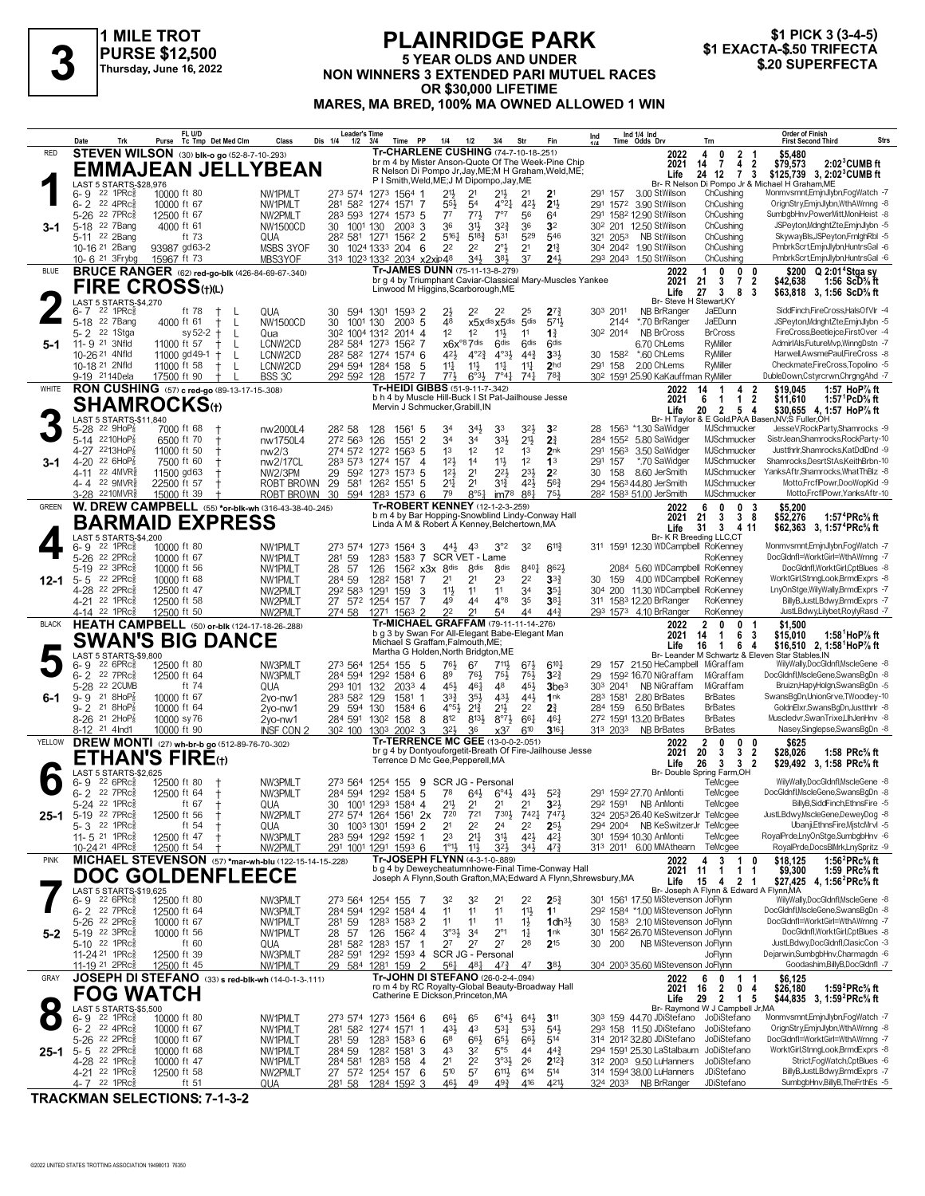

#### **PLAINRIDGE PARK 5 YEAR OLDS AND UNDER NON WINNERS 3 EXACTA-S SOFTERFECTA**<br>
Thursday, June 16, 2022<br>
Thursday, June 16, 2022<br> **SOFTERFECTA 3 BOREADED PARI MUTUEL RACES** \$20 SUPERFECTA **OR \$30,000 LIFETIME MARES, MA BRED, 100% MA OWNED ALLOWED 1 WIN**

|                                 | Date     | Trk                                                               | Purse                        |         | FL U/D<br>Tc Tmp Det Med Clm                       | Class                                                              | Dis 1/4         | <b>Leader's Time</b><br>1/2                       | 3/4                                                        | Time PP             |                                                | 1/4                                | 1/2                              | 3/4                                              | Str                                                | Fin                                                                                                                    | Ind      |                      | Ind 1/4 Ind<br>Time Odds Drv                                           |                  | Trn                                                                 |                              | <b>Order of Finish</b><br><b>First Second Third</b>                          |                                                                          | Strs |
|---------------------------------|----------|-------------------------------------------------------------------|------------------------------|---------|----------------------------------------------------|--------------------------------------------------------------------|-----------------|---------------------------------------------------|------------------------------------------------------------|---------------------|------------------------------------------------|------------------------------------|----------------------------------|--------------------------------------------------|----------------------------------------------------|------------------------------------------------------------------------------------------------------------------------|----------|----------------------|------------------------------------------------------------------------|------------------|---------------------------------------------------------------------|------------------------------|------------------------------------------------------------------------------|--------------------------------------------------------------------------|------|
| <b>RED</b>                      |          |                                                                   |                              |         | <b>STEVEN WILSON</b> (30) blk-o ao (52-8-7-10-293) |                                                                    |                 |                                                   |                                                            |                     |                                                |                                    |                                  |                                                  | Tr-CHARLENE CUSHING (74-7-10-18-251)               |                                                                                                                        |          |                      | 2022                                                                   |                  | 2 <sub>1</sub><br>4<br>0                                            |                              | \$5,480                                                                      |                                                                          |      |
|                                 |          |                                                                   |                              |         |                                                    | <b>EMMAJEAN JELLYBEAN</b>                                          |                 |                                                   |                                                            |                     |                                                |                                    |                                  |                                                  |                                                    | br m 4 by Mister Anson-Quote Of The Week-Pine Chip<br>R Nelson Di Pompo Jr, Jay, ME; M H Graham, Weld, ME;             |          |                      | 2021<br>Life                                                           |                  | $\overline{7}$<br>14<br>4<br>24 12<br>7 3                           | $\overline{2}$               | \$79,573<br>\$125,739 3, 2:02 <sup>3</sup> CUMB ft                           | $2:023$ CUMB ft                                                          |      |
|                                 |          | LAST 5 STARTS-\$28,976                                            |                              |         |                                                    |                                                                    |                 |                                                   | P I Smith, Weld, ME; J M Dipompo, Jay, ME                  |                     |                                                |                                    |                                  |                                                  |                                                    |                                                                                                                        |          |                      |                                                                        |                  | Br- R Nelson Di Pompo Jr & Michael H Graham, ME                     |                              |                                                                              |                                                                          |      |
|                                 |          | $6 - 9$ 22 1 PRc $\frac{3}{8}$<br>$6 - 2$ 22 4PRc <sup>5</sup>    | 10000 ft 80<br>10000 ft 67   |         |                                                    | NW1PMLT<br>NW1PMLT                                                 | 281             |                                                   | 273 574 1273 1564 1<br>582 1274 1571                       |                     | 7                                              | $21\frac{1}{2}$<br>$55\frac{1}{2}$ | 2 <sup>1</sup><br>5 <sup>4</sup> | $21\frac{1}{2}$<br>$4^{\circ}2^{\frac{1}{4}}$    | 2 <sup>1</sup><br>42}                              | 2 <sup>1</sup><br>2 <sup>1</sup>                                                                                       |          | 291 157              | 3.00 StWilson<br>291 1572 3.90 StWilson                                |                  | ChCushing<br>ChCushing                                              |                              | Monmvsmnt, EmjnJlybn, FogWatch -7<br>OrignStry,EmjnJlybn,WthAWrnng -8        |                                                                          |      |
|                                 |          | 5-26 22 7PRc                                                      | 12500 ft 67                  |         |                                                    | NW2PMLT                                                            |                 |                                                   | 283 593 1274 1573 5                                        |                     |                                                | $7^7$                              | $77\frac{1}{2}$                  | 7°7                                              | 56                                                 | 64                                                                                                                     |          |                      | 291 1582 12.90 StWilson                                                |                  | ChCushing                                                           |                              | SumbgbHnv,PowerMitt,MoniHeist -8                                             |                                                                          |      |
| 3-1                             |          | 5-18 22 7Bang                                                     | 4000 ft 61                   |         |                                                    | NW1500CD                                                           | 30              | 1001 130                                          |                                                            | $200^3$ 3           |                                                | 36                                 | 31}                              | $3^{2}\frac{3}{4}$                               | 36                                                 | 3 <sup>2</sup>                                                                                                         |          |                      | 30 <sup>2</sup> 201 12.50 StWilson                                     |                  | ChCushing                                                           |                              | JSPeyton,MdnghtZte,EmjnJlybn -5                                              |                                                                          |      |
|                                 |          | 5-11 22 2Bang<br>10-16 <sup>21</sup> 2Bang                        | 93987 gd63-2                 | ft 73   |                                                    | QUA<br>MSBS 3YOF                                                   |                 | 282 581 1271                                      | 30 1024 1333 204 6                                         | 1562 2              |                                                | 5161<br>2 <sup>2</sup>             | $5^{18}$<br>2 <sup>2</sup>       | 531<br>$2^{\circ}3$                              | 529<br>2 <sup>1</sup>                              | 546<br>$2^{13}$                                                                                                        |          | 321 2053             | NB StWilson<br>304 2042 1.90 StWilson                                  |                  | ChCushing<br>ChCushing                                              |                              | SkywayBls, JSPeyton, FrnighRbl -5<br>PmbrkScrt,EmjnJlybn,HuntrsGal -6        |                                                                          |      |
|                                 |          | 10-6 <sup>21</sup> 3 Frybg                                        | 15967 ft 73                  |         |                                                    | MBS3YOF                                                            |                 |                                                   | 313 1023 1332 2034 x2xip48                                 |                     |                                                |                                    | 34}                              | 383                                              | 37                                                 | $2^{4}$                                                                                                                |          |                      | 293 2043 1.50 StWilson                                                 |                  | ChCushing                                                           |                              | PmbrkScrt,EmjnJlybn,HuntrsGal -6                                             |                                                                          |      |
| <b>BLUE</b>                     |          |                                                                   |                              |         |                                                    | <b>BRUCE RANGER</b> (62) red-go-blk (426-84-69-67-.340)            |                 |                                                   |                                                            |                     | Tr-JAMES DUNN (75-11-13-8-279)                 |                                    |                                  |                                                  |                                                    |                                                                                                                        |          |                      | 2022                                                                   |                  | 0<br>0                                                              | 0                            |                                                                              | \$200 Q 2:01 <sup>4</sup> Stga sy                                        |      |
|                                 |          |                                                                   | <b>FIRE CROSS(t)(L)</b>      |         |                                                    |                                                                    |                 |                                                   | Linwood M Higgins, Scarborough, ME                         |                     |                                                |                                    |                                  |                                                  |                                                    | br g 4 by Triumphant Caviar-Classical Mary-Muscles Yankee                                                              |          |                      | 2021<br>Life                                                           |                  | 21<br>3<br>7<br>27<br>3<br>8                                        | $\overline{2}$<br>- 3        | \$42,638<br>\$63,818 3, 1:56 ScD% ft                                         | 1:56 $ScD%$ ft                                                           |      |
|                                 |          | LAST 5 STARTS-\$4,270                                             |                              |         |                                                    |                                                                    |                 |                                                   |                                                            |                     |                                                |                                    |                                  |                                                  |                                                    |                                                                                                                        |          |                      |                                                                        |                  | Br- Steve H Stewart.KY                                              |                              |                                                                              |                                                                          |      |
|                                 |          | $6 - 7$ 22 1 PRc $\frac{5}{8}$<br>5-18 22 7 Bang                  | 4000 ft 61                   | ft 78   | $\pm$<br>$^+$<br>$\mathsf{L}$                      | <b>QUA</b><br><b>NW1500CD</b>                                      | 30<br>30        | 594 1301<br>1001 130                              |                                                            | 1593 2<br>$200^3$ 5 |                                                | $2\frac{1}{2}$<br>48               | 22                               | 2 <sup>2</sup><br>x5xdis x5dis 5dis              | 25                                                 | $2^{7}$<br>5711                                                                                                        |          | 303 2011<br>2144     | NB BrRanger<br>*.70 BrRanger                                           |                  | JaEDunn<br>JaEDunn                                                  |                              | SiddFinch,FireCross,HalsOfVlr -4<br>JSPeyton,MdnghtZte,EmjnJlybn -5          |                                                                          |      |
|                                 |          | 5-2 <sup>22</sup> 1Stga                                           |                              | sy 52-2 | $\pm$<br>L                                         | Qua                                                                |                 | 30 <sup>2</sup> 100 <sup>4</sup> 131 <sup>2</sup> |                                                            | 2014 4              |                                                | 1 <sup>2</sup>                     | 1 <sup>2</sup>                   | $11\frac{1}{2}$                                  | 11                                                 | $1\frac{3}{4}$                                                                                                         |          | 30 <sup>2</sup> 2014 | <b>NB BrCross</b>                                                      |                  | <b>BrCross</b>                                                      |                              | FireCross.Beetleice.FirstOver -4                                             |                                                                          |      |
| 5-1                             |          | 11-9 21 3Nfld<br>10-26 21 4Nfld                                   | 11000 ft 57<br>11000 gd 49-1 |         | L<br>t<br>$\pm$<br>L                               | LCNW2CD<br>LCNW2CD                                                 |                 |                                                   | 28 <sup>2</sup> 584 1273 1562 7<br>282 582 1274 1574 6     |                     |                                                | $x6x^{\circ}87$ dis<br>421         | $4^{o}2^{3}$                     | 6 <sup>dis</sup><br>$4^{\circ}3\frac{1}{2}$      | 6 <sup>dis</sup><br>$44\frac{3}{4}$                | 6 <sup>dis</sup><br>$33+$                                                                                              |          | 30 1582              | 6.70 ChLems<br>*.60 ChLems                                             |                  | <b>R</b> Miller<br>RyMiller                                         |                              | AdmirIAls.FutureMvp.WinnaDstn -7<br>Harwell, AwsmePaul, FireCross -8         |                                                                          |      |
|                                 |          | 10-18 <sup>21</sup> 2Nfld                                         | 11000 ft 58                  |         | $\pm$<br>L                                         | LCNW2CD                                                            |                 |                                                   | 294 594 1284 158                                           |                     | -5                                             | $11\frac{1}{4}$                    | $11\frac{1}{2}$                  | $11\frac{1}{4}$                                  | 11                                                 | 2 <sub>hd</sub>                                                                                                        |          | 291 158              | 2.00 ChLems                                                            |                  | RyMiller                                                            |                              | Checkmate,FireCross,Topolino -5                                              |                                                                          |      |
|                                 |          | 9-19 2114Dela                                                     | 17500 ft 90                  |         | $\pm$                                              | BSS 3C                                                             |                 | 292 592 128                                       |                                                            | 1572 7              |                                                | $77\frac{1}{2}$                    | $6^{o_{31}}$                     | $7^{\circ}41$                                    | $74\frac{1}{4}$                                    | 783                                                                                                                    |          |                      | 30 <sup>2</sup> 1591 25.90 KaKauffman RyMiller                         |                  |                                                                     |                              | DubleDown,Cstyrcrwn,ChrgngAhd -7                                             |                                                                          |      |
| WHITE                           |          |                                                                   |                              |         | RON CUSHING (57) c red-go (89-13-17-15-308)        |                                                                    |                 |                                                   |                                                            |                     | Tr-HEIDI GIBBS (51-9-11-7-.342)                |                                    |                                  |                                                  | b h 4 by Muscle Hill-Buck I St Pat-Jailhouse Jesse |                                                                                                                        |          |                      | 2022<br>2021                                                           |                  | 14<br>$\overline{1}$<br>4<br>6<br>1<br>$\mathbf{1}$                 | 2<br>$\overline{\mathbf{2}}$ | \$19,045<br>\$11,610                                                         | 1:57 HoP $\%$ ft<br>1:57 <sup>1</sup> PcD <sup>5</sup> / <sub>8</sub> ft |      |
|                                 |          |                                                                   | <b>SHAMROCKS</b> (t)         |         |                                                    |                                                                    |                 |                                                   | Mervin J Schmucker, Grabill, IN                            |                     |                                                |                                    |                                  |                                                  |                                                    |                                                                                                                        |          |                      | Life                                                                   |                  | 20<br>$\overline{2}$<br>5 <sub>4</sub>                              |                              | \$30,655 4, 1:57 HoP% ft                                                     |                                                                          |      |
|                                 |          | LAST 5 STARTS-\$11,840<br>5-28 22 9HoP <sup>7</sup>               | 7000 ft 68                   |         |                                                    | nw2000L4                                                           | 282 58          |                                                   | 128                                                        | 1561 5              |                                                | 34                                 | 34}                              | 33                                               | 3 <sup>2</sup>                                     | 3 <sup>2</sup>                                                                                                         |          |                      | 28 156 <sup>3</sup> *1.30 SaWidger                                     |                  | Br- H Taylor & E Gold, PA; A Basen, NV; S Fuller, OH<br>MJSchmucker |                              | JesseV, RockParty, Shamrocks -9                                              |                                                                          |      |
|                                 |          | 5-14 2210HoP <sup>7</sup>                                         | 6500 ft 70                   |         | $^{\dagger}$                                       | nw1750L4                                                           |                 | 272 563                                           | 126                                                        | 1551                | $\overline{2}$                                 | 34                                 | 34                               | $3^{3}\frac{1}{2}$                               | $21\frac{1}{2}$                                    | 2 <sup>3</sup>                                                                                                         |          | 284 1552             | 5.80 SaWidger                                                          |                  | MJSchmucker                                                         |                              | SistrJean,Shamrocks,RockParty-10                                             |                                                                          |      |
|                                 |          | 4-27 2213HoP<br>4-20 22 6HoP $\frac{7}{8}$                        | 11000 ft 50                  |         |                                                    | nw2/3                                                              |                 | 283 573 1274                                      | 274 572 1272 1563 5                                        |                     |                                                | 1 <sup>3</sup><br>12 <sup>1</sup>  | 1 <sup>2</sup><br>14             | 1 <sup>2</sup>                                   | 1 <sup>3</sup><br>1 <sup>2</sup>                   | 2nk<br>1 <sup>3</sup>                                                                                                  |          | 291 1563<br>291 157  | 3.50 SaWidger<br>*.70 SaWidger                                         |                  | MJSchmucker<br>MJSchmucker                                          |                              | Justthrlr, Shamrocks, KatDdDnd -9<br>Shamrocks,DesrtStAs,KeithBrbn-10        |                                                                          |      |
| 3-1                             |          | 4-11 22 4MVR                                                      | 7500 ft 60<br>11500 gd63     |         |                                                    | nw2/17CL<br><b>NW2/3PM</b>                                         | 29              | 592 1273                                          |                                                            | 157<br>$157^3$ 5    | 4                                              | 12 <sub>3</sub>                    | 2 <sup>1</sup>                   | $11\frac{1}{2}$<br>$2^{2}$                       | $2^{3}\frac{1}{2}$                                 | 2 <sup>2</sup>                                                                                                         | 30       | 158                  | 8.60 JerSmith                                                          |                  | MJSchmucker                                                         |                              | YanksAftr,Shamrocks,WhatThBlz -8                                             |                                                                          |      |
|                                 |          | 4-4 22 9MVR                                                       | 22500 ft 57                  |         |                                                    | ROBT BROWN                                                         | 29              |                                                   | 581 1262 1551                                              |                     | -5                                             | 2 <sup>11</sup>                    | 2 <sup>1</sup>                   | $3^{13}$                                         | 421                                                | $56\frac{3}{4}$                                                                                                        |          |                      | 294 1563 44.80 JerSmith                                                |                  | MJSchmucker                                                         |                              |                                                                              | Motto,FrcfIPowr,DooWopKid -9                                             |      |
| GREEN                           |          | 3-28 2210MVR§                                                     | 15000 ft 39                  |         |                                                    | ROBT BROWN<br>W. DREW CAMPBELL (55) *or-blk-wh (316-43-38-40-.245) | 30              |                                                   | 594 1283 1573 6                                            |                     | <b>Tr-ROBERT KENNEY</b> (12-1-2-3-259)         | 79                                 | $8°5\frac{1}{4}$                 | im78                                             | 881                                                | 751                                                                                                                    |          |                      | 28 <sup>2</sup> 1583 51.00 JerSmith<br>2022                            |                  | MJSchmucker<br>0<br>6<br>0                                          | 3                            | \$5,200                                                                      | Motto,FrcflPowr,YanksAftr-10                                             |      |
|                                 |          |                                                                   |                              |         | <b>BARMAID EXPRESS</b>                             |                                                                    |                 |                                                   |                                                            |                     |                                                |                                    |                                  |                                                  |                                                    | b m 4 by Bar Hopping-Snowblind Lindy-Conway Hall                                                                       |          |                      | 2021                                                                   |                  | 21<br>3<br>38                                                       |                              | \$52,276                                                                     | 1:57 <sup>4</sup> PRc% ft                                                |      |
|                                 |          | LAST 5 STARTS-\$4,200                                             |                              |         |                                                    |                                                                    |                 |                                                   |                                                            |                     |                                                |                                    |                                  |                                                  | Linda A M & Robert A Kenney, Belchertown, MA       |                                                                                                                        |          |                      | Life                                                                   | 31               | 3<br>4 11<br>Br- K R Breeding LLC,CT                                |                              | \$62,363 3, 1:57 <sup>4</sup> PRc <sup>5</sup> / <sub>8</sub> ft             |                                                                          |      |
|                                 |          | $6 - 9$ 22 1 PRc $\frac{3}{8}$                                    | 10000 ft 80                  |         |                                                    | NW1PMI T                                                           |                 |                                                   | 273 574 1273 1564 3                                        |                     |                                                | 443                                | 43                               | 3°2                                              | 3 <sup>2</sup>                                     | $6^{11}$                                                                                                               |          |                      | 311 1591 12.30 WDCampbell RoKenney                                     |                  |                                                                     |                              | Monmvsmnt, EmjnJlybn, FogWatch -7                                            |                                                                          |      |
|                                 | $5-19$   | 5-26 22 2PRcs<br>22 3PRc3                                         | 10000 ft 67<br>10000 ft 56   |         |                                                    | NW1PMLT<br>NW1PMLT                                                 | 281 59<br>28 57 |                                                   | 1283<br>126                                                |                     | 1583 7 SCR VET - Lame<br>$156^2$ x3x $8^{dis}$ |                                    | 8 <sub>dis</sub>                 | 8 <sub>dis</sub>                                 | 8401                                               | 862}                                                                                                                   |          |                      | 2084 5.60 WDCampbell RoKenney                                          |                  | RoKenney                                                            |                              | DocGldnfl=WorktGirl=WthAWrnng -7                                             | DocGldnfl,WorktGirl,CptBlues -8                                          |      |
| 12-1                            | $5 - 5$  | 22 2PRc <sup>5</sup>                                              | 10000 ft 68                  |         |                                                    | NW1PMLT                                                            | 284 59          |                                                   | 1282 1581                                                  |                     | 7                                              | 2 <sup>1</sup>                     | 2 <sup>1</sup>                   | 23                                               | 2 <sup>2</sup>                                     | 3 <sup>3</sup>                                                                                                         | 30       | 159                  | 4.00 WDCampbell RoKenney                                               |                  |                                                                     |                              | WorktGirl,StnngLook,BrmdExprs -8                                             |                                                                          |      |
|                                 |          | 4-28 22 2PRc <sup>5</sup>                                         | 12500 ft 47                  |         |                                                    | NW2PMLT                                                            |                 | 292 583                                           | 1291                                                       | 159                 | 3                                              | 11}                                | 11                               | 11                                               | 34                                                 | 35 <sub>7</sub>                                                                                                        |          |                      | 304 200 11.30 WDCampbell RoKenney                                      |                  |                                                                     |                              | LnyOnStge, WilyWally, BrmdExprs -7                                           |                                                                          |      |
|                                 |          | 4-21 <sup>22</sup> 1PRc <sup>3</sup><br>4-14 22 1PRcs             | 12500 ft 58<br>12500 ft 50   |         |                                                    | NW2PMLT<br>NW2PMLT                                                 | 274 58          |                                                   | 27 572 1254 157<br>1271                                    | $156^3$ 2           | 7                                              | 49<br>2 <sup>2</sup>               | 44<br>2 <sup>1</sup>             | $4^{\circ}8$<br>54                               | 35<br>44                                           | $38\frac{1}{4}$<br>$44\frac{3}{4}$                                                                                     |          |                      | 311 1583 12.20 BrRanger<br>293 1573 4.10 BrRanger                      |                  | RoKenney<br>RoKenney                                                |                              |                                                                              | BillyB, JustLBdwy, BrmdExprs -7<br>JustLBdwy,Lilybet,RoylyRasd -7        |      |
| <b>BLACK</b>                    |          |                                                                   |                              |         |                                                    | <b>HEATH CAMPBELL</b> (50) or-blk (124-17-18-26-.288)              |                 |                                                   |                                                            |                     |                                                |                                    |                                  |                                                  | Tr-MICHAEL GRAFFAM (79-11-11-14-276)               |                                                                                                                        |          |                      | 2022                                                                   |                  | 2<br>0<br>0                                                         | -1                           | \$1,500                                                                      |                                                                          |      |
|                                 |          |                                                                   |                              |         | <b>SWAN'S BIG DANCE</b>                            |                                                                    |                 |                                                   |                                                            |                     | Michael S Graffam, Falmouth, ME;               |                                    |                                  |                                                  | b g 3 by Swan For All-Elegant Babe-Elegant Man     |                                                                                                                        |          |                      | 2021<br>Life                                                           | 16               | 14<br>$\mathbf{1}$<br>6<br>64<br>$\mathbf{1}$                       | -3                           | \$15,010<br>\$16,510 2, 1:58 <sup>1</sup> HoP% ft                            | 1:58 $^1$ HoP $\%$ ft                                                    |      |
|                                 |          | LAST 5 STARTS-\$9,800                                             |                              |         |                                                    |                                                                    |                 |                                                   |                                                            |                     | Martha G Holden, North Bridgton, ME            |                                    |                                  |                                                  |                                                    |                                                                                                                        |          |                      |                                                                        |                  | Br- Leander M Schwartz & Eleven Star Stables, IN                    |                              |                                                                              |                                                                          |      |
|                                 | $6 - 2$  | $6 - 9$ 22 6 PR $c_{8}$<br>22 7PRc3                               | 12500 ft 80<br>12500 ft 64   |         |                                                    | NW3PMLT<br>NW3PMLT                                                 |                 | 273 564 1254                                      | 284 594 1292 1584 6                                        | 155<br>- 5          |                                                | 761,<br>89                         | 67<br>76}                        | 711,<br>$75\frac{1}{2}$                          | 673<br>$75\frac{1}{2}$                             | $6^{10}$ <sup>1</sup><br>$3^{2}3$                                                                                      | 29<br>29 |                      | 157 21.50 HeCampbell MiGraffam<br>1592 16.70 NiGraffam                 |                  | MiGraffam                                                           |                              | WilyWally,DocGldnfl,MscleGene -8<br>DocGldnfl, MscleGene, SwansBgDn -8       |                                                                          |      |
|                                 | $5 - 28$ | 22 2CUMB                                                          |                              | ft 74   |                                                    | QUA                                                                |                 | 293 101 132                                       |                                                            | 2033 4              |                                                | 45}                                | $46\frac{1}{4}$                  | 48                                               | 45}                                                | 3be <sup>3</sup>                                                                                                       |          | 303 2041             | NB NiGraffam                                                           |                  | MiGraffam                                                           |                              | Bruizn, Hapy Holgn, Swans BgDn - 5                                           |                                                                          |      |
| 6-1                             |          | $9 - 9$ 21 8HoP $\frac{7}{8}$<br>21 8HoP $\frac{7}{8}$            | 10000 ft 67                  |         |                                                    | 2vo-nw1                                                            |                 | 283 582 129                                       |                                                            | 1581 1              |                                                | $3^{3}\frac{3}{4}$                 | 3 <sup>5</sup>                   | 431                                              | $44\frac{1}{2}$                                    | 1nk                                                                                                                    |          | 283 1581             | 2.80 BrBates                                                           |                  | <b>BrBates</b>                                                      |                              | SwansBgDn,UnionGrve,TWoodley-10                                              |                                                                          |      |
|                                 | $9 - 2$  | $8-26$ <sup>21</sup> 2HoP <sub>8</sub>                            | 10000 ft 64<br>10000 sy 76   |         |                                                    | 2vo-nw1<br>2vo-nw1                                                 |                 | 29 594 130                                        | 284 591 1302 158                                           | 1584 6<br>-8        |                                                | $4^{\circ}5\frac{1}{2}$<br>812     | $2^{13}$<br>8133                 | $21\frac{1}{2}$<br>$8^{\circ}7\frac{1}{2}$       | 2 <sup>2</sup><br>661                              | 2 <sup>3</sup><br>$46\frac{1}{4}$                                                                                      |          | 284 159              | 6.50 BrBates<br>272 1591 13.20 BrBates                                 |                  | <b>BrBates</b><br><b>BrBates</b>                                    |                              | GoldnElxr,SwansBgDn,Justthrlr -8<br>Muscledvr,SwanTrixeLlhJenHnv -8          |                                                                          |      |
|                                 |          | 8-12 <sup>21</sup> 4lnd1                                          | 10000 ft 90                  |         |                                                    | <b>INSF CON 2</b>                                                  |                 | 30 <sup>2</sup> 100 130 <sup>3</sup>              |                                                            | $200^2$ 3           |                                                | $3^{21}$                           | 36                               | $x3^7$                                           | 610                                                | $3^{16}$                                                                                                               |          | 313 2033             | <b>NB BrBates</b>                                                      |                  | <b>BrBates</b>                                                      |                              | Nasey, Singlepse, SwansBgDn -8                                               |                                                                          |      |
| YELLOW                          |          |                                                                   |                              |         | DREW MONTI (27) wh-br-b go (512-89-76-70-.302)     |                                                                    |                 |                                                   |                                                            |                     | Tr-TERRENCE MC GEE (13-0-0-2-.051)             |                                    |                                  |                                                  |                                                    | br g 4 by Dontyouforgetit-Breath Of Fire-Jailhouse Jesse                                                               |          |                      | 2022<br>2021                                                           |                  | 2<br>0<br>0<br>20<br>3<br>3                                         | 0<br>$\overline{2}$          | \$625<br>\$28,026                                                            | 1:58 $PRc\%$ ft                                                          |      |
|                                 |          |                                                                   | ETHAN'S FIRE⊕                |         |                                                    |                                                                    |                 |                                                   | Terrence D Mc Gee, Pepperell, MA                           |                     |                                                |                                    |                                  |                                                  |                                                    |                                                                                                                        |          |                      | Life                                                                   |                  | 26<br>3<br>3 <sub>2</sub>                                           |                              | \$29,492 3, 1:58 PRc% ft                                                     |                                                                          |      |
|                                 |          | LAST 5 STARTS-\$2,625<br>$6 - 9$ 22 6PRc $\frac{5}{8}$            | 12500 ft 80                  |         |                                                    | NW3PMLT                                                            |                 |                                                   | 273 564 1254 155 9 SCR JG - Personal                       |                     |                                                |                                    |                                  |                                                  |                                                    |                                                                                                                        |          |                      |                                                                        |                  | Br- Double Spring Farm, OH<br>TeMcgee                               |                              | WilyWally,DocGldnfl,MscleGene -8                                             |                                                                          |      |
|                                 |          | 6-2 22 7PRc <sup>5</sup>                                          | 12500 ft 64                  |         | $\ddagger$                                         | NW3PMLT                                                            |                 |                                                   | 284 594 1292 1584 5                                        |                     |                                                |                                    |                                  | $7^8$ $6^{4\frac{1}{2}}$ $6^{\circ}4\frac{1}{2}$ | 43}                                                | $5^{2}3$                                                                                                               |          |                      | 291 1592 27.70 AnMonti                                                 |                  | TeMcgee                                                             |                              | DocGldnfl, MscleGene, SwansBgDn -8                                           |                                                                          |      |
| 25-1                            |          | 5-24 <sup>22</sup> 1PRc <sup>5</sup><br>5-19 22 7PRc <sup>5</sup> | 12500 ft 56                  | ft 67   |                                                    | QUA<br>NW2PMLT                                                     | 30              |                                                   | 1001 1293 1584 4<br>272 574 1264 1561 2x                   |                     |                                                | 2 <sup>1</sup><br>720              | Z'<br>721                        | $730\frac{1}{2}$                                 | Z'<br>7421 7471                                    | 345                                                                                                                    |          |                      | 292 1591 NB AnMonti<br>324 2053 26.40 KeSwitzerJr TeMcgee              |                  | TeMcgee                                                             |                              | JustLBdwy,MscleGene,DeweyDog -8                                              | BillyB,SiddFinch,EthnsFire -5                                            |      |
|                                 |          | $5 - 3$ 22 1PRc $\frac{5}{8}$                                     |                              | ft $54$ |                                                    | QUA                                                                |                 | 30 1003 1301                                      |                                                            | 1594 2              |                                                | 2 <sup>1</sup>                     | 2 <sup>2</sup>                   | 24                                               | 22                                                 | $2^{51}$                                                                                                               |          |                      | 294 2004 NB KeSwitzerJr TeMcgee                                        |                  |                                                                     |                              |                                                                              | Ubanji,EthnsFire,MjstcMrvl -5                                            |      |
|                                 |          | 11-5 21 1PRc <sup>5</sup>                                         | 12500 ft 47                  |         |                                                    | NW3PMLT                                                            |                 |                                                   | 283 594 1292 1592 1                                        |                     |                                                | 23                                 | 2 <sup>11</sup>                  | 3 <sup>1</sup>                                   | 42}                                                | $4^{2}$                                                                                                                |          |                      | 301 1594 10.30 AnMonti                                                 |                  | TeMcgee                                                             |                              | RoyalPrde,LnyOnStge,SumbgbHnv -6                                             |                                                                          |      |
| <b>PINK</b>                     |          | $10 - 24$ <sup>21</sup> $4$ PRc $\frac{5}{8}$                     | 12500 ft 54                  |         |                                                    | NW2PMLT<br>MICHAEL STEVENSON (57) *mar-wh-blu (122-15-14-15-228)   |                 |                                                   | 291 1001 1291 1593 6                                       |                     | Tr-JOSEPH FLYNN (4-3-1-0-.889)                 | $1^{\circ}1\frac{1}{2}$            | $11\frac{1}{2}$                  | 3 <sup>2</sup>                                   | 34}                                                | $47\frac{3}{4}$                                                                                                        |          |                      | 313 2011 6.00 MMAthearn<br>2022                                        |                  | TeMcgee<br>4<br>3<br>$\overline{1}$                                 | 0                            | RoyalPrde,DocsBlMrk,LnySpritz -9<br>\$18,125                                 | 1:56 $^{2}$ PRc $\%$ ft                                                  |      |
|                                 |          |                                                                   |                              |         | <b>DOC GOLDENFLEECE</b>                            |                                                                    |                 |                                                   |                                                            |                     |                                                |                                    |                                  |                                                  |                                                    | b g 4 by Deweycheatumnhowe-Final Time-Conway Hall<br>Joseph A Flynn, South Grafton, MA; Edward A Flynn, Shrewsbury, MA |          |                      |                                                                        | 2021             | $\mathbf{1}$<br>11<br>$\mathbf{1}$                                  | 1                            | \$9,300                                                                      | 1:59 PRc% ft                                                             |      |
|                                 |          | LAST 5 STARTS-\$19,625                                            |                              |         |                                                    |                                                                    |                 |                                                   |                                                            |                     |                                                |                                    |                                  |                                                  |                                                    |                                                                                                                        |          |                      | Life                                                                   |                  | 15<br>4 2 1<br>Br- Joseph A Flynn & Edward A Flynn, MA              |                              | \$27,425 4, 1:56 <sup>2</sup> PRc <sup>5</sup> / <sub>8</sub> ft             |                                                                          |      |
|                                 |          | $6 - 9$ 22 6PRc $\frac{5}{8}$                                     | 12500 ft 80                  |         |                                                    | NW3PMLT                                                            |                 |                                                   | 273 564 1254 155                                           | - 7                 |                                                | 32                                 | 32                               | 2 <sup>1</sup>                                   | 2 <sup>2</sup>                                     | $2^{52}$                                                                                                               |          |                      | 301 1561 17.50 MiStevenson JoFlynn                                     |                  |                                                                     |                              | WilyWally,DocGldnfl,MscleGene -8                                             |                                                                          |      |
|                                 |          | $6 - 2$ 22 7PRc $\frac{5}{8}$<br>5-26 22 2PRc                     | 12500 ft 64<br>10000 ft 67   |         |                                                    | NW3PMLT<br>NW1PMLT                                                 | 281 59          |                                                   | 284 594 1292 1584 4<br>1283 1583 2                         |                     |                                                | 1 <sup>1</sup><br>11               | 11<br>11                         | 11<br>11                                         | $11\frac{1}{2}$<br>$1\frac{1}{2}$                  | 1 <sup>1</sup><br>1dh <sup>31</sup>                                                                                    |          |                      | 292 1584 *1.00 MiStevenson JoFlynn<br>30 1583 2.10 MiStevenson JoFlynn |                  |                                                                     |                              | DocGldnfl, MscleGene, SwansBgDn -8<br>DocGldnfl=WorktGirl=WthAWrnng -7       |                                                                          |      |
| $5 - 2$                         |          | 5-19 22 3PRc $\frac{5}{8}$                                        | 10000 ft 56                  |         |                                                    | NW1PMLT                                                            |                 | 28 57                                             | 126                                                        | 1562 4              |                                                | $3^{\circ}3^{\frac{1}{2}}$         | 3 <sup>4</sup>                   | $2^{\circ}1$                                     | $1\frac{1}{4}$                                     | 1nk                                                                                                                    |          |                      | 301 1562 26.70 MiStevenson JoFlynn                                     |                  |                                                                     |                              |                                                                              | DocGldnfl,WorktGirl,CptBlues -8                                          |      |
|                                 |          | 5-10 22 1PRc $\frac{5}{8}$<br>11-24 21 1PRc <sup>5</sup>          |                              | ft 60   |                                                    | QUA                                                                |                 |                                                   | 281 582 1283 157                                           |                     |                                                | 2 <sup>7</sup>                     | 2 <sup>7</sup>                   | 2 <sup>7</sup>                                   | 28                                                 | $2^{15}$                                                                                                               |          | 30 200               | NB MiStevenson JoFlynn                                                 |                  |                                                                     |                              | JustLBdwy,DocGldnfl,ClasicCon -3<br>Dejarwin,SumbgbHnv,Charmagdn -6          |                                                                          |      |
|                                 |          | 11-19 21 2PRc <sup>3</sup>                                        | 12500 ft 39<br>12500 ft 45   |         |                                                    | NW3PMLT<br>NW1PMLT                                                 |                 |                                                   | 282 591 1292 1593 4 SCR JG - Personal<br>29 584 1281 159 2 |                     |                                                | $56\frac{1}{4}$                    | 481                              | $47\frac{3}{4}$                                  | 47                                                 | 38 <sup>1</sup>                                                                                                        |          |                      | 304 2003 35.60 MiStevenson JoFlynn                                     |                  | JoFlynn                                                             |                              |                                                                              | Goodashim,BillyB,DocGldnfl -7                                            |      |
| GRAY                            |          |                                                                   |                              |         |                                                    | JOSEPH DI STEFANO (33) s red-blk-wh (14-0-1-3-111)                 |                 |                                                   |                                                            |                     | Tr-JOHN DI STEFANO (26-0-2-4-.094)             |                                    |                                  |                                                  |                                                    |                                                                                                                        |          |                      | 2022                                                                   |                  | 0<br>1<br>6                                                         |                              | \$6,125                                                                      |                                                                          |      |
|                                 |          |                                                                   | <b>FOG WATCH</b>             |         |                                                    |                                                                    |                 |                                                   |                                                            |                     | Catherine E Dickson, Princeton, MA             |                                    |                                  |                                                  |                                                    | ro m 4 by RC Royalty-Global Beauty-Broadway Hall                                                                       |          |                      | Life                                                                   | 2021<br>16<br>29 | $\overline{\mathbf{2}}$<br>0<br>$2 \quad 1$                         | 4<br>-5                      | \$26,180<br>\$44,835 3, 1:59 <sup>2</sup> PRc <sup>5</sup> / <sub>8</sub> ft | 1:59 ${}^{2}$ PRc ${}^{5}_{8}$ ft                                        |      |
|                                 |          | LAST 5 STARTS-\$5,500                                             |                              |         |                                                    |                                                                    |                 |                                                   |                                                            |                     |                                                |                                    |                                  |                                                  |                                                    |                                                                                                                        |          |                      |                                                                        |                  | Br- Raymond W J Campbell Jr, MA                                     |                              |                                                                              |                                                                          |      |
|                                 |          | $6 - 9$ 22 1 PRc $\frac{3}{8}$<br>6-2 22 4PRc <sup>5</sup>        | 10000 ft 80<br>10000 ft 67   |         |                                                    | NW1PMLT<br>NW1PMLT                                                 |                 |                                                   | 273 574 1273 1564 6<br>281 582 1274 1571                   |                     | -1                                             | $66\frac{1}{2}$<br>431             | 65<br>43                         | $6^{\circ}4\frac{1}{2}$<br>$53\frac{1}{4}$       | $64\frac{1}{2}$<br>$5^{31}$                        | 311<br>$5^{4}$                                                                                                         |          |                      | 293 158 11.50 JDiStefano                                               |                  | 303 159 44.70 JDiStefano JoDiStefano<br>JoDiStefano                 |                              | Monmvsmnt, EmjnJlybn, FogWatch -7<br>OrignStry,EmjnJlybn,WthAWrnng -8        |                                                                          |      |
|                                 |          | 5-26 22 2PRc                                                      | 10000 ft 67                  |         |                                                    | NW1PMLT                                                            | 281 59          |                                                   | 1283 1583 6                                                |                     |                                                | 6 <sup>8</sup>                     | $66\frac{1}{2}$                  | $65\frac{1}{2}$                                  | $66\frac{1}{2}$                                    | 514                                                                                                                    |          |                      | 314 2012 32.80 JDiStefano                                              |                  | JoDiStefano                                                         |                              | DocGldnfl=WorktGirl=WthAWrnng -7                                             |                                                                          |      |
| 25-1 5-5 $22$ 2PRc <sup>3</sup> |          |                                                                   | 10000 ft 68                  |         |                                                    | NW1PMLT                                                            | 284 59          |                                                   | 128 <sup>2</sup> 1581 3                                    |                     |                                                | 43                                 | 32                               | $5^{\circ}5$                                     | 44                                                 | $44\frac{3}{4}$                                                                                                        |          |                      |                                                                        |                  | 294 1591 25.30 LaStalbaum JoDiStefano                               |                              | WorktGirl,StnngLook,BrmdExprs -8                                             |                                                                          |      |
|                                 |          | 4-28 22 1PRc <sup>5</sup><br>4-21 22 1PRc <sup>5</sup>            | 10000 ft 47<br>12500 ft 58   |         |                                                    | NW1PMLT<br>NW2PMLT                                                 |                 |                                                   | 284 581 1283 158<br>27 572 1254 157 6                      |                     | $\overline{4}$                                 | 2 <sup>1</sup><br>510              | 2 <sup>2</sup><br>57             | $3^{03}\frac{1}{2}$<br>$6^{11}$                  | 26<br>614                                          | $2^{12}\frac{3}{4}$<br>514                                                                                             |          |                      | 312 2003 9.50 LuHanners<br>314 1594 38.00 LuHanners                    |                  | JoDiStefano<br>JDiStefano                                           |                              |                                                                              | Strict,FogWatch,CptBlues -6<br>BillyB,JustLBdwy,BrmdExprs -7             |      |
|                                 | 4- 7     | $22$ 1PR $c_{8}^{5}$                                              |                              | ft 51   |                                                    | QUA                                                                | 281 58          |                                                   | 1284 1592                                                  |                     | 3                                              | 461                                | 49                               | 493                                              | 416                                                | 4211                                                                                                                   |          |                      | 324 203 <sup>3</sup> NB BrRanger                                       |                  | JDiStefano                                                          |                              |                                                                              | SumbgbHnv,BillyB,TheFrthEs -5                                            |      |

**TRACKMAN SELECTIONS: 7-1-3-2**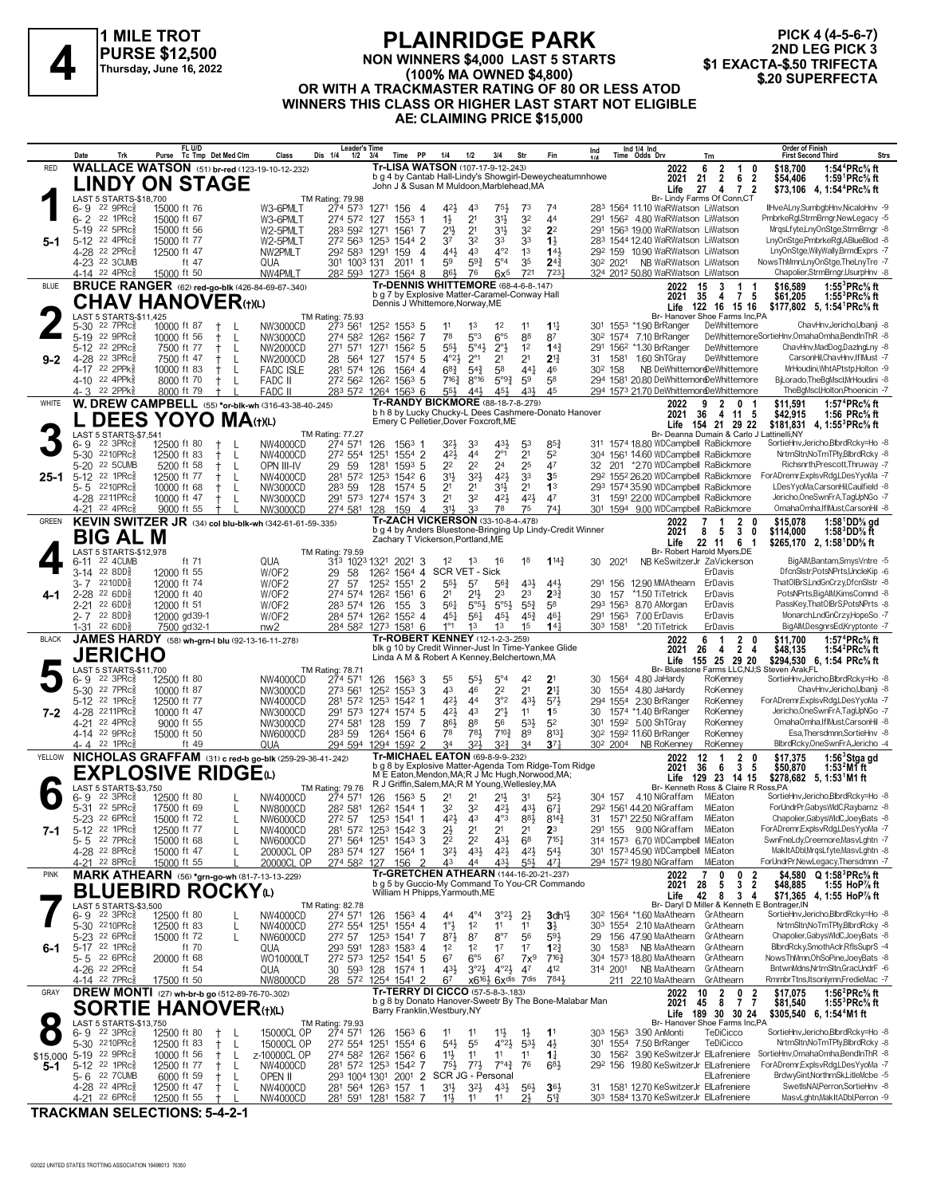

#### **PLAINRIDGE PARK NON WINNERS \$4,000 LAST 5 STARTS (100% MA OWNED \$4,800) OR WITH A TRACKMASTER RATING OF 80 OR LESS ATOD WINNERS THIS CLASS OR HIGHER LAST START NOT ELIGIBLE AE: CLAIMING PRICE \$15,000 PURSE \$12,500**<br>A **PURSE \$12,500** MON WINNERS \$4,000 LAST 5 STARTS **\$1 EXACTA-\$.50 TRIFECTA**<br>Thursday, June 16, 2022 (100% MA OWNED \$4,800)

**PICK 4 (4-5-6-7)** 2ND LEG PICK 3<br>\$1 EXACTA-\$.50 TRIFECTA

|                                                | Date           | Trk                                                    | Purse | FL U/D                      | Tc Tmp Det Med Clm                                     | Class                                                    | <b>Leader's Time</b><br>Dis 1/4<br>$1/2$ $3/4$                                |            | <b>PP</b><br>Time                   | 1/4                                                                                                  | 1/2                              | 3/4                                                             | Str                                                                    | Fin                                                       | Ind       |                                  | Ind 1/4 Ind<br>Time Odds Drv |                                                                               | Trn                                                                     | <b>Order of Finish</b><br><b>Strs</b><br><b>First Second Third</b>                                                      |
|------------------------------------------------|----------------|--------------------------------------------------------|-------|-----------------------------|--------------------------------------------------------|----------------------------------------------------------|-------------------------------------------------------------------------------|------------|-------------------------------------|------------------------------------------------------------------------------------------------------|----------------------------------|-----------------------------------------------------------------|------------------------------------------------------------------------|-----------------------------------------------------------|-----------|----------------------------------|------------------------------|-------------------------------------------------------------------------------|-------------------------------------------------------------------------|-------------------------------------------------------------------------------------------------------------------------|
| <b>RED</b>                                     |                |                                                        |       |                             | <b>WALLACE WATSON</b> (51) br-red (123-19-10-12-232)   |                                                          |                                                                               |            |                                     | Tr-LISA WATSON (107-17-9-12-.243)                                                                    |                                  |                                                                 |                                                                        | b g 4 by Cantab Hall-Lindy's Showgirl-Deweycheatumnhowe   |           |                                  |                              | 2022<br>2021                                                                  | 6<br>$\overline{2}$<br>$\overline{1}$<br>$\overline{2}$<br>6<br>21      | 1:54 <sup>4</sup> PRc <sup>5</sup> / <sub>8</sub> ft<br>\$18.700<br>0<br>1:59 ${}^1$ PRc ${}^5\! s$ ft<br>2<br>\$54,406 |
|                                                |                |                                                        |       |                             | <b>LINDY ON STAGE</b>                                  |                                                          |                                                                               |            |                                     | John J & Susan M Muldoon, Marblehead, MA                                                             |                                  |                                                                 |                                                                        |                                                           |           |                                  |                              | Life                                                                          | 27<br>4<br>7                                                            | $\overline{2}$<br>\$73,106 4, 1:54 <sup>4</sup> PRc <sup>5</sup> / <sub>8</sub> ft                                      |
|                                                |                | LAST 5 STARTS-\$18,700<br>$22$ 9PR $c_{8}$             |       |                             |                                                        |                                                          | TM Rating: 79.98                                                              |            |                                     | 42}                                                                                                  |                                  |                                                                 |                                                                        |                                                           |           |                                  |                              |                                                                               | Br- Lindy Farms Of Conn.CT                                              | IlHveALny,SumbgbHnv,NicaloHnv -9                                                                                        |
|                                                | 6-9<br>$6 - 2$ | 22 1PRc                                                |       | 15000 ft 76<br>15000 ft 67  |                                                        | W3-6PMLT<br>W3-6PMLT                                     | 274 573<br>274 572 127                                                        | 1271 156   | - 4<br>$1553$ 1                     | $1\frac{1}{2}$                                                                                       | 43<br>2 <sup>1</sup>             | 75,<br>3½                                                       | 7 <sup>3</sup><br>32                                                   | 7 <sup>4</sup><br>44                                      | 291       |                                  |                              | 283 1564 11.10 WaRWatson LiWatson<br>156 <sup>2</sup> 4.80 WaRWatson LiWatson |                                                                         | PmbrkeRgl,StrmBrngr,NewLegacy -5                                                                                        |
|                                                |                | 5-19 22 5PRc                                           |       | 15000 ft 56                 |                                                        | W2-5PMLT                                                 | 283 592 1271                                                                  |            | 1561<br>-7                          | 21}                                                                                                  | 2 <sup>1</sup>                   | $3^{11}$                                                        | 32                                                                     | 2 <sup>2</sup>                                            | 291       |                                  |                              | 1563 19.00 WaRWatson LiWatson                                                 |                                                                         | MrgsLfyte,LnyOnStge,StrmBrngr -8                                                                                        |
| 5-1                                            |                | 5-12 22 4PRc<br>4-28 22 2PRc <sup>5</sup>              |       | 15000 ft 77<br>12500 ft 47  |                                                        | W2-5PMLT<br>NW2PMLT                                      | 272 563 1253 1544 2<br>292 583 1291                                           |            | 159                                 | 37<br>441<br>$\overline{4}$                                                                          | 32<br>43                         | 33<br>$4^{\circ}2$                                              | 33<br>1 <sup>3</sup>                                                   | $1\frac{1}{2}$<br>143                                     |           |                                  |                              | 283 1544 12.40 WaRWatson LiWatson<br>292 159 10.90 WaRWatson LiWatson         |                                                                         | LnyOnStge,PmbrkeRgl,ABlueBlod -8<br>LnyOnStge, WilyWally, BrmdExprs -7                                                  |
|                                                |                | 4-23 22 3CUMB                                          |       | ft 47                       |                                                        | QUA                                                      | 301 1003 131                                                                  |            | $201^1$ 1                           | 59                                                                                                   | 59}                              | $5^{\circ}4$                                                    | 35                                                                     | $2^{4^3}$                                                 |           |                                  |                              | 30 <sup>2</sup> 202 <sup>1</sup> NB WaRWatson LiWatson                        |                                                                         | NowsThMmn,LnyOnStge,TheLnyTre -7                                                                                        |
|                                                |                | 4-14 22 4PRc <sup>3</sup>                              |       | 15000 ft 50                 |                                                        | NW4PMLT                                                  | 282 593 1273 1564 8                                                           |            |                                     | 86}                                                                                                  | 76                               | $6x^5$                                                          | 721                                                                    | 7231                                                      |           |                                  |                              | 324 2012 50.80 WaRWatson LiWatson                                             |                                                                         | Chapolier,StrmBrngr,UsurpHnv -8                                                                                         |
| <b>BLUE</b>                                    |                |                                                        |       |                             | <b>BRUCE RANGER</b> (62) red-go-blk (426-84-69-67-340) |                                                          |                                                                               |            |                                     | Tr-DENNIS WHITTEMORE (68-4-6-8-.147)<br>b g 7 by Explosive Matter-Caramel-Conway Hall                |                                  |                                                                 |                                                                        |                                                           |           |                                  |                              | 2022<br>2021                                                                  | 3<br>15<br>$\overline{1}$<br>$\overline{7}$<br>-35<br>4                 | 1:55 ${}^{3}$ PRc ${}^{5}_{8}$ ft<br>-1<br>\$16.589<br>5<br>\$61,205<br>1:55 ${}^{3}$ PRc ${}^{5}_{8}$ ft               |
|                                                |                |                                                        |       |                             | <b>CHAV HANOVER(t)(L)</b>                              |                                                          |                                                                               |            |                                     | Dennis J Whittemore, Norway, ME                                                                      |                                  |                                                                 |                                                                        |                                                           |           |                                  |                              |                                                                               | Life 122 16 15 16                                                       | \$177,802 5, 1:54 PRc <sup>5</sup> / <sub>8</sub> ft                                                                    |
|                                                |                | LAST 5 STARTS-\$11,425<br>5-30 22 7PRc <sup>5</sup>    |       | 10000 ft 87                 | $\pm$                                                  | NW3000CD                                                 | TM Rating: 75.93<br>273 561                                                   |            | 1252 1553 5                         | 11                                                                                                   | 1 <sup>3</sup>                   | 1 <sup>2</sup>                                                  | 11                                                                     | $1^{11}$                                                  |           |                                  |                              | 301 1553 *1.90 BrRanger                                                       | Br- Hanover Shoe Farms Inc,PA<br>DeWhittemore                           | ChavHnv, Jericho, Ubanji - 8                                                                                            |
|                                                |                | 5-19 22 9PRc                                           |       | 10000 ft 56                 | $^{\mathrm{+}}$<br>L                                   | NW3000CD                                                 | 274 582                                                                       |            | 126 <sup>2</sup> 156 <sup>2</sup> 7 | 78                                                                                                   | 5°3                              | $6^{\circ 5}$                                                   | 88                                                                     | 87                                                        |           |                                  |                              | 30 <sup>2</sup> 1574 7.10 BrRanger                                            |                                                                         | DeWhittemoreSortieHnv,OmahaOmha,BendInThR -8                                                                            |
|                                                |                | 5-12 22 2PRc                                           |       | 7500 ft 77                  | L                                                      | NW2000CD                                                 | 271 571                                                                       |            | 1271 1562 5                         | $55\frac{1}{2}$                                                                                      | $5^{\circ}4\frac{1}{2}$          | $2^{\circ}$ <sub>2</sub>                                        | 1 <sup>2</sup>                                                         | $14\frac{3}{7}$                                           | 291<br>31 |                                  |                              | 156 <sup>2</sup> *1.30 BrRanger<br>1.60 ShTGray                               | DeWhittemore                                                            | ChavHnv,MadDog,DazIngLny -8<br>CarsonHil,ChavHnv,IfIMust -7                                                             |
| $9 - 2$                                        |                | 4-28 22 3PRc<br>4-17 22 2PPk <sup>5</sup>              |       | 7500 ft 47<br>10000 ft 83   | L<br>$^+$<br>$^+$<br>L                                 | NW2000CD<br><b>FADC ISLE</b>                             | 28<br>564<br>281 574                                                          | 127<br>126 | 1574 5<br>1564 4                    | $4^{\circ}2\frac{1}{2}$<br>$6^{8}$                                                                   | $2^{\circ}1$<br>$5^{4}$          | 2 <sup>1</sup><br>58                                            | 2 <sup>1</sup><br>$44\frac{1}{4}$                                      | $2^{13}$<br>46                                            |           | 1581<br>30 <sup>2</sup> 158      |                              |                                                                               | DeWhittemore<br>NB DeWhittemoreDeWhittemore                             | MrHoudini, Wht APtstp, Holton -9                                                                                        |
|                                                |                | 4-10 22 4PPk                                           |       | 8000 ft 70                  | L<br>$\pm$                                             | <b>FADC II</b>                                           | 272 562 1262 1563 5                                                           |            |                                     | $7^{16}\frac{3}{4}$                                                                                  | $8^{\circ}16$                    | $5^{93}$                                                        | 59                                                                     | 58                                                        |           |                                  |                              |                                                                               | 294 1581 20.80 DeWhittemordDeWhittemore                                 | BjLorado, The BgMscl, MrHoudini -8                                                                                      |
|                                                |                | 4-3 22 2PPk                                            |       | 8000 ft 79                  |                                                        | <b>FADC II</b>                                           | 283 572 1264 1563 6                                                           |            |                                     | $55\frac{1}{2}$<br>Tr-RANDY BICKMORE (88-18-7-8-279)                                                 | 443                              | 45}                                                             | 43}                                                                    | 45                                                        |           |                                  |                              |                                                                               | 294 1573 21.70 DeWhittemordDeWhittemore                                 | TheBgMscl,Holton,Phoenicin -7                                                                                           |
| WHITE                                          |                |                                                        |       |                             |                                                        | W. DREW CAMPBELL (55) *or-blk-wh (316-43-38-40-.245)     |                                                                               |            |                                     |                                                                                                      |                                  |                                                                 |                                                                        | b h 8 by Lucky Chucky-L Dees Cashmere-Donato Hanover      |           |                                  |                              | 2022<br>2021                                                                  | 9<br>$\mathbf{2}$<br>0<br>-36<br>4 11                                   | 1:57 ${}^4$ PRc ${}^5\!$ ft<br>\$11,591<br>-1<br>- 5<br>\$42,915<br>1:56 PRc% ft                                        |
|                                                |                | LAST 5 STARTS-\$7,541                                  |       |                             | <b>DEES YOYO MA</b> (t)(L)                             |                                                          |                                                                               |            |                                     | Emery C Pelletier, Dover Foxcroft, ME                                                                |                                  |                                                                 |                                                                        |                                                           |           |                                  |                              |                                                                               | Life 154 21 29 22<br>Br- Deanna Dumain & Carlo J Lattinelli, NY         | \$181,831<br>4, 1:55 <sup>3</sup> PRc% ft                                                                               |
|                                                | 6-9            | $22 \text{ } 3 \text{PRc}^5$                           |       | 12500 ft 80                 | $\pm$                                                  | NW4000CD                                                 | <b>TM Rating: 77.27</b><br>274 571                                            | 126        | 1563 1                              | 32}                                                                                                  | 33                               | 431,                                                            | 53                                                                     | $85\frac{3}{4}$                                           |           |                                  |                              |                                                                               | 311 1574 18.80 WDCampbell RaBickmore                                    | SortieHnv,Jericho,BlbrdRcky=Ho -8                                                                                       |
|                                                |                | 5-30 2210PRcs<br><b>22 5CUMB</b>                       |       | 12500 ft 83                 | $^+$<br>L                                              | NW4000CD                                                 | 272 554                                                                       | 1251       | 1554 2                              | 421,<br>22                                                                                           | 44<br>2 <sup>2</sup>             | $2^{\circ}1$<br>2 <sup>4</sup>                                  | 2 <sup>1</sup><br>25                                                   | 5 <sup>2</sup><br>47                                      |           |                                  |                              |                                                                               | 304 1561 14.60 WDCampbell RaBickmore                                    | NrtrnSltn,NoTmTPly,BlbrdRcky -8<br>Richsnrth, Prescott, Thruway -7                                                      |
| 25-1                                           | $5 - 20$       | 5-12 22 1PRc $\frac{5}{8}$                             |       | 5200 ft 58<br>12500 ft 77   | L<br>ŧ<br>L<br>$^+$                                    | OPN III-IV<br>NW4000CD                                   | 29 59<br>281 572 1253                                                         | 1281       | 159 <sup>3</sup> 5<br>1542 6        | 31}                                                                                                  | $3^{21}$                         | 42}                                                             | 33                                                                     | 3 <sub>5</sub>                                            | 32        |                                  |                              |                                                                               | 201 *2.70 WDCampbell RaBickmore<br>292 1552 26.20 WDCampbell RaBickmore | ForADremr,ExplsvRdg,LDesYyoMa -7                                                                                        |
|                                                |                | 5-5 2210PRcs                                           |       | 10000 ft 68                 | $^+$<br>L                                              | NW3000CD                                                 | 283 59                                                                        | 128        | 1574 5                              | 2 <sup>1</sup>                                                                                       | 2 <sup>1</sup>                   | 3 <sup>1</sup>                                                  | 2 <sup>1</sup>                                                         | 1 <sup>3</sup>                                            |           |                                  |                              |                                                                               | 293 1574 35.90 WDCampbell RaBickmore                                    | LDesYyoMa,CarsonHil,Caulfield -8                                                                                        |
|                                                |                | 4-28 2211PRc3<br>4-21 22 4PRc                          |       | 10000 ft 47<br>9000 ft 55   | $\pm$<br>L                                             | NW3000CD<br>NW3000CD                                     | 291 573 1274 1574 3<br>274 581 128                                            |            | 159                                 | 2 <sup>1</sup><br>31}<br>4                                                                           | 32<br>33                         | 421<br>78                                                       | 421<br>75                                                              | 47<br>741                                                 | 31        |                                  |                              |                                                                               | 1591 22.00 WDCampbell RaBickmore<br>301 1594 9.00 WDCampbell RaBickmore | Jericho, One SwnFrA, TagUpNGo - 7<br>OmahaOmha.IfIMust.CarsonHil -8                                                     |
| <b>GREEN</b>                                   |                |                                                        |       |                             |                                                        | KEVIN SWITZER JR (34) col blu-blk-wh (342-61-61-59-.335) |                                                                               |            |                                     | <b>Tr-ZACH VICKERSON (33-10-8-4-.478)</b>                                                            |                                  |                                                                 |                                                                        |                                                           |           |                                  |                              | 2022                                                                          | 7<br>2                                                                  | 1:58 $^{1}$ DD $%$ gd<br>0<br>\$15,078                                                                                  |
|                                                |                | BIG AL M                                               |       |                             |                                                        |                                                          |                                                                               |            |                                     | Zachary T Vickerson, Portland, ME                                                                    |                                  |                                                                 |                                                                        | b g 4 by Anders Bluestone-Bringing Up Lindy-Credit Winner |           |                                  |                              | 2021                                                                          | 3<br>5<br>8                                                             | 1:58 <sup>3</sup> DD% ft<br>0<br>\$114,000                                                                              |
|                                                |                | LAST 5 STARTS-\$12,978                                 |       |                             |                                                        |                                                          | TM Rating: 79.59                                                              |            |                                     |                                                                                                      |                                  |                                                                 |                                                                        |                                                           |           |                                  |                              | Life                                                                          | 22 11<br>6<br>- 1<br>Br- Robert Harold Myers, DE                        | \$265,170 2, 1:58 DD% ft                                                                                                |
|                                                | 6-11           | 22 4CUMB                                               |       | ft 71                       |                                                        | QUA                                                      | 313 1023 1321 2021 3                                                          |            |                                     | 1 <sup>2</sup>                                                                                       | 1 <sup>3</sup>                   | 16                                                              | 18                                                                     | $1^{14}\frac{3}{4}$                                       | 30        | 2021                             |                              |                                                                               | NB KeSwitzerJr ZaVickerson                                              | BigAlM,Bantam,SmysVntre -5<br>DfcnSlstr,PotsNPrts,UncleKip -6                                                           |
|                                                | $3 - 7$        | 3-14 22 8DD\$<br>2210DD용                               |       | 12000 ft 55<br>12000 ft 74  |                                                        | W/OF2<br>W/OF2                                           | 29<br>58<br>27<br>-57                                                         | 1252       | $155^1$ 2                           | 126 <sup>2</sup> 156 <sup>4</sup> 4 SCR VET - Sick<br>$55\frac{1}{2}$                                | 57                               | $56\frac{3}{4}$                                                 | 431                                                                    | 44}                                                       | 291       | 156                              |                              | 12.90 MMAthearn                                                               | ErDavis<br>ErDavis                                                      | ThatOlBrS,LndGnCrzy,DfcnSlstr -8                                                                                        |
| 4-1                                            |                | $2-28$ 22 6DD <sup>5</sup>                             |       | 12000 ft 40                 |                                                        | W/OF2                                                    | 274 574 1262 1561 6                                                           |            |                                     | 21                                                                                                   | $21\frac{1}{2}$                  | 23                                                              | 2 <sup>3</sup>                                                         | $2^{3}\frac{3}{4}$                                        | 30        | 157                              |                              | *1.50 TiTetrick                                                               | ErDavis                                                                 | PotsNPrts,BigAlM,KimsComnd -8                                                                                           |
|                                                | $2 - 21$       | 22 6DD§<br>$2 - 7$ 22 8DD <sup>5</sup>                 |       | 12000 ft 51<br>12000 gd39-1 |                                                        | W/OF2<br>W/OF2                                           | 283 574<br>284 574 1262 1552 4                                                | 126        | 155                                 | 3<br>561<br>$45\frac{1}{4}$                                                                          | $5^{\circ 5}$<br>$56\frac{1}{4}$ | $5^{\circ 5\frac{1}{2}}$<br>45}                                 | $55\frac{3}{4}$<br>$45\frac{3}{4}$                                     | 58<br>$46\frac{1}{4}$                                     |           | 293 1563<br>291 1563             |                              | 8.70 AMorgan<br>7.00 ErDavis                                                  | ErDavis<br>ErDavis                                                      | PassKey, That OIBrS, PotsNPrts -8<br>Monarch,LndGnCrzy,HopeSo -7                                                        |
|                                                |                | $1-31$ 22 6DD                                          |       | 7500 gd32-1                 |                                                        | nw2                                                      | 284 582 1273 1581 6                                                           |            |                                     | $1^{\circ}1$                                                                                         | 1 <sup>3</sup>                   | 1 <sup>3</sup>                                                  | 1 <sup>5</sup>                                                         | 14 <sub>1</sub>                                           |           | 303 1581                         |                              | *.20 TiTetrick                                                                | ErDavis                                                                 | BigAlM,DesgnrsEd,Kryptonte -7                                                                                           |
| <b>BLACK</b>                                   |                |                                                        |       |                             | JAMES HARDY (58) wh-grn-I blu (92-13-16-11-278)        |                                                          |                                                                               |            |                                     | Tr-ROBERT KENNEY (12-1-2-3-.259)                                                                     |                                  |                                                                 |                                                                        |                                                           |           |                                  |                              | 2022                                                                          | 2<br>6<br>-1                                                            | \$11,700<br>1:57 ${}^4$ PRc ${}^5\!\!$ sft<br>0                                                                         |
|                                                |                | <b>JERICHO</b>                                         |       |                             |                                                        |                                                          |                                                                               |            |                                     | Linda A M & Robert A Kenney, Belchertown, MA                                                         |                                  |                                                                 |                                                                        | blk g 10 by Credit Winner-Just In Time-Yankee Glide       |           |                                  |                              | 2021                                                                          | $\overline{2}$<br>26<br>4<br>Life 155 25 29 20                          | \$48,135<br>1:54 ${}^{2}$ PRc ${}^{5}_{8}$ ft<br>4<br>\$294,530 6, 1:54 PRc% ft                                         |
|                                                |                | LAST 5 STARTS-\$11,700                                 |       |                             |                                                        |                                                          | <b>TM Rating: 78.71</b>                                                       |            |                                     |                                                                                                      |                                  |                                                                 |                                                                        |                                                           |           |                                  |                              |                                                                               |                                                                         | Br- Bluestone Farms LLC,NJ;S Steven Arak,FL                                                                             |
|                                                | 6-9            | $22 \text{ } 3 \text{PRc}^5$<br>5-30 22 7PRc           |       | 12500 ft 80<br>10000 ft 87  |                                                        | NW4000CD<br>NW3000CD                                     | 274 571<br>273 561                                                            | 126        | $1563$ 3<br>125 <sup>2</sup> 1553 3 | 55<br>43                                                                                             | $55\frac{1}{2}$<br>46            | $5^{\circ}4$<br>22                                              | 42<br>2 <sup>1</sup>                                                   | 2 <sup>1</sup><br>2 <sup>11</sup>                         | 30<br>30  |                                  |                              | 1564 4.80 JaHardy<br>1554 4.80 JaHardy                                        | RoKenney<br>RoKenney                                                    | SortieHnv,Jericho,BlbrdRcky=Ho -8<br>ChavHnv, Jericho, Ubanji - 8                                                       |
|                                                |                | 5-12 22 1PRc <sup>5</sup>                              |       | 12500 ft 77                 |                                                        | NW4000CD                                                 | 281 572                                                                       |            | 1253 1542 1                         | 421                                                                                                  | 44                               | 3°2                                                             | 431                                                                    | 573                                                       |           |                                  |                              | 294 1554 2.30 BrRanger                                                        | RoKenney                                                                | ForADremrExplsvRdg,LDesYyoMa -7                                                                                         |
| $7 - 2$                                        |                | 4-28 2211PRcs<br>4-21 22 4PRc <sup>5</sup>             |       | 10000 ft 47<br>9000 ft 55   |                                                        | NW3000CD<br>NW3000CD                                     | 291 573 1274 1574 5<br>274 581                                                | 128        | 159                                 | 421,<br>86}<br>7                                                                                     | 43<br>88                         | $2^{\circ}$<br>56                                               | 11<br>$5^{31}$                                                         | 1 <sup>5</sup><br>5 <sup>2</sup>                          | 30<br>301 |                                  |                              | 1574 *1.40 BrRanger<br>1592 5.00 ShTGray                                      | RoKenney<br>RoKenney                                                    | Jericho, One SwnFrA, TagUpNGo - 7<br>OmahaOmha,IfIMust,CarsonHil -8                                                     |
|                                                |                | 4-14 22 9PRcs                                          |       | 15000 ft 50                 |                                                        | NW6000CD                                                 | 283 59                                                                        |            | 1264 1564 6                         | 7 <sup>8</sup>                                                                                       | 781                              | $7^{10\frac{3}{4}}$                                             | 89                                                                     | 8131                                                      |           |                                  |                              | 30 <sup>2</sup> 159 <sup>2</sup> 11.60 BrRanger                               | RoKenney                                                                | Esa, Thersdmnn, SortieHnv -8                                                                                            |
|                                                |                | 4-4 22 1PRc <sup>5</sup>                               |       | ft 49                       |                                                        | QUA                                                      | 294 594 1294 1592 2                                                           |            |                                     | 34                                                                                                   | 321,                             | $3^{2^{3}}$                                                     | 34                                                                     | 37 <sub>7</sub>                                           |           | 30 <sup>2</sup> 200 <sup>4</sup> |                              | NB RoKenney                                                                   | RoKenney                                                                | BlbrdRcky, OneSwnFrA, Jericho -4                                                                                        |
| <b>YELLOW</b>                                  |                |                                                        |       |                             |                                                        | NICHOLAS GRAFFAM (31) c red-b go-blk (259-29-36-41-.242) |                                                                               |            |                                     | <b>Tr-MICHAEL EATON (69-8-9-9-232)</b>                                                               |                                  |                                                                 |                                                                        | b g 8 by Explosive Matter-Agenda Tom Ridge-Tom Ridge      |           |                                  |                              | 2022<br>2021                                                                  | 2<br>12<br>-1<br>3<br>36<br>6                                           | $1:563$ Stga gd<br>0<br>\$17,375<br>5<br>\$50,870<br>$1:532M1$ ft                                                       |
|                                                |                |                                                        |       |                             | <b>EXPLOSIVE RIDGE@</b>                                |                                                          |                                                                               |            |                                     | M E Eaton, Mendon, MA; R J Mc Hugh, Norwood, MA;<br>R J Griffin, Salem, MA; R M Young, Wellesley, MA |                                  |                                                                 |                                                                        |                                                           |           |                                  |                              | Life                                                                          | 129 23 14 15                                                            | $$278,682$ 5, 1:53 M1 ft                                                                                                |
|                                                | 6-9            | LAST 5 STARTS-\$3,750<br>$22 \text{ } 3 \text{PRc}^5$  |       | 12500 ft 80                 |                                                        | NW4000CD                                                 | TM Rating: 79.76<br>274 571                                                   | 126        | $156^3$ 5                           | 21                                                                                                   | 21                               | 2 <sup>11</sup>                                                 | 3 <sup>1</sup>                                                         | $5^{2}$                                                   |           |                                  |                              | 304 157 4.10 NiGraffam                                                        | Br- Kenneth Ross & Claire R Ross, PA<br>MiEaton                         | SortieHnv.Jericho.BlbrdRckv=Ho -8                                                                                       |
|                                                |                | 5-31 22 5PRc <sup>5</sup>                              |       | 17500 ft 69                 | L                                                      | NW8000CD                                                 | 28 <sup>2</sup> 581 126 <sup>2</sup> 1544 1                                   |            |                                     | 32                                                                                                   | 32                               | $4^{21}$                                                        | 43}                                                                    | $67\frac{1}{4}$                                           |           |                                  |                              | 292 1561 44.20 NiGraffam                                                      | MiEaton                                                                 | ForUndrPr,GabysWIdC,Raybarnz -8                                                                                         |
| 7-1                                            |                | 5-23 22 6PRc <sup>5</sup><br>5-12 22 1PRc <sup>5</sup> |       | 15000 ft 72<br>12500 ft 77  | L                                                      | NW6000CD<br>NW4000CD                                     | 27 <sup>2</sup> 57 125 <sup>3</sup> 154 <sup>1</sup> 1<br>281 572 1253 1542 3 |            |                                     | 423<br>2½                                                                                            | 43<br>2 <sup>1</sup>             | $4^{\circ}3$<br>2 <sup>1</sup>                                  | 88}<br>2 <sup>1</sup>                                                  | $8^{14}\frac{3}{4}$<br>2 <sup>3</sup>                     | 31        |                                  |                              | 1571 22.50 NiGraffam<br>291 155 9.00 NiGraffam MiEaton                        | MiEaton                                                                 | Chapolier, Gabys WldC, JoeyBats -8<br>ForADremr,ExplsvRdg,LDesYyoMa -7                                                  |
|                                                |                | 5-5 22 7PRc <sup>5</sup>                               |       | 15000 ft 68                 | L                                                      | NW6000CD                                                 | 271 564 1251 1543 3                                                           |            |                                     | 2 <sup>2</sup>                                                                                       | 2 <sup>2</sup>                   | 431                                                             | 6 <sup>8</sup>                                                         | $7^{15}$                                                  |           |                                  |                              | 314 1573 6.70 WDCampbell MiEaton                                              |                                                                         | SwnFneLdy,Creemore,MasvLghtn -7                                                                                         |
|                                                |                | 4-28 22 8PRc <sup>3</sup><br>4-21 22 8PRc              |       | 15000 ft 47<br>15000 ft 55  |                                                        | 20000CL OP<br>20000CL OP                                 | 283 574 127<br>274 582 127                                                    |            | 1564 1<br>156<br>- 2                | 32}<br>43                                                                                            | $43\frac{1}{2}$<br>44            | $4^{21}$<br>43}                                                 | $4^{21}$<br>$55\frac{1}{2}$                                            | $5^{4}$<br>471                                            |           |                                  |                              | 301 1573 45.90 WDCampbell MiEaton<br>294 1572 19.80 NiGraffam                 | MiEaton                                                                 | MakItADbl, MrqsLfyte, MasvLghtn -8<br>ForUndrPr,NewLegacy,Thersdmnn -7                                                  |
| <b>PINK</b>                                    |                |                                                        |       |                             | MARK ATHEARN (56) *grn-go-wh (81-7-13-13-229)          |                                                          |                                                                               |            |                                     | Tr-GRETCHEN ATHEARN (144-16-20-21-.237)                                                              |                                  |                                                                 |                                                                        |                                                           |           |                                  |                              | 2022                                                                          | 0<br>0<br>7                                                             | \$4,580 $Q 1:58^{3} P Rc$ % ft<br>2                                                                                     |
|                                                |                |                                                        |       |                             | <b>BLUEBIRD ROCKY</b> W                                |                                                          |                                                                               |            |                                     | William H Phipps, Yarmouth, ME                                                                       |                                  |                                                                 |                                                                        | b g 5 by Guccio-My Command To You-CR Commando             |           |                                  |                              | 2021                                                                          | 3<br>5<br>28                                                            | 2<br>1:55 HoP% ft<br>\$48,885                                                                                           |
|                                                |                | LAST 5 STARTS-\$3,500                                  |       |                             |                                                        |                                                          | TM Rating: 82.78                                                              |            |                                     |                                                                                                      |                                  |                                                                 |                                                                        |                                                           |           |                                  |                              | Life                                                                          | 8<br>42<br>3                                                            | 4<br>\$71,365 4, 1:55 HoP% ft<br>Br- Daryl D Miller & Kenneth E Bontrager, IN                                           |
|                                                |                | $6 - 9$ $22$ $3$ PRc $\frac{5}{6}$                     |       | 12500 ft 80                 | L                                                      | NW4000CD                                                 | 274 571 126 1563 4                                                            |            |                                     | 44                                                                                                   | $4^{\circ}4$                     | $3^{\circ}2\frac{1}{2}$                                         | $2\frac{1}{2}$                                                         | $3$ dh <sup>11</sup> $\frac{1}{2}$                        |           |                                  |                              | 30 <sup>2</sup> 1564 *1.60 MaAthearn GrAthearn                                |                                                                         | SortieHnv,Jericho,BlbrdRcky=Ho -8                                                                                       |
|                                                |                | 5-30 2210PRcs<br>5-23 <sup>22</sup> 6PRc <sup>5</sup>  |       | 12500 ft 83<br>15000 ft 72  | L<br>L                                                 | NW4000CD<br>NW6000CD                                     | 272 554 1251 1554 4<br>272 57                                                 |            | 1253 1541 7                         | $1^{\circ}$<br>$8^{71}$                                                                              | 1 <sup>2</sup><br>87             | 11<br>8°7                                                       | 1 <sup>1</sup><br>56                                                   | $3\frac{1}{2}$<br>$59\frac{1}{2}$                         | 29        |                                  |                              | 303 1554 2.10 MaAthearn<br>156 47.90 MaAthearn                                | GrAthearn<br>GrAthearn                                                  | NrtrnSltnNoTmTPlv.BlbrdRckv -8<br>Chapolier, Gabys WldC, JoeyBats -8                                                    |
| $6 - 1$                                        |                | 5-17 22 1PRc $\frac{5}{8}$                             |       | ft 70                       |                                                        | QUA                                                      | 293 591 1283 1583 4                                                           |            |                                     | 1 <sup>2</sup>                                                                                       | 1 <sup>2</sup>                   | 1 <sup>7</sup>                                                  | 17                                                                     | $12\frac{3}{4}$                                           | 30        | 1583                             |                              | NB MaAthearn                                                                  | GrAthearn                                                               | BlbrdRcky,SmothAclr,RflsSuprS -4                                                                                        |
|                                                |                | $5 - 5$ 22 6PRc <sup>5</sup>                           |       | 20000 ft 68                 |                                                        | WO10000LT                                                | 272 573 1252 1541 5                                                           |            |                                     | 6 <sup>7</sup>                                                                                       | $6^{\circ}5$                     | 67                                                              | $7x^9$                                                                 | $7^{16}\frac{3}{4}$                                       | 304       |                                  |                              | 1573 18.80 MaAthearn                                                          | GrAthearn                                                               | NowsThMmn, OhSoPine, JoeyBats -8<br>BntwnMdns, NrtrnSltn, GracUndrF -6                                                  |
|                                                |                | 4-26 <sup>22</sup> 2PRcs<br>4-14 22 7PRc               |       | ft 54<br>17500 ft 50        |                                                        | QUA<br>NW8000CD                                          | 30 593 128<br>28 572 1254 1541 2                                              |            | 1574 1                              | 43}<br>67                                                                                            | $3^{o_2}\frac{1}{2}$             | $4^{\circ}2\frac{1}{2}$<br>$x6^{16\frac{1}{2}}$ 6 $x$ dis 7 dis | 47                                                                     | 412<br>7841                                               |           | 314 2001                         |                              | NB MaAthearn<br>211 22.10 MaAthearn GrAthearn                                 | GrAthearn                                                               | RmmbrTtns,Itsonlymn,FredieMac -7                                                                                        |
| GRAY                                           |                |                                                        |       |                             | DREW MONTI (27) wh-br-b go (512-89-76-70-.302)         |                                                          |                                                                               |            |                                     | Tr-TERRY DI CICCO (57-5-8-3-183)                                                                     |                                  |                                                                 |                                                                        |                                                           |           |                                  |                              | 2022                                                                          | 10<br>2<br>0                                                            | 2<br>\$17,075<br>1:56 ${}^{\prime}$ PRc ${}^{\prime\prime}$ sft                                                         |
|                                                |                | <b>SORTIE</b>                                          |       |                             | <b>HANOVER</b> (t)(L)                                  |                                                          |                                                                               |            |                                     | Barry Franklin, Westbury, NY                                                                         |                                  |                                                                 |                                                                        | b g 8 by Donato Hanover-Sweetr By The Bone-Malabar Man    |           |                                  |                              | 2021                                                                          | $\overline{7}$<br>45<br>8                                               | \$81,540<br>1:55 ${}^{3}$ PRc ${}^{5}_{8}$ ft<br>7<br>\$305,540 6, 1:54 <sup>4</sup> M1 ft                              |
|                                                |                | LAST 5 STARTS-\$13,750                                 |       |                             |                                                        |                                                          | TM Rating: 79.93                                                              |            |                                     |                                                                                                      |                                  |                                                                 |                                                                        |                                                           |           |                                  |                              |                                                                               | Life 189 30 30 24<br>Br- Hanover Shoe Farms Inc, PA                     |                                                                                                                         |
|                                                |                | $6 - 9$ $22$ $3$ PRc $\frac{5}{6}$<br>5-30 2210PRcs    |       | 12500 ft 80                 | L                                                      | 15000CL OP                                               | 274 571                                                                       | 126        | 15636                               | 11<br>$54\frac{1}{2}$                                                                                | 11<br>55                         | $11\frac{1}{2}$                                                 | $1\frac{1}{2}$<br>$4^{\circ}2\frac{1}{2}$ 5 <sup>3</sup> $\frac{1}{2}$ | 1 <sup>1</sup>                                            |           | 303 1563                         |                              | 3.90 AnMonti<br>301 1554 7.50 BrRanger                                        | TeDiCicco<br>TeDiCicco                                                  | SortieHnv,Jericho,BlbrdRcky=Ho -8<br>NrtrnSltn,NoTmTPly,BlbrdRcky -8                                                    |
| \$15,000 5-19 <sup>22</sup> 9PRc $\frac{5}{8}$ |                |                                                        |       | 12500 ft 83<br>10000 ft 56  | $^{\mathrm{+}}$<br>L<br>L<br>$\mathsf{t}$              | 15000CL OP<br>z-10000CL OP                               | 272 554 1251 1554 6<br>274 582 1262 1562 6                                    |            |                                     | 11                                                                                                   | 11                               | 11                                                              | 11                                                                     | $4\frac{1}{2}$<br>$1\frac{1}{4}$                          | 30        |                                  |                              |                                                                               |                                                                         | 156 <sup>2</sup> 3.90 KeSwitzerJr ElLafreniere SortieHnv, Omaha Omha, BendIn ThR -8                                     |
| 5-1                                            |                | 5-12 22 1PRc <sup>3</sup>                              |       | 12500 ft 77                 | L<br>$^+$                                              | NW4000CD                                                 | 281 572 1253 1542 7                                                           |            |                                     | $75\frac{1}{2}$                                                                                      | $77\frac{1}{2}$                  | $7^{\circ}4^{\frac{3}{4}}$                                      | 76                                                                     | 683                                                       |           |                                  |                              |                                                                               | 292 156 19.80 KeSwitzerJr ElLafreniere                                  | For ADremr, ExplsvRdg, LDes YyoMa -7                                                                                    |
|                                                |                | 5-6 22 7 CUMB<br>4-28 22 4PRc <sup>5</sup>             |       | 6000 ft 59<br>12500 ft 47   | L<br>L<br>$^+$                                         | open II<br>NW4000CD                                      | 293 1004 1301 2001 2<br>281 564 1263 157                                      |            | $\overline{1}$                      | SCR JG - Personal<br>3 <sup>1</sup>                                                                  | $3^{2}\frac{1}{2}$               | $43\frac{1}{2}$                                                 | $56\frac{1}{2}$                                                        | $36\frac{1}{2}$                                           |           |                                  |                              |                                                                               | ElLafreniere<br>31 1581 12.70 KeSwitzerJr ElLafreniere                  | BrdwyGint, NorthrnSk, LitleMcbe -5<br>SwetIsNAI, Perron, SortieHnv -8                                                   |
|                                                |                | 4-21 22 6PRc                                           |       | 12500 ft 55                 |                                                        | NW4000CD                                                 | 281 591 1281 1582 7                                                           |            |                                     | 11}                                                                                                  | 11                               | 11                                                              | 2}                                                                     | $5^{12}$                                                  |           |                                  |                              |                                                                               | 303 1584 13.70 KeSwitzerJr ElLafreniere                                 | MasvLghtn, MakItADbl, Perron -9                                                                                         |

**TRACKMAN SELECTIONS: 5-4-2-1**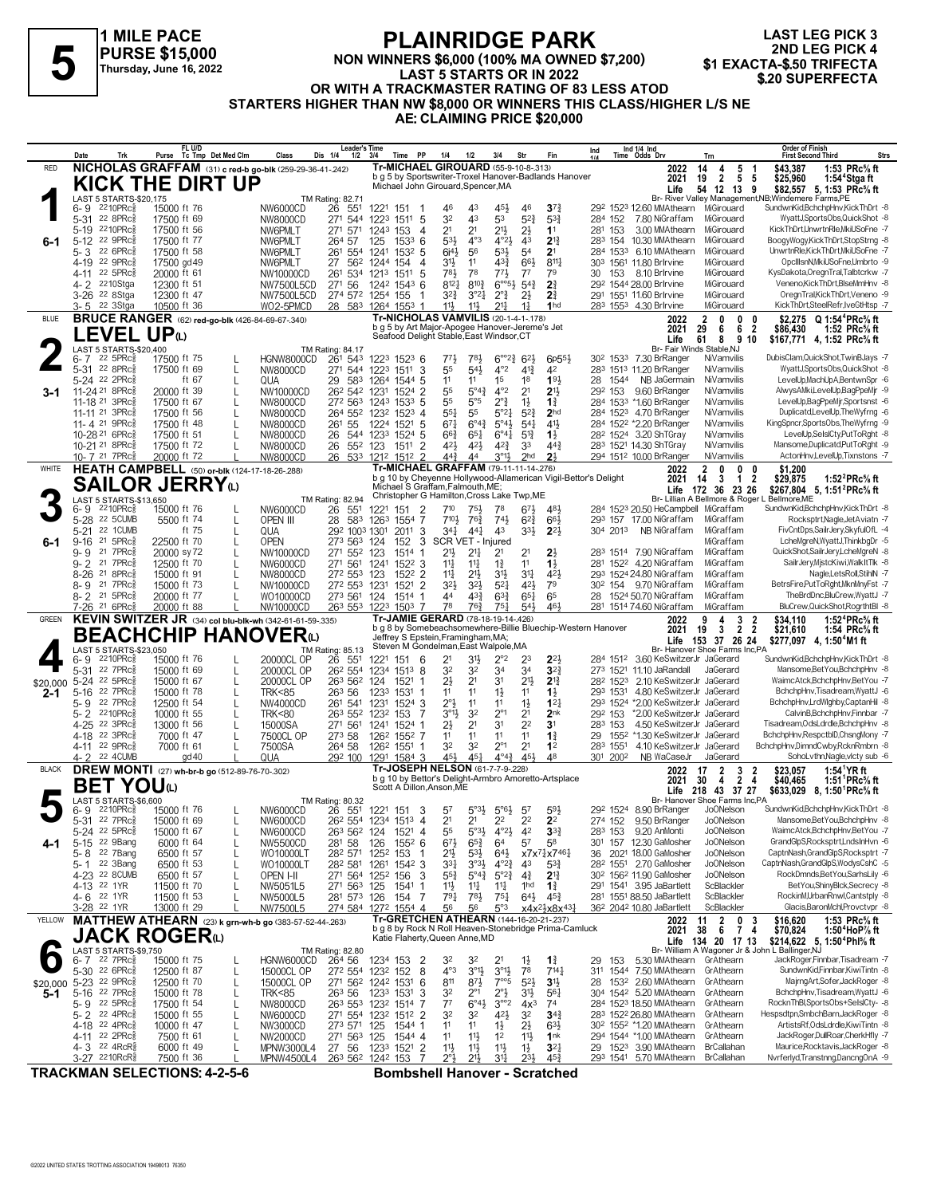#### **PLAINRIDGE PARK NON WINNERS \$6,000 (100% MA OWNED \$7,200) LAST 5 STARTS OR IN 2022 OR WITH A TRACKMASTER RATING OF 83 LESS ATOD FLAINNIDUL PARK**<br> **1 PURSE \$15,000**<br>
Thursday, June 16, 2022<br> **1 EXACTA-\$.50 TRIFECTA**<br> **1 EXACTA-\$.50 TRIFECTA**<br> **1 EXACTA-\$.50 TRIFECTA**<br> **1 EXACTA-\$.50 TRIFECTA**<br> **1 EXACTA-\$.50 TRIFECTA**<br> **1 A TRACKMASTER RATING OF 83**

**LAST LEG PICK 3 2ND LEG PICK 4<br>\$1 EXACTA-\$.50 TRIFECTA** 

**STARTERS HIGHER THAN NW \$8,000 OR WINNERS THIS CLASS/HIGHER L/S NE**

**AE: CLAIMING PRICE \$20,000**

|              | Date                                                 | Trk                                                | FL U/D<br>Purse                                          | Tc Tmp Det Med Clm           | Class                                                    | Leader's Time<br>Dis 1/4<br>1/2                                      | 3/4                                 | Time PP                | 1/4                                                                                        | 1/2                                       | 3/4                                                | Str                                | Fin                                                             | Ind                |          | Ind 1/4 Ind<br>Time Odds Drv                                      | Trn                                                | Order of Finish<br><b>First Second Third</b><br><b>Strs</b>                                                        |
|--------------|------------------------------------------------------|----------------------------------------------------|----------------------------------------------------------|------------------------------|----------------------------------------------------------|----------------------------------------------------------------------|-------------------------------------|------------------------|--------------------------------------------------------------------------------------------|-------------------------------------------|----------------------------------------------------|------------------------------------|-----------------------------------------------------------------|--------------------|----------|-------------------------------------------------------------------|----------------------------------------------------|--------------------------------------------------------------------------------------------------------------------|
| <b>RED</b>   |                                                      |                                                    | NICHOLAS GRAFFAM (31) c red-b go-blk (259-29-36-41-.242) |                              |                                                          |                                                                      |                                     |                        | Tr-MICHAEL GIROUARD (55-9-10-8-.313)                                                       |                                           |                                                    |                                    | b g 5 by Sportswriter-Troxel Hanover-Badlands Hanover           |                    |          | 2022                                                              | 5<br>14<br>4                                       | \$43,387<br>1:53 PRc% ft<br>-1                                                                                     |
|              |                                                      |                                                    | <b>KICK THE DIRT UP</b>                                  |                              |                                                          |                                                                      |                                     |                        | Michael John Girouard, Spencer, MA                                                         |                                           |                                                    |                                    |                                                                 |                    |          | 2021<br>Life                                                      | $\overline{2}$<br>19<br>54 12 13 9                 | 5 <sub>5</sub><br>\$25,960<br>1:54 <sup>4</sup> Stgaft<br>\$82,557 5, 1:53 PRc <sup>5</sup> / <sub>8</sub> ft      |
|              |                                                      | LAST 5 STARTS-\$20,175                             |                                                          |                              |                                                          | TM Rating: 82.71                                                     |                                     |                        |                                                                                            |                                           |                                                    |                                    |                                                                 |                    |          |                                                                   |                                                    | Br- River Valley Management, NB; Windemere Farms, PE                                                               |
|              | $6 - 9$                                              | $2210$ PRc $\frac{5}{8}$                           | 15000 ft 76                                              |                              | NW6000CD                                                 | 26 551                                                               | 1221 151                            | -1                     | 46                                                                                         | 43                                        | 454                                                | 46                                 | $3^{73}$                                                        |                    |          | 292 1523 12.60 MMAthearn                                          | MiGirouard                                         | SundwnKid,BchchpHnv,KickThDrt -8                                                                                   |
|              | 5-31<br>5-19                                         | 22 8PRc3<br>2210PRc3                               | 17500 ft 69<br>17500 ft 56                               |                              | NW8000CD<br>NW6PMLT                                      | 271 544<br>271 571                                                   | 1223 1511 5<br>1243 153             | 4                      | 32<br>21                                                                                   | 43<br>2 <sup>1</sup>                      | 53<br>$21\frac{1}{2}$                              | $5^{2}$<br>2}                      | $5^{3}_{2}$<br>1 <sup>1</sup>                                   | 284 152<br>281 153 |          | 7.80 NiGraffam<br>3.00 MMAthearn                                  | MiGirouard<br>MiGirouard                           | WyattJ,SportsObs,QuickShot -8<br>KickThDrt,UnwrtnRle,MkiUSoFne -7                                                  |
| $6-1$        | 5-12 22 9PRcs                                        |                                                    | 17500 ft 77                                              |                              | NW6PMLT                                                  | 264 57                                                               | 125                                 | $153^3$ 6              | 533                                                                                        | $4^{\circ}3$                              | $4^{\circ}2\frac{1}{2}$                            | 4 <sup>3</sup>                     | $2^{13}$                                                        |                    |          | 283 154 10.30 MMAthearn                                           | MiGirouard                                         | BoogyWogy,KickThDrt,StopStrng -8                                                                                   |
|              | 5-3                                                  | 22 6PRc3                                           | 17500 ft 58                                              |                              | NW6PMLT                                                  | 261<br>554                                                           | 1241 1532 5                         |                        | 6i <sup>41</sup>                                                                           | 56                                        | $5^{31}$                                           | 54                                 | 2 <sup>1</sup>                                                  |                    | 284 1533 | 6.10 MMAthearn                                                    | MiGirouard                                         | UnwrtnRle,KickThDrt,MkiUSoFne -7                                                                                   |
|              | 4-19                                                 | 22 9PRc3                                           | 17500 gd 49                                              |                              | NW6PMLT                                                  | 27<br>562                                                            | 1244 154                            | 4                      | 31}                                                                                        | 11                                        | $4^{3}\frac{3}{4}$                                 | 66}                                | $8^{11}$                                                        |                    |          | 303 1561 11.80 Brlrvine                                           | MiGirouard                                         | OpcIIIsnN, MkiUSoFne, Umbrto -9                                                                                    |
|              | 4-11 22 5PRc                                         | 2210Stga                                           | 20000 ft 61                                              |                              | NW10000CD                                                | 261 534 1213 1511                                                    |                                     | -5                     | 783<br>$8^{12}$                                                                            | 78<br>$8^{10}\frac{3}{4}$                 | $77\frac{1}{2}$<br>$6^{\circ 5}\frac{1}{2}$        | $7^7$<br>$5^{4}$                   | 79<br>2 <sup>3</sup>                                            | 30                 | 153      | 8.10 Brlrvine<br>292 1544 28.00 Brlrvine                          | MiGirouard<br>MiGirouard                           | KysDakota, OregnTral, Talbtcrkw -7<br>Veneno,KickThDrt,BlseMmHnv -8                                                |
|              | 4- 2<br>3-26 22 8Stga                                |                                                    | 12300 ft 51<br>12300 ft 47                               |                              | NW7500L5CD<br>NW7500L5CD                                 | 271 56<br>274 572                                                    | 1242 1543 6<br>1254 155             |                        | 32}                                                                                        | $3^{°2}4$                                 | $2^{\circ}$                                        | $2\frac{1}{2}$                     | 2 <sup>3</sup>                                                  |                    |          | 291 1551 11.60 Brlrvine                                           | MiGirouard                                         | OregnTral.KickThDrt.Veneno -9                                                                                      |
|              | 3-5                                                  | 22 3Stga                                           | 10500 ft 36                                              |                              | WO2-5PMCD                                                | 28 583 1264 1553 1                                                   |                                     |                        | 11}                                                                                        | $11\frac{1}{2}$                           | $21\frac{1}{4}$                                    | $1\frac{1}{4}$                     | 1 <sub>hd</sub>                                                 |                    |          | 283 1553 4.30 Brlrvine                                            | MiGirouard                                         | KickThDrt,SteelRefr,IveGtHtsp -7                                                                                   |
| <b>BLUE</b>  |                                                      |                                                    | <b>BRUCE RANGER</b> (62) red-go-blk (426-84-69-67-.340)  |                              |                                                          |                                                                      |                                     |                        | <b>Tr-NICHOLAS VAMVILIS (20-1-4-1-178)</b>                                                 |                                           |                                                    |                                    |                                                                 |                    |          | 2022                                                              | 0<br>2<br>0                                        | \$2.275 Q 1:54 <sup>4</sup> PRc <sup>5</sup> / <sub>8</sub> ft<br>0                                                |
|              |                                                      |                                                    | <b>LEVEL UP</b> W                                        |                              |                                                          |                                                                      |                                     |                        | b g 5 by Art Major-Apogee Hanover-Jereme's Jet<br>Seafood Delight Stable, East Windsor, CT |                                           |                                                    |                                    |                                                                 |                    |          | 2021                                                              | 29<br>6<br>6<br>8                                  | 2<br>\$86,430<br>1:52 PRc% ft                                                                                      |
|              |                                                      | LAST 5 STARTS-\$20,400                             |                                                          |                              |                                                          | TM Rating: 84.17                                                     |                                     |                        |                                                                                            |                                           |                                                    |                                    |                                                                 |                    |          | Life                                                              | 61<br>Br- Fair Winds Stable, NJ                    | 9 10<br>\$167,771 4, 1:52 PRc <sup>5</sup> / <sub>8</sub> ft                                                       |
|              | 6- 7                                                 | $22$ 5PR $c_{8}$                                   | 17500 ft 75                                              |                              | HGNW8000CD                                               | 261 543                                                              | 1223 1523 6                         |                        | $77\frac{1}{2}$                                                                            | 781,                                      | $6^{\circ}2^{\frac{3}{4}}$                         | $6^{2}$                            | 6 <sub>p</sub> 55 <sub>3</sub>                                  |                    |          | 30 <sup>2</sup> 153 <sup>3</sup> 7.30 BrRanger                    | NiVamvilis                                         | DubisClam, QuickShot, TwinBJays -7                                                                                 |
|              | 5-31 22 8PRc3<br>5-24 22 2PRc                        |                                                    | 17500 ft 69<br>ft 67                                     | L                            | NW8000CD                                                 | 271 544                                                              | 1223 1511 3                         |                        | 55                                                                                         | $5^{4}$                                   | $4^{\circ}2$<br>15                                 | $4^{13}$<br>18                     | 42<br>193                                                       |                    |          | 283 1513 11.20 BrRanger                                           | NiVamvilis<br>NiVamvilis                           | WyattJ,SportsObs,QuickShot -8<br>LevelUp,MachUpA,BentwnSpr -6                                                      |
| 3-1          | 11-24 <sup>21</sup> 8PRc                             |                                                    | 20000 ft 39                                              | $\mathbf{I}$<br>$\mathbf{I}$ | QUA<br>NW10000CD                                         | 29<br>583<br>26 <sup>2</sup> 54 <sup>2</sup> 123 <sup>1</sup> 1524 2 | 1264 1544 5                         |                        | 11<br>55                                                                                   | 11<br>$5^\circ 4\frac{3}{4}$              | $4^{\circ}2$                                       | 2 <sup>1</sup>                     | 2 <sup>1</sup>                                                  | 28.<br>292 153     | 1544     | NB JaGermain<br>9.60 BrRanger                                     | NiVamvilis                                         | AlwysAMki,LevelUp,BagPpeMjr -9                                                                                     |
|              | 11-18 <sup>21</sup> 3PRc                             |                                                    | 17500 ft 67                                              | $\mathbf{I}$                 | NW8000CD                                                 | 272 563 1243 1533 5                                                  |                                     |                        | 55                                                                                         | 5°5                                       | $2^{\circ}$ $\frac{3}{4}$                          | $1\frac{1}{2}$                     | $1\frac{3}{4}$                                                  |                    |          | 284 1533 *1.60 BrRanger                                           | NiVamvilis                                         | LevelUp,BagPpeMjr,Sportsnst -6                                                                                     |
|              | 11-11 21 3PRcs                                       |                                                    | 17500 ft 56                                              |                              | NW8000CD                                                 | 264 552 1232 1523 4                                                  |                                     |                        | 551                                                                                        | 55                                        | 5°21                                               | $5^{2}$                            | 2 <sub>hd</sub>                                                 |                    |          | 284 1523 4.70 BrRanger                                            | NiVamvilis                                         | Duplicatd,LevelUp,TheWyfrng -6                                                                                     |
|              | 11-4 21 9PRc                                         |                                                    | 17500 ft 48                                              |                              | NW8000CD                                                 | 261<br>55                                                            | 1224 1521 5                         |                        | 671                                                                                        | $6^{\circ}4^{\frac{3}{4}}$                | $5^{\circ}4\frac{1}{2}$                            | $5^{41}$                           | $4^{11}$                                                        |                    |          | 284 1522 *2.20 BrRanger                                           | NiVamvilis                                         | KingSpncr,SportsObs,TheWyfrng -9                                                                                   |
|              | 10-28 <sup>21</sup> 6PRc<br>10-21 <sup>21</sup> 8PRc |                                                    | 17500 ft 51<br>17500 ft 72                               | $\mathbf{I}$<br>$\mathbf{I}$ | NW8000CD<br>NW8000CD                                     | 26<br>544<br>26<br>552 123                                           | 1233 1524 5                         | $\overline{2}$<br>1511 | $66\frac{3}{4}$<br>421,                                                                    | $65\frac{1}{4}$<br>421                    | $6^{94}$<br>$4^{2^{3}}$                            | $5^{13}$<br>33                     | $1\frac{1}{2}$<br>$44\frac{3}{4}$                               |                    |          | 28 <sup>2</sup> 1524 3.20 ShTGray<br>283 1521 14.30 ShTGray       | NiVamvilis<br>NiVamvilis                           | LevelUp,SelsICty,PutToRght -8<br>Mansome,Duplicatd,PutToRght -9                                                    |
|              | 10-7 21 7PRc <sup>3</sup>                            |                                                    | 20000 ft 72                                              |                              | <b>NW8000CD</b>                                          | 26 533 1212 1512 2                                                   |                                     |                        | 44}                                                                                        | 44                                        | $3^{\circ}1\frac{1}{2}$                            | 2 <sub>hd</sub>                    | 2 <sup>1</sup>                                                  |                    |          | 294 1512 10.00 BrRanger                                           | NiVamvilis                                         | ActonHnv,LevelUp,Tixnstons -7                                                                                      |
| WHITE        |                                                      |                                                    | <b>HEATH CAMPBELL</b> (50) or-blk (124-17-18-26-288)     |                              |                                                          |                                                                      |                                     |                        | Tr-MICHAEL GRAFFAM (79-11-11-14-.276)                                                      |                                           |                                                    |                                    |                                                                 |                    |          | 2022                                                              | 2<br>0<br>0                                        | \$1,200<br>n                                                                                                       |
|              |                                                      |                                                    | <b>SAILOR JERRY</b> W                                    |                              |                                                          |                                                                      |                                     |                        | Michael S Graffam, Falmouth, ME;                                                           |                                           |                                                    |                                    | b g 10 by Cheyenne Hollywood-Allamerican Vigil-Bettor's Delight |                    |          | 2021                                                              | 3<br>1<br>14                                       | $\boldsymbol{2}$<br>\$29,875<br>1:52 $^2$ PRc $\%$ ft                                                              |
|              |                                                      | LAST 5 STARTS-\$13.650                             |                                                          |                              |                                                          | TM Rating: 82.94                                                     |                                     |                        | Christopher G Hamilton, Cross Lake Twp, ME                                                 |                                           |                                                    |                                    |                                                                 |                    |          |                                                                   | Life 172 36 23 26                                  | \$267,804 5, 1:51 <sup>2</sup> PRc <sup>5</sup> / <sub>8</sub> ft<br>Br- Lillian A Bellmore & Roger L Bellmore, ME |
|              | 6- 9                                                 | $2210$ PR $c_{8}$                                  | 15000 ft 76                                              |                              | NW6000CD                                                 | 26<br>551                                                            | 1221                                | 2<br>151               | 710                                                                                        | 751                                       | 78                                                 | 673                                | 481                                                             |                    |          | 284 1523 20.50 HeCampbell MiGraffam                               |                                                    | SundwnKid,BchchpHnv,KickThDrt -8                                                                                   |
|              | 5-28 22 5CUMB                                        |                                                    | 5500 ft 74                                               | L                            | OPEN III                                                 | 28<br>583                                                            | 1263 1554 7                         |                        | $7^{10\frac{1}{2}}$                                                                        | 76}                                       | $74\frac{1}{2}$                                    | $6^{2}3$                           | 663                                                             |                    |          | 293 157 17.00 NiGraffam                                           | MiGraffam                                          | Rocksptrt, Nagle, JetAviatn - 7                                                                                    |
|              | 5-21                                                 | 22 1 CUMB<br>$21 \, 5$ PR $c_{8}$                  | ft 75                                                    | $\mathbf{I}$                 | QUA                                                      | 292 1003 1301                                                        |                                     | 2011<br>3              | 341<br>SCR VET - Injured                                                                   | $44\frac{1}{4}$                           | 4 <sup>3</sup>                                     | $3^{3}\frac{1}{2}$                 | $2^{21}$                                                        |                    | 304 2013 | NB NiGraffam                                                      | MiGraffam<br>MiGraffam                             | FivCntDps,SailrJery,SkyfulOfL -4<br>LcheMgreN, WyattJ, ThinkbgDr -5                                                |
| $6-1$        | 9-16<br>9-9                                          | 21 7PRc                                            | 22500 ft 70<br>20000 sy 72                               | $\mathbf{I}$<br>$\mathbf{I}$ | <b>OPEN</b><br>NW10000CD                                 | 273 563<br>271 552 123                                               | 124                                 | 152<br>3<br>1514<br>-1 | 2 <sup>1</sup>                                                                             | $21\frac{1}{4}$                           | 21                                                 | 21                                 | 2 <sup>1</sup>                                                  |                    |          | 283 1514 7.90 NiGraffam                                           | MiGraffam                                          | QuickShot,SailrJery,LcheMgreN -8                                                                                   |
|              | $9 - 2$                                              | 21 7PRc                                            | 12500 ft 70                                              |                              | NW6000CD                                                 | 271 561                                                              | 1241                                | 1522 3                 | $11\frac{1}{4}$                                                                            | $11\frac{1}{4}$                           | $1\frac{3}{4}$                                     | 11                                 | $1\frac{1}{2}$                                                  |                    |          | 281 1522 4.20 NiGraffam                                           | MiGraffam                                          | SailrJery, MistcKiwi, WalkItTlk -8                                                                                 |
|              | 8-26                                                 | 21 8PRc                                            | 15000 ft 91                                              |                              | NW8000CD                                                 | 272 553                                                              | 123                                 | 1522 2                 | 14                                                                                         | $21\frac{1}{2}$                           | 3 <sup>1</sup>                                     | 31                                 | 421,                                                            |                    |          | 293 1524 24.80 NiGraffam                                          | MiGraffam                                          | Nagle,LetsRoll,StihlN -7                                                                                           |
|              | $8 - 9$                                              | 21 7PRc3                                           | 15000 ft 73                                              |                              | NW10000CD                                                | 272 553 1231                                                         |                                     | 1521 2                 | 323                                                                                        | $3^{2}$                                   | $5^{2}$                                            | 421                                | 79                                                              |                    |          | 30 <sup>2</sup> 154 9.70 NiGraffam                                | MiGraffam                                          | BetrsFire,PutToRght,MknMnyFst -7                                                                                   |
|              | 8- 2<br>7-26 <sup>21</sup> 6PRc                      | 21 5PRc                                            | 20000 ft 77<br>20000 ft 88                               |                              | WO10000CD<br>NW10000CD                                   | 273 561<br>263 553                                                   | 124<br>1223 1503                    | 1514 1<br>7            | 44<br>78                                                                                   | $4^{3}\frac{3}{4}$<br>763                 | $6^{3}\frac{3}{4}$<br>75 <sub>1</sub>              | $65\frac{1}{4}$<br>$54\frac{1}{2}$ | 65<br>461                                                       | 28                 |          | 1524 50.70 NiGraffam<br>281 1514 74.60 NiGraffam                  | MiGraffam<br>MiGraffam                             | TheBrdDnc,BluCrew,WyattJ -7<br>BluCrew, Quick Shot, Rogrtht BI -8                                                  |
|              |                                                      |                                                    |                                                          |                              |                                                          |                                                                      |                                     |                        |                                                                                            |                                           |                                                    |                                    |                                                                 |                    |          |                                                                   |                                                    |                                                                                                                    |
|              |                                                      |                                                    |                                                          |                              |                                                          |                                                                      |                                     |                        |                                                                                            |                                           |                                                    |                                    |                                                                 |                    |          |                                                                   |                                                    |                                                                                                                    |
| <b>GREEN</b> |                                                      |                                                    |                                                          |                              | KEVIN SWITZER JR (34) col blu-blk-wh (342-61-61-59-.335) |                                                                      |                                     |                        | Tr-JAMIE GERARD (78-18-19-14-.426)                                                         |                                           |                                                    |                                    | b g 8 by Somebeachsomewhere-Billie Bluechip-Western Hanover     |                    |          | 2022<br>2021                                                      | 3<br>4<br>$\mathbf{3}$<br>$\overline{2}$<br>19     | 1:52 ${}^4$ PRc ${}^5\!$ ft<br>\$34.110<br>2<br>$\overline{2}$<br>\$21,610<br>1:54 PRc% ft                         |
|              |                                                      |                                                    | <b>BEACHCHIP HANOVER</b> ധ                               |                              |                                                          |                                                                      |                                     |                        | Jeffrey S Epstein, Framingham, MA;<br>Steven M Gondelman, East Walpole, MA                 |                                           |                                                    |                                    |                                                                 |                    |          | Life                                                              | 153 37 26 24                                       | \$277,097 4, 1:50 M1 ft                                                                                            |
|              | 6-9                                                  | LAST 5 STARTS-\$23,050<br>2210PRc3                 | 15000 ft 76                                              |                              | 20000CL OP                                               | TM Rating: 85.13<br>26 551                                           | 1221                                | 151<br>6               | 21                                                                                         | 3½                                        | 2°2                                                | 23                                 | $2^{2}$                                                         |                    | 284 1512 | 3.60 KeSwitzerJr JaGerard                                         | Br- Hanover Shoe Farms Inc,PA                      | SundwnKid,BchchpHnv,KickThDrt -8                                                                                   |
|              | 5-31                                                 | 22 7PRc                                            | 15000 ft 69                                              | L                            | 20000CL OP                                               | 26 <sup>2</sup> 554                                                  | 1234 1513 8                         |                        | 32                                                                                         | 3 <sup>2</sup>                            | 34                                                 | 34                                 | $3^{22}$                                                        |                    |          | 273 1521 11.10 JaRandall                                          | JaGerard                                           | Mansome, Bet You, BchchpHnv -8                                                                                     |
| \$20,000     | 5-24 22 5PRc                                         |                                                    | 15000 ft 67                                              | $\mathbf{I}$                 | 20000CL OP                                               | 263 562 124                                                          |                                     | 1521                   | $2\frac{1}{2}$                                                                             | 2 <sup>1</sup>                            | 31                                                 | $21\frac{1}{2}$                    | $2^{13}$                                                        |                    | 282 1523 | 2.10 KeSwitzerJr JaGerard                                         |                                                    | WaimcAtck,BchchpHnv,BetYou -7                                                                                      |
| 2-1          | $5 - 16$                                             | 22 7PRc                                            | 15000 ft 78                                              | L                            | <b>TRK&lt;85</b>                                         | 263 56                                                               | 1233 1531                           | -1                     | 11                                                                                         | 11                                        | $1\frac{1}{2}$                                     | 11                                 | $\mathbf{1}_{2}^{1}$                                            |                    | 293 1531 | 4.80 KeSwitzerJr JaGerard                                         |                                                    | BchchpHnv,Tisadream,WyattJ -6                                                                                      |
|              | 5-9<br>5-2 2210PRc                                   | 22 7PRc3                                           | 12500 ft 54                                              |                              | NW4000CD                                                 | 261 541                                                              | 1231                                | 1524 3<br>7            | 2°3                                                                                        | 11                                        | 11                                                 | $1\frac{1}{2}$                     | 12 <sub>1</sub><br>2 <sub>nk</sub>                              | 292 153            |          | 293 1524 *2.00 KeSwitzerJr JaGerard<br>*2.00 KeSwitzerJr JaGerard |                                                    | BchchpHnv,LrdWlghby,CaptanHil -8<br>CalvinB,BchchpHnv,Finnbar -7                                                   |
|              | 4-25 22 3PRc                                         |                                                    | 10000 ft 55<br>13000 ft 56                               | $\mathbf{I}$                 | <b>TRK&lt;80</b><br>15000SA                              | 263 552<br>271 561                                                   | 1232 153<br>1241 1524 1             |                        | $3^{\circ}1\frac{1}{2}$<br>21                                                              | 3 <sup>2</sup><br>2 <sup>1</sup>          | $2^{\circ}1$<br>3 <sup>1</sup>                     | 2 <sup>1</sup><br>2 <sup>2</sup>   | 3 <sup>1</sup>                                                  | 283 153            |          | 4.50 KeSwitzerJr JaGerard                                         |                                                    | Tisadream, OdsLdrdle, BchchpHnv -8                                                                                 |
|              | 4-18                                                 | 22 3PRc3                                           | 7000 ft 47                                               | $\mathbf{I}$                 | 7500CL OP                                                | 273 58                                                               | 126 <sup>2</sup> 155 <sup>2</sup> 7 |                        | 11                                                                                         | 11                                        | 11                                                 | 11                                 | $1\frac{3}{4}$                                                  |                    | 29 1552  | *1.30 KeSwitzerJr JaGerard                                        |                                                    | BchchpHnv,RespctblD,ChsngMony -7                                                                                   |
|              | 4-11 22 9PRc3                                        |                                                    | 7000 ft 61                                               |                              | 7500SA                                                   | 264 58                                                               | 126 <sup>2</sup> 1551 1             |                        | 32                                                                                         | 32                                        | $2^{\circ}1$                                       | 2 <sup>1</sup>                     | 1 <sup>2</sup>                                                  |                    | 283 1551 | 4.10 KeSwitzerJr JaGerard                                         |                                                    | BchchpHnv,DimndCwby,RcknRmbrn -8                                                                                   |
| <b>BLACK</b> | 4-2                                                  | 22 4CUMB                                           | gd 40                                                    |                              | QUA                                                      | 292 100                                                              | 1291                                | 1584 3                 | 454<br>Tr-JOSEPH NELSON (61-7-7-9-.228)                                                    | 45 <sub>1</sub>                           | $4^{04}\frac{3}{4}$                                | 451                                | 48                                                              |                    | 301 2002 | NB WaCaseJr                                                       | JaGerard<br>17<br>$\overline{2}$                   | SohoLvthn, Nagle, victy sub -6                                                                                     |
|              |                                                      |                                                    | <b>DREW MONTI</b> (27) wh-br-b go (512-89-76-70-.302)    |                              |                                                          |                                                                      |                                     |                        |                                                                                            |                                           |                                                    |                                    | b g 10 by Bettor's Delight-Armbro Amoretto-Artsplace            |                    |          | 2022<br>2021                                                      | 3<br>4<br>$\overline{2}$<br>30                     | 1:54 <sup>1</sup> YR ft<br>\$23,057<br>2<br>$\overline{4}$<br>\$40,465<br>1:51 $\text{PRc}_{8}$ ft                 |
|              |                                                      | <b>BET YOU</b> (L)                                 |                                                          |                              |                                                          |                                                                      |                                     |                        | Scott A Dillon, Anson, ME                                                                  |                                           |                                                    |                                    |                                                                 |                    |          |                                                                   | Life 218 43 37 27<br>Br- Hanover Shoe Farms Inc,PA | \$633,029 8, 1:50 PRc <sup>5</sup> / <sub>8</sub> ft                                                               |
|              | 6-9                                                  | LAST 5 STARTS-\$6,600<br>2210PRc§                  | 15000 ft 76                                              | L                            | NW6000CD                                                 | <b>TM Rating: 80.32</b><br>26 551 1221 151 3                         |                                     |                        | $5^7$                                                                                      |                                           | $5^{\circ}3\frac{1}{2}$ $5^{\circ}6\frac{1}{2}$ 57 |                                    | 593                                                             |                    |          | 29 <sup>2</sup> 1524 8.90 BrRanger                                | <b>JoONelson</b>                                   | SundwnKid,BchchpHnv,KickThDrt -8                                                                                   |
|              | 5-31 22 7PRc\$                                       |                                                    | 15000 ft 69                                              |                              | NW6000CD                                                 | 26 <sup>2</sup> 554 1234 1513 4                                      |                                     |                        | 2 <sup>1</sup>                                                                             | 2 <sup>1</sup>                            | 2 <sup>2</sup>                                     | 2 <sup>2</sup>                     | 2 <sup>2</sup>                                                  |                    | 274 152  | 9.50 BrRanger                                                     | <b>JoONelson</b>                                   | Mansome, Bet You, BchchpHnv -8                                                                                     |
|              | 5-24 22 5PRc <sup>5</sup>                            |                                                    | 15000 ft 67                                              |                              | NW6000CD                                                 | 263 562 124                                                          |                                     | 1521 4                 | 55                                                                                         | $5^{\circ}3\frac{1}{2}$                   | $4^{\circ}2\frac{1}{2}$                            | 42                                 | $3^{32}$                                                        |                    | 283 153  | 9.20 AnMonti                                                      | <b>JoONelson</b>                                   | WaimcAtck,BchchpHnv,BetYou -7                                                                                      |
| 4-1          | $5 - 15$                                             | 22 9Bang                                           | 6000 ft 64                                               | L                            | NW5500CD                                                 | 281 58                                                               | 126                                 | 1552 6                 | $67\frac{1}{2}$                                                                            | $65\frac{3}{4}$                           | 64                                                 | 5 <sup>7</sup>                     | 58                                                              |                    |          | 301 157 12.30 GaMosher                                            | <b>JoONelson</b>                                   | GrandGlpS,Rocksptrt,LndsInHvn -6                                                                                   |
|              | 5-8<br>5-1                                           | 22 7Bang<br>22 3Bang                               | 6500 ft 57<br>6500 ft 53                                 | L                            | WO10000LT<br>WO10000LT                                   | 282 571<br>282 581                                                   | 1252<br>1261                        | 153<br>1542 3          | 2 <sup>1</sup><br>331                                                                      | $5^{3}\frac{1}{2}$<br>$3^{03}\frac{1}{2}$ | $64\frac{1}{2}$<br>$4^{\circ}2^{\frac{3}{4}}$      | 43                                 | x7x <sup>71</sup> <sub>4</sub> x7461<br>$5^{3}\frac{3}{4}$      |                    |          | 36 2021 18.00 GaMosher<br>28 <sup>2</sup> 1551 2.70 GaMosher      | <b>JoONelson</b><br><b>JoONelson</b>               | CaptnNash,GrandGlpS,Rocksptrt -7<br>CaptnNash,GrandGlpS,WodysCshC -5                                               |
|              | 4-23 22 8CUMB                                        |                                                    | 6500 ft 57                                               | L                            | OPEN I-II                                                | 271 564                                                              | 1252 156                            | 3                      | $5^{5^{3}_{4}}$                                                                            | $5^{\circ}4^{\circ}$                      | $5^{\circ}2^{\frac{3}{4}}$                         | $4\frac{3}{4}$                     | $2^{13}$                                                        |                    |          | 30 <sup>2</sup> 156 <sup>2</sup> 11.90 GaMosher                   | <b>JoONelson</b>                                   | RockDmnds,BetYou,SarhsLily -6                                                                                      |
|              | 4-13 22 1YR                                          |                                                    | 11500 ft 70                                              |                              | NW5051L5                                                 | 271 563                                                              | 125                                 | 1541<br>-1             | 11                                                                                         | $11\frac{1}{4}$                           | $11\frac{1}{4}$                                    | 1hd                                | $1\frac{3}{4}$                                                  |                    |          | 291 1541 3.95 JaBartlett                                          | ScBlackler                                         | BetYou.ShinvBlck.Secrecy -8                                                                                        |
|              | 4- 6                                                 | 22 1YR                                             | 11500 ft 53                                              | L                            | NW5000L5                                                 | 281 573 126                                                          |                                     | 7<br>154               | $79\frac{1}{4}$                                                                            | 781<br>56                                 | $75\frac{1}{4}$                                    | $64\frac{1}{2}$                    | $45\frac{3}{4}$                                                 |                    |          | 281 1551 88.50 JaBartlett                                         | ScBlackler                                         | RockinM,UrbanRnwl,Cantstply -8<br>Glacis, BaronMchl, Provetvpr -8                                                  |
| YELLOW       | 3-28 <sup>22</sup> 1YR                               |                                                    | 13000 ft 29                                              |                              | NW7500L5                                                 | 274 584                                                              | 1272 1554 4                         |                        | 56<br>Tr-GRETCHEN ATHEARN (144-16-20-21-.237)                                              |                                           | 5°3                                                |                                    | $x4x^{2}\frac{1}{2}x8x^{43}$                                    |                    |          | 36 <sup>2</sup> 204 <sup>2</sup> 10.80 JaBartlett<br>2022         | ScBlackler<br>0<br>11                              | \$16,620<br>1:53 $PRc\%$ ft<br>3                                                                                   |
|              |                                                      |                                                    | MATTHEW ATHEARN (23) k grn-wh-b go (383-57-52-44-.263)   |                              |                                                          |                                                                      |                                     |                        |                                                                                            |                                           |                                                    |                                    | b g 8 by Rock N Roll Heaven-Stonebridge Prima-Camluck           |                    |          | 2021                                                              | $\frac{2}{6}$<br>38                                | 7 <sub>4</sub><br>\$70,824<br>1:50 $4$ HoP $\%$ ft                                                                 |
|              |                                                      |                                                    | <b>JACK ROGER</b> ധ                                      |                              |                                                          |                                                                      |                                     |                        | Katie Flaherty, Queen Anne, MD                                                             |                                           |                                                    |                                    |                                                                 |                    |          |                                                                   | Life 134 20 17 13                                  | \$214.622 5.1:50 <sup>4</sup> Phl <sup>5</sup> / <sub>8</sub> ft                                                   |
|              | 6- 7                                                 | LAST 5 STARTS-\$9,750<br>$22$ $7$ $PRc\frac{5}{8}$ | 15000 ft 75                                              |                              | HGNW6000CD                                               | TM Rating: 82.80<br>264 56                                           | 1234 153                            | 2                      | 32                                                                                         | 32                                        | 2 <sup>1</sup>                                     | $1\frac{1}{2}$                     | $1\frac{3}{4}$                                                  | 29                 | 153      | 5.30 MMAthearn GrAthearn                                          |                                                    | Br- William A Wagoner Jr & John L Ballinger, NJ<br>JackRoger,Finnbar,Tisadream -7                                  |
|              | 5-30 22 6PRc3                                        |                                                    | 12500 ft 87                                              | L                            | 15000CL OP                                               | 272 554 1232 152                                                     |                                     | 8                      | $4^{\circ}3$                                                                               | $3^{01}$                                  | $3^{01}\frac{1}{2}$                                | 78                                 | 714 <sub>7</sub>                                                |                    | 311 1544 | 7.50 MMAthearn                                                    | GrAthearn                                          | SundwnKid,Finnbar,KiwiTintn -8                                                                                     |
|              | \$20,000 5-23 <sup>22</sup> 9PRcs                    |                                                    | 12500 ft 70                                              | L                            | 15000CL OP                                               | 271 562 1242 1531                                                    |                                     | 6                      | 811                                                                                        | $8^{7}\frac{1}{2}$                        | $7^{\circ 6}$                                      | $5^{2}$                            | 3 <sup>1</sup>                                                  | 28                 | 1532     | 2.60 MMAthearn                                                    | GrAthearn                                          | MajrngArt,Sofer,JackRoger -8                                                                                       |
| 5-1          | 5-16 22 7PRcs                                        |                                                    | 15000 ft 78                                              | L                            | <b>TRK&lt;85</b>                                         | 263 56                                                               | 1233 1531                           | 3                      | 32                                                                                         | $2^{\circ}1$                              | $2^{\circ}$                                        | 3 <sup>1</sup>                     | 561<br>74                                                       |                    |          | 304 1542 5.20 MMAthearn                                           | GrAthearn<br>GrAthearn                             | BchchpHnv, Tisadream, WyattJ -6<br>RocknThBl,SportsObs+SelsICty- -8                                                |
|              | 5-9<br>5-2                                           | 22 5PRc <sup>3</sup><br>$22$ 4PR $c_{8}$           | 17500 ft 54<br>15000 ft 55                               | L<br>L                       | NW8000CD<br>NW6000CD                                     | 263 553<br>271 554                                                   | 1232 1514 7<br>1232 1512 2          |                        | $7^7$<br>32                                                                                | $6^{\circ}4\frac{1}{2}$<br>3 <sup>2</sup> | $3^{\circ}2$<br>$42\frac{1}{2}$                    | 4x <sup>3</sup><br>3 <sup>2</sup>  | $34\frac{3}{4}$                                                 |                    |          | 284 1523 18.50 MMAthearn<br>283 1522 26.80 MMAthearn              | GrAthearn                                          | Hespsdtpn,SmbchBarn,JackRoger -8                                                                                   |
|              | 4-18 <sup>22</sup> 4PRc <sup>3</sup>                 |                                                    | 10000 ft 47                                              | $\mathbf{I}$                 | NW3000CD                                                 | 273 571                                                              | 125                                 | 1544-1                 | 11                                                                                         | 11                                        | $1\frac{1}{2}$                                     | $2\frac{1}{2}$                     | 63                                                              |                    |          | 30 <sup>2</sup> 155 <sup>2</sup> *1.20 MMAthearn                  | GrAthearn                                          | ArtistsRf, OdsLdrdle, KiwiTintn -8                                                                                 |
|              | 4-11 22 2PRc3                                        |                                                    | 7500 ft 61                                               | L                            | NW2000CD                                                 | 271 563                                                              | 125                                 | 1544 4                 | 11                                                                                         | $11\frac{1}{2}$                           | 1 <sup>2</sup>                                     | $11\frac{1}{2}$                    | 1 <sup>nk</sup>                                                 |                    |          | 294 1544 *1.00 MMAthearn                                          | GrAthearn                                          | JackRoger,DullRoar,CherkHfly -7                                                                                    |
|              | 4-3 22 4RcR <sup>5</sup><br>3-27 2210RcR}            |                                                    | 6000 ft 49<br>7500 ft 36                                 | L                            | MPNW3000L4<br>MPNW4500L4                                 | 27 56<br>263 562 1242 153                                            | 1233 1521 2                         |                        | 11}<br>$2^{\circ}1$                                                                        | 11号<br>211,                               | $11\frac{1}{2}$<br>31                              | $1\frac{1}{2}$<br>231              | 3 <sup>2</sup><br>$45\frac{3}{4}$                               |                    |          | 29 1523 3.90 MMAthearn<br>293 1541 5.70 MMAthearn                 | <b>BrCallahan</b><br><b>BrCallahan</b>             | Maurice, Rocktavis, JackRoger -8<br>Nvrferlyd, Transtnng, Dancng On A-9                                            |

**TRACKMAN SELECTIONS: 4-2-5-6 Bombshell Hanover - Scratched**

**1 MILE PACE PURSE \$15,000 Thursday, June 16, 2022**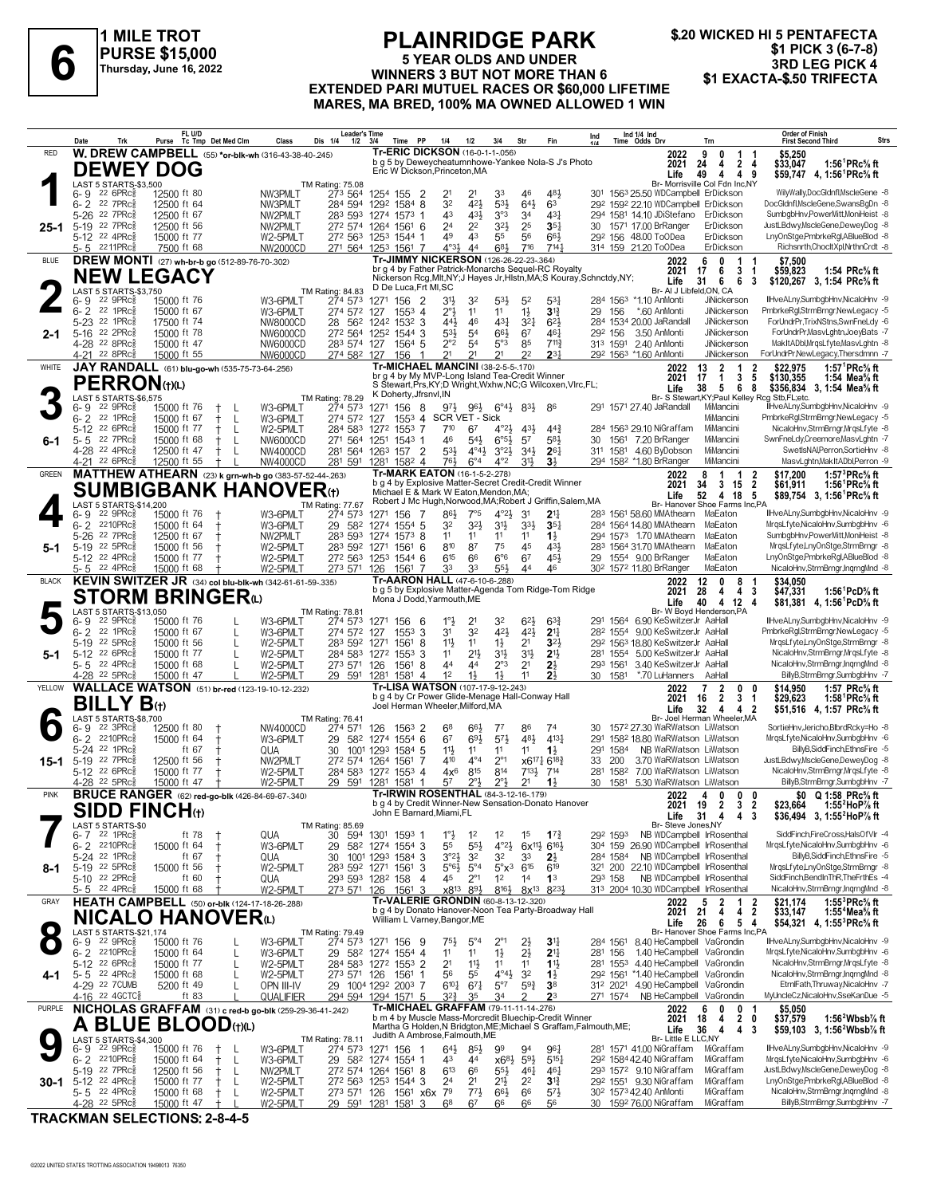

#### **PLAINRIDGE PARK 5 YEAR OLDS AND UNDER PURSE \$15,000**<br> **1 EXALIBRATELY AND UNDER**<br>
Thursday, June 16, 2022<br> **3RD LEG PICK 4**<br> **3RD LEG PICK 4**<br> **EXTENDED BABLMUTIEL BACES OF \$60,000 LIFETIME**<br> **1 EXACTA-\$.50 TRIFECTA EXTENDED PARI MUTUEL RACES OR \$60,000 LIFETIME MARES, MA BRED, 100% MA OWNED ALLOWED 1 WIN**

|              | Date                                      | Trk                                                                  | Purse                                                               | FL U/D<br>Tc Tmp Det Med Clm |         | Class                                                                 | Leader's Time<br>Dis 1/4<br>$1/2$ $3/4$    |                                                                | Time                   | PP                                                                       | 1/4                                             | 1/2                                        | 3/4                                                                         | Str                                                           | Fin                                                                     | Ind                                                                    |                      | Ind 1/4 Ind<br>Time Odds Drv                                                                  |                                      | Trn                                                                                                | <b>Order of Finish</b><br>Strs<br><b>First Second Third</b>                                                                                                  |
|--------------|-------------------------------------------|----------------------------------------------------------------------|---------------------------------------------------------------------|------------------------------|---------|-----------------------------------------------------------------------|--------------------------------------------|----------------------------------------------------------------|------------------------|--------------------------------------------------------------------------|-------------------------------------------------|--------------------------------------------|-----------------------------------------------------------------------------|---------------------------------------------------------------|-------------------------------------------------------------------------|------------------------------------------------------------------------|----------------------|-----------------------------------------------------------------------------------------------|--------------------------------------|----------------------------------------------------------------------------------------------------|--------------------------------------------------------------------------------------------------------------------------------------------------------------|
| <b>RED</b>   |                                           |                                                                      | <b>DEWEY DOG</b>                                                    |                              |         | <b>W. DREW CAMPBELL</b> (55) *or-blk-wh (316-43-38-40-245)            |                                            |                                                                |                        | <b>Tr-ERIC DICKSON (16-0-1-1-056)</b>                                    |                                                 |                                            |                                                                             |                                                               | b g 5 by Deweycheatumnhowe-Yankee Nola-S J's Photo                      |                                                                        |                      |                                                                                               | 2022<br>2021                         | 9<br>0<br>1<br>$\overline{2}$<br>24<br>4                                                           | \$5,250<br>1:56 <sup>1</sup> PRc <sup>5</sup> / <sub>8</sub> ft<br>\$33,047<br>-4                                                                            |
|              | 6-9                                       | LAST 5 STARTS-\$3,500<br>$226$ PRc $\frac{2}{3}$                     | 12500 ft 80                                                         |                              |         | NW3PMLT                                                               | TM Rating: 75.08<br>273 564                | 1254 155 2                                                     |                        | Eric W Dickson, Princeton, MA                                            | 21                                              |                                            | 33                                                                          | 46                                                            | 481,                                                                    |                                                                        |                      |                                                                                               | Life                                 | 49<br>4<br>49<br>Br- Morrisville Col Fdn Inc,NY<br>301 1563 25.50 WDCampbell ErDickson             | \$59,747 4, 1:56 <sup>1</sup> PRc <sup>5</sup> / <sub>8</sub> ft<br>WilyWally,DocGldnfl,MscleGene -8                                                         |
|              | $6 - 2$<br>5-26                           | 22 7PRc<br>22 7PRc                                                   | 12500 ft 64<br>12500 ft 67                                          |                              |         | NW3PMLT<br>NW2PMLT                                                    | 284 594<br>283 593                         | 1292 1584 8<br>1274 1573 1                                     |                        |                                                                          | 32<br>43                                        | 421<br>431                                 | 53}<br>3°3                                                                  | 641<br>34                                                     | 63<br>431                                                               |                                                                        |                      |                                                                                               |                                      | 292 1592 22.10 WDCampbell ErDickson<br>294 1581 14.10 JDiStefano ErDickson                         | DocGldnfl, MscleGene, SwansBgDn -8<br>SumbgbHnv,PowerMitt,MoniHeist -8                                                                                       |
| 25-1         | 5-19 22 7PRcs                             | 5-12 22 4PRc\$                                                       | 12500 ft 56<br>15000 ft 77                                          |                              |         | NW2PMLT<br>W2-5PMLT                                                   | 272 574 1264 1561 6<br>272 563 1253 1544 1 |                                                                |                        |                                                                          | 2 <sup>4</sup><br>49                            | 2 <sup>2</sup><br>43                       | 32}<br>55                                                                   | 25<br>56                                                      | $35\frac{1}{4}$<br>663                                                  |                                                                        |                      | 30 1571 17.00 BrRanger<br>29 <sup>2</sup> 156 48.00 ToODea                                    |                                      | ErDickson<br>ErDickson                                                                             | JustLBdwy,MscleGene,DeweyDog -8<br>LnyOnStge,PmbrkeRgl,ABlueBlod -8                                                                                          |
| <b>BLUE</b>  |                                           | $5 - 5$ 2211PRc $\frac{5}{8}$                                        | 7500 ft 68<br><b>DREW MONTI</b> (27) wh-br-b go (512-89-76-70-.302) |                              |         | NW2000CD                                                              | 271 564 1253 1561 7                        |                                                                |                        | Tr-JIMMY NICKERSON (126-26-22-23-.364)                                   | $4^{\circ}3\frac{1}{2}$                         | 44                                         | 681                                                                         | 716                                                           | 714 <sub>7</sub>                                                        |                                                                        |                      | 314 159 21.20 ToODea                                                                          | 2022                                 | ErDickson<br>6<br>0<br>1                                                                           | Richsnrth,ChocltXpl,NrthnCrdt -8<br>\$7.500                                                                                                                  |
|              |                                           |                                                                      | <b>NEW LEGACY</b>                                                   |                              |         |                                                                       |                                            |                                                                |                        |                                                                          |                                                 |                                            |                                                                             |                                                               | br g 4 by Father Patrick-Monarchs Sequel-RC Royalty                     | Nickerson Rcg, Mlt, NY; J Hayes Jr, Histn, MA; S Kouray, Schnctdy, NY; |                      |                                                                                               | 2021<br>Life                         | 17<br>6<br>3<br>31<br>6<br>6                                                                       | 1:54 PRc% ft<br>\$59,823<br>-1<br>\$120,267 3, 1:54 PRc% ft<br>-3                                                                                            |
|              | 6- 9                                      | LAST 5 STARTS-\$3,750<br>22 9PRc <sup>3</sup>                        | 15000 ft 76                                                         |                              |         | W3-6PMLT                                                              | TM Rating: 84.83<br>274 573                | 1271 156 2                                                     |                        | D De Luca, Frt MI, SC                                                    | 31}                                             | 32                                         | 53}                                                                         | 5 <sup>2</sup>                                                | 531                                                                     |                                                                        |                      | 284 1563 *1.10 AnMonti                                                                        |                                      | Br- AI J Libfeld, ON, CA<br>JiNickerson                                                            | IlHveALny,SumbgbHnv,NicaloHnv -9                                                                                                                             |
|              | $6 - 2$<br>$5 - 23$                       | 22 1PRc3<br>22 1PRc                                                  | 15000 ft 67<br>17500 ft 74                                          |                              |         | W3-6PMLT<br>NW8000CD                                                  | 274 572<br>562<br>28                       | 127<br>1242                                                    | $155^3$ 4<br>$153^2$ 3 |                                                                          | 2°3<br>441                                      | 11<br>46                                   | 11<br>431                                                                   | $1\frac{1}{2}$<br>$3^{2}$                                     | $3\frac{13}{4}$<br>$6^{2}$                                              | 29                                                                     | 156                  | *.60 AnMonti<br>284 1534 20.00 JaRandall                                                      |                                      | JiNickerson<br>JiNickerson                                                                         | PmbrkeRgl,StrmBrngr,NewLegacy -5<br>ForUndrPr,TrixNStns,SwnFneLdy -6                                                                                         |
| 2-1          | 5-16 22 2PRc                              | 4-28 22 8PRc\$                                                       | 15000 ft 78<br>15000 ft 47                                          |                              |         | NW6000CD<br>NW6000CD                                                  | 272 564 1252 1544 3<br>283 574 127         |                                                                | $1564$ 5               |                                                                          | 53}<br>$2^{\circ}2$                             | 5 <sup>4</sup><br>54                       | 66}<br>5°3                                                                  | 67<br>85                                                      | 461<br>$7^{11}$                                                         |                                                                        | 292 156              | 3.50 AnMonti<br>313 1591 2.40 AnMonti                                                         |                                      | JiNickerson<br><b>JiNickerson</b>                                                                  | ForUndrPr, MasvLghtn, JoeyBats -7<br>MakItADbl,MrqsLfyte,MasvLghtn -8                                                                                        |
| WHITE        |                                           | 4-21 22 8PRc                                                         | 15000 ft 55<br>JAY RANDALL (61) blu-go-wh (535-75-73-64-.256)       |                              |         | NW6000CD                                                              | 274 582 127                                |                                                                | 156                    | 1<br><b>Tr-MICHAEL MANCINI (38-2-5-5-170)</b>                            | 21                                              | 21                                         | 21                                                                          | 2 <sup>2</sup>                                                | $2^{3}$                                                                 |                                                                        |                      | 292 1563 *1.60 AnMonti                                                                        | 2022                                 | JiNickerson<br>13<br>2<br>1                                                                        | ForUndrPr,NewLegacy,Thersdmnn -7<br>\$22.975<br>1:57 <sup>1</sup> PRc <sup>5</sup> / <sub>8</sub> ft<br>2                                                    |
|              |                                           | <b>PERRON</b> (t)(L)<br>LAST 5 STARTS-\$6,575                        |                                                                     |                              |         |                                                                       | TM Rating: 78.29                           |                                                                |                        | br g 4 by My MVP-Long Island Tea-Credit Winner<br>K Doherty, Jfrsnyl, IN |                                                 |                                            |                                                                             |                                                               |                                                                         | S Stewart, Prs, KY; D Wright, Wxhw, NC; G Wilcoxen, Vlrc, FL;          |                      |                                                                                               | 2021<br>Life                         | 3<br>17<br>$\mathbf{1}$<br>38<br>5 <sub>5</sub><br>6                                               | 5<br>\$130,355<br>1:54 Mea% ft<br>8<br>\$356,834 3, 1:54 Mea% ft<br>Br- S Stewart, KY; Paul Kelley Rcg Stb, FL; etc.                                         |
|              | 6- 9<br>$6 - 2$                           | $22$ 9PR $c_{8}$<br>22 1PRc                                          | 15000 ft 76<br>15000 ft 67                                          |                              | L       | W3-6PMLT<br>W3-6PMLT                                                  | 274 573<br>274 572                         | 1271 156<br>127                                                | 1553 4                 | - 8                                                                      |                                                 | SCR VET - Sick                             | $9^{7\frac{1}{2}}$ $9^{6\frac{1}{2}}$ $6^{6\frac{1}{2}}$ $8^{3\frac{1}{2}}$ |                                                               | 86                                                                      |                                                                        |                      | 291 1571 27.40 JaRandall                                                                      |                                      | MiMancini<br>MiMancini                                                                             | IlHveALny,SumbgbHnv,NicaloHnv -9<br>PmbrkeRgl,StrmBrngr,NewLegacy -5                                                                                         |
| 6-1          | 5-12<br>$5 - 5$                           | 22 6PRc<br>22 7PRc                                                   | 15000 ft 77<br>15000 ft 68                                          |                              | L       | W2-5PMLT<br>NW6000CD                                                  | 284 583<br>271 564                         | 1272 1553 7<br>1251                                            | $1543$ 1               |                                                                          | 710<br>46                                       | 67<br>$54\frac{1}{2}$                      | 4°21,<br>6°5 <sup>1</sup>                                                   | 43}<br>57                                                     | $44\frac{3}{4}$<br>583                                                  | 30                                                                     |                      | 284 1563 29.10 NiGraffam<br>1561 7.20 BrRanger                                                |                                      | MiMancini<br>MiMancini                                                                             | NicaloHnv,StrmBrngr,MrqsLfyte -8<br>SwnFneLdy,Creemore,MasvLghtn -7                                                                                          |
|              | 4-28 <sup>22</sup> 4PRc                   | 4-21 22 6PRc3                                                        | 12500 ft 47<br>12500 ft 55                                          |                              | L       | NW4000CD<br>NW4000CD                                                  | 281 564 1263 157 2<br>281 591 1281 1582 4  |                                                                |                        |                                                                          | $53\frac{1}{2}$<br>76}                          | $4^{\circ}4^{\frac{1}{2}}$<br>$6^{\circ}4$ | $3^{\circ}23$<br>$4^{\circ}2$                                               | $34\frac{1}{2}$<br>$31\frac{1}{2}$                            | $26\frac{1}{4}$<br>3 <sup>1</sup>                                       |                                                                        |                      | 311 1581 4.60 ByDobson<br>294 1582 *1.80 BrRanger                                             |                                      | MiMancini<br>MiMancini                                                                             | SwetIsNAI.Perron.SortieHnv -8<br>MasvLghtn, MakItADbl, Perron -9                                                                                             |
| <b>GREEN</b> |                                           |                                                                      |                                                                     |                              |         | MATTHEW ATHEARN (23) k grn-wh-b go (383-57-52-44-.263)                |                                            |                                                                |                        | Tr-MARK EATON (16-1-5-2-.278)                                            |                                                 |                                            |                                                                             |                                                               | b g 4 by Explosive Matter-Secret Credit-Credit Winner                   |                                                                        |                      |                                                                                               | 2022<br>2021                         | 8<br>1<br>$\mathbf{1}$<br>34<br>3<br>15                                                            | 1:57 ${}^{3}$ PRc ${}^{5}$ s ft<br>2<br>\$17.200<br>1:56 <sup>1</sup> PRc <sup>5</sup> / <sub>8</sub> ft<br>$\overline{2}$<br>\$61,911                       |
|              |                                           | LAST 5 STARTS-\$14.200                                               |                                                                     |                              |         | <b>SUMBIGBANK HANOVER(1)</b>                                          | TM Rating: 77.67                           |                                                                |                        | Michael E & Mark W Eaton, Mendon, MA;                                    |                                                 |                                            |                                                                             |                                                               |                                                                         | Robert J Mc Hugh, Norwood, MA; Robert J Griffin, Salem, MA             |                      |                                                                                               | Life                                 | 52<br>4 18<br>Br- Hanover Shoe Farms Inc,PA                                                        | - 5<br>\$89,754 3, 1:56 PRc <sup>5</sup> / <sub>8</sub> ft                                                                                                   |
|              | 6- 9<br>$6 - 2$                           | 22 9PRc<br>2210PRc                                                   | 15000 ft 76<br>15000 ft 64                                          | $\ddagger$                   |         | W3-6PMLT<br>W3-6PMLT                                                  | 274 573<br>29<br>582                       | 1271 156 7<br>1274 1554 5                                      |                        |                                                                          | 86}<br>32                                       | 7°5<br>32}                                 | $4^{\circ}2\frac{1}{2}$<br>31}                                              | 3 <sup>1</sup><br>$3^{3}\frac{1}{2}$                          | 2 <sup>11</sup><br>$35\frac{1}{4}$                                      |                                                                        |                      | 283 1561 58.60 MMAthearn<br>284 1564 14.80 MMAthearn                                          |                                      | MaEaton<br>MaEaton<br>MaEaton                                                                      | IlHveALny,SumbgbHnv,NicaloHnv -9<br>MrgsLfyte,NicaloHnv,SumbgbHnv -6<br>SumbabHnv.PowerMitt.MoniHeist -8                                                     |
| 5-1          | 5-26<br>5-19 22 5PRc<br>5-12 22 4PRc      | 22 7PRc3                                                             | 12500 ft 67<br>15000 ft 56<br>15000 ft 77                           |                              |         | NW2PMLT<br>W2-5PMLT<br>W2-5PMLT                                       | 283 593<br>283 592 1271<br>272 563         | 1274 1573 8<br>1253                                            | 1561<br>$1544$ 6       | - 6                                                                      | 11<br>810<br>$6^{15}$                           | 11<br>87<br>66                             | 11<br>75<br>$6^{\circ}6$                                                    | 11<br>45<br>67                                                | $1\frac{1}{2}$<br>431,<br>454                                           |                                                                        |                      | 294 1573 1.70 MMAthearn<br>283 1564 31.70 MMAthearn<br>29 1554 9.00 BrRanger                  |                                      | MaEaton<br>MaEaton                                                                                 | MrgsLfyte,LnyOnStge,StrmBrngr -8<br>LnyOnStge,PmbrkeRgl,ABlueBlod -8                                                                                         |
| <b>BLACK</b> | 5-5 22 4PRc                               |                                                                      | 15000 ft 68                                                         |                              |         | W2-5PMLT<br>KEVIN SWITZER JR (34) col blu-blk-wh (342-61-61-59-.335)  | 273 571 126                                |                                                                | 1561 7                 | Tr-AARON HALL (47-6-10-6-.288)                                           | 33                                              | 33                                         | 55}                                                                         | 44                                                            | 46                                                                      |                                                                        |                      | 30 <sup>2</sup> 157 <sup>2</sup> 11.80 BrRanger                                               |                                      | MaEaton<br>$\mathbf{0}$<br>8                                                                       | NicaloHnv,StrmBrngr,InqrngMnd -8                                                                                                                             |
|              |                                           |                                                                      | <b>STORM BRINGER</b> a                                              |                              |         |                                                                       |                                            |                                                                |                        | Mona J Dodd, Yarmouth, ME                                                |                                                 |                                            |                                                                             |                                                               |                                                                         | b g 5 by Explosive Matter-Agenda Tom Ridge-Tom Ridge                   |                      |                                                                                               | 2022<br>2021<br>Life                 | 12<br>28<br>4<br>4<br>40<br>4 12                                                                   | \$34,050<br>-3<br>\$47,331<br>1:56 <sup>1</sup> PcD <sup>5</sup> / <sub>8</sub> ft<br>\$81,381 4, 1:56 <sup>1</sup> PcD <sup>5</sup> / <sub>8</sub> ft<br>-4 |
|              | 6- 9                                      | LAST 5 STARTS-\$13,050<br>22 9PRc3                                   | 15000 ft 76                                                         |                              |         | W3-6PMLT                                                              | TM Rating: 78.81<br>274 573                | 1271 156                                                       |                        | - 6                                                                      | $1^{\circ}$                                     | 2 <sup>1</sup>                             | 32                                                                          | $6^{2}$                                                       | $63\frac{3}{4}$                                                         |                                                                        |                      | 291 1564 6.90 KeSwitzerJr AaHall                                                              |                                      | Br- W Boyd Henderson, PA                                                                           | IlHveALny,SumbgbHnv,NicaloHnv -9                                                                                                                             |
|              | $6 - 2$<br>$5 - 19$                       | 22 1PRc<br>22 5PRc                                                   | 15000 ft 67<br>15000 ft 56                                          |                              | L       | W3-6PMLT<br>W2-5PMLT                                                  | 274 572 127<br>283 592                     | 1271                                                           | $155^3$ 3<br>1561      | 8                                                                        | 31<br>11}                                       | 32<br>11                                   | 421<br>$1\frac{1}{2}$                                                       | 42}<br>2 <sup>1</sup>                                         | 2 <sup>11</sup><br>3 <sup>2</sup>                                       |                                                                        |                      | 282 1554 9.00 KeSwitzerJr AaHall<br>29 <sup>2</sup> 156 <sup>3</sup> 18.80 KeSwitzerJr AaHall |                                      |                                                                                                    | PmbrkeRgl,StrmBrngr,NewLegacy -5<br>MrgsLfyte,LnyOnStge,StrmBrngr -8                                                                                         |
| 5-1          | $5 - 12$<br>5-5 22 4PRc                   | $22.6$ PR $c_{\overline{2}}$                                         | 15000 ft 77<br>15000 ft 68                                          |                              |         | W2-5PMLT<br>W2-5PMLT                                                  | 284 583 1272 1553 3<br>273 571 126         |                                                                | 1561                   | -8                                                                       | 11<br>44                                        | 21}<br>44                                  | 34<br>$2^{\circ}3$                                                          | 3 <sup>1</sup><br>2 <sup>1</sup>                              | 2 <sup>11</sup><br>$2\frac{1}{2}$                                       |                                                                        | 281 1554<br>293 1561 | 5.00 KeSwitzerJr AaHall<br>3.40 KeSwitzerJr AaHall                                            |                                      |                                                                                                    | NicaloHnv,StrmBrngr,MrgsLfyte -8<br>NicaloHnv,StrmBrngr,InqrngMnd -8                                                                                         |
| YELLOW       |                                           | 4-28 <sup>22</sup> 5PRc <sup>3</sup>                                 | 15000 ft 47                                                         |                              |         | W2-5PMLT<br><b>WALLACE WATSON</b> (51) br-red (123-19-10-12-232)      | 29 591 1281                                |                                                                | 1581 4                 | Tr-LISA WATSON (107-17-9-12-243)                                         | 1 <sup>2</sup>                                  | $1\frac{1}{2}$                             | $1\frac{1}{2}$                                                              | 11                                                            | 2 <sup>1</sup><br>b g 4 by Cr Power Glide-Menage Hall-Conway Hall       |                                                                        | 30 1581              | *.70 LuHanners                                                                                | 2022                                 | AaHall<br>2<br>7<br>0                                                                              | BillyB,StrmBrngr,SumbgbHnv -7<br>\$14.950<br>1:57 PRc% ft<br>0                                                                                               |
|              |                                           | <b>BILLY B</b> (t)<br>LAST 5 STARTS-\$8,700                          |                                                                     |                              |         |                                                                       | <b>TM Rating: 76.41</b>                    |                                                                |                        | Joel Herman Wheeler, Milford, MA                                         |                                                 |                                            |                                                                             |                                                               |                                                                         |                                                                        |                      |                                                                                               | 2021<br>Life                         | $\overline{2}$<br>3<br>16<br>32<br>$\overline{4}$<br>4 <sub>2</sub><br>Br- Joel Herman Wheeler, MA | \$29.623<br>1:58 ${}^1$ PRc ${}^5\!$ ft<br>$\mathbf 1$<br>\$51.516 4.1:57 PRc% ft                                                                            |
|              | $6 - 9$<br>$6 - 2$                        | 22 3PRc<br>$2210$ PR $c_{8}^{5}$                                     | 12500 ft 80<br>15000 ft 64                                          |                              |         | NW4000CD<br>W3-6PMLT                                                  | 274 571<br>29<br>582                       | 126<br>1274                                                    | $1563$ 2<br>$1554$ 6   |                                                                          | 68<br>6 <sup>7</sup>                            | 664<br>693                                 | 77<br>573                                                                   | 86<br>481                                                     | 74<br>4131                                                              | 30<br>291                                                              |                      |                                                                                               |                                      | 1572 27.30 WaRWatson LiWatson<br>1582 18.80 WaRWatson LiWatson                                     | SortieHnv,Jericho,BlbrdRcky=Ho -8<br>MrasLfvte.NicaloHnv.SumbabHnv -6                                                                                        |
| 15-1         | 5-24<br>5-19 22 7PRc                      | 22 1PRc                                                              | 12500 ft 56                                                         | ft 67                        |         | QUA<br>NW2PMLT                                                        | 30<br>272 574 1264                         | 1001 1293                                                      | 1584 5<br>1561         | -7                                                                       | 11}<br>410                                      | 11<br>$4^{\circ}4$                         | 11<br>$2^{\circ}1$                                                          | 11                                                            | $1\frac{1}{2}$<br>x6171 6183                                            | 33                                                                     | 291 1584<br>200      |                                                                                               |                                      | NB WaRWatson LiWatson<br>3.70 WaRWatson LiWatson                                                   | BillyB,SiddFinch,EthnsFire -5<br>JustLBdwy,MscleGene,DeweyDog -8                                                                                             |
|              | $5-12$                                    | $22.6$ PR $c_{\overline{2}}$<br>4-28 <sup>22</sup> 5PRc <sup>3</sup> | 15000 ft 77<br>15000 ft 47                                          |                              |         | W2-5PMLT<br>W2-5PMLT                                                  | 284 583 1272 1553 4<br>29 591 1281 1581    |                                                                |                        | -1                                                                       | $4x^6$<br>57                                    | 815<br>2°}                                 | 814<br>$2^{\circ}$                                                          | $7^{13\frac{1}{2}}$<br>2 <sup>1</sup>                         | 714<br>$1\frac{1}{2}$                                                   | 281                                                                    | 1582                 |                                                                                               |                                      | 7.00 WaRWatson LiWatson<br>30 1581 5.30 WaRWatson LiWatson                                         | NicaloHnv,StrmBrngr,MrgsLfyte -8<br>BillyB,StrmBrngr,SumbgbHnv -7                                                                                            |
| <b>PINK</b>  |                                           |                                                                      | <b>SIDD FINCH</b> th                                                |                              |         | <b>BRUCE RANGER</b> (62) red-go-blk (426-84-69-67-.340)               |                                            |                                                                |                        | Tr-IRWIN ROSENTHAL (84-3-12-16-.179)                                     |                                                 |                                            |                                                                             |                                                               | q 4 by Credit Winner-New Sensation-Donato Hanove                        |                                                                        |                      |                                                                                               | 2022<br>2021                         | $\mathbf{0}$<br>0 <sub>0</sub><br>4<br>19<br>$\mathbf{2}$<br>3                                     | \$0 Q 1:58 PRc <sup>5</sup> / <sub>8</sub> ft<br>2<br>\$23,664<br>1:55 $^{\circ}$ HoP $\%$ ft                                                                |
|              |                                           | LAST 5 STARTS-\$0<br>$6 - 7$ 22 1PRc $\frac{5}{8}$                   |                                                                     | ft 78                        |         |                                                                       | TM Rating: 85.69                           |                                                                |                        | John E Barnard, Miami, FL                                                |                                                 |                                            |                                                                             |                                                               |                                                                         |                                                                        |                      |                                                                                               | Life<br>Br- Steve Jones, NY          | 31<br>4<br>4<br>292 1593 NB WDCampbell IrRosenthal                                                 | - 3<br>\$36,494 3, 1:55 <sup>2</sup> HoP <sup>7</sup> / <sub>8</sub> ft<br>SiddFinch.FireCross.HalsOfVlr -4                                                  |
|              |                                           | 6-2 2210PRcs<br>5-24 <sup>22</sup> 1PRc                              | 15000 ft 64                                                         | ft 67                        |         | QUA<br>W3-6PMLT<br>QUA                                                | 594<br>30<br>29<br>30                      | 1301 1593 1<br>58 <sup>2</sup> 1274 1554 3<br>1001 1293 1584 3 |                        |                                                                          | $1^\circ \frac{1}{2}$<br>55<br>3°2 <sup>1</sup> | $1^2$<br>$55\frac{1}{2}$<br>32             | 12<br>$4^{\circ}2\frac{1}{2}$<br>32                                         | 1 <sup>5</sup><br>$6x^{11}\frac{1}{2}6^{16}\frac{1}{2}$<br>33 | $1^{7}_{4}$<br>$2\frac{1}{2}$                                           |                                                                        |                      |                                                                                               |                                      | 304 159 26.90 WDCampbell IrRosenthal<br>284 1584 NB WDCampbell IrRosenthal                         | MrqsLfyte, NicaloHnv, SumbgbHnv -6<br>BillyB,SiddFinch,EthnsFire -5                                                                                          |
| 8-1          | 5-19 22 5PRcs                             | 5-10 22 2PRc\$                                                       | 15000 ft 56                                                         | ft $60$                      |         | W2-5PMLT<br>QUA                                                       | 283 592 1271 1561 3<br>293 593 1282 158    |                                                                |                        | 4                                                                        | $5°6\frac{1}{2}$<br>45                          | $5^{\circ}4$<br>$2^{\circ}1$               | $5^\circ \times$ <sup>3</sup><br>$1^2$                                      | $6^{15}$<br>1 <sup>4</sup>                                    | 619<br>1 <sup>3</sup>                                                   |                                                                        | 293 158              |                                                                                               |                                      | 321 200 22.10 WDCampbell IrRosenthal<br>NB WDCampbell IrRosenthal                                  | MrgsLfyte,LnyOnStge,StrmBrngr -8<br>SiddFinch,BendInThR,TheFrthEs -4                                                                                         |
| GRAY         |                                           | 5-5 22 4PRc                                                          | 15000 ft 68<br>HEATH CAMPBELL (50) or-blk (124-17-18-26-288)        |                              |         | W2-5PMLT                                                              | 273 571 126 1561 3                         |                                                                |                        | Tr-VALERIE GRONDIN (60-8-13-12-.320)                                     | x8 <sup>13</sup>                                | 893                                        | 8163                                                                        | 8x <sup>13</sup> 8 <sup>23</sup> }                            |                                                                         |                                                                        |                      |                                                                                               | 2022                                 | 313 2004 10.30 WDCampbell IrRosenthal<br>- 5<br>2<br>1                                             | NicaloHnv,StrmBrngr,InqrngMnd -8<br>\$21,174<br>1:55 $3$ PRc $\%$ ft<br>2                                                                                    |
|              |                                           |                                                                      | <b>NICALO HANOVER</b> W                                             |                              |         |                                                                       |                                            |                                                                |                        | William L Varney, Bangor, ME                                             |                                                 |                                            |                                                                             |                                                               | b g 4 by Donato Hanover-Noon Tea Party-Broadway Hall                    |                                                                        |                      |                                                                                               | 2021 21<br>Life                      | 4<br>4<br>-26<br>6<br>54                                                                           | $\overline{2}$<br>\$33,147<br>1:55 <sup>4</sup> Mea% ft<br>\$54,321 4, 1:55°PRc% ft                                                                          |
| $\bullet$    | 6- 9                                      | LAST 5 STARTS-\$21,174<br>$22$ 9PR $c_{8}$                           | 15000 ft 76                                                         |                              |         | W3-6PMLT                                                              | TM Rating: 79.49<br>$27^4$ 573             | 1271 156 9                                                     |                        |                                                                          | 75}                                             | $5^{\circ}4$                               | $2^{\circ_1}$                                                               | $2\frac{1}{2}$                                                | 3 <sup>11</sup>                                                         |                                                                        | 284 1561             |                                                                                               |                                      | Br- Hanover Shoe Farms Inc,PA<br>8.40 HeCampbell VaGrondin                                         | IlHveALny,SumbgbHnv,NicaloHnv -9                                                                                                                             |
|              | 6-2 2210PRcs                              | 5-12 <sup>22</sup> 6PRc                                              | 15000 ft 64<br>15000 ft 77                                          |                              | L<br>L  | W3-6PMLT<br>W2-5PMLT                                                  | 29 582 1274 1554 4<br>284 583 1272 1553 2  |                                                                |                        |                                                                          | 1 <sup>1</sup><br>2 <sup>1</sup>                | 11<br>$11\frac{1}{2}$                      | $1\frac{1}{2}$<br>11                                                        | $2\frac{1}{2}$<br>11                                          | 2 <sup>11</sup><br>$1\frac{11}{2}$                                      |                                                                        | 281 156              |                                                                                               |                                      | 1.40 HeCampbell VaGrondin<br>281 1553 4.40 HeCampbell VaGrondin                                    | MrgsLfyte,NicaloHnv,SumbgbHnv -6<br>NicaloHnv,StrmBrngr,MrqsLfyte -8                                                                                         |
| 4-1          | $5 - 5$ 22 4PRc $\frac{5}{8}$             | 4-29 22 7 CUMB                                                       | 15000 ft 68<br>5200 ft 49                                           |                              |         | W2-5PMLT<br>OPN III-IV                                                | 273 571 126<br>29 1004 1292 2003 7         |                                                                | 1561                   | -1                                                                       | 56<br>$6^{10}$ <sup>1</sup>                     | 55<br>$67\frac{1}{4}$                      | $4^{\circ}4^{\frac{1}{2}}$<br>$5^{\circ}7$                                  | 3 <sup>2</sup><br>$59\frac{3}{4}$                             | $1\frac{1}{2}$<br>3 <sup>8</sup>                                        |                                                                        |                      |                                                                                               |                                      | 292 1561 *1.40 HeCampbell VaGrondin<br>312 2021 4.90 HeCampbell VaGrondin                          | NicaloHnv,StrmBrngr,InqrngMnd -8<br>EtrnlFath, Thruway, NicaloHnv -7                                                                                         |
| PURPLE       |                                           | 4-16 22 4GCTC <sub>8</sub>                                           |                                                                     | ft 83                        |         | QUALIFIER<br>NICHOLAS GRAFFAM (31) c red-b go-blk (259-29-36-41-.242) | 294 594 1294 1571 5                        |                                                                |                        | Tr-MICHAEL GRAFFAM (79-11-11-14-276)                                     | 32}                                             | 35                                         | 34                                                                          |                                                               | 2 <sup>3</sup><br>b m 4 by Muscle Mass-Morcredit Bluechip-Credit Winner |                                                                        | 271 1574             |                                                                                               | 2022                                 | NB HeCampbell VaGrondin<br>6<br>0<br>0                                                             | MyUncleCz, NicaloHnv, SseKanDue -5<br>\$5,050<br>-1                                                                                                          |
|              |                                           | LAST 5 STARTS-\$4,300                                                | A BLUE BLOOD(t)(L)                                                  |                              |         |                                                                       | TM Rating: 78.11                           |                                                                |                        | Judith A Ambrose, Falmouth, ME                                           |                                                 |                                            |                                                                             |                                                               |                                                                         | Martha G Holden, N Bridgton, ME; Michael S Graffam, Falmouth, ME;      |                      |                                                                                               | 2021<br>Life<br>Br- Little E LLC, NY | $\overline{2}$<br>18<br>4<br>36<br>4<br>4                                                          | 0<br>\$37,579<br>1:56 $\frac{2}{1}$ Wbsb $\frac{7}{8}$ ft<br>\$59,103 3, 1:56 <sup>2</sup> Wbsb <sup>7</sup> / <sub>8</sub> ft<br>3                          |
|              | 6- 9<br>6-2 2210PRc                       | 22 9PRc3                                                             | 15000 ft 76<br>15000 ft 64                                          | $^+$                         | -L<br>L | W3-6PMLT<br>W3-6PMLT                                                  | 274 573<br>29 582                          | 1271 156 1<br>1274 1554 1                                      |                        |                                                                          | $64\frac{1}{2}$<br>43                           | $85\frac{1}{2}$<br>44                      | 99<br>x6 <sup>81</sup>                                                      | 94<br>$59\frac{1}{2}$                                         | 961<br>$5^{15}$                                                         |                                                                        |                      | 281 1571 41.00 NiGraffam<br>29 <sup>2</sup> 1584 42.40 NiGraffam                              |                                      | MiGraffam<br>MiGraffam                                                                             | IlHveALny,SumbgbHnv,NicaloHnv -9<br>MrqsLfyte, NicaloHnv, SumbgbHnv -6                                                                                       |
|              | 30-1 5-12 <sup>22</sup> 4PRc <sup>§</sup> | 5-19 22 7PRc                                                         | 12500 ft 56<br>15000 ft 77                                          | $^+$<br>Ť.                   | L<br>L  | NW2PMLT<br>W2-5PMLT                                                   | 272 574 1264 1561 8<br>272 563 1253 1544 3 |                                                                |                        |                                                                          | 613<br>24                                       | 66<br>2 <sup>1</sup>                       | $55\frac{1}{2}$<br>21}                                                      | $46\frac{1}{4}$<br>22                                         | $46\frac{1}{4}$<br>3 <sup>12</sup>                                      |                                                                        |                      | 293 1572 9.10 NiGraffam<br>29 <sup>2</sup> 1551 9.30 NiGraffam                                |                                      | MiGraffam<br>MiGraffam                                                                             | JustLBdwy,MscleGene,DeweyDog -8<br>LnyOnStge,PmbrkeRgl,ABlueBlod -8                                                                                          |
|              |                                           | $5 - 5$ 22 4PRc $\frac{5}{8}$<br>4-28 <sup>22</sup> 5PRc             | 15000 ft 68<br>15000 ft 47                                          |                              | L       | W2-5PMLT<br>W2-5PMLT                                                  | 273 571 126<br>29 591 1281 1581 3          |                                                                |                        | 1561 x6x 79                                                              | 68                                              | $77\frac{1}{2}$<br>67                      | $66\frac{1}{2}$<br>66                                                       | 66<br>66                                                      | 573<br>56                                                               |                                                                        |                      | 30 <sup>2</sup> 1573 42.40 AnMonti<br>30 1592 76.00 NiGraffam                                 |                                      | MiGraffam<br>MiGraffam                                                                             | NicaloHnv,StrmBrngr,InqrngMnd -8<br>BillyB,StrmBrngr,SumbgbHnv -7                                                                                            |

**TRACKMAN SELECTIONS: 2-8-4-5**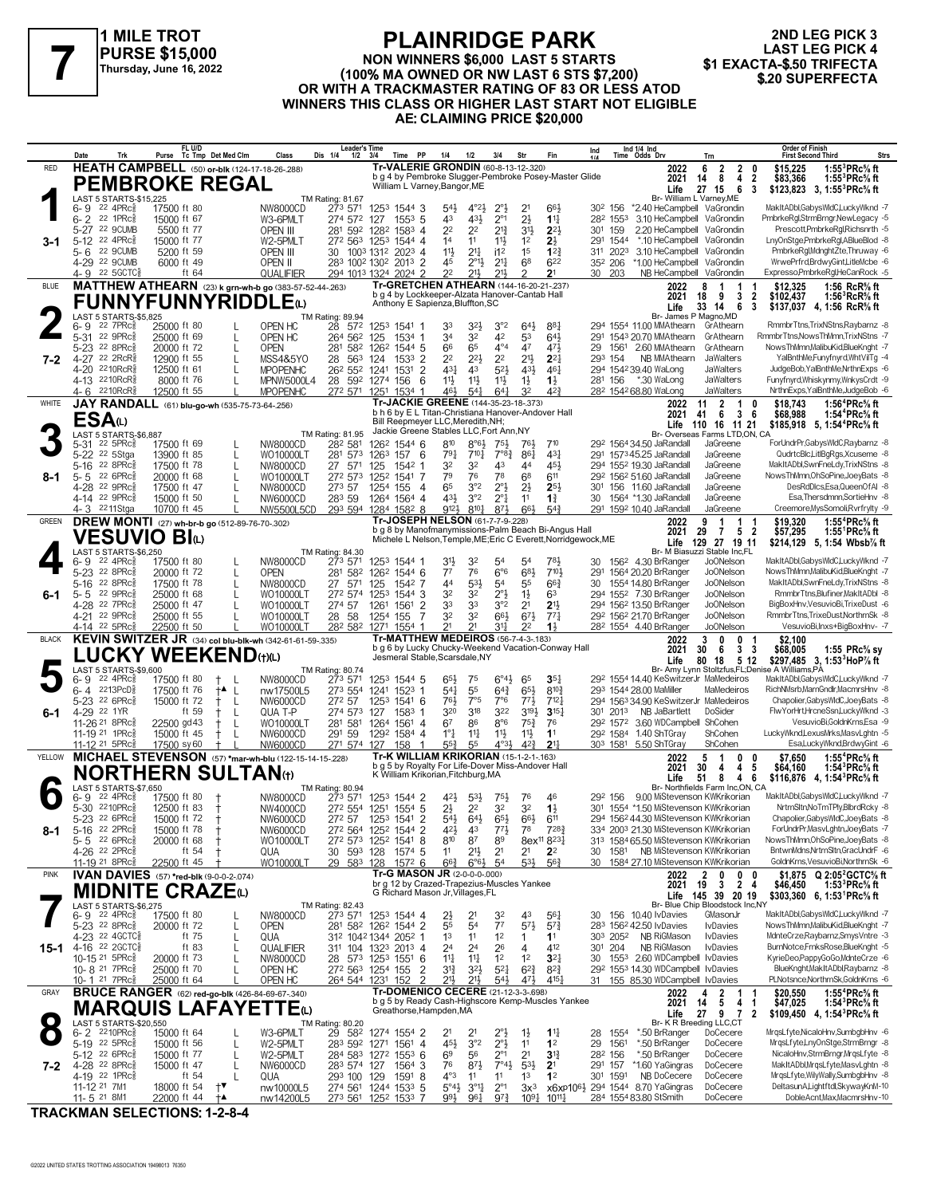

#### **PLAINRIDGE PARK NON WINNERS \$6,000 LAST 5 STARTS (100% MA OWNED OR NW LAST 6 STS \$7,200)**<br>Thursday, June 16, 2022<br>OB WITH A TRACKMASTER BATING OF 83 OR LESS ATOR \$20 SUPERFECTA **OR WITH A TRACKMASTER RATING OF 83 OR LESS ATOD WINNERS THIS CLASS OR HIGHER LAST START NOT ELIGIBLE AE: CLAIMING PRICE \$20,000**

**2ND LEG PICK 3 LAST LEG PICK 4<br>\$1 EXACTA-\$.50 TRIFECTA** 

|              | Date<br>Trk                                                         | FL U/D<br>Purse Tc Tmp Det Med Clm                                          | Class                         | <b>Leader's Time</b><br>Dis 1/4<br>1/2       | <b>PP</b><br>3/4<br>Time                                                                                              | 1/4<br>1/2                                                      | 3/4                                              | Fin<br>Str                                                            | Ind       | Ind 1/4 Ind<br>Time Odds Drv                                                                | Trn                                                                           | <b>Order of Finish</b><br><b>First Second Third</b>                                                                | Strs |
|--------------|---------------------------------------------------------------------|-----------------------------------------------------------------------------|-------------------------------|----------------------------------------------|-----------------------------------------------------------------------------------------------------------------------|-----------------------------------------------------------------|--------------------------------------------------|-----------------------------------------------------------------------|-----------|---------------------------------------------------------------------------------------------|-------------------------------------------------------------------------------|--------------------------------------------------------------------------------------------------------------------|------|
| RED          |                                                                     | HEATH CAMPBELL (50) or-blk (124-17-18-26-288)                               |                               |                                              | Tr-VALERIE GRONDIN (60-8-13-12-.320)<br>b g 4 by Pembroke Slugger-Pembroke Posey-Master Glide                         |                                                                 |                                                  |                                                                       |           | 2022                                                                                        | 6<br>$\overline{2}$<br>2<br>0                                                 | 1:55 ${}^{3}$ PRc ${}^{5}_{8}$ ft<br>\$15,225                                                                      |      |
|              |                                                                     | <b>PEMBROKE REGAL</b>                                                       |                               |                                              | William L Varney, Bangor, ME                                                                                          |                                                                 |                                                  |                                                                       |           | 2021<br>Life                                                                                | 14<br>8<br>4<br>$\overline{2}$<br>6<br>27 15<br>3                             | \$83,366<br>1:55 ${}^{3}$ PRc ${}^{5}_{8}$ ft<br>\$123,823<br>$3, 1:55^3$ PRc% ft                                  |      |
|              | LAST 5 STARTS-\$15,225<br>22 4PRc3<br>6- 9                          | 17500 ft 80                                                                 | <b>NW8000CD</b>               | TM Rating: 81.67<br>273 571                  | 1253 1544 3                                                                                                           | $54\frac{1}{2}$<br>$4^{\circ}2\frac{1}{2}$                      | $2^{\circ}$ <sub>2</sub>                         | 2 <sup>1</sup><br>663                                                 |           | 30 <sup>2</sup> 156                                                                         | Br- William L Varney, ME<br>*2.40 HeCampbell VaGrondin                        | MakItADbl,GabysWldC,LuckyWknd -7                                                                                   |      |
|              | 22 1 $PRC_8^5$<br>6-2<br>5-27 22 9CUMB                              | 15000 ft 67<br>5500 ft 77                                                   | W3-6PMLT<br>OPEN III          | 274 572<br>281 592 1282                      | 127<br>$155^3$ 5<br>1583 4                                                                                            | 433<br>43<br>2 <sup>2</sup><br>2 <sup>2</sup>                   | $2^{\circ}1$<br>$2^{13}$                         | $2\frac{1}{2}$<br>$11\frac{1}{4}$<br>3 <sup>1</sup><br>$2^{2}$        | 301       | 282 1553<br>159<br>2.20 HeCampbell                                                          | 3.10 HeCampbell VaGrondin<br>VaGrondin                                        | PmbrkeRgl,StrmBrngr,NewLegacy -5<br>Prescott,PmbrkeRal,Richsnrth -5                                                |      |
| 3-1          | 22 4PRc3<br>$5-12$                                                  | 15000 ft 77                                                                 | W2-5PMLT                      | 272 563                                      | 1253 1544 4                                                                                                           | 14<br>11                                                        | 11}                                              | 2}<br>1 <sup>2</sup>                                                  | 291       | *.10 HeCampbell<br>1544                                                                     | VaGrondin                                                                     | LnyOnStge,PmbrkeRgl,ABlueBlod -8                                                                                   |      |
|              | 22 9CUMB<br>5-6<br>4-29 22 9CUMB                                    | 5200 ft 59<br>6000 ft 49                                                    | OPEN III<br><b>OPEN II</b>    | 30                                           | 1003 1312 2023 4<br>283 1002 1302 2013 2                                                                              | $21\frac{1}{4}$<br>11}<br>45<br>$2^{\circ}1\frac{1}{2}$         | i1 <sup>2</sup><br>2 <sup>11</sup>               | 1 <sup>5</sup><br>12 <sup>3</sup><br>68<br>622                        |           | 3.10 HeCampbell<br>311 2023<br>352 206<br>*1.00 HeCampbell                                  | VaGrondin<br>VaGrondin                                                        | PmbrkeRgl,MdnghtZte,Thruway -6<br>WrwePrfrd,BrdwyGint,LitleMcbe -6                                                 |      |
|              | 4-9 22 5 GCTC3                                                      | ft 64                                                                       | QUALIFIER                     |                                              | 294 1013 1324 2024 2                                                                                                  | 22<br>21,                                                       | 211,                                             | 2 <sup>1</sup>                                                        |           | 30 203                                                                                      | NB HeCampbell VaGrondin                                                       | Expresso,PmbrkeRgl,HeCanRock -5                                                                                    |      |
| <b>BLUE</b>  |                                                                     | MATTHEW ATHEARN (23) k grn-wh-b go (383-57-52-44-.263)                      |                               |                                              | Tr-GRETCHEN ATHEARN (144-16-20-21-.237)<br>b g 4 by Lockkeeper-Alzata Hanover-Cantab Hall                             |                                                                 |                                                  |                                                                       |           | 2022<br>2021                                                                                | 8<br>18<br>3<br>- 9<br>$\overline{\mathbf{2}}$                                | \$12,325<br>1:56 RcR <sup>5</sup> / <sub>8</sub> ft<br>\$102,437<br>1:56 ${}^3$ RcR ${}^5\!\!$ ft                  |      |
|              | LAST 5 STARTS-\$5,825                                               | <b>FUNNYFUNNYRIDDLE</b> (L)                                                 |                               | TM Rating: 89.94                             | Anthony E Sapienza, Bluffton, SC                                                                                      |                                                                 |                                                  |                                                                       |           | Life                                                                                        | 33<br>14<br>6<br>-3<br>Br- James P Magno, MD                                  | \$137,037 4, 1:56 RcR <sup>5</sup> / <sub>8</sub> ft                                                               |      |
|              | $22$ $7$ $PRc\frac{5}{8}$<br>6- 9                                   | 25000 ft 80                                                                 | OPEN HC                       | 28 572                                       | 1253 1541 1                                                                                                           | 33<br>32}                                                       | 3°2<br>42                                        | 64}<br>$8^{8}$                                                        |           | 294 1554 11.00 MMAthearn                                                                    | GrAthearn                                                                     | RmmbrTtns,TrixNStns,Raybarnz -8                                                                                    |      |
|              | 22 9PRc<br>$5 - 31$<br>22 8PRc<br>5-23                              | 25000 ft 69<br>20000 ft 72<br>L                                             | OPEN HC<br><b>OPEN</b>        | 264 562<br>281 582                           | 125<br>1534 1<br>1262<br>1544.5                                                                                       | 34<br>32<br>66<br>65                                            | $4^{\circ}4$                                     | 53<br>$64\frac{1}{2}$<br>47<br>471                                    | 291<br>29 | 1543 20.70 MMAthearn<br>1561 2.60 MMAthearn                                                 | GrAthearn<br>GrAthearn                                                        | RmmbrTtns, NowsThMmn, TrixNStns -7<br>NowsThMmn,MalibuKid,BlueKnght -7                                             |      |
| 7-2          | 22 2RcR<br>$4 - 27$<br>2210RcR<br>4-20                              | 12900 ft 55<br>L<br>12500 ft 61                                             | MSS4&5YO<br><b>MPOPENHC</b>   | 563<br>28<br>26 <sup>2</sup> 55 <sup>2</sup> | 124<br>$1533$ 2<br>$1531$ 2<br>1241                                                                                   | 2 <sup>2</sup><br>$2^{2}$<br>431<br>43                          | 2 <sup>2</sup><br>52}                            | 2 <sup>11</sup><br>$2^{2}$<br>43}<br>$46\frac{1}{4}$                  |           | 293 154<br>NB MMAthearn<br>294 154239.40 WaLong                                             | JaWalters<br>JaWalters                                                        | YalBnthMe,Funyfnyrd,WhtVilTg -4<br>JudgeBob, YalBnthMe, NrthnExps -6                                               |      |
|              | 4-13 2210RcR                                                        | 8000 ft 76                                                                  | MPNW5000L4                    | 28 592                                       | 1274 156<br>6                                                                                                         | 11}<br>$11\frac{1}{2}$                                          | $11\frac{1}{2}$                                  | $1\frac{1}{2}$<br>$1\frac{1}{2}$                                      |           | 281 156<br>*.30 WaLong                                                                      | JaWalters                                                                     | Funyfnyrd, Whiskynmy, WnkysCrdt -9                                                                                 |      |
| WHITE        | 2210RcR<br>4- 6                                                     | 12500 ft 55<br>JAY RANDALL (61) blu-go-wh (535-75-73-64-.256)               | <b>MPOPENHC</b>               | 272 571                                      | 1251<br>1534 1<br>Tr-JACKIE GREENE (144-35-23-18-.373)                                                                | 461<br>$5^{4}$                                                  | 641                                              | 42}<br>32                                                             |           | 282 1542 68.80 WaLong<br>2022                                                               | JaWalters<br>$\overline{2}$<br>11<br>$\mathbf{1}$<br>0                        | NrthnExps, YalBnthMe, JudgeBob -6<br>\$18,743<br>1:56 ${}^4$ PRc ${}^5\!$ sft                                      |      |
|              | ESA(L)                                                              |                                                                             |                               |                                              | b h 6 by E L Titan-Christiana Hanover-Andover Hall<br>Bill Reepmeyer LLC, Meredith, NH;                               |                                                                 |                                                  |                                                                       |           | 2021                                                                                        | 6<br>36<br>41                                                                 | \$68,988<br>1:54 <sup>4</sup> PRc% ft                                                                              |      |
|              | LAST 5 STARTS-\$6,887                                               |                                                                             |                               | TM Rating: 81.95                             | Jackie Greene Stables LLC, Fort Ann, NY                                                                               |                                                                 |                                                  |                                                                       |           |                                                                                             | Life 110 16 11 21<br>Br- Overseas Farms LTD,ON, CA                            | $$185,918$ 5, 1:54 <sup>4</sup> PRc <sup>5</sup> / <sub>8</sub> ft                                                 |      |
|              | $22$ 5PR $c_{8}$<br>5-31<br>22 5Stga<br>$5 - 22$                    | 17500 ft 69<br>13900 ft 85<br>L                                             | NW8000CD<br>WO10000LT         | 282 581<br>281 573                           | 1262<br>1544 6<br>1263<br>157<br>- 6                                                                                  | 810<br>$8°6\frac{1}{2}$<br>791<br>$7^{10}$                      | $75\frac{1}{2}$<br>$7^{\circ}8_{4}^{3}$          | 761<br>$7^{10}$<br>431<br>$86\frac{1}{4}$                             |           | 29 <sup>2</sup> 1564 34.50 JaRandall<br>291 157345.25 JaRandall                             | JaGreene<br>JaGreene                                                          | ForUndrPr,GabysWIdC,Raybarnz -8<br>QudrtcBlc,LitlBgRgs,Xcuseme -8                                                  |      |
|              | 22 8PRc<br>5-16<br>22 6PRc                                          | 17500 ft 78<br>L<br>20000 ft 68<br>L                                        | NW8000CD                      | 27 571<br>272 573                            | 125<br>$154^2$ 1<br>1541 7                                                                                            | 32<br>32<br>79<br>76                                            | 43<br>78                                         | 45}<br>44<br>6 <sup>8</sup><br>611                                    |           | 294 1552 19.30 JaRandall<br>29 <sup>2</sup> 156 <sup>2</sup> 51.60 JaRandall                | JaGreene<br>JaGreene                                                          | MakItADbl,SwnFneLdy,TrixNStns -8<br>NowsThMmn, OhSoPine, JoeyBats -8                                               |      |
| 8-1          | $5 - 5$<br>22 9PRc<br>4-28                                          | 17500 ft 47                                                                 | WO10000LT<br>NW8000CD         | 273 57                                       | 1252<br>1254<br>155<br>-4                                                                                             | 65<br>3°2                                                       | $2^{\circ}$                                      | $2\frac{1}{2}$<br>$2^{5}$                                             |           | 301 156 11.60 JaRandall                                                                     | JaGreene                                                                      | DesRdDlcs,Esa,QueenOfAI -8                                                                                         |      |
|              | 4-14 22 9PRc3<br>4-3 2211Stga                                       | 15000 ft 50<br>10700 ft 45                                                  | NW6000CD<br>NW5500L5CD        | 283 59                                       | 1264 1564 4<br>293 594 1284 1582 8                                                                                    | 3°2<br>431<br>9121<br>$8^{10}\frac{1}{4}$                       | $2^{\circ}1$<br>873                              | $1\frac{3}{4}$<br>11<br>66}<br>$5^{4}$                                | 30        | 1564 *1.30 JaRandall<br>291 1592 10.40 JaRandall                                            | JaGreene<br>JaGreene                                                          | Esa, Thersdmnn, SortieHnv -8<br>Creemore, MysSomoli, Rvrfrylty -9                                                  |      |
| <b>GREEN</b> |                                                                     | DREW MONTI (27) wh-br-b go (512-89-76-70-.302)                              |                               |                                              | Tr-JOSEPH NELSON (61-7-7-9-.228)                                                                                      |                                                                 |                                                  |                                                                       |           | 2022                                                                                        | 9<br>-1<br>1                                                                  | 1:55 <sup>4</sup> PRc% ft<br>\$19,320                                                                              |      |
|              | <b>VESUVIO BI</b> N                                                 |                                                                             |                               |                                              | b g 8 by Manofmanymissions-Palm Beach Bi-Angus Hall<br>Michele L Nelson, Temple, ME; Eric C Everett, Norridgewock, ME |                                                                 |                                                  |                                                                       |           | 2021                                                                                        | 29<br>$\overline{7}$<br>5 <sub>2</sub><br>Life 129 27 19 11                   | \$57,295<br>1:55 $\degree$ PRc% ft<br>\$214,129 5, 1:54 Wbsb <sup>7</sup> / <sub>8</sub> ft                        |      |
|              | LAST 5 STARTS-\$6,250<br>22 4PRc3<br>6-9                            | 17500 ft 80                                                                 | NW8000CD                      | TM Rating: 84.30<br>273 571                  | 1253 1544 1                                                                                                           | 31}<br>32                                                       | 54                                               | 54<br>781,                                                            | 30        | 156 <sup>2</sup> 4.30 BrRanger                                                              | Br- M Biasuzzi Stable Inc.FL<br><b>JoONelson</b>                              | MakItADbl,GabysWldC,LuckyWknd -7                                                                                   |      |
|              | 22 8PRc<br>$5 - 23$<br>22 8PRc                                      | 20000 ft 72<br>L                                                            | <b>OPEN</b>                   | 281 582                                      | 1262<br>1544 6                                                                                                        | 77<br>76<br>53}                                                 | 6°6                                              | 683<br>7101                                                           | 291       | 1564 20.20 BrRanger                                                                         | Jo0Nelson<br><b>JoONelson</b>                                                 | NowsThMmnMalibuKid.BlueKnaht -7<br>MakItADbl,SwnFneLdy,TrixNStns -8                                                |      |
| 6-1          | 5-16<br>22 9PRc3<br>5-5                                             | 17500 ft 78<br>L<br>25000 ft 68<br>L                                        | NW8000CD<br>WO10000LT         | 27 571<br>272 574                            | 125<br>1542 7<br>1253<br>1544 3                                                                                       | 44<br>32<br>32                                                  | 54<br>$2^{\circ}$                                | $66\frac{3}{4}$<br>55<br>6 <sup>3</sup><br>$1\frac{1}{2}$             | 30        | 1554 14.80 BrRanger<br>294 1552 7.30 BrRanger                                               | <b>JoONelson</b>                                                              | RmmbrTtns, Blufiner, MakItADbl -8                                                                                  |      |
|              | 4-28 22 7PRc<br>4-21 22 9PRc3                                       | 25000 ft 47<br>25000 ft 55                                                  | WO10000LT<br>WO10000LT        | 274 57<br>28 58                              | 1261<br>1561<br>-2<br>1254 155<br>7                                                                                   | 33<br>33<br>32<br>32                                            | 3°2<br>$66\frac{1}{2}$                           | 2 <sup>1</sup><br>21,<br>$6^{7}\frac{1}{2}$<br>$77\frac{1}{4}$        |           | 294 1562 13.50 BrRanger<br>292 1562 21.70 BrRanger                                          | <b>JoONelson</b><br>JoONelson                                                 | BigBoxHnv, VesuvioBi, TrixeDust -6<br>RmmbrTtns,TrixeDust,NorthrnSk -8                                             |      |
|              | 4-14 22 5PRc                                                        | 22500 ft 50                                                                 | WO10000LT                     |                                              | 282 582 1271 1554 1                                                                                                   | 21<br>21                                                        |                                                  | $1\frac{1}{2}$<br>2 <sup>2</sup>                                      |           | 28 <sup>2</sup> 1554 4.40 BrRanger                                                          | Jo0Nelson                                                                     | VesuvioBi, Inxs+BigBoxHnv- -7                                                                                      |      |
| <b>BLACK</b> |                                                                     | KEVIN SWITZER JR (34) col blu-blk-wh (342-61-61-59-.335)<br>LUCKY WEEKENDભ@ |                               |                                              | <b>Tr-MATTHEW MEDEIROS (56-7-4-3-183)</b><br>b g 6 by Lucky Chucky-Weekend Vacation-Conway Hall                       |                                                                 |                                                  |                                                                       |           | 2022<br>2021                                                                                | 3<br>0<br>0<br>30<br>6<br>3 <sub>3</sub>                                      | \$2,100<br>\$68,005<br>1:55 $PRc$ % sy                                                                             |      |
|              | LAST 5 STARTS-\$9,600                                               |                                                                             |                               | TM Rating: 80.74                             | Jesmeral Stable, Scarsdale, NY                                                                                        |                                                                 |                                                  |                                                                       |           | Life                                                                                        | 80<br>18<br>512<br>Br- Amy Lynn Stoltzfus, FL; Denise A Williams, PA          | \$297,485 3, 1:53 <sup>3</sup> HoP% ft                                                                             |      |
|              | 22 4PRc3<br>6-9<br>6-4 2213PcD                                      | 17500 ft 80<br>- L<br>17500 ft 76                                           | NW8000CD<br>nw17500L5         | 273 571<br>273 554                           | 1253<br>1544 5<br>1241<br>1523 1                                                                                      | 65}<br>75<br>55<br>$5^{41}$                                     | $6^\circ 4\frac{1}{2}$<br>$64\frac{3}{4}$        | 65<br>$35\frac{1}{4}$<br>$65\frac{1}{2}$<br>$8^{10}\frac{3}{4}$       |           | 292 1554 14.40 KeSwitzerJr MaMedeiros<br>293 1544 28.00 MaMiller                            | MaMedeiros                                                                    | MakItADbl,GabysWldC,LuckyWknd -7<br>RichNMsrb,MarnGndlr,MacmrsHnv -8                                               |      |
|              | 5-23 22 6PRc                                                        | †▲ L<br>15000 ft 72<br>Ť<br>-L                                              | NW6000CD                      | 272 57                                       | 125 <sup>3</sup><br>$154^1$ 6                                                                                         | 7°5<br>76}                                                      | 7°6                                              | $77\frac{1}{2}$<br>7123                                               |           | 294 1563 34.90 KeSwitzerJr MaMedeiros                                                       |                                                                               | Chapolier, Gabys WldC, JoeyBats -8                                                                                 |      |
| 6-1          | 4-29 22 1YR<br>11-26 21 8PRc <sup>5</sup>                           | ft 59<br>$\mathbf{I}$<br>22500 gd 43<br>L<br>Ť                              | QUA T-P<br>WO10000LT          | 274 573<br>281 581                           | 127<br>$1583$ 1<br>1264<br>1561 4                                                                                     | 320<br>318<br>6 <sup>7</sup><br>86                              | 322<br>$8^{\circ}6$                              | 3194<br>315 <sub>7</sub><br>$75\frac{3}{4}$<br>76                     |           | 301 2013<br>NB JaBartlett<br>292 1572 3.60 WDCampbell ShCohen                               | DoSider                                                                       | FlwYorHrt,HrcneSsn,LuckyWknd -3<br>VesuvioBi,GoldnKrns,Esa -9                                                      |      |
|              | 11-19 <sup>21</sup> 1PRc                                            | 15000 ft 45<br>$^+$<br>L                                                    | NW6000CD                      | 291 59                                       | 1292 1584 4                                                                                                           | $1^{\circ}1^{\circ}$<br>11<br>55                                | $11\frac{1}{2}$<br>$4^{\circ}3\frac{1}{2}$       | 11}<br>1 <sup>1</sup>                                                 |           | 292 1584 1.40 ShTGray                                                                       | ShCohen                                                                       | LuckyWknd,LexusMrks,MasvLghtn -5                                                                                   |      |
| YELLOW       | 11-12 21 5PRc                                                       | 17500 sy 60<br>MICHAEL STEVENSON (57) *mar-wh-blu (122-15-14-15-228)        | NW6000CD                      | 271 574                                      | 127<br>158                                                                                                            |                                                                 |                                                  | $4^{2}\frac{3}{4}$<br>2 <sup>11</sup>                                 |           |                                                                                             |                                                                               |                                                                                                                    |      |
|              |                                                                     |                                                                             |                               |                                              | Tr-K WILLIAM KRIKORIAN (15-1-2-1-.163)                                                                                | $55\frac{3}{4}$                                                 |                                                  |                                                                       |           | 303 1581 5.50 ShTGray<br>2022                                                               | ShCohen<br>5<br>-1<br>0<br>0                                                  | Esa,LuckyWknd,BrdwyGint -6<br>1:55 <sup>4</sup> PRc% ft<br>\$7,650                                                 |      |
|              |                                                                     | <b>NORTHERN SULTAN</b> (t)                                                  |                               |                                              | b g 5 by Royalty For Life-Dover Miss-Andover Hall<br>K William Krikorian, Fitchburg, MA                               |                                                                 |                                                  |                                                                       |           | 2021                                                                                        | 30<br>4<br>4<br>5                                                             | \$64,160<br>1:54 ${}^3$ PRc ${}^5\!\!$ ft                                                                          |      |
|              | LAST 5 STARTS-\$7,650                                               |                                                                             |                               | TM Rating: 80.94                             |                                                                                                                       |                                                                 |                                                  |                                                                       |           | Life                                                                                        | 46<br>51<br>8<br>Br- Northfields Farm Inc.ON. CA                              | \$116,876 4, 1:54 <sup>3</sup> PRc <sup>5</sup> / <sub>8</sub> ft                                                  |      |
|              | 22 4PRc3<br>6-9<br>5-30 2210PRcs                                    | 17500 ft 80<br>12500 ft 83<br>$\pm$                                         | NW8000CD<br>NW4000CD          | 273 571                                      | 1253 1544 2<br>272 554 1251 1554 5                                                                                    | 421<br>$5^{3}$<br>2}<br>2 <sup>2</sup>                          | 75}<br>32                                        | 76<br>46<br>32<br>$1\frac{1}{2}$                                      |           | 292 156<br>301 1554 *1.50 MiStevenson KWKrikorian                                           | 9.00 MiStevenson KWKrikorian                                                  | MakItADbl,GabysWIdC,LuckyWknd -7<br>NrtrnSltn,NoTmTPly,BlbrdRcky -8                                                |      |
|              | 5-23 <sup>22</sup> 6PRc                                             | 15000 ft 72                                                                 | NW6000CD                      | 272 57                                       | 1253<br>1541<br>2                                                                                                     | $54\frac{1}{2}$<br>$64\frac{1}{2}$<br>43                        | 652                                              | $66\frac{1}{2}$<br>611<br>78<br>7283                                  |           | 294 156244.30 MiStevenson KWKrikorian<br>334 2003 21.30 MiStevenson KWKrikorian             |                                                                               | Chapolier,GabysWldC,JoeyBats -8<br>ForUndrPr,MasvLghtn,JoeyBats -7                                                 |      |
| 8-1          | 5-16 22 2PRc $\frac{5}{8}$<br>5-5 22 6PRc <sup>5</sup>              | 15000 ft 78<br>20000 ft 68                                                  | NW6000CD<br>WO10000LT         |                                              | 272 564 1252 1544 2<br>272 573 1252 1541 8                                                                            | $4^{21}$<br>810<br>87                                           | $77\frac{1}{2}$<br>89                            | 8ex <sup>11</sup> 8 <sup>23</sup>                                     |           | 313 1584 65.50 MiStevenson KWKrikorian                                                      |                                                                               | NowsThMmn, OhSoPine, JoeyBats -8                                                                                   |      |
|              | 4-26 <sup>22</sup> 2PRc<br>11-19 21 8PRc                            | ft 54<br>22500 ft 45                                                        | QUA<br>WO10000LT              | 30 593 128<br>29 583 128                     | 1574 5<br>1572 6                                                                                                      | 11<br>2 <sup>1</sup><br>$66\frac{3}{4}$<br>$6^{\circ}6^{\circ}$ | 2 <sup>1</sup><br>54                             | 2 <sup>1</sup><br>2 <sup>2</sup><br>$5^{31}$<br>$56\frac{3}{4}$       |           | 30 1581 NB MiStevenson KWKrikorian<br>30 1584 27.10 MiStevenson KWKrikorian                 |                                                                               | BntwnMdns.NrtrnSltn.GracUndrF -6<br>GoldnKrns, VesuvioBi, NorthrnSk -6                                             |      |
| <b>PINK</b>  |                                                                     | IVAN DAVIES (57) *red-blk (9-0-0-2-.074)                                    |                               |                                              | Tr-G MASON JR (2-0-0-0-000)<br>br g 12 by Crazed-Trapezius-Muscles Yankee                                             |                                                                 |                                                  |                                                                       |           | 2022                                                                                        | $\overline{2}$<br>$0\quad 0$<br>0                                             | \$1,875 Q 2:05 <sup>2</sup> GCTC <sup>5</sup> / <sub>8</sub> ft                                                    |      |
|              |                                                                     | <b>MIDNITE CRAZE</b> (L)                                                    |                               |                                              | G Richard Mason Jr, Villages, FL                                                                                      |                                                                 |                                                  |                                                                       |           | 2021                                                                                        | $19 \quad 3 \quad 2 \quad 4$<br>Life 145 39 20 19                             | 1:53 ${}^{3}$ PRc ${}^{5}_{8}$ ft<br>\$46,450<br>\$303,360 6, 1:53 <sup>1</sup> PRc <sup>5</sup> / <sub>8</sub> ft |      |
|              | LAST 5 STARTS-\$6,275<br>$22$ 4PR $c_{8}$<br>6-9                    | 17500 ft 80                                                                 | NW8000CD                      | TM Rating: 82.43<br>273 571                  | 1253 1544 4                                                                                                           | $2\frac{1}{2}$<br>21                                            | 32                                               | 43<br>561                                                             |           | 30 156 10.40 lvDavies                                                                       | Br- Blue Chip Bloodstock Inc, NY<br>GMasonJr                                  | MakItADbl,GabysWldC,LuckyWknd -7                                                                                   |      |
|              | 5-23 <sup>22</sup> 8PRc <sup>3</sup>                                | 20000 ft 72<br>L                                                            | <b>OPEN</b>                   |                                              | 281 582 1262 1544 2                                                                                                   | 55<br>54                                                        | 7 <sup>7</sup>                                   | $5^{7}$<br>$5^{7}$ <sub>4</sub><br>11<br>1                            |           | 283 1562 42.50 IvDavies                                                                     | <b>I</b> vDavies<br><b>IvDavies</b>                                           | NowsThMmn,MalibuKid,BlueKnght -7<br>MdnteCrze,Raybarnz,SmysVntre -3                                                |      |
|              | 4-23 <sup>22</sup> 4GCTC3<br>15-1 4-16 22 2GCTC§                    | ft 75<br>L<br>ft 83<br>L                                                    | QUA<br>QUALIFIER              |                                              | 312 1042 1344 2052 1<br>311 104 1323 2013 4                                                                           | 1 <sup>3</sup><br>11<br>24<br>24                                | 1 <sup>2</sup><br>26                             | 412<br>4                                                              |           | 303 2052 NB RiGMason<br>NB RiGMason<br>301 204                                              | <b>I</b> vDavies                                                              | BurnNotce,FrnksRose,BlueKnght -5                                                                                   |      |
|              | 10-15 21 5PRc <sup>5</sup><br>10-8 <sup>21</sup> 7PRc               | 20000 ft 73<br>L<br>25000 ft 70                                             | NW8000CD<br>OPEN HC           | 272 563 1254 155                             | 28 573 1253 1551 6<br>2                                                                                               | $11\frac{1}{4}$<br>$11\frac{1}{4}$<br>$3^{13}$<br>$3^{21}$      | 1 <sup>2</sup><br>$5^{21}$                       | $3^{2}$<br>1 <sup>2</sup><br>$6^{2}\frac{3}{4}$<br>$8^{2}\frac{3}{4}$ | 30        | 1553 2.60 WDCampbell IvDavies<br>29 <sup>2</sup> 155 <sup>3</sup> 14.30 WDCampbell IvDavies |                                                                               | KyrieDeo,PappyGoGo,MdnteCrze -6<br>BlueKnght, Mak It ADbl, Raybarnz -8                                             |      |
|              | 10-1 21 7PRc                                                        | 25000 ft 64                                                                 | OPEN HC                       | 264 544 1231                                 | 152                                                                                                                   | 213<br>213                                                      | $5^{41}$                                         | $47\frac{1}{2}$<br>$4^{15}$                                           |           | 31 155 85.30 WDCampbell IvDavies                                                            |                                                                               | PLNotsnce, NorthrnSk, GoldnKrns -6                                                                                 |      |
| GRAY         |                                                                     | <b>BRUCE RANGER</b> (62) red-go-blk (426-84-69-67-.340)                     |                               |                                              | Tr-DOMENICO CECERE (21-12-3-3-.698)<br>b g 5 by Ready Cash-Highscore Kemp-Muscles Yankee                              |                                                                 |                                                  |                                                                       |           | 2022<br>2021                                                                                | $\overline{2}$<br>4<br>$\mathbf{1}$<br>5 <sub>5</sub><br>4 <sub>1</sub><br>14 | 1:55 <sup>4</sup> PRc <sup>5</sup> / <sub>8</sub> ft<br>\$20,550<br>\$47,025<br>1:54 ${}^{3}$ PRc ${}^{5}_{8}$ ft  |      |
|              | LAST 5 STARTS-\$20,550                                              | <b>MARQUIS LAFAYETTE</b> t                                                  |                               | TM Rating: 80.20                             | Greathorse, Hampden, MA                                                                                               |                                                                 |                                                  |                                                                       |           | Life                                                                                        | 27<br>9 7 2<br>Br- K R Breeding LLC,CT                                        | \$109,450 4, 1:54 PRc $\frac{5}{6}$ ft                                                                             |      |
|              | $6 - 2$ 2210 PRc                                                    | 15000 ft 64                                                                 | W3-6PMLT                      | 29 582                                       | 1274 1554 2                                                                                                           | 2 <sup>1</sup><br>21                                            |                                                  | $1^{11}$<br>$1\frac{1}{2}$                                            | 28        | 1554<br>*.50 BrRanger                                                                       | DoCecere                                                                      | MrqsLfyte, NicaloHnv, SumbgbHnv -6                                                                                 |      |
|              | 5-19 22 5PRc <sup>5</sup><br>5-12 <sup>22</sup> 6PRc3               | 15000 ft 56<br>L<br>15000 ft 77<br>L                                        | W2-5PMLT<br>W2-5PMLT          |                                              | 283 592 1271 1561 4<br>284 583 1272 1553 6                                                                            | 45}<br>3°2<br>6 <sup>9</sup><br>56                              | $2^{\circ}1/2^{\circ}2^{\circ}1$<br>$2^{\circ}1$ | 1 <sup>2</sup><br>11<br>2 <sup>1</sup><br>$3^{13}$                    | 29        | 1561<br>*.50 BrRanger<br>*.50 BrRanger<br>282 156                                           | DoCecere<br>DoCecere                                                          | MrgsLfyte,LnyOnStge,StrmBrngr -8<br>NicaloHnv,StrmBrngr,MrgsLfyte -8                                               |      |
| 7-2          | 4-28 22 8PRc                                                        | 15000 ft 47<br>L<br>ft $54$                                                 | NW6000CD                      | 283 574 127                                  | 1564 3                                                                                                                | 76<br>$8^{7}\frac{1}{2}$<br>$4^{\circ}3$<br>11                  | $7^{\circ}4_{2}^{1}$<br>11                       | $5^{31}$<br>2 <sup>1</sup><br>1 <sup>3</sup><br>1 <sup>2</sup>        |           | *1.60 YaGingras<br>291 157<br>NB DoCecere<br>301 1591                                       | DoCecere<br>DoCecere                                                          | MakItADbl, MrqsLfyte, MasvLghtn -8<br>MrqsLfyte, Wily Wally, SumbgbHnv -8                                          |      |
|              | 4-19 22 1PRc <sub>8</sub><br>11-12 <sup>21</sup> 7M1<br>11-5 21 8M1 | 18000 ft 54<br>$^{+}$<br>22000 ft 44<br>$+$                                 | QUA<br>nw10000L5<br>nw14200L5 | 293 100 129<br>274 561                       | 1591 8<br>1244 1533 5<br>273 561 1252 1533 7                                                                          | $5^{\circ}4\frac{1}{2}$<br>$3^{011}$<br>993<br>961              | $2^{\circ}1$<br>$9^{73}$                         | $3x^3$<br>$10^{9}$<br>1011                                            |           | x6xp106} 294 1544 8.70 YaGingras<br>284 1554 83.80 StSmith                                  | DoCecere<br>DoCecere                                                          | DeltasunA,Lightftdl,SkywayKnM-10<br>DobleAcnt, Max, MacmrsHnv-10                                                   |      |

**TRACKMAN SELECTIONS: 1-2-8-4**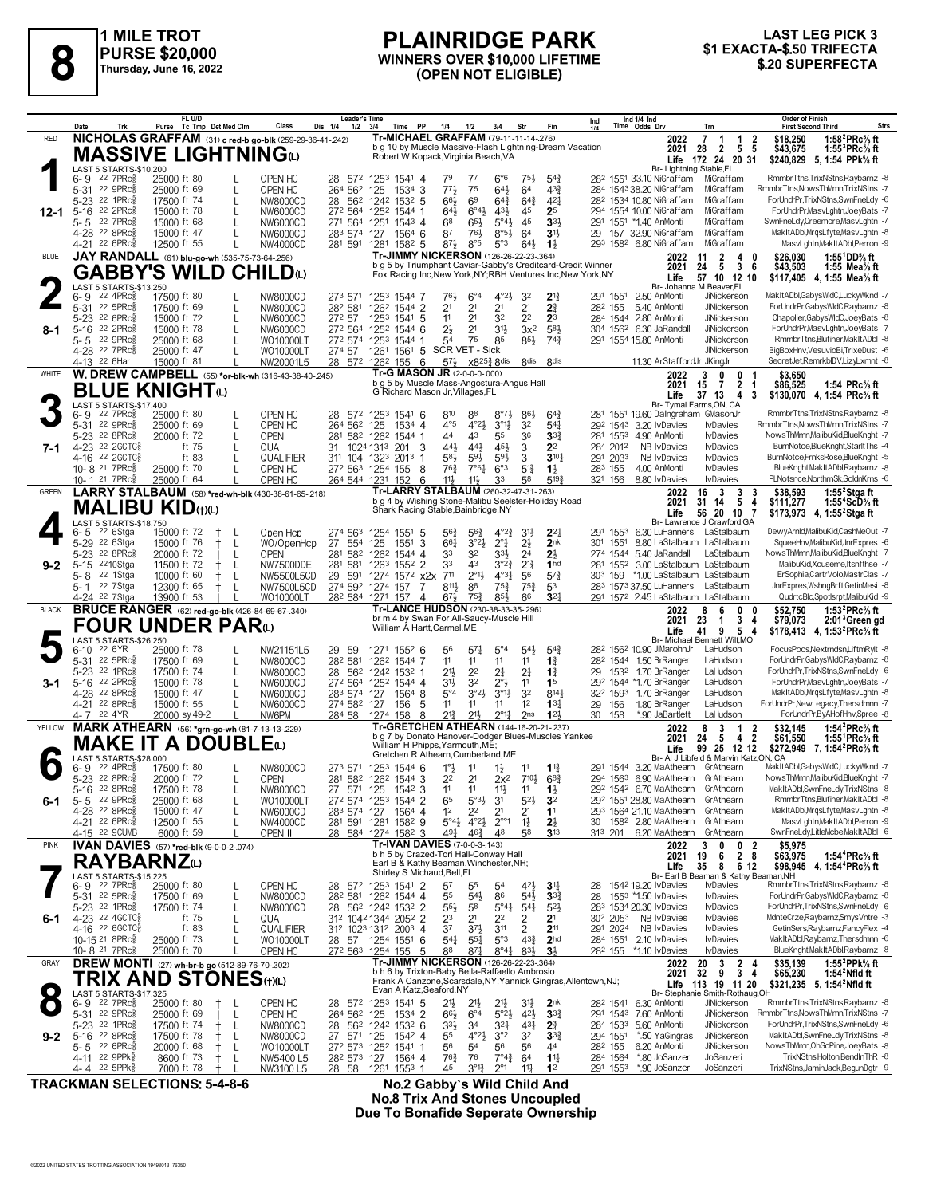

**1 MILE TROT PURSE \$20,000 Thursday, June 16, 2022**

#### **PLAINRIDGE PARK WINNERS OVER \$10,000 LIFETIME (OPEN NOT ELIGIBLE) \$1 EXACTA-\$.50 TRIFECTA 8 \$.20 SUPERFECTA**

## **LAST LEG PICK 3<br>\$1 EXACTA-\$.50 TRIFECTA**

|              | Date<br>Trk                                                       | FL U/D<br>Purse Tc Tmp Det Med Clm                      | Class                               | Leader's Time<br>Dis 1/4<br>1/2 | 3/4<br>Time PP                                                                                 | 1/4                                         | 3/4<br>1/2                                                                       | Str                              | Fin                                | Ind                             |          | Ind 1/4 Ind<br>Time Odds Drv                                     | Trn                                                                          | Order of Finish<br><b>Strs</b><br><b>First Second Third</b>                                 |
|--------------|-------------------------------------------------------------------|---------------------------------------------------------|-------------------------------------|---------------------------------|------------------------------------------------------------------------------------------------|---------------------------------------------|----------------------------------------------------------------------------------|----------------------------------|------------------------------------|---------------------------------|----------|------------------------------------------------------------------|------------------------------------------------------------------------------|---------------------------------------------------------------------------------------------|
| <b>RED</b>   |                                                                   | NICHOLAS GRAFFAM (31) c red-b go-blk (259-29-36-41-242) |                                     |                                 | Tr-MICHAEL GRAFFAM (79-11-11-14-276)                                                           |                                             |                                                                                  |                                  |                                    |                                 |          | 2022                                                             | 7<br>$\begin{array}{cc} 1 & 2 \\ 5 & 5 \end{array}$<br>1                     | \$18,250<br>1:58 $^{2}$ PRc $\%$ ft                                                         |
|              |                                                                   | MASSIVE LIGHTNINGധ                                      |                                     |                                 | b g 10 by Muscle Massive-Flash Lightning-Dream Vacation<br>Robert W Kopack, Virginia Beach, VA |                                             |                                                                                  |                                  |                                    |                                 |          | 2021                                                             | $\overline{2}$<br>28<br>Life 172 24 20 31                                    | \$43,675<br>1:55 ${}^{3}$ PRc ${}^{5}_{8}$ ft<br>\$240,829<br>5, 1:54 PPk% ft               |
|              | LAST 5 STARTS-\$10.200                                            |                                                         |                                     |                                 |                                                                                                |                                             |                                                                                  |                                  |                                    |                                 |          | Br- Lightning Stable,FL                                          |                                                                              |                                                                                             |
|              | 22 $7PRc85$<br>6-9                                                | 25000 ft 80                                             | OPEN HC                             |                                 | 28 572 1253 1541 4                                                                             | 79                                          | 77<br>$6^{\circ}6$                                                               | 75}                              | $5^{4}$                            |                                 |          | 28 <sup>2</sup> 1551 33.10 NiGraffam                             | MiGraffam                                                                    | RmmbrTtns,TrixNStns,Raybarnz -8                                                             |
|              | 5-31 22 9PRc<br>5-23 <sup>22</sup> 1PRcs                          | 25000 ft 69<br>L<br>17500 ft 74<br>L                    | OPEN HC<br><b>NW8000CD</b>          | 264 562                         | $1534$ 3<br>125<br>28 562 1242 1532 5                                                          | 773<br>66}                                  | 75<br>641<br>6 <sup>9</sup><br>$6^{4}$                                           | 64<br>$64\frac{3}{4}$            | $4^{3}3$<br>$4^{2}$                |                                 |          | 284 1543 38.20 NiGraffam<br>28 <sup>2</sup> 1534 10.80 NiGraffam | MiGraffam<br>MiGraffam                                                       | RmmbrTtns, NowsThMmn, TrixNStns -7<br>ForUndrPr,TrixNStns,SwnFneLdy -6                      |
| $12 - 1$     | 22 2PRc<br>$5 - 16$                                               | 15000 ft 78                                             | NW6000CD                            |                                 | 272 564 1252 1544 1                                                                            | 643                                         | $6^{\circ}4\frac{1}{2}$<br>43}                                                   | 45                               | 2 <sup>5</sup>                     |                                 |          | 294 1554 10.00 NiGraffam                                         | MiGraffam                                                                    | ForUndrPr,MasvLghtn,JoeyBats -7                                                             |
|              | 22 7PRc3<br>5-5                                                   | 15000 ft 68                                             | NW6000CD                            |                                 | 271 564 1251 1543 4                                                                            | 68                                          | $5^{\circ}4\frac{1}{2}$<br>$65\frac{1}{2}$                                       | 45                               | 3 <sup>3</sup>                     |                                 |          | 291 1551 *1.40 AnMonti                                           | MiGraffam                                                                    | SwnFneLdy,Creemore,MasvLghtn -7                                                             |
|              | 4-28 22 8PRc                                                      | 15000 ft 47                                             | NW6000CD                            | 283 574 127                     | 1564 6                                                                                         | 87                                          | $8°5\frac{1}{2}$<br>76}                                                          | 64                               | 3 <sup>1</sup>                     | 29                              |          | 157 32.90 NiGraffam                                              | MiGraffam                                                                    | MakItADbl, MrqsLfyte, MasvLghtn -8                                                          |
|              | 4-21 22 6PRc                                                      | 12500 ft 55                                             | NW4000CD                            | 281 591                         | 1281 1582 5<br>Tr-JIMMY NICKERSON (126-26-22-23-.364)                                          | 87}                                         | 8°5<br>5°3                                                                       | 64}                              | $1\frac{1}{2}$                     |                                 |          | 293 1582 6.80 NiGraffam                                          | MiGraffam                                                                    | MasvLghtn, MakItADbl, Perron -9                                                             |
| <b>BLUE</b>  |                                                                   | JAY RANDALL (61) blu-go-wh (535-75-73-64-256)           |                                     |                                 | b g 5 by Triumphant Caviar-Gabby's Creditcard-Credit Winner                                    |                                             |                                                                                  |                                  |                                    |                                 |          | 2022<br>2021                                                     | $\overline{\mathbf{2}}$<br>4<br>11<br>0<br>3<br>5<br>- 6<br>24               | 1:55 $^1$ DD% ft<br>\$26,030<br>\$43,503<br>1:55 Mea% ft                                    |
|              |                                                                   | <b>GABBY'S WILD</b>                                     | <b>CHILD</b>                        |                                 | Fox Racing Inc, New York, NY; RBH Ventures Inc, New York, NY                                   |                                             |                                                                                  |                                  |                                    |                                 |          | Life                                                             | 57 10 12 10                                                                  | \$117.405 4.1:55 Mea% ft                                                                    |
|              | LAST 5 STARTS-\$13,250<br>22 4PRc                                 |                                                         |                                     |                                 |                                                                                                | 761                                         | $6^{\circ}4$<br>$4^{\circ}2\frac{1}{2}$                                          |                                  | $2^{13}$                           | 291 1551                        |          | 2.50 AnMonti                                                     | Br- Johanna M Beaver.FL<br><b>JiNickerson</b>                                | MakItADbl,GabysWldC,LuckyWknd -7                                                            |
|              | 6-9<br>5-31 22 5PRc                                               | 17500 ft 80<br>17500 ft 69<br>L                         | NW8000CD<br>NW8000CD                | 273 571<br>282 581              | 1253 1544 7<br>1262 1544 2                                                                     | 2 <sup>1</sup>                              | 2 <sup>1</sup><br>2 <sup>1</sup>                                                 | 32<br>2 <sup>1</sup>             | 2 <sup>3</sup>                     | 282 155                         |          | 5.40 AnMonti                                                     | JiNickerson                                                                  | ForUndrPr,GabysWIdC,Raybarnz -8                                                             |
|              | 5-23 <sup>22</sup> 6PRc                                           | 15000 ft 72<br>L                                        | NW6000CD                            | 272 57                          | 1253 1541 5                                                                                    | 1 <sup>1</sup>                              | 3 <sup>2</sup><br>2 <sup>1</sup>                                                 | 2 <sup>2</sup>                   | 2 <sup>3</sup>                     |                                 | 284 1544 | 2.80 AnMonti                                                     | JiNickerson                                                                  | Chapolier, Gabys WldC, JoeyBats -8                                                          |
| $8-1$        | 22 2PRc3<br>$5 - 16$                                              | 15000 ft 78<br>L                                        | NW6000CD                            |                                 | 272 564 1252 1544 6                                                                            | $2\frac{1}{2}$                              | 2 <sup>1</sup><br>3 <sup>1</sup>                                                 | $3x^2$                           | 583                                |                                 |          | 304 1562 6.30 JaRandall                                          | JiNickerson                                                                  | ForUndrPr,MasvLghtn,JoeyBats -7                                                             |
|              | 22 9PRc3<br>5-5<br>4-28 22 7PRc                                   | 25000 ft 68<br>25000 ft 47                              | WO10000LT<br>WO10000LT              | 274 57                          | 272 574 1253 1544 1<br>1261 1561 5 SCR VET - Sick                                              | 54                                          | 75<br>85                                                                         | $85\frac{1}{2}$                  | $74\frac{3}{4}$                    |                                 |          | 291 1554 15.80 AnMonti                                           | JiNickerson<br><b>JiNickerson</b>                                            | RmmbrTtns,Blufiner,MakItADbl -8<br>BigBoxHnv, VesuvioBi, TrixeDust -6                       |
|              | 4-13 22 6Har                                                      | 15000 ft 81                                             | NW20001L5                           |                                 | 28 572 1262 155 6                                                                              | $5^{7}$                                     | $x8^{25\frac{3}{4}}8$ dis                                                        | 8 <sub>dis</sub>                 | 8 <sup>dis</sup>                   |                                 |          | 11.30 ArStaffordJr JKingJr                                       |                                                                              | SecretJet,RemrkbIDV,LizyLxmnt -8                                                            |
| WHITE        |                                                                   | W. DREW CAMPBELL (55) *or-blk-wh (316-43-38-40-.245)    |                                     |                                 | Tr-G MASON JR (2-0-0-0-000)                                                                    |                                             |                                                                                  |                                  |                                    |                                 |          | 2022                                                             | 3<br>0<br>0                                                                  | \$3,650                                                                                     |
|              |                                                                   | <b>BLUE KNIGHT@</b>                                     |                                     |                                 | b g 5 by Muscle Mass-Angostura-Angus Hall<br>G Richard Mason Jr, Villages, FL                  |                                             |                                                                                  |                                  |                                    |                                 |          | 2021                                                             | 2 <sub>1</sub><br>$\overline{7}$<br>15                                       | \$86,525<br>1:54 PRc% ft                                                                    |
|              | LAST 5 STARTS-\$17,400                                            |                                                         |                                     |                                 |                                                                                                |                                             |                                                                                  |                                  |                                    |                                 |          | Life                                                             | 37, 13<br>4<br>3<br>Br- Tymal Farms, ON, CA                                  | \$130,070 4, 1:54 PRc <sup>5</sup> / <sub>8</sub> ft                                        |
|              | $22$ $7$ $PRc85$<br>$6 - 9$                                       | 25000 ft 80                                             | OPEN HC                             |                                 | 28 572 1253 1541 6                                                                             | 810                                         | 88<br>$8^{\circ}7\frac{1}{2}$                                                    | $86\frac{1}{2}$                  | $64\frac{3}{4}$                    | 281                             |          | 1551 19.60 Dalngraham GMasonJr                                   |                                                                              | RmmbrTtns,TrixNStns,Raybarnz -8                                                             |
|              | 5-31 22 9PRc                                                      | 25000 ft 69                                             | OPEN HC                             | 264 562                         | 125<br>$1534$ 4                                                                                | $4^{\circ}5$                                | 4°2 <sub>3</sub><br>$3^{01}$                                                     | 3 <sup>2</sup>                   | $5^{4}$                            | 292 1543                        |          | 3.20 IvDavies                                                    | <b>I</b> vDavies                                                             | RmmbrTtns, NowsThMmn, TrixNStns -7                                                          |
| 7-1          | 5-23 <sup>22</sup> 8PRc <sup>5</sup><br>4-23 22 2GCTC§            | 20000 ft 72<br>L<br>ft 75                               | <b>OPEN</b><br>QUA                  | 281<br>31                       | 582 1262 1544 1<br>1024 1313 201                                                               | 44<br>443<br>3                              | 43<br>55<br>45}<br>$44\frac{1}{2}$                                               | 36<br>3                          | 3 <sup>3</sup><br>2 <sup>2</sup>   | 281 1553<br>284 2012            |          | 4.90 AnMonti<br><b>NB IvDavies</b>                               | <b>I</b> vDavies<br><b>IvDavies</b>                                          | NowsThMmn,MalibuKid,BlueKnght -7<br>BurnNotce,BlueKnght,StarltThs -4                        |
|              | 4-16 22 2GCTC§                                                    | ft 83                                                   | QUALIFIER                           |                                 | 311 104 1323 2013 1                                                                            | $5^{8}$                                     | $59\frac{1}{2}$<br>$59\frac{1}{2}$                                               | 3                                | $3^{10}$                           | 291 2033                        |          | <b>NB IvDavies</b>                                               | <b>I</b> vDavies                                                             | BurnNotce,FrnksRose,BlueKnght -5                                                            |
|              | 10-8 <sup>21</sup> 7PRc <sup>3</sup>                              | 25000 ft 70                                             | OPEN HC                             |                                 | 272 563 1254 155                                                                               | 763<br>8                                    | 6°3<br>$7°6\frac{1}{4}$                                                          | 5 <sup>12</sup>                  | $1\frac{1}{2}$                     | 283 155                         |          | 4.00 AnMonti                                                     | <b>I</b> vDavies                                                             | BlueKnght, Mak It ADbl, Raybarnz -8                                                         |
|              | 10-1 <sup>21</sup> 7PRc <sup>3</sup>                              | 25000 ft 64                                             | OPEN HC                             |                                 | 264 544 1231 152                                                                               | 11}<br>6                                    | 11}<br>33                                                                        | 58                               | 5193                               | 321 156                         |          | 8.80 IvDavies                                                    | <b>I</b> vDavies                                                             | PLNotsnce, NorthrnSk, GoldnKrns -6                                                          |
| <b>GREEN</b> |                                                                   | LARRY STALBAUM (58) *red-wh-blk (430-38-61-65-218)      |                                     |                                 | Tr-LARRY STALBAUM (260-32-47-31-263)<br>b g 4 by Wishing Stone-Malibu Seelster-Holiday Road    |                                             |                                                                                  |                                  |                                    |                                 |          | 2022<br>2021                                                     | 16<br>$\overline{\mathbf{3}}$<br>3<br>3<br>5 <sub>4</sub><br>31<br>14        | \$38,593<br>1:55 $2$ Stgaft<br>\$111,277<br>1:55 <sup>+</sup> ScD% ft                       |
|              |                                                                   | <b>MALIBU KID(t)(L)</b>                                 |                                     |                                 | Shark Racing Stable, Bainbridge, NY                                                            |                                             |                                                                                  |                                  |                                    |                                 |          | Life                                                             | 56 20<br>10 7                                                                | \$173,973 4, 1:55 <sup>2</sup> Stga ft                                                      |
|              | LAST 5 STARTS-\$18,750                                            |                                                         |                                     | 274 563                         |                                                                                                |                                             | $4^{\circ}2^3$                                                                   |                                  | $2^{2}$                            | 291                             | 1553     |                                                                  | Br- Lawrence J Crawford, GA                                                  | DewyArnId,MalibuKid,CashMeOut -7                                                            |
|              | 6-5<br>22 6Stga<br>5-29 <sup>22</sup> 6Stga                       | 15000 ft 72<br>$\ddagger$<br>15000 ft 76<br>$^+$<br>L   | Open Hcp<br>WO/OpenHcp              | 27<br>554                       | 1254 1551 5<br>1551<br>125                                                                     | $56\frac{3}{4}$<br>3<br>661                 | $56\frac{3}{4}$<br>$2^{\circ}1$<br>3°23                                          | $3^{11}$<br>$2\frac{1}{2}$       | 2 <sub>nk</sub>                    | 301 1551                        |          | 6.30 LuHanners LaStalbaum<br>8.80 LaStalbaum LaStalbaum          |                                                                              | SqueeHnv,MalibuKid,JnrExpres -6                                                             |
|              | 5-23 <sup>22</sup> 8PRc <sup>3</sup>                              | 20000 ft 72<br>L                                        | <b>OPEN</b>                         | 281 582                         | 1262<br>1544 4                                                                                 | 33                                          | 32<br>$3^{3}\frac{1}{2}$                                                         | 2 <sup>4</sup>                   | $2\frac{1}{2}$                     |                                 | 274 1544 | 5.40 JaRandall                                                   | LaStalbaum                                                                   | NowsThMmn,MalibuKid,BlueKnght -7                                                            |
| $9 - 2$      | 2210Stga<br>$5 - 15$                                              | 11500 ft 72<br>L<br>$^+$                                | NW7500DDE                           | 281 581                         | 1263 1552 2                                                                                    | 33                                          | $3^{°2}$<br>43                                                                   | $2^{13}$                         | 1 <sub>hd</sub>                    | 281 1552                        |          | 3.00 LaStalbaum LaStalbaum                                       |                                                                              | MalibuKid, Xcuseme, Itsnfthse -7                                                            |
|              | 22 1Stga<br>5-8<br>22 7Stga<br>5-1                                | 10000 ft 60<br>L<br>t<br>L<br>12300 ft 65<br>$^+$       | NW5500L5CD<br>NW7500L5CD            | 29<br>591<br>274 592            | 1274 1572 x2x<br>1274 157                                                                      | 711<br>8113<br>7                            | $4^{\circ}3\frac{1}{4}$<br>$2^{\circ}1\frac{1}{2}$<br>$75\frac{3}{4}$<br>88      | 56<br>75 <sub>1</sub>            | $5^{7}$ <sup>3</sup><br>53         | 303 159                         |          | *1.00 LaStalbaum LaStalbaum<br>283 1573 37.50 LuHanners          | LaStalbaum                                                                   | ErSophia,CartrVolo,MastrClas -7<br>JnrExpres,WshngBrft,GetinMesi -8                         |
|              | 4-24 <sup>22</sup> 7Stga                                          | 13900 ft 53<br>$^+$                                     | WO10000LT                           |                                 | 282 584 1271 157                                                                               | $67\frac{1}{2}$<br>4                        | 853<br>$75\frac{3}{4}$                                                           | 66                               | 3 <sup>2</sup>                     |                                 |          | 291 1572 2.45 LaStalbaum LaStalbaum                              |                                                                              | QudrtcBlc,SpotIsrpt,MalibuKid -9                                                            |
| <b>BLACK</b> |                                                                   |                                                         |                                     |                                 |                                                                                                |                                             |                                                                                  |                                  |                                    |                                 |          |                                                                  |                                                                              |                                                                                             |
|              |                                                                   |                                                         |                                     |                                 | Tr-LANCE HUDSON (230-38-33-35-296)                                                             |                                             |                                                                                  |                                  |                                    |                                 |          | 2022                                                             | 6<br>8<br>0                                                                  | \$52,750<br>1:53 $^{2}$ PRc $\%$ ft                                                         |
|              |                                                                   | <b>BRUCE RANGER</b> (62) red-go-blk (426-84-69-67-340)  |                                     |                                 | br m 4 by Swan For All-Saucy-Muscle Hill                                                       |                                             |                                                                                  |                                  |                                    |                                 |          | 2021                                                             | 3 <sub>4</sub><br>23<br>$\mathbf{1}$                                         | \$79,073<br>$2:013$ Green gd                                                                |
|              | LAST 5 STARTS-\$26,250                                            | <b>FOUR UNDER PAR</b> W                                 |                                     |                                 | William A Hartt, Carmel, ME                                                                    |                                             |                                                                                  |                                  |                                    |                                 |          | Life                                                             | 9<br>5<br>41<br>4<br>Br- Michael Bennett Wilt, MO                            | \$178,413 4, 1:53 <sup>2</sup> PRc <sup>5</sup> / <sub>8</sub> ft                           |
|              | 22 6YR<br>6-10                                                    | 25000 ft 78                                             | NW21151L5                           | 29 59                           | 1271 1552 6                                                                                    | 56                                          | $5^{\circ}4$<br>$5^{71}$                                                         | 543                              | $5^{4}$                            |                                 |          | 28 <sup>2</sup> 156 <sup>2</sup> 10.90 JiMarohnJr                | LaHudson                                                                     | FocusPocs, Nextrndsn, LiftmRylt -8                                                          |
|              | 5-31 22 5PRc                                                      | 17500 ft 69                                             | NW8000CD                            | 282 581                         | 126 <sup>2</sup> 1544 7                                                                        | 1 <sup>1</sup>                              | 11<br>11                                                                         | 11                               | $1\frac{3}{4}$                     |                                 |          | 28 <sup>2</sup> 1544 1.50 BrRanger                               | LaHudson                                                                     | ForUndrPr,GabysWIdC,Raybarnz -8                                                             |
|              | 5-23 <sup>22</sup> 1PRc <sup>5</sup><br>22 2PRc3                  | 17500 ft 74<br>L<br>15000 ft 78<br>L                    | NW8000CD                            |                                 | 28 562 1242 1532 1                                                                             | 2 <sup>1</sup>                              | 2 <sup>2</sup><br>2 <sup>1</sup><br>32                                           | 2 <sup>1</sup><br>11             | $1\frac{3}{4}$<br>1 <sup>5</sup>   | 29                              | 1532     | 1.70 BrRanger<br>292 1544 *1.70 BrRanger                         | LaHudson<br>LaHudson                                                         | ForUndrPr,TrixNStns,SwnFneLdy -6<br>ForUndrPr,MasvLghtn,JoeyBats -7                         |
| 3-1          | $5 - 16$<br>4-28 22 8PRc <sup>5</sup>                             | 15000 ft 47                                             | NW6000CD<br>NW6000CD                | 283 574 127                     | 272 564 1252 1544 4<br>1564 8                                                                  | 3 <sup>1</sup><br>$5^{\circ}4$              | $2^{\circ}$<br>3°2 <sup>1</sup><br>$3^{01}\frac{1}{2}$                           | 3 <sup>2</sup>                   | $8^{14}$                           | 322 1593                        |          | 1.70 BrRanger                                                    | LaHudson                                                                     | MakItADbl, MrgsLfyte, MasvLghtn -8                                                          |
|              | 4-21 22 8PRc                                                      | 15000 ft 55<br>L                                        | NW6000CD                            | 274 582 127                     | 156                                                                                            | 11<br>5                                     | 11<br>11                                                                         | 12                               | $13\frac{1}{4}$                    | 29                              | 156      | 1.80 BrRanger                                                    | LaHudson                                                                     | ForUndrPr,NewLegacy,Thersdmnn -7                                                            |
|              | 4-7 22 4YR                                                        | 20000 sy 49-2                                           | NW6PM                               | 284 58                          | 1274 158                                                                                       | 213<br>8                                    | $2^{\circ}1\frac{1}{4}$<br>$21\frac{1}{2}$                                       | 2 <sub>ns</sub>                  | 123                                | 30                              | 158      | *.90 JaBartlett                                                  | LaHudson                                                                     | ForUndrPr,ByAHofHnv,Spree -8                                                                |
| YELLOW       |                                                                   | MARK ATHEARN (56) *grn-go-wh (81-7-13-13-229)           |                                     |                                 | Tr-GRETCHEN ATHEARN (144-16-20-21-.237)<br>b g 7 by Donato Hanover-Dodger Blues-Muscles Yankee |                                             |                                                                                  |                                  |                                    |                                 |          | 2022<br>2021                                                     | 3<br>8<br>-1<br>2<br>4 <sub>2</sub><br>- 5<br>24                             | 1:54 ${}^2$ PRc ${}^5\!$ ft<br>\$32,145<br>\$61,550<br>1:55 <sup>1</sup> PRc% ft            |
|              |                                                                   | <b>MAKE IT A DOUBLE</b> (L)                             |                                     |                                 | William H Phipps, Yarmouth, ME;                                                                |                                             |                                                                                  |                                  |                                    |                                 |          | Life                                                             | 99 25 12 12                                                                  | \$272,949 7, 1:54 <sup>2</sup> PRc <sup>5</sup> / <sub>8</sub> ft                           |
|              | LAST 5 STARTS-\$28,000<br>$22 \, 4$ PR $c_{8}^{5}$<br>6- 9        | 17500 ft 80                                             | NW8000CD                            |                                 | Gretchen R Athearn, Cumberland, ME                                                             |                                             | 11                                                                               | 11                               |                                    | 291                             | 1544     | 3.20 MaAthearn                                                   | Br- Al J Libfeld & Marvin Katz, ON, CA<br>GrAthearn                          | MakItADbl,GabysWldC,LuckyWknd -7                                                            |
|              | 5-23 22 8PRc                                                      | 20000 ft 72<br>L                                        | <b>OPEN</b>                         | 273 571                         | 1253 1544 6<br>281 582 1262 1544 3                                                             | $1^{\circ}$ $\frac{1}{2}$<br>2 <sup>2</sup> | $1\frac{1}{2}$<br>2 <sup>1</sup><br>$2x^2$                                       | 710}                             | $1\frac{13}{4}$<br>$68\frac{3}{4}$ |                                 | 294 1563 | 6.90 MaAthearn                                                   | GrAthearn                                                                    | NowsThMmn,MalibuKid,BlueKnght -7                                                            |
|              | 5-16 22 8PRc <sup>5</sup>                                         | 17500 ft 78                                             | NW8000CD                            |                                 | 27 571 125 1542 3                                                                              | 11                                          | 11<br>$11\frac{1}{2}$                                                            | 11                               | $1\frac{1}{2}$                     |                                 |          | 292 1542 6.70 MaAthearn                                          | GrAthearn                                                                    | MakItADbl,SwnFneLdy,TrixNStns -8                                                            |
| 6-1          | $5 - 5$ 22 9PRc                                                   | 25000 ft 68                                             | WO10000LT                           |                                 | 272 574 1253 1544 2                                                                            | 65                                          | $5^{\circ}3\frac{1}{2}$<br>3 <sup>1</sup>                                        | $5^{21}$                         | 3 <sup>2</sup>                     |                                 |          | 29 <sup>2</sup> 1551 28.80 MaAthearn                             | GrAthearn                                                                    | RmmbrTtns,Blufiner,MakItADbl -8                                                             |
|              | 4-28 22 8PRc3<br>4-21 22 6PRc <sup>5</sup>                        | 15000 ft 47<br>12500 ft 55                              | NW6000CD<br>NW4000CD                | 281 591                         | 283 574 127 1564 4<br>1582 9<br>1281                                                           | 1 <sup>2</sup><br>$5^\circ 4\frac{1}{2}$    | 2 <sup>2</sup><br>2 <sup>1</sup><br>$4^{\circ}2\frac{1}{2}$<br>$2^{\circ\circ}1$ | 2 <sup>1</sup><br>$1\frac{1}{2}$ | 1 <sup>1</sup><br>$2\frac{1}{2}$   |                                 |          | 293 1564 21.10 MaAthearn<br>30 1582 2.80 MaAthearn               | GrAthearn<br>GrAthearn                                                       | MakItADbl, MrgsLfyte, MasvLghtn -8<br>MasvLghtn, MakItADbl, Perron -9                       |
|              | 4-15 22 9CUMB                                                     | 6000 ft 59                                              | OPEN II                             |                                 | 28 584 1274 1582 3                                                                             | 491                                         | $46\frac{3}{4}$<br>48                                                            | 58                               | 3 <sup>13</sup>                    | 313 201                         |          | 6.20 MaAthearn                                                   | GrAthearn                                                                    | SwnFneLdy,LitleMcbe,MakItADbl -6                                                            |
| <b>PINK</b>  |                                                                   | IVAN DAVIES (57) *red-blk (9-0-0-2-.074)                |                                     |                                 | Tr-IVAN DAVIES (7-0-0-3-.143)                                                                  |                                             |                                                                                  |                                  |                                    |                                 |          | 2022                                                             | 0<br>0<br>$\overline{2}$<br>3                                                | \$5,975                                                                                     |
|              | <b>RAYBARNZ</b> W                                                 |                                                         |                                     |                                 | b h 5 by Crazed-Tori Hall-Conway Hall<br>Earl B & Kathy Beaman, Winchester, NH;                |                                             |                                                                                  |                                  |                                    |                                 |          | 2021                                                             | 2 <sub>8</sub><br>19<br>6                                                    | 1:54 <sup>4</sup> PRc% ft<br>\$63,975                                                       |
|              | LAST 5 STARTS-\$15,225                                            |                                                         |                                     |                                 | Shirley S Michaud, Bell, FL                                                                    |                                             |                                                                                  |                                  |                                    |                                 |          | Life                                                             | 35<br>8<br>612<br>Br- Earl B Beaman & Kathy Beaman, NH                       | \$98,945 4, 1:54 <sup>4</sup> PRc <sup>5</sup> / <sub>8</sub> ft                            |
|              | 22 7PRc<br>6-9                                                    | 25000 ft 80                                             | OPEN HC                             |                                 | 28 572 1253 1541 2                                                                             | 5 <sup>7</sup>                              | 55<br>5 <sup>4</sup>                                                             | 42}                              | 3 <sup>11</sup>                    | 28                              |          | 1542 19.20 IvDavies                                              | <b>IvDavies</b>                                                              | RmmbrTtns,TrixNStns,Raybarnz -8                                                             |
|              | 5-31 22 5PRc<br>5-23 <sup>22</sup> 1PRc <sup>5</sup>              | 17500 ft 69<br>L<br>17500 ft 74<br>L                    | NW8000CD                            |                                 | 28 <sup>2</sup> 581 126 <sup>2</sup> 1544 4                                                    | 55<br>$5^{5}\frac{1}{2}$                    | 86<br>$5^{41}$<br>58<br>$5^{\circ}41$                                            | $5^{41}$                         | $3^{3}$<br>$5^{2}$                 | 28                              |          | 1553 *1.50 IvDavies<br>283 1534 20.30 IvDavies                   | <b>I</b> vDavies<br><b>IvDavies</b>                                          | ForUndrPr,GabysWIdC,Raybarnz -8<br>ForUndrPr,TrixNStns,SwnFneLdy -6                         |
| 6-1          | 4-23 22 4GCTC <sub>8</sub>                                        | ft 75<br>L                                              | NW8000CD<br>QUA                     |                                 | 28 562 1242 1532 2<br>312 1042 1344 2052 2                                                     | 2 <sup>3</sup>                              | 2 <sup>2</sup><br>2 <sup>1</sup>                                                 | $5^{41}$<br>2                    | 2 <sup>1</sup>                     | 30 <sup>2</sup> 2053            |          | NB IvDavies                                                      | <b>IvDavies</b>                                                              | MdnteCrze,Raybarnz,SmysVntre -3                                                             |
|              | 4-16 22 6 GCTC <sup>3</sup>                                       | ft 83                                                   | QUALIFIER                           |                                 | 312 1023 1312 2003 4                                                                           | 3 <sup>7</sup>                              | $3^{7}\frac{1}{2}$<br>3 <sup>11</sup>                                            | 2                                | 211                                | 291 2024                        |          | <b>NB IvDavies</b>                                               | <b>IvDavies</b>                                                              | GetinSers, Raybarnz, Fancy Flex -4                                                          |
|              | 10-15 21 8PRcs                                                    | 25000 ft 73<br>L                                        | WO10000LT                           |                                 | 28 57 1254 1551 6                                                                              | $5^{4}$                                     | 5°3<br>$55\frac{1}{4}$                                                           | $4^{3}\frac{3}{4}$               | 2 <sub>hd</sub>                    | 284 1551                        |          | 2.10 IvDavies                                                    | <b>IvDavies</b>                                                              | MakItADbl,Raybarnz,Thersdmnn -6                                                             |
| GRAY         | 10-8 <sup>21</sup> 7PRc <sup>3</sup>                              | 25000 ft 70                                             | OPEN HC                             |                                 | 272 563 1254 155<br>Tr-JIMMY NICKERSON (126-26-22-23-.364)                                     | 5<br>88                                     | $87\frac{1}{4}$<br>$8^{\circ}4^{\circ}$                                          | 831                              | 3 <sup>1</sup>                     | 28 <sup>2</sup> 155             |          | *1.10 lvDavies                                                   | <b>IvDavies</b>                                                              | BlueKnght, Mak It ADbl, Raybarnz -8<br>1:55 <sup>2</sup> PPk <sup>5</sup> / <sub>8</sub> ft |
|              |                                                                   | DREW MONTI (27) wh-br-b go (512-89-76-70-.302)          |                                     |                                 | b h 6 by Trixton-Baby Bella-Raffaello Ambrosio                                                 |                                             |                                                                                  |                                  |                                    |                                 |          | 2022<br>2021                                                     | $\frac{3}{9}$<br>$\begin{array}{ccc} 2 & 4 \\ 3 & 4 \end{array}$<br>20<br>32 | \$35,139<br>\$65,230<br>1:54 $2$ Nfld ft                                                    |
|              |                                                                   | TRIX AND STONES(t)(L)                                   |                                     |                                 | Frank A Canzone, Scarsdale, NY; Yannick Gingras, Allentown, NJ;<br>Evan A Katz, Seaford, NY    |                                             |                                                                                  |                                  |                                    |                                 |          | Life                                                             | 113 19 11 20                                                                 | \$321,235 5, 1:54 <sup>2</sup> Nfld ft                                                      |
|              | LAST 5 STARTS-\$17,325<br>$22$ 7PR $c_{8}^{5}$<br>6-9             | 25000 ft 80<br>$\pm$<br>L                               | OPEN HC                             |                                 | 28 572 1253 1541 5                                                                             | 2 <sup>1</sup>                              | $21\frac{1}{2}$<br>2 <sup>11</sup>                                               | 3 <sup>1</sup>                   | 2 <sub>nk</sub>                    |                                 | 282 1541 | 6.30 AnMonti                                                     | Br- Stephanie Smith-Rothaug,OH<br>JiNickerson                                | RmmbrTtns,TrixNStns,Raybarnz -8                                                             |
|              | 5-31 22 9PRc <sup>5</sup>                                         | 25000 ft 69<br>L<br>$^+$                                | OPEN HC                             | 264 562 125                     | 1534 2                                                                                         | 66}                                         | $6^{\circ}4$<br>5°2 <sup>3</sup>                                                 | $4^{2}\frac{1}{2}$               | 3 <sup>3</sup>                     | 291 1543                        |          | 7.60 AnMonti                                                     | <b>JiNickerson</b>                                                           | RmmbrTtns, NowsThMmn, TrixNStns -7                                                          |
|              | 5-23 <sup>22</sup> 1PRc <sup>5</sup>                              | 17500 ft 74<br>$^{\dagger}$<br>L                        | NW8000CD                            |                                 | 28 56 <sup>2</sup> 124 <sup>2</sup> 153 <sup>2</sup> 6                                         | $3^{3}\frac{1}{2}$                          | 3 <sup>2</sup><br>34                                                             | $43\frac{1}{4}$                  | $2\frac{3}{4}$                     | 284 1533                        |          | 5.60 AnMonti                                                     | JiNickerson                                                                  | ForUndrPr,TrixNStns,SwnFneLdy -6                                                            |
| $9 - 2$      | 22 8PRc <sup>3</sup><br>$5 - 16$<br>$5 - 5$ 22 6PRc $\frac{5}{8}$ | 17500 ft 78<br>L<br>$^{+}$<br>20000 ft 68<br>L<br>Ť     | NW8000CD                            |                                 | 27 571 125 1542 4                                                                              | 55<br>56                                    | 3°2<br>$4^{\circ}2\frac{1}{2}$<br>56<br>54                                       | 3 <sup>2</sup><br>56             | 3 <sup>3</sup><br>44               | 294 1551<br>28 <sup>2</sup> 155 |          | *.50 YaGingras<br>6.20 AnMonti                                   | JiNickerson<br>JiNickerson                                                   | MakItADbl,SwnFneLdy,TrixNStns -8<br>NowsThMmn, OhSoPine, JoeyBats -8                        |
|              | 4-11 22 9PPk<br>4-4 22 5PPk                                       | 8600 ft 73<br>L<br>$\pm$<br>7000 ft 78                  | WO10000LT<br>NW5400 L5<br>NW3100 L5 | 28 58                           | 272 573 1252 1541 1<br>28 <sup>2</sup> 57 <sup>3</sup> 127 156 <sup>4</sup> 4<br>1261 1553     | $76\frac{3}{4}$<br>45                       | 76<br>$7^{\circ}4^3$<br>$3^{013}$<br>$2^{\circ}1$                                | 64<br>$11\frac{1}{2}$            | $1^{11}$<br>1 <sup>2</sup>         | 284 1564<br>291 1553            |          | *.80 JoSanzeri<br>*.90 JoSanzeri                                 | JoSanzeri<br>JoSanzeri                                                       | TrixNStns,Holton,BendInThR -8<br>TrixNStns,JaminJack,BegunDgtr -9                           |

**TRACKMAN SELECTIONS: 5-4-8-6 No.2 Gabby`s Wild Child And No.8 Trix And Stones Uncoupled Due To Bonafide Seperate Ownership**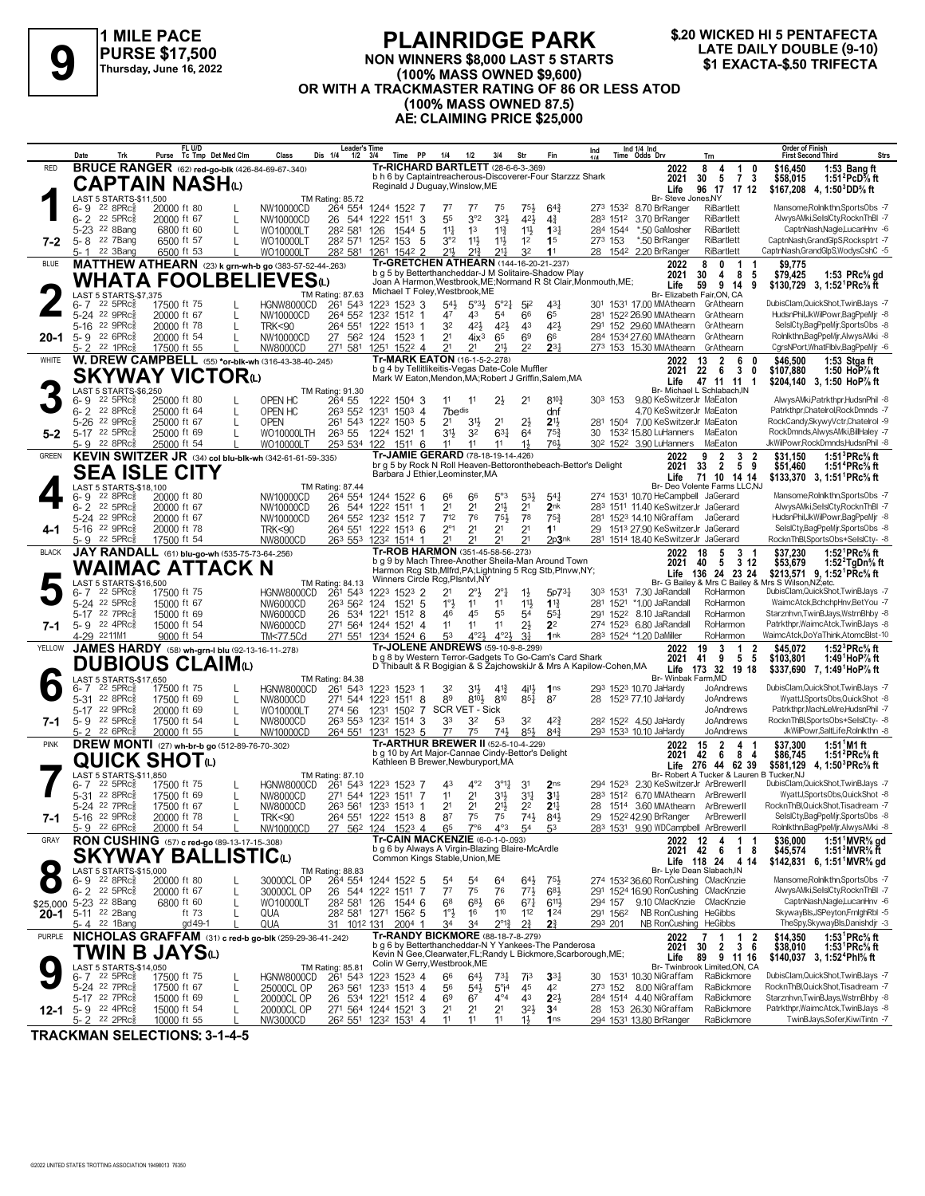

**FL U/D**

#### **PLAINRIDGE PARK NON WINNERS \$8,000 LAST 5 STARTS (100% MASS OWNED \$9,600) OR WITH A TRACKMASTER RATING OF 86 OR LESS ATOD LATE DAILY DOUBLE (9-10)**<br>PURSE \$17,500 MON WINNERS \$8,000 LAST 5 STARTS TARTS THESALY DOUBLE (9-10)<br>(100% MASS OWNED \$9,600) \$1 EXACTA-\$.50 TRIFECTA<br>OR WITH A TRACKMASTER BATING OF 96 OR LESS ATOD



**Order of Finish**

**(100% MASS OWNED 87.5)**

**AE: CLAIMING PRICE \$25,000**

|               | Date<br>Trk                                                         | FL U/D<br>Tc Tmp Det Med Clm<br>Purse                    | <b>Leader's Time</b><br>Class<br>Dis 1/4                       | $1/2$ $3/4$<br>Time PP                                              | 1/4<br>1/2                                                                                               | 3/4                                                   | Str                                                              | Ind 1/4 Ind<br>Time Odds Drv<br>Ind                                                | Trn                                                            | <b>Order of Finish</b><br>Strs<br><b>First Second Third</b>                                           |
|---------------|---------------------------------------------------------------------|----------------------------------------------------------|----------------------------------------------------------------|---------------------------------------------------------------------|----------------------------------------------------------------------------------------------------------|-------------------------------------------------------|------------------------------------------------------------------|------------------------------------------------------------------------------------|----------------------------------------------------------------|-------------------------------------------------------------------------------------------------------|
| <b>RED</b>    |                                                                     | <b>BRUCE RANGER</b> (62) red-go-blk (426-84-69-67-.340)  |                                                                |                                                                     | <b>Tr-RICHARD BARTLETT</b> (28-6-6-3-.369)                                                               |                                                       |                                                                  | 2022                                                                               | 8<br>$\overline{1}$<br>0<br>4                                  | \$16,450<br>1:53 Bang ft                                                                              |
|               |                                                                     | CAPTAIN NASHധ                                            |                                                                |                                                                     | b h 6 by Captaintreacherous-Discoverer-Four Starzzz Shark<br>Reginald J Duguay, Winslow, ME              |                                                       |                                                                  | 2021<br>Life                                                                       | $\overline{7}$<br>5<br>3<br>30<br>96 17 17 12                  | \$58,015<br>1:51 <sup>2</sup> PcD% ft<br>\$167,208 4, 1:50 $^3$ DD% ft                                |
|               | LAST 5 STARTS-\$11,500                                              |                                                          | TM Rating: 85.72                                               |                                                                     |                                                                                                          |                                                       |                                                                  |                                                                                    | Br- Steve Jones, NY                                            |                                                                                                       |
|               | $22$ $8$ PR $c_{8}$<br>$6 - 9$                                      | 20000 ft 80                                              | NW10000CD                                                      | 264 554 1244 1522 7                                                 | $7^7$<br>77                                                                                              | 75                                                    | 75}<br>$64\frac{3}{4}$                                           | 273 1532 8.70 BrRanger                                                             | RiBartlett                                                     | Mansome, Rolnlkthn, SportsObs -7                                                                      |
|               | $6 - 2$ 22 5 PR $c_{8}^{3}$<br>5-23 <sup>22</sup> 8Bang             | 20000 ft 67<br>6800 ft 60<br>L                           | NW10000CD<br>282 581<br>WO10000LT                              | 26 544 1222 1511 3<br>126<br>1544 5                                 | 3°2<br>55<br>14<br>1 <sup>3</sup>                                                                        | 32}<br>$11\frac{3}{4}$                                | 421<br>$4\frac{3}{4}$<br>$11\frac{1}{2}$<br>$13\frac{1}{4}$      | 283 1512 3.70 BrRanger<br>*.50 GaMosher<br>284 1544                                | RiBartlett<br>RiBartlett                                       | AlwysAMki,SelslCty,RocknThBI -7<br>CaptnNash,Nagle,LucanHnv -6                                        |
| 7-2           | 5-8 22 7Bang                                                        | 6500 ft 57                                               | 282 571<br>WO10000LT                                           | 1252 153<br>5                                                       | 3°2<br>$11\frac{1}{2}$                                                                                   | $11\frac{1}{2}$                                       | 1 <sup>2</sup><br>1 <sup>5</sup>                                 | 273 153<br>*.50 BrRanger                                                           | <b>RiBartlett</b>                                              | CaptnNash,GrandGlpS,Rocksptrt -7                                                                      |
|               | 22 3Bang<br>5- 1                                                    | 6500 ft 53                                               | 282 581<br>WO10000LT                                           | 1261 1542 2                                                         | 211,<br>213                                                                                              | 211                                                   | 32<br>11                                                         | 28 1542 2.20 BrRanger                                                              | RiBartlett                                                     | CaptnNash,GrandGlpS,WodysCshC -5                                                                      |
| BLUE          |                                                                     |                                                          | MATTHEW ATHEARN (23) k grn-wh-b go (383-57-52-44-.263)         |                                                                     | Tr-GRETCHEN ATHEARN (144-16-20-21-.237)<br>b g 5 by Betterthancheddar-J M Solitaire-Shadow Play          |                                                       |                                                                  | 2022                                                                               | 0<br>8<br>$\overline{1}$                                       | \$9.775                                                                                               |
|               |                                                                     | <b>WHATA FOOLBEL</b>                                     | .IEVESധ                                                        |                                                                     |                                                                                                          |                                                       |                                                                  | 2021<br>Joan A Harmon, Westbrook, ME; Normand R St Clair, Monmouth, ME;<br>Life    | 8<br>30<br>4<br>5<br>59<br>9<br>-14<br>9                       | \$79,425<br>1:53 $PRc$ % gd<br>\$130,729 3, 1:52 PRc <sup>5</sup> / <sub>8</sub> ft                   |
|               | LAST 5 STARTS-\$7,375                                               |                                                          | TM Rating: 87.63                                               |                                                                     | Michael T Foley, Westbrook, ME                                                                           |                                                       |                                                                  |                                                                                    | Br- Elizabeth Fair, ON, CA                                     |                                                                                                       |
|               | $22\,5$ PR $c_{8}^{5}$<br>6-7                                       | 17500 ft 75                                              | HGNW8000CD<br>261 543                                          | 1223 1523 3                                                         | $54\frac{1}{2}$                                                                                          | $5^{\circ}3\frac{1}{2}$<br>$5^{\circ}2^{\frac{1}{4}}$ | $43\frac{1}{4}$<br>5i <sup>2</sup>                               | 301 1531 17.00 MMAthearn GrAthearn                                                 |                                                                | DubisClam, QuickShot, TwinBJays -7                                                                    |
|               | 5-24 22 9PRc <sup>5</sup><br>5-16 22 9PRc <sup>5</sup>              | 20000 ft 67<br>20000 ft 78<br>L                          | 264 552<br>NW10000CD<br>264 551<br><b>TRK&lt;90</b>            | 1232 1512 1<br>1222 1513 1                                          | 43<br>47<br>421<br>32                                                                                    | 54<br>421                                             | 65<br>66<br>421<br>43                                            | 281 1522 26.90 MMAthearn<br>291 152 29.60 MMAthearn                                | GrAthearn<br>GrAthearn                                         | HudsnPhil,JkWilPowr,BagPpeMjr -8<br>SelslCty,BagPpeMjr,SportsObs -8                                   |
| 20-1          | 5-9 22 6PRc <sup>5</sup>                                            | 20000 ft 54<br>L                                         | NW10000CD                                                      | 27 562 124 1523 1                                                   | 2 <sup>1</sup>                                                                                           | 65<br>$4i^3$                                          | 6 <sup>9</sup><br>66                                             | 284 1534 27.60 MMAthearn                                                           | GrAthearn                                                      | Rolnlkthn,BagPpeMjr,AlwysAMki -8                                                                      |
|               | $5 - 2$ 22 1PRc $\frac{5}{8}$                                       | 17500 ft 55                                              | NW8000CD                                                       | 271 581 1251 1522 4                                                 | 2 <sup>1</sup><br>21                                                                                     | 213                                                   | 2 <sup>2</sup><br>$2^{3}$                                        | 273 153 15.30 MMAthearn                                                            | GrAthearn                                                      | CgrsNPort, WhatFlblv, BagPpeMjr -6                                                                    |
| WHITE         |                                                                     | W. DREW CAMPBELL (55) *or-blk-wh (316-43-38-40-.245)     |                                                                |                                                                     | Tr-MARK EATON (16-1-5-2-.278)                                                                            |                                                       |                                                                  | 2022                                                                               | $\overline{2}$<br>13<br>6                                      | \$46,500<br>1:53 Stgaft                                                                               |
|               |                                                                     | <b>SKYWAY VICTOR</b> @                                   |                                                                |                                                                     | b g 4 by Tellitlikeitis-Vegas Date-Cole Muffler<br>Mark W Eaton, Mendon, MA; Robert J Griffin, Salem, MA |                                                       |                                                                  | 2021<br>Life                                                                       | 22<br>3<br>6<br>0<br>47 11 11<br>-1                            | 1:50 HoP% ft<br>\$107,880<br>\$204,140 3, 1:50 HoP% ft                                                |
|               | LAST 5 STARTS-\$6,250                                               |                                                          | TM Rating: 91.30                                               |                                                                     |                                                                                                          |                                                       |                                                                  |                                                                                    | Br- Michael L Schlabach, IN                                    |                                                                                                       |
|               | $22$ 5PR $c_{8}$<br>6- 9                                            | 25000 ft 80                                              | OPEN HC<br>264 55                                              | 1222 1504 3                                                         | 11<br>11                                                                                                 | $2\frac{1}{2}$                                        | $8^{10}$<br>2 <sup>1</sup>                                       | 30 <sup>3</sup> 153<br>9.80 KeSwitzerJr MaEaton                                    |                                                                | AlwysAMki,Patrkthpr,HudsnPhil -8                                                                      |
|               | $6 - 2$ 22 8PRc <sup>5</sup><br>5-26 22 9PRcs                       | 25000 ft 64<br>25000 ft 67                               | OPEN HC<br>261 543<br>OPEN                                     | 263 552 1231 1503 4<br>1222 1503 5                                  | 7bedis<br>2 <sup>1</sup><br>31,                                                                          | 2 <sup>1</sup>                                        | dnf<br>$2\frac{1}{2}$<br>2 <sup>11</sup>                         | 281 1504 7.00 KeSwitzerJr MaEaton                                                  | 4.70 KeSwitzerJr MaEaton                                       | Patrkthpr,Chatelrol,RockDmnds -7<br>RockCandy,SkywyVctr,Chatelrol -9                                  |
| $5 - 2$       | 5-17 22 5PRc <sup>5</sup>                                           | 25000 ft 69                                              | 263 55<br>WO10000LTH                                           | 1224 1521 1                                                         | 3 <sup>1</sup><br>32                                                                                     | $63\frac{1}{4}$                                       | $75\frac{3}{4}$<br>64                                            | 1532 15.80 LuHanners<br>30                                                         | MaEaton                                                        | RockDmnds,AlwysAMki,BillHaley -7                                                                      |
|               | $22$ 8PR $c_{8}^{5}$<br>5- 9                                        | 25000 ft 54                                              | WO10000LT<br>253 534 122                                       | 1511 6                                                              | 11<br>11                                                                                                 | 11                                                    | 761<br>$1\frac{1}{2}$                                            | 30 <sup>2</sup> 152 <sup>2</sup> 3.90 LuHanners                                    | MaEaton                                                        | JkWilPowr,RockDmnds,HudsnPhil -8                                                                      |
| <b>GREEN</b>  |                                                                     | KEVIN SWITZER JR (34) col blu-blk-wh (342-61-61-59-.335) |                                                                |                                                                     | Tr-JAMIE GERARD (78-18-19-14-.426)<br>br q 5 by Rock N Roll Heaven-Bettoronthebeach-Bettor's Delight     |                                                       |                                                                  | 2022                                                                               | $\overline{2}$<br>3<br>9<br>-2                                 | 1:51 ${}^{3}$ PRc ${}^{5}$ s ft<br>\$31,150                                                           |
|               |                                                                     | <b>SEA ISLE CITY</b>                                     |                                                                |                                                                     | Barbara J Ethier, Leominster, MA                                                                         |                                                       |                                                                  | 2021<br>Life                                                                       | $\frac{1}{2}$<br>-5<br>9<br>33<br>71 10 14 14                  | \$51,460<br>1:51 PRc% ft<br>\$133.370 3. 1:51 <sup>1</sup> PRc <sup>5</sup> / <sub>8</sub> ft         |
|               | LAST 5 STARTS-\$18,100                                              |                                                          | TM Rating: 87.44                                               |                                                                     |                                                                                                          |                                                       |                                                                  |                                                                                    | Br- Deo Volente Farms LLC, NJ                                  |                                                                                                       |
|               | 22 8PRc3<br>6-9                                                     | 20000 ft 80                                              | 264 554<br>NW10000CD                                           | 1244 1522 6                                                         | 66<br>66                                                                                                 | $5^{\circ}3$                                          | $5^{31}$<br>$5^{41}$                                             | 274 1531 10.70 HeCampbell JaGerard                                                 |                                                                | Mansome, Rolnlkthn, SportsObs -7                                                                      |
|               | $22$ 5PR $c_{\overline{8}}$<br>$6 - 2$<br>5-24 22 9PRcs             | 20000 ft 67<br>20000 ft 67                               | NW10000CD<br>NW10000CD                                         | 26 544 1222 1511 1<br>264 552 1232 1512 7                           | 2 <sup>1</sup><br>2 <sup>1</sup><br>712<br>76                                                            | 2 <sup>11</sup><br>754                                | 2 <sup>1</sup><br>2 <sub>nk</sub><br>78<br>75 <sup>3</sup>       | 283 1511 11.40 KeSwitzerJr JaGerard<br>281 1523 14.10 NiGraffam                    | JaGerard                                                       | AlwysAMki,SelslCty,RocknThBI -7<br>HudsnPhil,JkWilPowr,BagPpeMjr -8                                   |
| 4-1           | 5-16 22 9PRc <sup>5</sup>                                           | 20000 ft 78                                              | <b>TRK&lt;90</b>                                               | 264 551 1222 1513 6                                                 | $2^{\circ}1$<br>2 <sup>1</sup>                                                                           | 2 <sup>1</sup>                                        | 2 <sup>1</sup><br>1 <sup>1</sup>                                 | 1513 27.90 KeSwitzerJr JaGerard<br>29                                              |                                                                | SelslCty,BagPpeMjr,SportsObs -8                                                                       |
|               | 5-9 22 5PRc <sup>5</sup>                                            | 17500 ft 54                                              | NW8000CD                                                       | 263 553 1232 1514 1                                                 | 21                                                                                                       | 21                                                    | 21<br>2p3nk                                                      | 281 1514 18.40 KeSwitzerJr JaGerard                                                |                                                                | RocknThBl,SportsObs+SelslCty- -8                                                                      |
| <b>BLACK</b>  |                                                                     | JAY RANDALL (61) blu-go-wh (535-75-73-64-256)            |                                                                |                                                                     | Tr-ROB HARMON (351-45-58-56-.273)<br>b g 9 by Mach Three-Another Sheila-Man Around Town                  |                                                       |                                                                  | 2022                                                                               | 3<br>18<br>5<br>- 1                                            | \$37,230<br>1:52 $\degree$ PRc% ft                                                                    |
|               |                                                                     | WAIMAC ATTACK N                                          |                                                                |                                                                     | Harmon Rcg Stb, Mlfrd, PA; Lightning 5 Rcg Stb, Plnvw, NY;                                               |                                                       |                                                                  | 2021                                                                               | 5<br>312<br>40<br>Life 136 24 23 24                            | \$53,679<br>1:52 $2$ TgDn $%$ ft<br>\$213,571 9, 1:52 <sup>1</sup> PRc <sup>5</sup> / <sub>8</sub> ft |
|               | LAST 5 STARTS-\$16,500                                              |                                                          | TM Rating: 84.13                                               |                                                                     | Winners Circle Rcg, Plsntvl, NY                                                                          |                                                       |                                                                  |                                                                                    |                                                                | Br- G Bailey & Mrs C Bailey & Mrs S Wilson, NZ; etc.                                                  |
|               | $22$ 5PR $c_{8}$<br>6-7                                             | 17500 ft 75                                              | 261 543<br>HGNW8000CD                                          | 1223 1523 2                                                         | 2 <sup>1</sup><br>$2^{\circ}$ }                                                                          | $2^{\circ}1$                                          | $1\frac{1}{2}$<br>5p7 <sup>3</sup>                               | 303 1531<br>7.30 JaRandall<br>*1.00 JaRandall                                      | RoHarmon                                                       | DubisClam, QuickShot, TwinBJays -7<br>WaimcAtck,BchchpHnv,BetYou -7                                   |
|               | 5-24 22 5PRcs<br>5-17 22 7PRc <sup>3</sup>                          | 15000 ft 67<br>15000 ft 69                               | 263 562<br>NW6000CD<br>NW6000CD                                | 124<br>1521 5<br>26 534 1221 1512 8                                 | $1^{\circ}$<br>11<br>45<br>46                                                                            | 11<br>55                                              | 11}<br>$1\frac{13}{4}$<br>$55\frac{1}{4}$<br>54                  | 281 1521<br>291 1522 8.10 JaRandall                                                | RoHarmon<br>RoHarmon                                           | Starznhvn, TwinBJays, WstrnBhby -8                                                                    |
| 7-1           | 5-9 22 4PRc <sup>5</sup>                                            | 15000 ft 54                                              | NW6000CD                                                       | 271 564 1244 1521 4                                                 | 11<br>11                                                                                                 | 11                                                    | $2\frac{1}{2}$<br>2 <sup>2</sup>                                 | 274 1523 6.80 JaRandall                                                            | RoHarmon                                                       | Patrkthpr, WaimcAtck, TwinBJays -8                                                                    |
|               | 4-29 2211M1                                                         | 9000 ft 54                                               | TM<77.5Cd                                                      | 271 551 1234 1524 6                                                 | 53                                                                                                       | 4°2 <sub>3</sub><br>$4^{\circ}2\frac{1}{2}$           | 3 <sup>1</sup><br>1nk                                            | 283 1524 *1.20 DaMiller                                                            | RoHarmon                                                       | WaimcAtck,DoYaThink,AtomcBlst-10                                                                      |
| YELLOW        |                                                                     | JAMES HARDY (58) wh-grn-I blu (92-13-16-11-278)          |                                                                |                                                                     | <b>Tr-JOLENE ANDREWS</b> (59-10-9-8-299)<br>b g 8 by Western Terror-Gadgets To Go-Cam's Card Shark       |                                                       |                                                                  | 2022                                                                               | 3<br>$\overline{1}$<br>$\overline{\mathbf{2}}$<br>19<br>5<br>5 | \$45.072<br>1:52 ${}^{3}$ PRc ${}^{5}_{8}$ ft                                                         |
|               |                                                                     | DUBIOUS CLAIMധ                                           |                                                                |                                                                     |                                                                                                          |                                                       |                                                                  | 2021<br>D Thibault & R Bogigian & S ZajchowskiJr & Mrs A Kapilow-Cohen, MA<br>Life | 9<br>41<br>173 32 19 18                                        | \$103.801<br>1:49 HoP % ft<br>\$337,690 7, 1:49 HoP% ft                                               |
|               | LAST 5 STARTS-\$17,650                                              |                                                          | TM Rating: 84.38                                               |                                                                     |                                                                                                          |                                                       |                                                                  |                                                                                    | Br- Winbak Farm, MD                                            |                                                                                                       |
|               | $22$ 5PR $c_{8}$<br>6- 7<br>5-31 22 8PRcs                           | 17500 ft 75<br>17500 ft 69                               | HGNW8000CD<br>261 543                                          | 1223 1523 1<br>271 544 1223 1511 8                                  | 3½<br>32<br>89                                                                                           | $4^{13}$<br>$8^{10}$<br>810                           | $4^{11}$<br>1 <sub>ns</sub><br>$85\frac{1}{4}$<br>87             | 293 1523 10.70 JaHardy<br>28<br>1523 77.10 JaHardy                                 | JoAndrews<br>JoAndrews                                         | DubisClam, QuickShot, TwinBJays -7<br>WyattJ,SportsObs,QuickShot -8                                   |
|               | 5-17 22 9PRcs                                                       | L<br>20000 ft 69<br>L                                    | NW8000CD<br>274 56<br>WO10000LT                                | 1231                                                                | 1502 7 SCR VET - Sick                                                                                    |                                                       |                                                                  |                                                                                    | JoAndrews                                                      | Patrkthpr, MachLeMre, HudsnPhil -7                                                                    |
| 7-1           | 5-9 22 5PRc                                                         | 17500 ft 54                                              | NW8000CD<br>263 553                                            | 1232 1514 3                                                         | 33<br>32                                                                                                 | 53                                                    | $4^{2}\frac{3}{4}$<br>32                                         | 28 <sup>2</sup> 152 <sup>2</sup> 4.50 JaHardy                                      | JoAndrews                                                      | RocknThBl,SportsObs+SelslCty- -8                                                                      |
|               | 5-2 22 6PRc                                                         | 20000 ft 55                                              | NW10000CD<br>264 551                                           | 1231 1523 5                                                         | 75<br>77                                                                                                 | $74\frac{1}{2}$                                       | $85\frac{1}{2}$<br>$8^{4}$                                       | 293 1533 10.10 JaHardy                                                             | JoAndrews                                                      | JkWilPowr,SaltLife,Rolnlkthn -8                                                                       |
| <b>PINK</b>   |                                                                     | DREW MONTI (27) wh-br-b go (512-89-76-70-.302)           |                                                                |                                                                     | <b>Tr-ARTHUR BREWER II (52-5-10-4-229)</b><br>b g 10 by Art Major-Cannae Cindy-Bettor's Delight          |                                                       |                                                                  | 2022<br>2021                                                                       | $\overline{2}$<br>15<br>4<br>42<br>- 6<br>8<br>-4              | 1:51 <sup>1</sup> M1 ft<br>\$37.300<br>1:51 $^{2}$ PRc $\%$ ft                                        |
|               |                                                                     | <b>QUICK SHOT</b>                                        |                                                                |                                                                     | Kathleen B Brewer, Newburyport, MA                                                                       |                                                       |                                                                  |                                                                                    | Life 276 44 62 39                                              | \$86,745<br>\$581,129 4, 1:50 <sup>3</sup> PRc <sup>5</sup> / <sub>8</sub> ft                         |
|               | LAST 5 STARTS-\$11,850                                              |                                                          | TM Rating: 87.10                                               |                                                                     |                                                                                                          |                                                       |                                                                  |                                                                                    | Br- Robert A Tucker & Lauren B Tucker, NJ                      |                                                                                                       |
|               | $6 - 7$ 22 5PRc $\frac{5}{6}$<br>22 8PRc3<br>$5 - 31$               | 17500 ft 75<br>17500 ft 69                               | HGNW8000CD<br>261 543                                          | 1223 1523 7                                                         | $4^{\circ}2$<br>43<br>2 <sup>1</sup><br>11                                                               | $3^{011}$<br>3 <sup>1</sup>                           | 3 <sup>1</sup><br>2 <sub>ns</sub><br>$3^{11}$<br>3 <sup>11</sup> | 294 1523 2.30 KeSwitzerJr ArBrewerII<br>283 1512 6.70 MMAthearn ArBrewerll         |                                                                | DubisClam, QuickShot, TwinBJays -7<br>WyattJ,SportsObs,QuickShot -8                                   |
|               | 5-24 22 7PRc <sup>5</sup>                                           | L<br>L<br>17500 ft 67                                    | NW8000CD<br>NW8000CD                                           | 271 544 1223 1511 7<br>263 561 1233 1513 1                          | 2 <sup>1</sup><br>2 <sup>1</sup>                                                                         | $2^{11/2}$                                            | 2 <sup>2</sup><br>$2^{11}$                                       | 1514 3.60 MMAthearn<br>28                                                          | ArBrewerll                                                     | RocknThBl,QuickShot,Tisadream -7                                                                      |
| 7-1           | 5-16 22 9PRcs                                                       | 20000 ft 78                                              | <b>TRK&lt;90</b>                                               | 264 551 1222 1513 8                                                 | 75<br>87                                                                                                 | 75                                                    | $74\frac{1}{2}$<br>84}                                           | 29 152 <sup>2</sup> 42.90 BrRanger                                                 | ArBrewerll                                                     | SelslCty,BagPpeMjr,SportsObs -8                                                                       |
|               | $5 - 9$ $22$ 6PRc $\frac{5}{6}$                                     | 20000 ft 54                                              | NW10000CD                                                      | 27 56 <sup>2</sup> 124 152 <sup>3</sup> 4                           | 65<br>$7^\circ$ 6                                                                                        | $4^{\circ}3$                                          | 53                                                               | 283 1531 9.90 WDCampbell ArBrewerll                                                |                                                                | Rolnlkthn,BagPpeMjr,AlwysAMki -8                                                                      |
| GRAY          |                                                                     | RON CUSHING (57) c red-go (89-13-17-15-308)              |                                                                |                                                                     | Tr-CAIN MACKENZIE (6-0-1-0-.093)<br>b g 6 by Always A Virgin-Blazing Blaire-McArdle                      |                                                       |                                                                  |                                                                                    | 2022 12<br>4<br>-1<br>-1<br>2021 42<br>6<br>$\mathbf{1}$<br>8  | \$36,000<br>1:51 MVR% gd<br>1:51 $3$ MVR $\%$ ft                                                      |
|               |                                                                     | <b>SKYWAY BALLISTIC</b> (L)                              |                                                                |                                                                     | Common Kings Stable, Union, ME                                                                           |                                                       |                                                                  |                                                                                    | Life 118 24 4 14                                               | \$45,574<br>\$142,831 6, 1:51 <sup>1</sup> MVR <sup>5</sup> / <sub>8</sub> gd                         |
|               | LAST 5 STARTS-\$15,000                                              |                                                          | TM Rating: 88.83                                               |                                                                     |                                                                                                          |                                                       |                                                                  |                                                                                    | Br- Lyle Dean Slabach, IN                                      |                                                                                                       |
|               | $6 - 9$ 22 8PRc $\frac{5}{8}$<br>$6 - 2$ $22$ $5$ PRc $\frac{5}{6}$ | 20000 ft 80                                              | 30000CL OP                                                     | 264 554 1244 1522 5<br>-7                                           | 54<br>54<br>$7^7$<br>75                                                                                  | 64<br>76                                              | $64\frac{1}{2}$<br>753<br>$77\frac{1}{2}$<br>683                 | 274 1532 36.60 RonCushing CMacKnzie<br>291 1524 16.90 RonCushing CMacKnzie         |                                                                | Mansome, Rolnlkthn, SportsObs -7<br>AlwysAMki,SelslCty,RocknThBI -7                                   |
|               | \$25,000 5-23 22 8Bang                                              | 20000 ft 67<br>L<br>6800 ft 60<br>L                      | 30000CL OP<br>28 <sup>2</sup> 58 <sup>1</sup> 126<br>WO10000LT | 26 544 1222 1511<br>1544 6                                          | 68<br>683                                                                                                | 66                                                    | $67\frac{1}{4}$<br>$6^{11}$                                      | 294 157                                                                            | 9.10 CMacKnzie CMacKnzie                                       | CaptnNash.NagleLucanHnv -6                                                                            |
| $20 - 1$      | 5-11 22 2Bang                                                       | ft 73                                                    | QUA                                                            | 28 <sup>2</sup> 58 <sup>1</sup> 127 <sup>1</sup> 156 <sup>2</sup> 5 | $1^{\circ}$<br>16                                                                                        | 110                                                   | 112<br>124                                                       | 291 1562                                                                           | NB RonCushing HeGibbs                                          | SkywayBls, JSPeyton, FrnighRbl -5                                                                     |
|               | 5-4 22 1Bang                                                        | gd 49-1                                                  | QUA<br>31 101 <sup>2</sup> 131                                 | $2004$ 1                                                            | 34<br>34                                                                                                 | $2^{\circ}1^3$                                        | $2\frac{3}{4}$<br>21                                             | 293 201                                                                            | NB RonCushing HeGibbs                                          | TheSpy,SkywayBls,Danishdjr -3                                                                         |
| <b>PURPLE</b> |                                                                     |                                                          | NICHOLAS GRAFFAM (31) c red-b go-blk (259-29-36-41-.242)       |                                                                     | Tr-RANDY BICKMORE (88-18-7-8-279)<br>b g 6 by Betterthancheddar-N Y Yankees-The Panderosa                |                                                       |                                                                  | 2022<br>2021                                                                       | 1<br>2<br>7<br>-1<br>$2 \quad 3 \quad 6$<br>30                 | 1:53 $^1$ PRc <sup>5</sup> / <sub>8</sub> ft<br>\$14,350<br>\$38,010<br>1:53 $PRC\%$ ft               |
|               |                                                                     | TWIN B JAYSധ                                             |                                                                |                                                                     | Kevin N Gee, Clearwater, FL; Randy L Bickmore, Scarborough, ME;                                          |                                                       |                                                                  | Life                                                                               | 9 11 16<br>89                                                  | \$140,037 3, 1:52 <sup>4</sup> Phl <sup>5</sup> / <sub>8</sub> ft                                     |
|               | LAST 5 STARTS-\$14,050                                              |                                                          | TM Rating: 85.81                                               |                                                                     | Colin W Gerry, Westbrook, ME                                                                             |                                                       |                                                                  |                                                                                    | Br- Twinbrook Limited,ON, CA<br>RaBickmore                     | DubisClam, QuickShot, TwinBJays -7                                                                    |
|               | 6-7 22 5PRc <sup>5</sup><br>5-24 22 7PRc <sup>5</sup>               | 17500 ft 75<br>17500 ft 67<br>L                          | HGNW8000CD<br>261 543<br>25000CL OP                            | 1223 1523 4<br>263 561 1233 1513 4                                  | 66<br>$54\frac{1}{2}$<br>56                                                                              | $73\frac{1}{4}$<br>$5^\circ$ i <sup>4</sup>           | $3^{31}$<br>7i <sup>3</sup><br>45<br>42                          | 30 1531 10.30 NiGraffam<br>273 152 8.00 NiGraffam                                  | RaBickmore                                                     | RocknThBl,QuickShot,Tisadream -7                                                                      |
|               | 5-17 22 7PRc3                                                       | 15000 ft 69<br>L                                         | 20000CL OP<br>26                                               | 534 1221 1512 4                                                     | 69<br>67                                                                                                 | $4^{\circ}4$                                          | 43<br>$2^{2}$                                                    | 284 1514 4.40 NiGraffam                                                            | RaBickmore                                                     | Starznhvn, TwinBJays, WstrnBhby -8                                                                    |
| 12-1          | $5 - 9$ 22 4PRc $\frac{5}{8}$                                       | 15000 ft 54<br>L                                         | 20000CL OP                                                     | 271 564 1244 1521 3                                                 | 2 <sup>1</sup><br>2 <sup>1</sup>                                                                         | 2 <sup>1</sup>                                        | $3^{2}\frac{1}{2}$<br>3 <sup>4</sup>                             | 153 26.30 NiGraffam<br>28                                                          | RaBickmore                                                     | Patrkthpr, WaimcAtck, TwinBJays -8                                                                    |
|               | 5-2 22 2PRc                                                         | 10000 ft 55                                              | NW3000CD                                                       | 26 <sup>2</sup> 551 123 <sup>2</sup> 1531 4                         | 11<br>11                                                                                                 | 11                                                    | 1 <sub>ns</sub><br>$1\frac{1}{2}$                                | 294 1531 13.80 BrRanger                                                            | RaBickmore                                                     | TwinBJays,Sofer,KiwiTintn -7                                                                          |

**TRACKMAN SELECTIONS: 3-1-4-5**